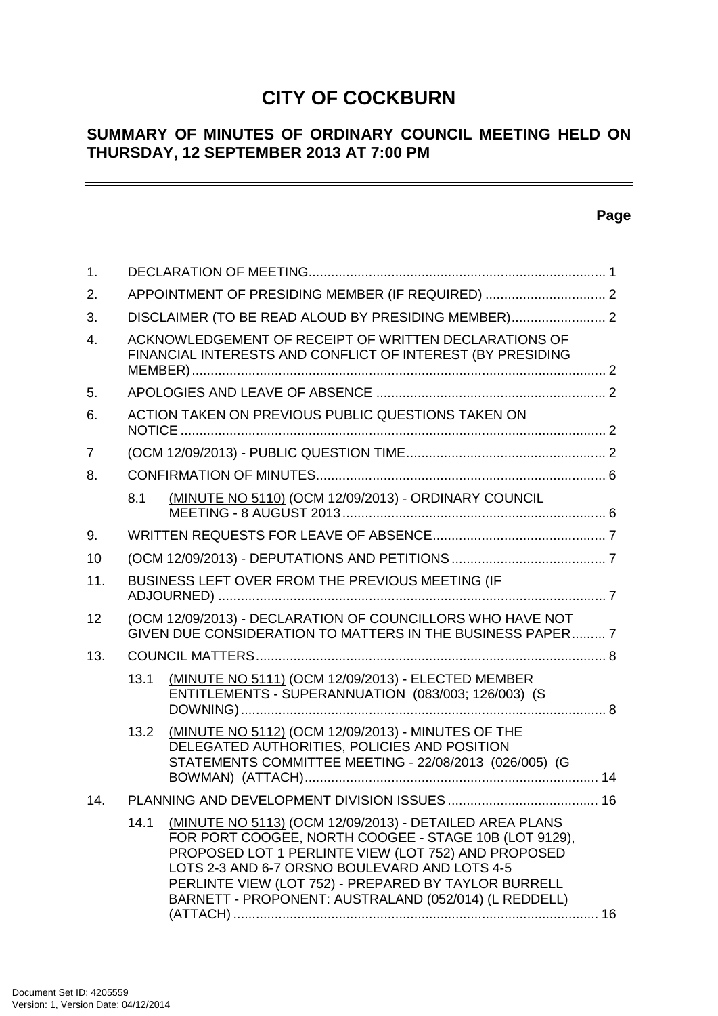# **CITY OF COCKBURN**

## **SUMMARY OF MINUTES OF ORDINARY COUNCIL MEETING HELD ON THURSDAY, 12 SEPTEMBER 2013 AT 7:00 PM**

## **Page**

| $\mathbf{1}$ . |                                                     |                                                                                                                                                                                                                                                                                                                                           |  |  |
|----------------|-----------------------------------------------------|-------------------------------------------------------------------------------------------------------------------------------------------------------------------------------------------------------------------------------------------------------------------------------------------------------------------------------------------|--|--|
| 2.             | APPOINTMENT OF PRESIDING MEMBER (IF REQUIRED)  2    |                                                                                                                                                                                                                                                                                                                                           |  |  |
| 3.             | DISCLAIMER (TO BE READ ALOUD BY PRESIDING MEMBER) 2 |                                                                                                                                                                                                                                                                                                                                           |  |  |
| 4.             |                                                     | ACKNOWLEDGEMENT OF RECEIPT OF WRITTEN DECLARATIONS OF<br>FINANCIAL INTERESTS AND CONFLICT OF INTEREST (BY PRESIDING                                                                                                                                                                                                                       |  |  |
| 5.             |                                                     |                                                                                                                                                                                                                                                                                                                                           |  |  |
| 6.             |                                                     | ACTION TAKEN ON PREVIOUS PUBLIC QUESTIONS TAKEN ON                                                                                                                                                                                                                                                                                        |  |  |
| 7              |                                                     |                                                                                                                                                                                                                                                                                                                                           |  |  |
| 8.             |                                                     |                                                                                                                                                                                                                                                                                                                                           |  |  |
|                | 8.1                                                 | (MINUTE NO 5110) (OCM 12/09/2013) - ORDINARY COUNCIL                                                                                                                                                                                                                                                                                      |  |  |
| 9.             |                                                     |                                                                                                                                                                                                                                                                                                                                           |  |  |
| 10             |                                                     |                                                                                                                                                                                                                                                                                                                                           |  |  |
| 11.            |                                                     | BUSINESS LEFT OVER FROM THE PREVIOUS MEETING (IF                                                                                                                                                                                                                                                                                          |  |  |
| 12             |                                                     | (OCM 12/09/2013) - DECLARATION OF COUNCILLORS WHO HAVE NOT<br>GIVEN DUE CONSIDERATION TO MATTERS IN THE BUSINESS PAPER 7                                                                                                                                                                                                                  |  |  |
| 13.            |                                                     |                                                                                                                                                                                                                                                                                                                                           |  |  |
|                | 13.1                                                | (MINUTE NO 5111) (OCM 12/09/2013) - ELECTED MEMBER<br>ENTITLEMENTS - SUPERANNUATION (083/003; 126/003) (S                                                                                                                                                                                                                                 |  |  |
|                | 13.2                                                | (MINUTE NO 5112) (OCM 12/09/2013) - MINUTES OF THE<br>DELEGATED AUTHORITIES, POLICIES AND POSITION<br>STATEMENTS COMMITTEE MEETING - 22/08/2013 (026/005) (G                                                                                                                                                                              |  |  |
| 14.            |                                                     | PLANNING AND DEVELOPMENT DIVISION ISSUES<br>16                                                                                                                                                                                                                                                                                            |  |  |
|                | 14.1                                                | (MINUTE NO 5113) (OCM 12/09/2013) - DETAILED AREA PLANS<br>FOR PORT COOGEE, NORTH COOGEE - STAGE 10B (LOT 9129),<br>PROPOSED LOT 1 PERLINTE VIEW (LOT 752) AND PROPOSED<br>LOTS 2-3 AND 6-7 ORSNO BOULEVARD AND LOTS 4-5<br>PERLINTE VIEW (LOT 752) - PREPARED BY TAYLOR BURRELL<br>BARNETT - PROPONENT: AUSTRALAND (052/014) (L REDDELL) |  |  |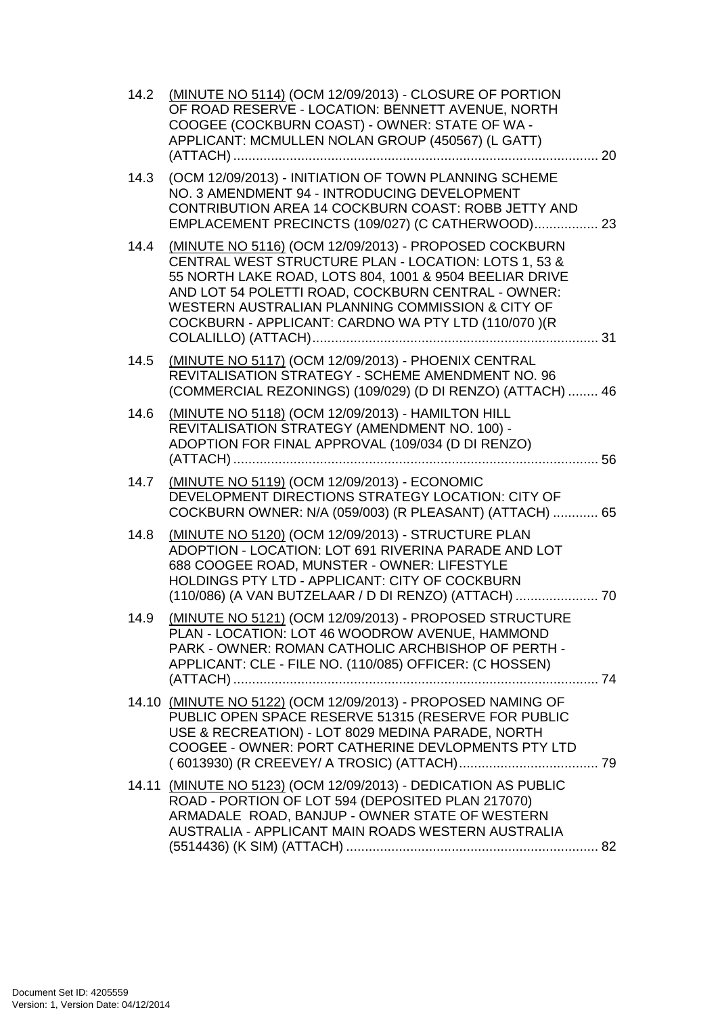| 14.2 | (MINUTE NO 5114) (OCM 12/09/2013) - CLOSURE OF PORTION<br>OF ROAD RESERVE - LOCATION: BENNETT AVENUE, NORTH<br>COOGEE (COCKBURN COAST) - OWNER: STATE OF WA -<br>APPLICANT: MCMULLEN NOLAN GROUP (450567) (L GATT)                                                                                                                         |  |
|------|--------------------------------------------------------------------------------------------------------------------------------------------------------------------------------------------------------------------------------------------------------------------------------------------------------------------------------------------|--|
| 14.3 | (OCM 12/09/2013) - INITIATION OF TOWN PLANNING SCHEME<br>NO. 3 AMENDMENT 94 - INTRODUCING DEVELOPMENT<br>CONTRIBUTION AREA 14 COCKBURN COAST: ROBB JETTY AND<br>EMPLACEMENT PRECINCTS (109/027) (C CATHERWOOD) 23                                                                                                                          |  |
| 14.4 | (MINUTE NO 5116) (OCM 12/09/2013) - PROPOSED COCKBURN<br>CENTRAL WEST STRUCTURE PLAN - LOCATION: LOTS 1, 53 &<br>55 NORTH LAKE ROAD, LOTS 804, 1001 & 9504 BEELIAR DRIVE<br>AND LOT 54 POLETTI ROAD, COCKBURN CENTRAL - OWNER:<br>WESTERN AUSTRALIAN PLANNING COMMISSION & CITY OF<br>COCKBURN - APPLICANT: CARDNO WA PTY LTD (110/070) (R |  |
| 14.5 | (MINUTE NO 5117) (OCM 12/09/2013) - PHOENIX CENTRAL<br>REVITALISATION STRATEGY - SCHEME AMENDMENT NO. 96<br>(COMMERCIAL REZONINGS) (109/029) (D DI RENZO) (ATTACH)  46                                                                                                                                                                     |  |
| 14.6 | (MINUTE NO 5118) (OCM 12/09/2013) - HAMILTON HILL<br>REVITALISATION STRATEGY (AMENDMENT NO. 100) -<br>ADOPTION FOR FINAL APPROVAL (109/034 (D DI RENZO)                                                                                                                                                                                    |  |
| 14.7 | (MINUTE NO 5119) (OCM 12/09/2013) - ECONOMIC<br>DEVELOPMENT DIRECTIONS STRATEGY LOCATION: CITY OF<br>COCKBURN OWNER: N/A (059/003) (R PLEASANT) (ATTACH)  65                                                                                                                                                                               |  |
| 14.8 | (MINUTE NO 5120) (OCM 12/09/2013) - STRUCTURE PLAN<br>ADOPTION - LOCATION: LOT 691 RIVERINA PARADE AND LOT<br>688 COOGEE ROAD, MUNSTER - OWNER: LIFESTYLE<br>HOLDINGS PTY LTD - APPLICANT: CITY OF COCKBURN<br>(110/086) (A VAN BUTZELAAR / D DI RENZO) (ATTACH)  70                                                                       |  |
| 14.9 | (MINUTE NO 5121) (OCM 12/09/2013) - PROPOSED STRUCTURE<br>PLAN - LOCATION: LOT 46 WOODROW AVENUE, HAMMOND<br>PARK - OWNER: ROMAN CATHOLIC ARCHBISHOP OF PERTH -<br>APPLICANT: CLE - FILE NO. (110/085) OFFICER: (C HOSSEN)                                                                                                                 |  |
|      | 14.10 (MINUTE NO 5122) (OCM 12/09/2013) - PROPOSED NAMING OF<br>PUBLIC OPEN SPACE RESERVE 51315 (RESERVE FOR PUBLIC<br>USE & RECREATION) - LOT 8029 MEDINA PARADE, NORTH<br>COOGEE - OWNER: PORT CATHERINE DEVLOPMENTS PTY LTD                                                                                                             |  |
|      | 14.11 (MINUTE NO 5123) (OCM 12/09/2013) - DEDICATION AS PUBLIC<br>ROAD - PORTION OF LOT 594 (DEPOSITED PLAN 217070)<br>ARMADALE ROAD, BANJUP - OWNER STATE OF WESTERN<br>AUSTRALIA - APPLICANT MAIN ROADS WESTERN AUSTRALIA                                                                                                                |  |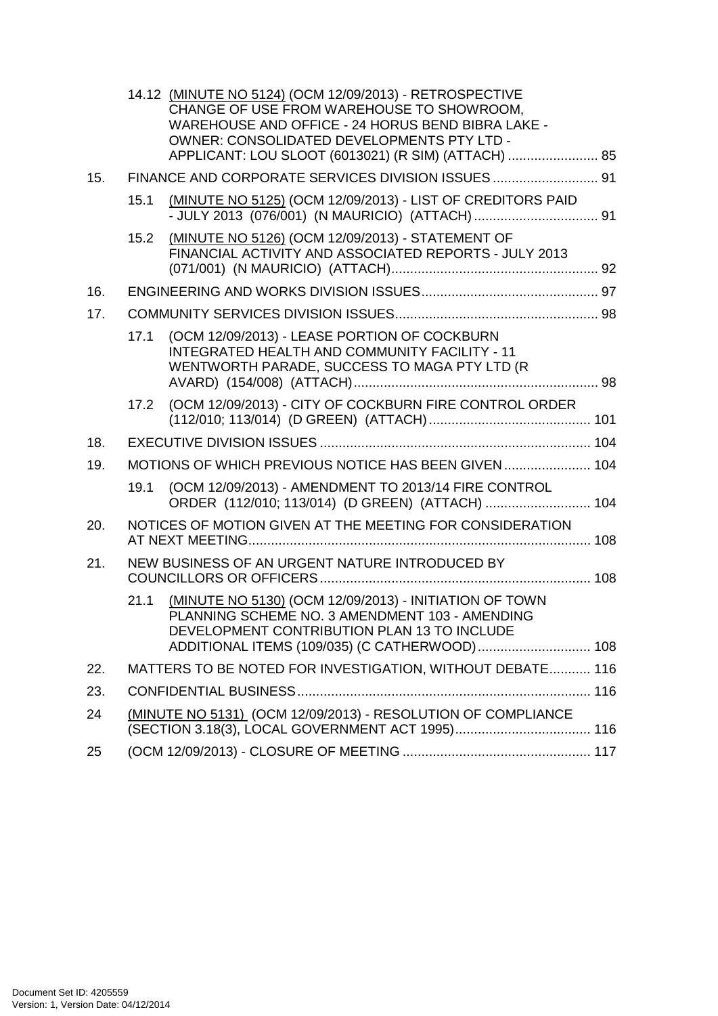|     |      | 14.12 (MINUTE NO 5124) (OCM 12/09/2013) - RETROSPECTIVE<br>CHANGE OF USE FROM WAREHOUSE TO SHOWROOM,<br>WAREHOUSE AND OFFICE - 24 HORUS BEND BIBRA LAKE -<br>OWNER: CONSOLIDATED DEVELOPMENTS PTY LTD -<br>APPLICANT: LOU SLOOT (6013021) (R SIM) (ATTACH)  85 |  |
|-----|------|----------------------------------------------------------------------------------------------------------------------------------------------------------------------------------------------------------------------------------------------------------------|--|
| 15. |      | FINANCE AND CORPORATE SERVICES DIVISION ISSUES  91                                                                                                                                                                                                             |  |
|     | 15.1 | (MINUTE NO 5125) (OCM 12/09/2013) - LIST OF CREDITORS PAID                                                                                                                                                                                                     |  |
|     | 15.2 | (MINUTE NO 5126) (OCM 12/09/2013) - STATEMENT OF<br>FINANCIAL ACTIVITY AND ASSOCIATED REPORTS - JULY 2013                                                                                                                                                      |  |
| 16. |      |                                                                                                                                                                                                                                                                |  |
| 17. |      |                                                                                                                                                                                                                                                                |  |
|     |      | 17.1 (OCM 12/09/2013) - LEASE PORTION OF COCKBURN<br>INTEGRATED HEALTH AND COMMUNITY FACILITY - 11<br>WENTWORTH PARADE, SUCCESS TO MAGA PTY LTD (R                                                                                                             |  |
|     | 17.2 | (OCM 12/09/2013) - CITY OF COCKBURN FIRE CONTROL ORDER                                                                                                                                                                                                         |  |
| 18. |      |                                                                                                                                                                                                                                                                |  |
| 19. |      | MOTIONS OF WHICH PREVIOUS NOTICE HAS BEEN GIVEN  104                                                                                                                                                                                                           |  |
|     | 19.1 | (OCM 12/09/2013) - AMENDMENT TO 2013/14 FIRE CONTROL<br>ORDER (112/010; 113/014) (D GREEN) (ATTACH)  104                                                                                                                                                       |  |
| 20. |      | NOTICES OF MOTION GIVEN AT THE MEETING FOR CONSIDERATION                                                                                                                                                                                                       |  |
| 21. |      | NEW BUSINESS OF AN URGENT NATURE INTRODUCED BY                                                                                                                                                                                                                 |  |
|     | 21.1 | (MINUTE NO 5130) (OCM 12/09/2013) - INITIATION OF TOWN<br>PLANNING SCHEME NO. 3 AMENDMENT 103 - AMENDING<br>DEVELOPMENT CONTRIBUTION PLAN 13 TO INCLUDE<br>ADDITIONAL ITEMS (109/035) (C CATHERWOOD) 108                                                       |  |
| 22. |      | MATTERS TO BE NOTED FOR INVESTIGATION, WITHOUT DEBATE 116                                                                                                                                                                                                      |  |
| 23. |      |                                                                                                                                                                                                                                                                |  |
| 24  |      | (MINUTE NO 5131) (OCM 12/09/2013) - RESOLUTION OF COMPLIANCE                                                                                                                                                                                                   |  |
| 25  |      |                                                                                                                                                                                                                                                                |  |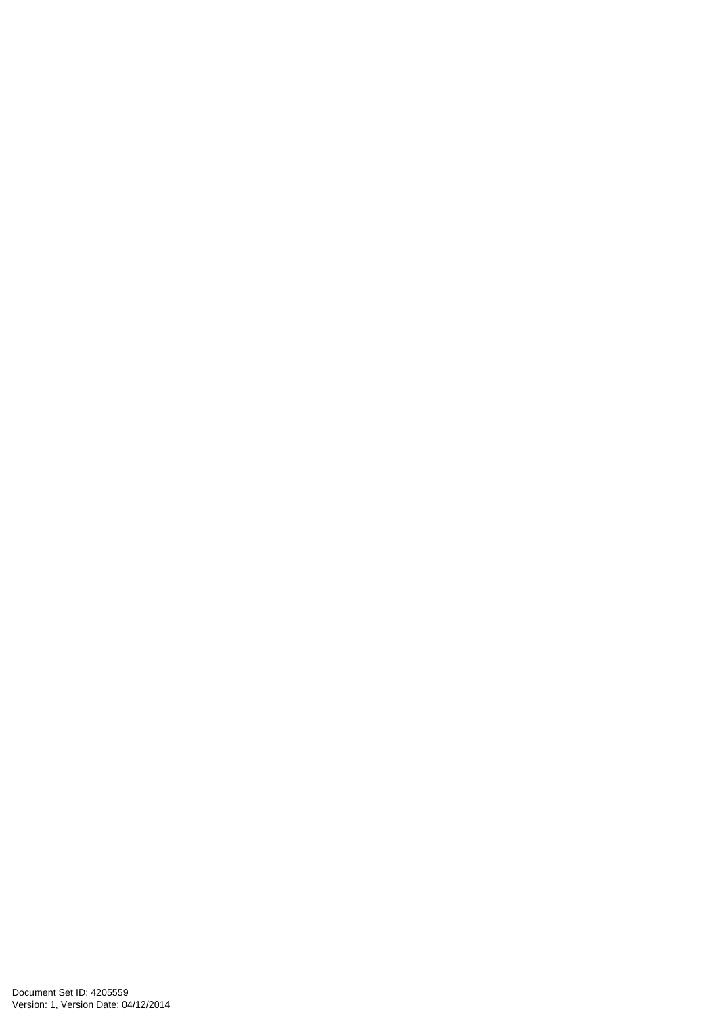Document Set ID: 4205559<br>Version: 1, Version Date: 04/12/2014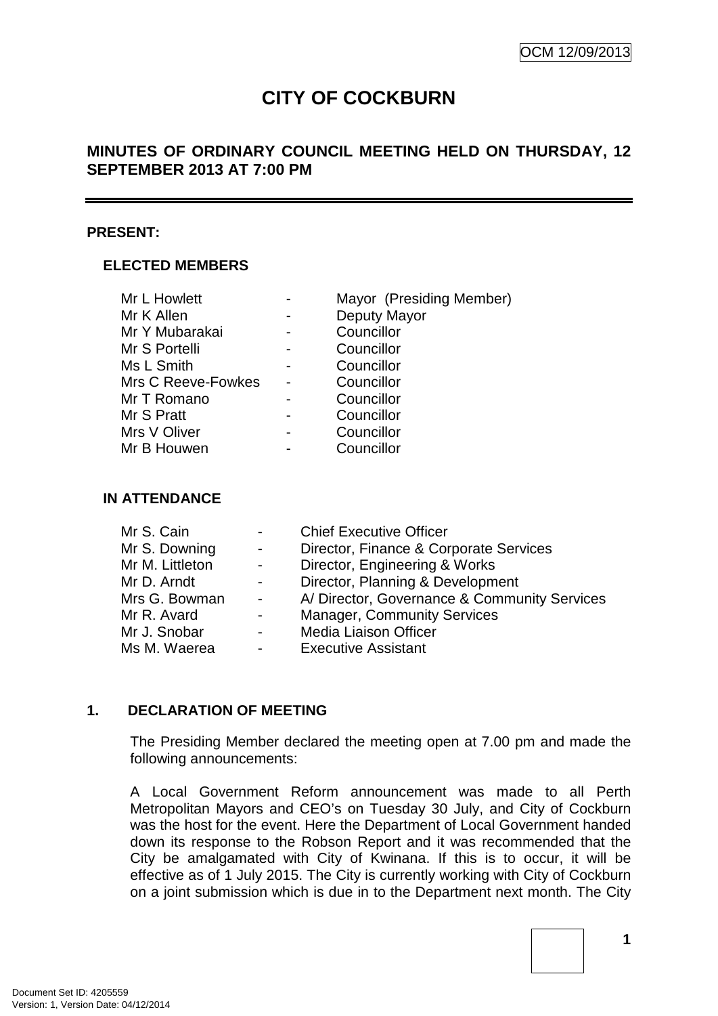# **CITY OF COCKBURN**

## **MINUTES OF ORDINARY COUNCIL MEETING HELD ON THURSDAY, 12 SEPTEMBER 2013 AT 7:00 PM**

#### **PRESENT:**

## **ELECTED MEMBERS**

| Mr L Howlett       | Mayor (Presiding Member) |
|--------------------|--------------------------|
| Mr K Allen         | Deputy Mayor             |
| Mr Y Mubarakai     | Councillor               |
| Mr S Portelli      | Councillor               |
| Ms L Smith         | Councillor               |
| Mrs C Reeve-Fowkes | Councillor               |
| Mr T Romano        | Councillor               |
| Mr S Pratt         | Councillor               |
| Mrs V Oliver       | Councillor               |
| Mr B Houwen        | Councillor               |

#### **IN ATTENDANCE**

| Mr S. Cain      | $\sim 100$      | <b>Chief Executive Officer</b>               |
|-----------------|-----------------|----------------------------------------------|
| Mr S. Downing   | $\sim$ 10 $\pm$ | Director, Finance & Corporate Services       |
| Mr M. Littleton | $\sim$ $-$      | Director, Engineering & Works                |
| Mr D. Arndt     | $\sim$ 10 $\,$  | Director, Planning & Development             |
| Mrs G. Bowman   | $\sim 100$      | A/ Director, Governance & Community Services |
| Mr R. Avard     | $\sim$ $-$      | <b>Manager, Community Services</b>           |
| Mr J. Snobar    | $\sim 100$      | <b>Media Liaison Officer</b>                 |
| Ms M. Waerea    | $\sim 100$      | <b>Executive Assistant</b>                   |
|                 |                 |                                              |

## **1. DECLARATION OF MEETING**

The Presiding Member declared the meeting open at 7.00 pm and made the following announcements:

A Local Government Reform announcement was made to all Perth Metropolitan Mayors and CEO's on Tuesday 30 July, and City of Cockburn was the host for the event. Here the Department of Local Government handed down its response to the Robson Report and it was recommended that the City be amalgamated with City of Kwinana. If this is to occur, it will be effective as of 1 July 2015. The City is currently working with City of Cockburn on a joint submission which is due in to the Department next month. The City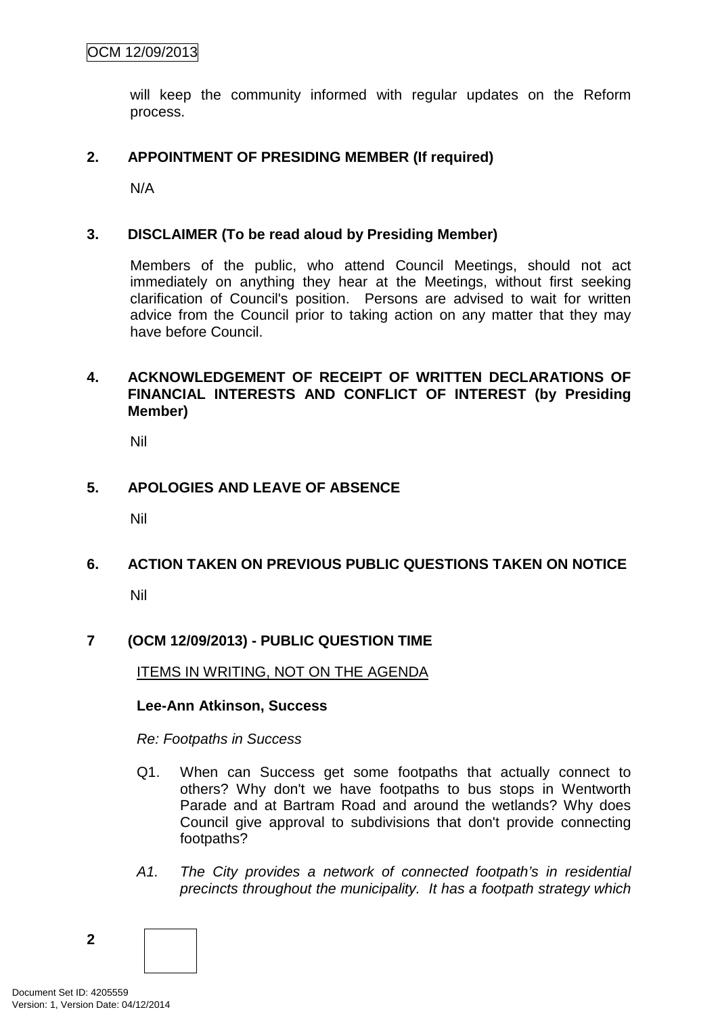## OCM 12/09/2013

will keep the community informed with regular updates on the Reform process.

#### **2. APPOINTMENT OF PRESIDING MEMBER (If required)**

N/A

#### **3. DISCLAIMER (To be read aloud by Presiding Member)**

Members of the public, who attend Council Meetings, should not act immediately on anything they hear at the Meetings, without first seeking clarification of Council's position. Persons are advised to wait for written advice from the Council prior to taking action on any matter that they may have before Council.

#### **4. ACKNOWLEDGEMENT OF RECEIPT OF WRITTEN DECLARATIONS OF FINANCIAL INTERESTS AND CONFLICT OF INTEREST (by Presiding Member)**

Nil

#### **5. APOLOGIES AND LEAVE OF ABSENCE**

Nil

#### **6. ACTION TAKEN ON PREVIOUS PUBLIC QUESTIONS TAKEN ON NOTICE**

Nil

#### **7 (OCM 12/09/2013) - PUBLIC QUESTION TIME**

ITEMS IN WRITING, NOT ON THE AGENDA

#### **Lee-Ann Atkinson, Success**

*Re: Footpaths in Success*

- Q1. When can Success get some footpaths that actually connect to others? Why don't we have footpaths to bus stops in Wentworth Parade and at Bartram Road and around the wetlands? Why does Council give approval to subdivisions that don't provide connecting footpaths?
- *A1. The City provides a network of connected footpath's in residential precincts throughout the municipality. It has a footpath strategy which*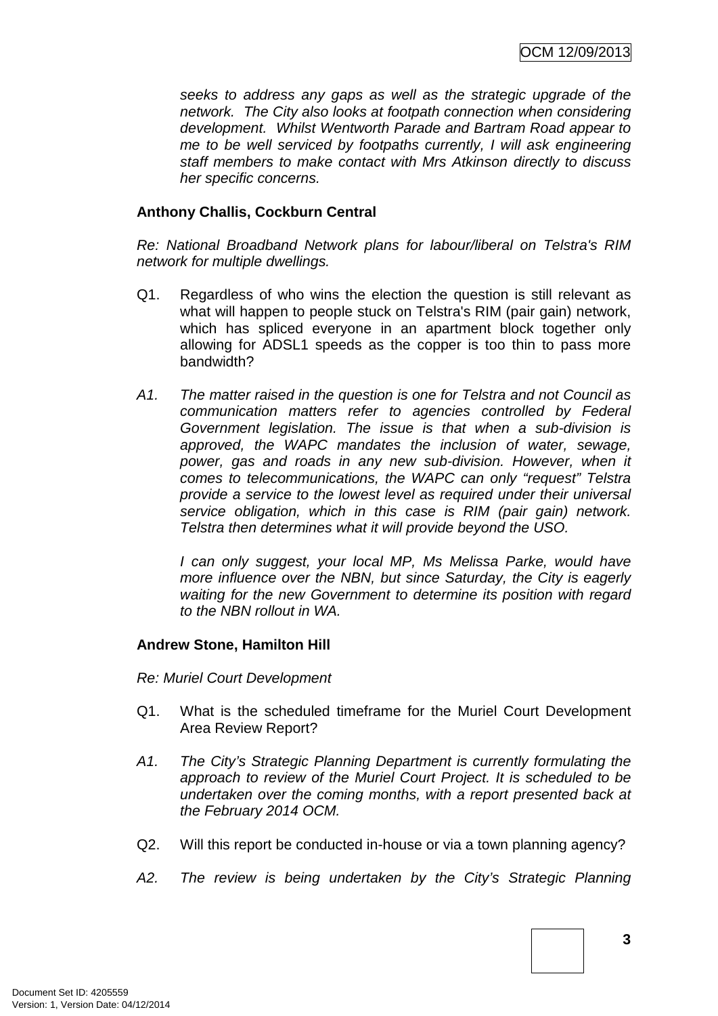*seeks to address any gaps as well as the strategic upgrade of the network. The City also looks at footpath connection when considering development. Whilst Wentworth Parade and Bartram Road appear to me to be well serviced by footpaths currently, I will ask engineering staff members to make contact with Mrs Atkinson directly to discuss her specific concerns.*

### **Anthony Challis, Cockburn Central**

*Re: National Broadband Network plans for labour/liberal on Telstra's RIM network for multiple dwellings.*

- Q1. Regardless of who wins the election the question is still relevant as what will happen to people stuck on Telstra's RIM (pair gain) network, which has spliced everyone in an apartment block together only allowing for ADSL1 speeds as the copper is too thin to pass more bandwidth?
- *A1. The matter raised in the question is one for Telstra and not Council as communication matters refer to agencies controlled by Federal Government legislation. The issue is that when a sub-division is approved, the WAPC mandates the inclusion of water, sewage, power, gas and roads in any new sub-division. However, when it comes to telecommunications, the WAPC can only "request" Telstra provide a service to the lowest level as required under their universal service obligation, which in this case is RIM (pair gain) network. Telstra then determines what it will provide beyond the USO.*

*I can only suggest, your local MP, Ms Melissa Parke, would have more influence over the NBN, but since Saturday, the City is eagerly waiting for the new Government to determine its position with regard to the NBN rollout in WA.*

#### **Andrew Stone, Hamilton Hill**

*Re: Muriel Court Development*

- Q1. What is the scheduled timeframe for the Muriel Court Development Area Review Report?
- *A1. The City's Strategic Planning Department is currently formulating the approach to review of the Muriel Court Project. It is scheduled to be undertaken over the coming months, with a report presented back at the February 2014 OCM.*
- Q2. Will this report be conducted in-house or via a town planning agency?
- *A2. The review is being undertaken by the City's Strategic Planning*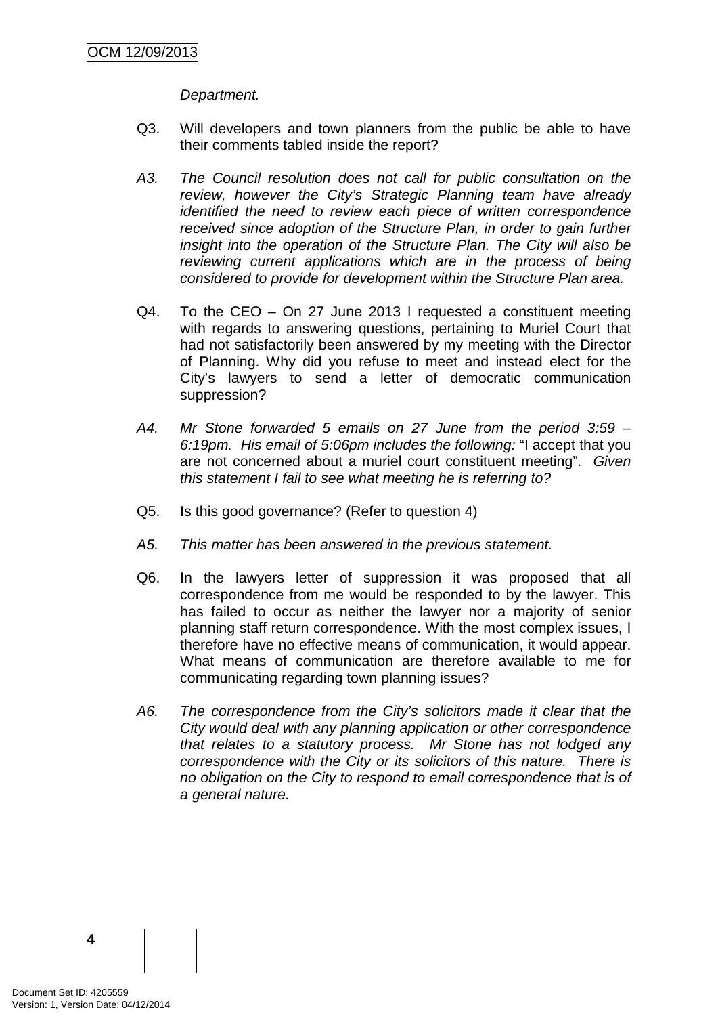#### *Department.*

- Q3. Will developers and town planners from the public be able to have their comments tabled inside the report?
- *A3. The Council resolution does not call for public consultation on the review, however the City's Strategic Planning team have already identified the need to review each piece of written correspondence received since adoption of the Structure Plan, in order to gain further insight into the operation of the Structure Plan. The City will also be reviewing current applications which are in the process of being considered to provide for development within the Structure Plan area.*
- Q4. To the CEO On 27 June 2013 I requested a constituent meeting with regards to answering questions, pertaining to Muriel Court that had not satisfactorily been answered by my meeting with the Director of Planning. Why did you refuse to meet and instead elect for the City's lawyers to send a letter of democratic communication suppression?
- *A4. Mr Stone forwarded 5 emails on 27 June from the period 3:59 – 6:19pm. His email of 5:06pm includes the following:* "I accept that you are not concerned about a muriel court constituent meeting". *Given this statement I fail to see what meeting he is referring to?*
- Q5. Is this good governance? (Refer to question 4)
- *A5. This matter has been answered in the previous statement.*
- Q6. In the lawyers letter of suppression it was proposed that all correspondence from me would be responded to by the lawyer. This has failed to occur as neither the lawyer nor a majority of senior planning staff return correspondence. With the most complex issues, I therefore have no effective means of communication, it would appear. What means of communication are therefore available to me for communicating regarding town planning issues?
- *A6. The correspondence from the City's solicitors made it clear that the City would deal with any planning application or other correspondence that relates to a statutory process. Mr Stone has not lodged any correspondence with the City or its solicitors of this nature. There is no obligation on the City to respond to email correspondence that is of a general nature.*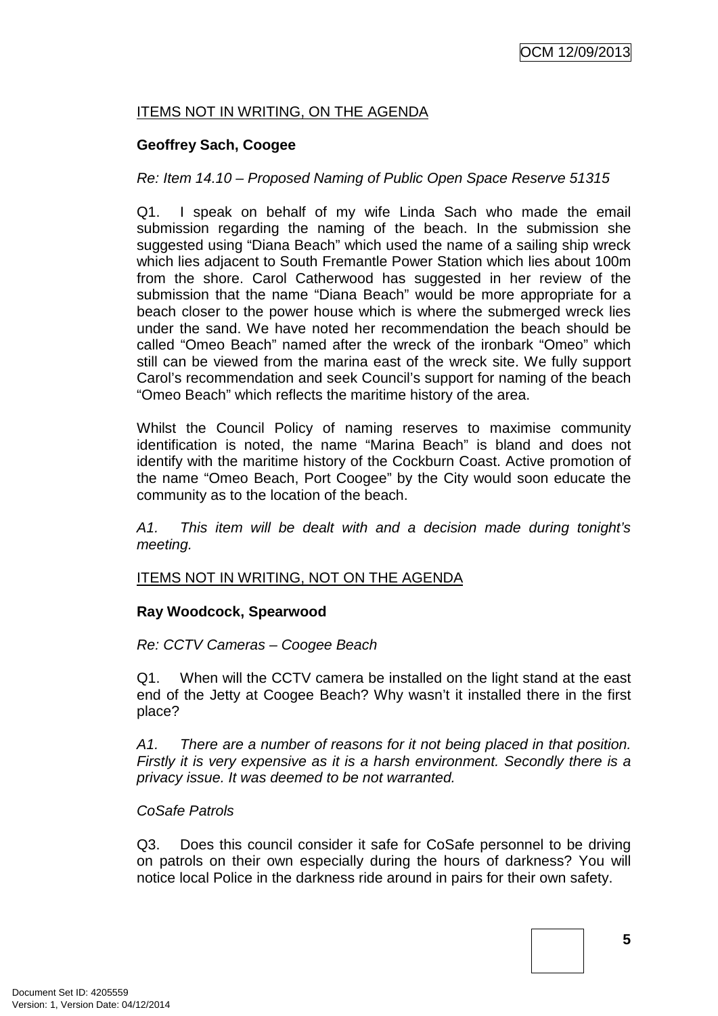## ITEMS NOT IN WRITING, ON THE AGENDA

## **Geoffrey Sach, Coogee**

### *Re: Item 14.10 – Proposed Naming of Public Open Space Reserve 51315*

Q1. I speak on behalf of my wife Linda Sach who made the email submission regarding the naming of the beach. In the submission she suggested using "Diana Beach" which used the name of a sailing ship wreck which lies adjacent to South Fremantle Power Station which lies about 100m from the shore. Carol Catherwood has suggested in her review of the submission that the name "Diana Beach" would be more appropriate for a beach closer to the power house which is where the submerged wreck lies under the sand. We have noted her recommendation the beach should be called "Omeo Beach" named after the wreck of the ironbark "Omeo" which still can be viewed from the marina east of the wreck site. We fully support Carol's recommendation and seek Council's support for naming of the beach "Omeo Beach" which reflects the maritime history of the area.

Whilst the Council Policy of naming reserves to maximise community identification is noted, the name "Marina Beach" is bland and does not identify with the maritime history of the Cockburn Coast. Active promotion of the name "Omeo Beach, Port Coogee" by the City would soon educate the community as to the location of the beach.

*A1. This item will be dealt with and a decision made during tonight's meeting.*

#### ITEMS NOT IN WRITING, NOT ON THE AGENDA

#### **Ray Woodcock, Spearwood**

*Re: CCTV Cameras – Coogee Beach* 

Q1. When will the CCTV camera be installed on the light stand at the east end of the Jetty at Coogee Beach? Why wasn't it installed there in the first place?

*A1. There are a number of reasons for it not being placed in that position. Firstly it is very expensive as it is a harsh environment. Secondly there is a privacy issue. It was deemed to be not warranted.*

#### *CoSafe Patrols*

Q3. Does this council consider it safe for CoSafe personnel to be driving on patrols on their own especially during the hours of darkness? You will notice local Police in the darkness ride around in pairs for their own safety.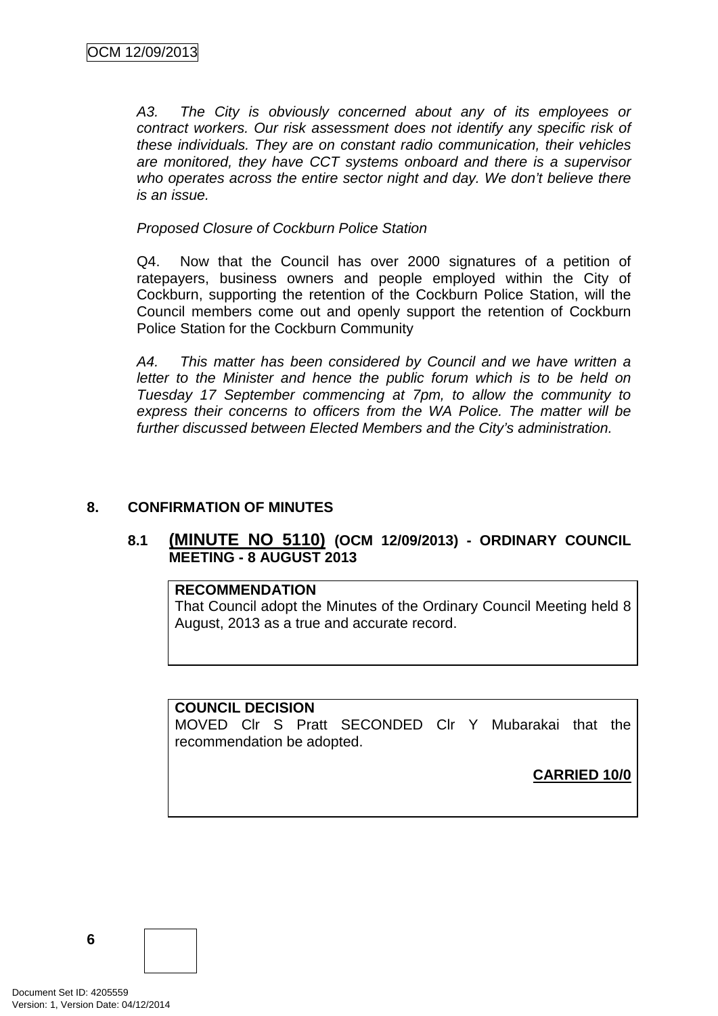*A3. The City is obviously concerned about any of its employees or contract workers. Our risk assessment does not identify any specific risk of these individuals. They are on constant radio communication, their vehicles are monitored, they have CCT systems onboard and there is a supervisor who operates across the entire sector night and day. We don't believe there is an issue.*

## *Proposed Closure of Cockburn Police Station*

Q4. Now that the Council has over 2000 signatures of a petition of ratepayers, business owners and people employed within the City of Cockburn, supporting the retention of the Cockburn Police Station, will the Council members come out and openly support the retention of Cockburn Police Station for the Cockburn Community

*A4. This matter has been considered by Council and we have written a letter to the Minister and hence the public forum which is to be held on Tuesday 17 September commencing at 7pm, to allow the community to express their concerns to officers from the WA Police. The matter will be further discussed between Elected Members and the City's administration.*

## **8. CONFIRMATION OF MINUTES**

## **8.1 (MINUTE NO 5110) (OCM 12/09/2013) - ORDINARY COUNCIL MEETING - 8 AUGUST 2013**

#### **RECOMMENDATION**

That Council adopt the Minutes of the Ordinary Council Meeting held 8 August, 2013 as a true and accurate record.

#### **COUNCIL DECISION**

MOVED Clr S Pratt SECONDED Clr Y Mubarakai that the recommendation be adopted.

**CARRIED 10/0**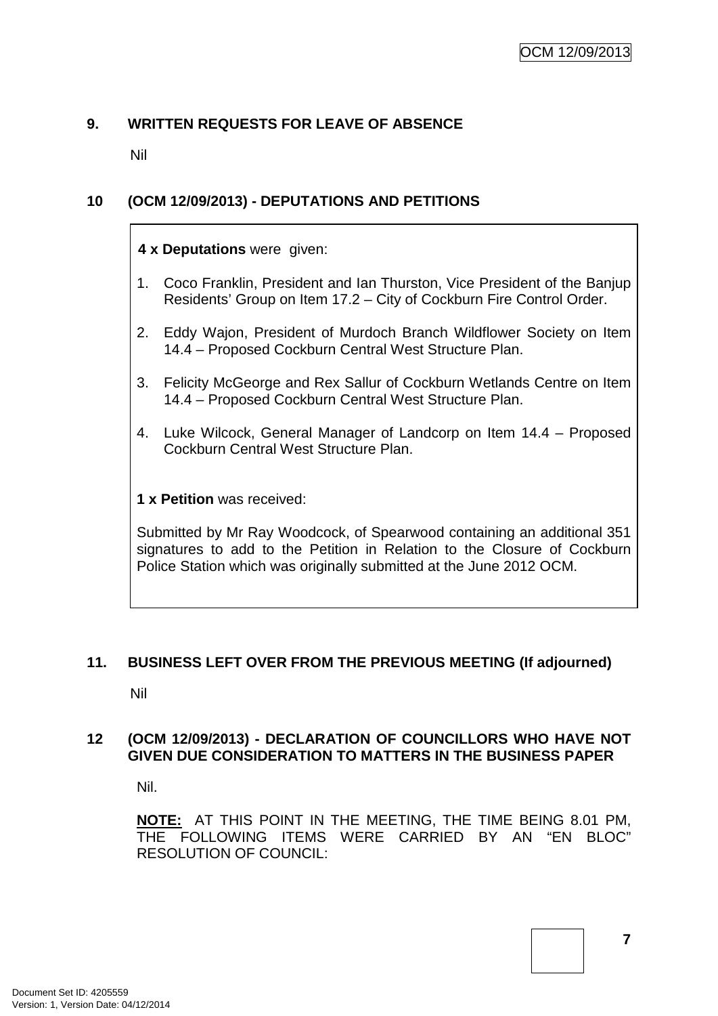## **9. WRITTEN REQUESTS FOR LEAVE OF ABSENCE**

Nil

## **10 (OCM 12/09/2013) - DEPUTATIONS AND PETITIONS**

### **4 x Deputations** were given:

- 1. Coco Franklin, President and Ian Thurston, Vice President of the Banjup Residents' Group on Item 17.2 – City of Cockburn Fire Control Order.
- 2. Eddy Wajon, President of Murdoch Branch Wildflower Society on Item 14.4 – Proposed Cockburn Central West Structure Plan.
- 3. Felicity McGeorge and Rex Sallur of Cockburn Wetlands Centre on Item 14.4 – Proposed Cockburn Central West Structure Plan.
- 4. Luke Wilcock, General Manager of Landcorp on Item 14.4 Proposed Cockburn Central West Structure Plan.

#### **1 x Petition** was received:

Submitted by Mr Ray Woodcock, of Spearwood containing an additional 351 signatures to add to the Petition in Relation to the Closure of Cockburn Police Station which was originally submitted at the June 2012 OCM.

## **11. BUSINESS LEFT OVER FROM THE PREVIOUS MEETING (If adjourned)**

Nil

## **12 (OCM 12/09/2013) - DECLARATION OF COUNCILLORS WHO HAVE NOT GIVEN DUE CONSIDERATION TO MATTERS IN THE BUSINESS PAPER**

Nil.

**NOTE:** AT THIS POINT IN THE MEETING, THE TIME BEING 8.01 PM, THE FOLLOWING ITEMS WERE CARRIED BY AN "EN BLOC" RESOLUTION OF COUNCIL: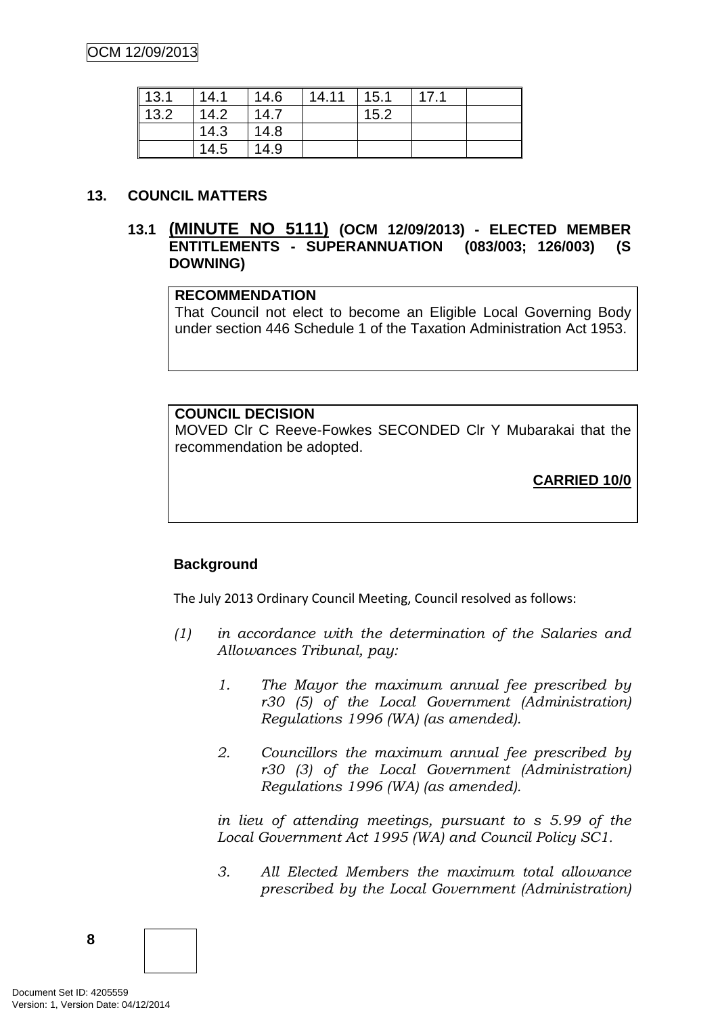| $\vert$ 13.1 | 14.1 | 14.6 | 14.11 | 15.1 | 17.1 |  |
|--------------|------|------|-------|------|------|--|
| $\vert$ 13.2 | 14.2 | 14.7 |       | 15.2 |      |  |
|              | 14.3 | 14.8 |       |      |      |  |
|              | 14.5 | 14.9 |       |      |      |  |

## **13. COUNCIL MATTERS**

## **13.1 (MINUTE NO 5111) (OCM 12/09/2013) - ELECTED MEMBER ENTITLEMENTS - SUPERANNUATION (083/003; 126/003) (S DOWNING)**

#### **RECOMMENDATION**

That Council not elect to become an Eligible Local Governing Body under section 446 Schedule 1 of the Taxation Administration Act 1953.

#### **COUNCIL DECISION**

MOVED Clr C Reeve-Fowkes SECONDED Clr Y Mubarakai that the recommendation be adopted.

**CARRIED 10/0**

#### **Background**

The July 2013 Ordinary Council Meeting, Council resolved as follows:

- *(1) in accordance with the determination of the Salaries and Allowances Tribunal, pay:* 
	- *1. The Mayor the maximum annual fee prescribed by r30 (5) of the Local Government (Administration) Regulations 1996 (WA) (as amended).*
	- *2. Councillors the maximum annual fee prescribed by r30 (3) of the Local Government (Administration) Regulations 1996 (WA) (as amended).*

*in lieu of attending meetings, pursuant to s 5.99 of the Local Government Act 1995 (WA) and Council Policy SC1.* 

*3. All Elected Members the maximum total allowance prescribed by the Local Government (Administration)* 

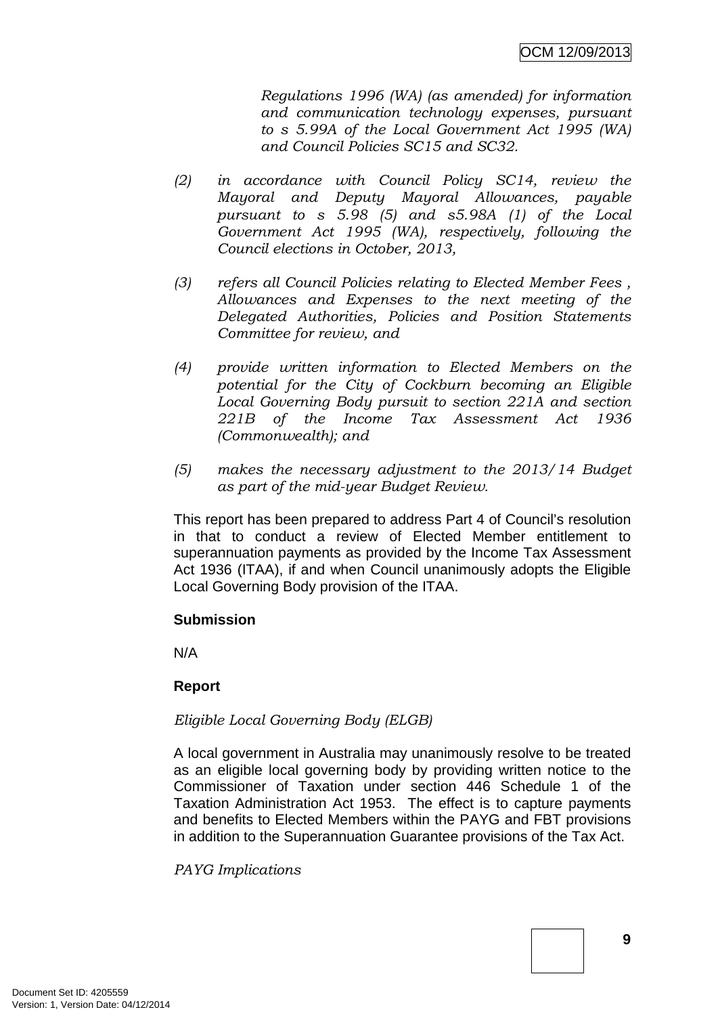*Regulations 1996 (WA) (as amended) for information and communication technology expenses, pursuant to s 5.99A of the Local Government Act 1995 (WA) and Council Policies SC15 and SC32.* 

- *(2) in accordance with Council Policy SC14, review the Mayoral and Deputy Mayoral Allowances, payable pursuant to s 5.98 (5) and s5.98A (1) of the Local Government Act 1995 (WA), respectively, following the Council elections in October, 2013,*
- *(3) refers all Council Policies relating to Elected Member Fees , Allowances and Expenses to the next meeting of the Delegated Authorities, Policies and Position Statements Committee for review, and*
- *(4) provide written information to Elected Members on the potential for the City of Cockburn becoming an Eligible Local Governing Body pursuit to section 221A and section 221B of the Income Tax Assessment Act 1936 (Commonwealth); and*
- *(5) makes the necessary adjustment to the 2013/14 Budget as part of the mid-year Budget Review.*

This report has been prepared to address Part 4 of Council's resolution in that to conduct a review of Elected Member entitlement to superannuation payments as provided by the Income Tax Assessment Act 1936 (ITAA), if and when Council unanimously adopts the Eligible Local Governing Body provision of the ITAA.

#### **Submission**

N/A

## **Report**

## *Eligible Local Governing Body (ELGB)*

A local government in Australia may unanimously resolve to be treated as an eligible local governing body by providing written notice to the Commissioner of Taxation under section 446 Schedule 1 of the Taxation Administration Act 1953. The effect is to capture payments and benefits to Elected Members within the PAYG and FBT provisions in addition to the Superannuation Guarantee provisions of the Tax Act.

*PAYG Implications*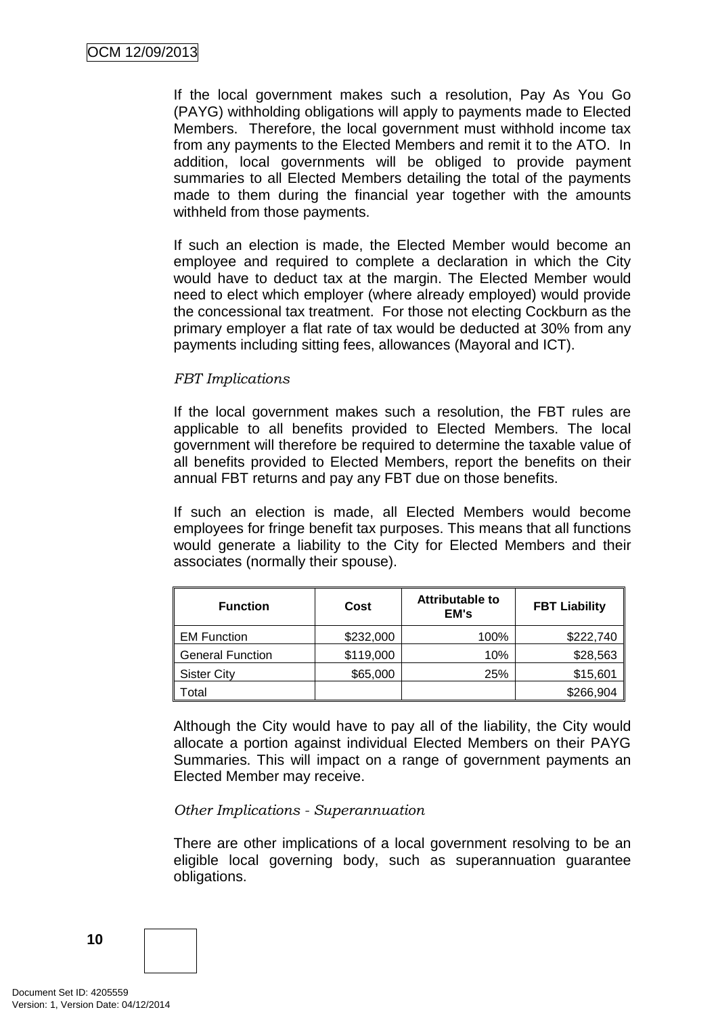If the local government makes such a resolution, Pay As You Go (PAYG) withholding obligations will apply to payments made to Elected Members. Therefore, the local government must withhold income tax from any payments to the Elected Members and remit it to the ATO. In addition, local governments will be obliged to provide payment summaries to all Elected Members detailing the total of the payments made to them during the financial year together with the amounts withheld from those payments.

If such an election is made, the Elected Member would become an employee and required to complete a declaration in which the City would have to deduct tax at the margin. The Elected Member would need to elect which employer (where already employed) would provide the concessional tax treatment. For those not electing Cockburn as the primary employer a flat rate of tax would be deducted at 30% from any payments including sitting fees, allowances (Mayoral and ICT).

#### *FBT Implications*

If the local government makes such a resolution, the FBT rules are applicable to all benefits provided to Elected Members. The local government will therefore be required to determine the taxable value of all benefits provided to Elected Members, report the benefits on their annual FBT returns and pay any FBT due on those benefits.

If such an election is made, all Elected Members would become employees for fringe benefit tax purposes. This means that all functions would generate a liability to the City for Elected Members and their associates (normally their spouse).

| <b>Function</b>         | Cost      | Attributable to<br>EM's | <b>FBT Liability</b> |
|-------------------------|-----------|-------------------------|----------------------|
| <b>EM Function</b>      | \$232,000 | 100%                    | \$222,740            |
| <b>General Function</b> | \$119,000 | 10%                     | \$28,563             |
| <b>Sister City</b>      | \$65,000  | 25%                     | \$15,601             |
| ⊺otal                   |           |                         | \$266,904            |

Although the City would have to pay all of the liability, the City would allocate a portion against individual Elected Members on their PAYG Summaries. This will impact on a range of government payments an Elected Member may receive.

#### *Other Implications - Superannuation*

There are other implications of a local government resolving to be an eligible local governing body, such as superannuation guarantee obligations.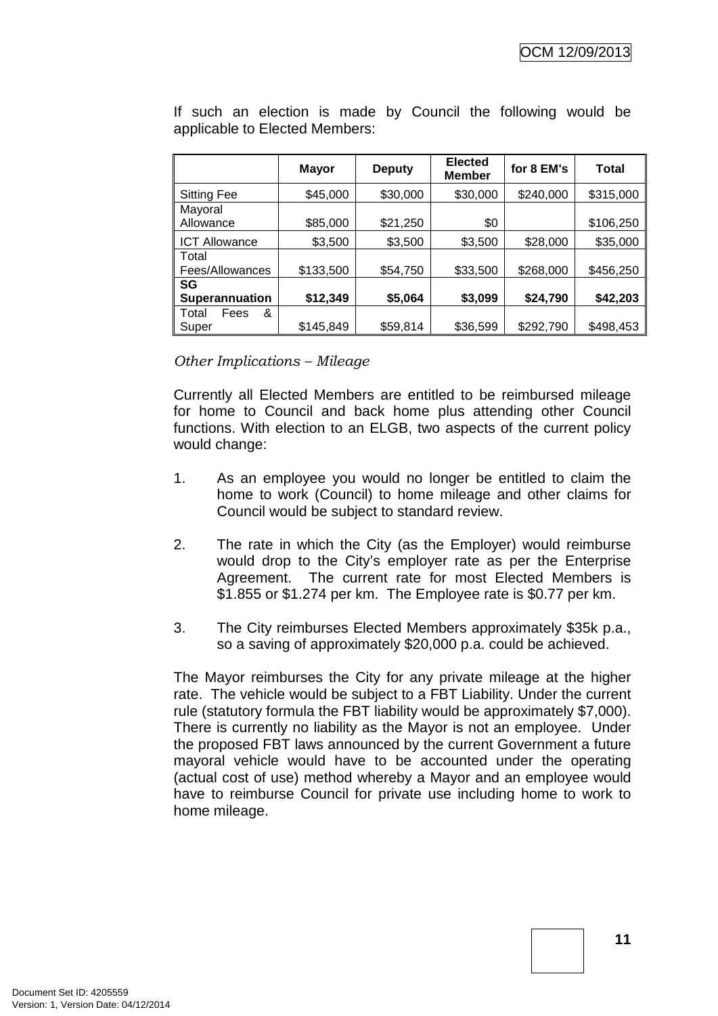|                      | <b>Mayor</b> | <b>Deputy</b> | <b>Elected</b><br><b>Member</b> | for 8 EM's | <b>Total</b> |
|----------------------|--------------|---------------|---------------------------------|------------|--------------|
| <b>Sitting Fee</b>   | \$45,000     | \$30,000      | \$30,000                        | \$240,000  | \$315,000    |
| Mayoral              |              |               |                                 |            |              |
| Allowance            | \$85,000     | \$21,250      | \$0                             |            | \$106,250    |
| <b>ICT Allowance</b> | \$3,500      | \$3,500       | \$3,500                         | \$28,000   | \$35,000     |
| Total                |              |               |                                 |            |              |
| Fees/Allowances      | \$133,500    | \$54,750      | \$33,500                        | \$268,000  | \$456,250    |
| SG                   |              |               |                                 |            |              |
| Superannuation       | \$12,349     | \$5,064       | \$3,099                         | \$24,790   | \$42,203     |
| &<br>Total<br>Fees   |              |               |                                 |            |              |
| Super                | \$145,849    | \$59,814      | \$36,599                        | \$292,790  | \$498,453    |

If such an election is made by Council the following would be applicable to Elected Members:

*Other Implications – Mileage*

Currently all Elected Members are entitled to be reimbursed mileage for home to Council and back home plus attending other Council functions. With election to an ELGB, two aspects of the current policy would change:

- 1. As an employee you would no longer be entitled to claim the home to work (Council) to home mileage and other claims for Council would be subject to standard review.
- 2. The rate in which the City (as the Employer) would reimburse would drop to the City's employer rate as per the Enterprise Agreement. The current rate for most Elected Members is \$1.855 or \$1.274 per km. The Employee rate is \$0.77 per km.
- 3. The City reimburses Elected Members approximately \$35k p.a., so a saving of approximately \$20,000 p.a. could be achieved.

The Mayor reimburses the City for any private mileage at the higher rate. The vehicle would be subject to a FBT Liability. Under the current rule (statutory formula the FBT liability would be approximately \$7,000). There is currently no liability as the Mayor is not an employee. Under the proposed FBT laws announced by the current Government a future mayoral vehicle would have to be accounted under the operating (actual cost of use) method whereby a Mayor and an employee would have to reimburse Council for private use including home to work to home mileage.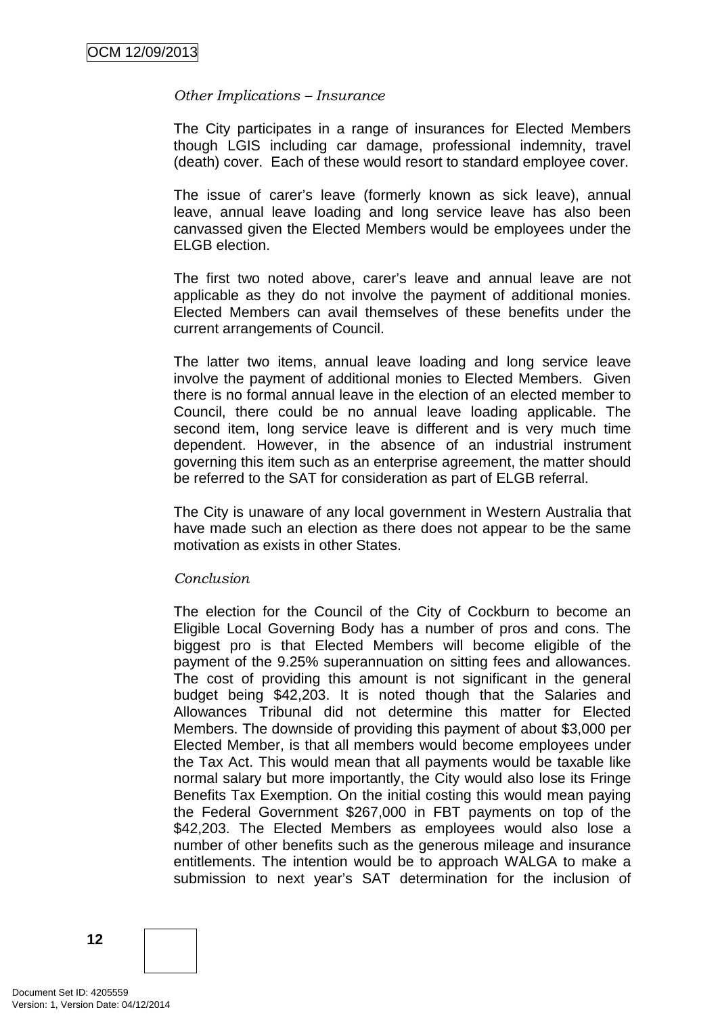#### *Other Implications – Insurance*

The City participates in a range of insurances for Elected Members though LGIS including car damage, professional indemnity, travel (death) cover. Each of these would resort to standard employee cover.

The issue of carer's leave (formerly known as sick leave), annual leave, annual leave loading and long service leave has also been canvassed given the Elected Members would be employees under the ELGB election.

The first two noted above, carer's leave and annual leave are not applicable as they do not involve the payment of additional monies. Elected Members can avail themselves of these benefits under the current arrangements of Council.

The latter two items, annual leave loading and long service leave involve the payment of additional monies to Elected Members. Given there is no formal annual leave in the election of an elected member to Council, there could be no annual leave loading applicable. The second item, long service leave is different and is very much time dependent. However, in the absence of an industrial instrument governing this item such as an enterprise agreement, the matter should be referred to the SAT for consideration as part of ELGB referral.

The City is unaware of any local government in Western Australia that have made such an election as there does not appear to be the same motivation as exists in other States.

#### *Conclusion*

The election for the Council of the City of Cockburn to become an Eligible Local Governing Body has a number of pros and cons. The biggest pro is that Elected Members will become eligible of the payment of the 9.25% superannuation on sitting fees and allowances. The cost of providing this amount is not significant in the general budget being \$42,203. It is noted though that the Salaries and Allowances Tribunal did not determine this matter for Elected Members. The downside of providing this payment of about \$3,000 per Elected Member, is that all members would become employees under the Tax Act. This would mean that all payments would be taxable like normal salary but more importantly, the City would also lose its Fringe Benefits Tax Exemption. On the initial costing this would mean paying the Federal Government \$267,000 in FBT payments on top of the \$42,203. The Elected Members as employees would also lose a number of other benefits such as the generous mileage and insurance entitlements. The intention would be to approach WALGA to make a submission to next year's SAT determination for the inclusion of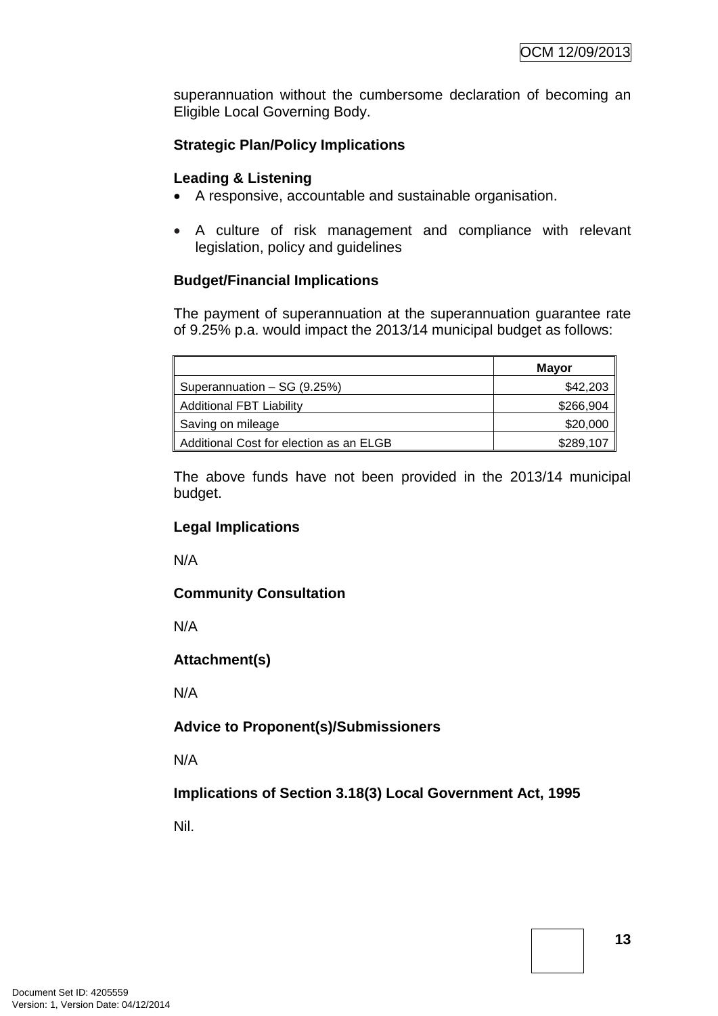superannuation without the cumbersome declaration of becoming an Eligible Local Governing Body.

## **Strategic Plan/Policy Implications**

### **Leading & Listening**

- A responsive, accountable and sustainable organisation.
- A culture of risk management and compliance with relevant legislation, policy and guidelines

## **Budget/Financial Implications**

The payment of superannuation at the superannuation guarantee rate of 9.25% p.a. would impact the 2013/14 municipal budget as follows:

|                                         | Mayor     |
|-----------------------------------------|-----------|
| Superannuation - SG (9.25%)             | \$42,203  |
| <b>Additional FBT Liability</b>         | \$266,904 |
| Saving on mileage                       | \$20,000  |
| Additional Cost for election as an ELGB | \$289,107 |

The above funds have not been provided in the 2013/14 municipal budget.

## **Legal Implications**

N/A

**Community Consultation**

N/A

## **Attachment(s)**

N/A

## **Advice to Proponent(s)/Submissioners**

N/A

**Implications of Section 3.18(3) Local Government Act, 1995**

Nil.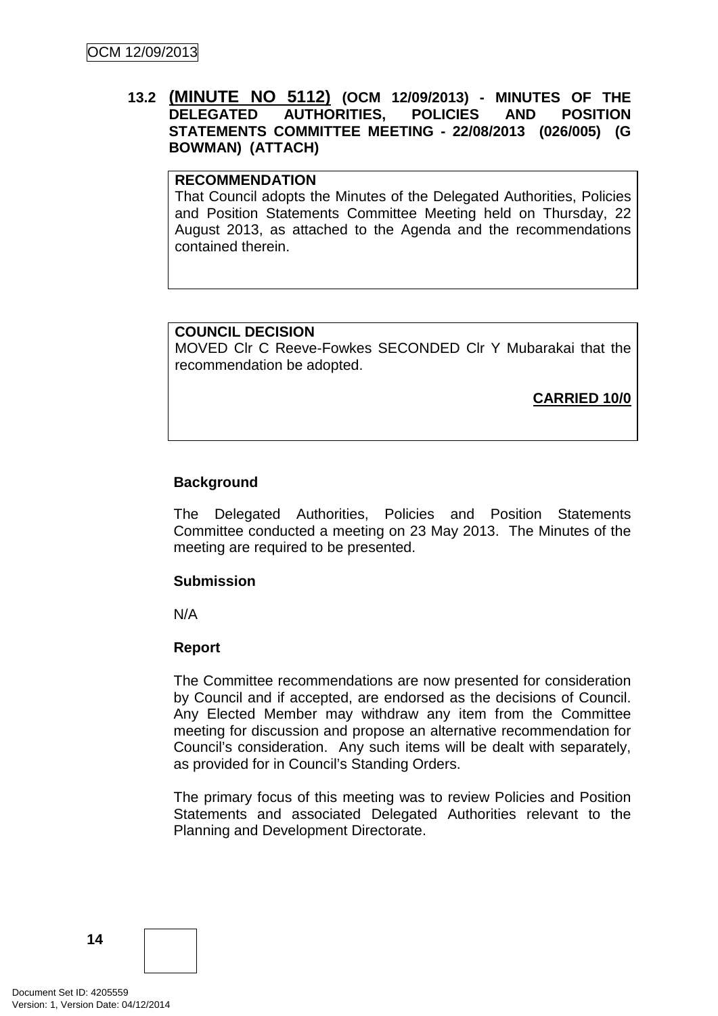## **13.2 (MINUTE NO 5112) (OCM 12/09/2013) - MINUTES OF THE DELEGATED AUTHORITIES, POLICIES AND STATEMENTS COMMITTEE MEETING - 22/08/2013 (026/005) (G BOWMAN) (ATTACH)**

## **RECOMMENDATION**

That Council adopts the Minutes of the Delegated Authorities, Policies and Position Statements Committee Meeting held on Thursday, 22 August 2013, as attached to the Agenda and the recommendations contained therein.

## **COUNCIL DECISION**

MOVED Clr C Reeve-Fowkes SECONDED Clr Y Mubarakai that the recommendation be adopted.

**CARRIED 10/0**

## **Background**

The Delegated Authorities, Policies and Position Statements Committee conducted a meeting on 23 May 2013. The Minutes of the meeting are required to be presented.

## **Submission**

N/A

## **Report**

The Committee recommendations are now presented for consideration by Council and if accepted, are endorsed as the decisions of Council. Any Elected Member may withdraw any item from the Committee meeting for discussion and propose an alternative recommendation for Council's consideration. Any such items will be dealt with separately, as provided for in Council's Standing Orders.

The primary focus of this meeting was to review Policies and Position Statements and associated Delegated Authorities relevant to the Planning and Development Directorate.

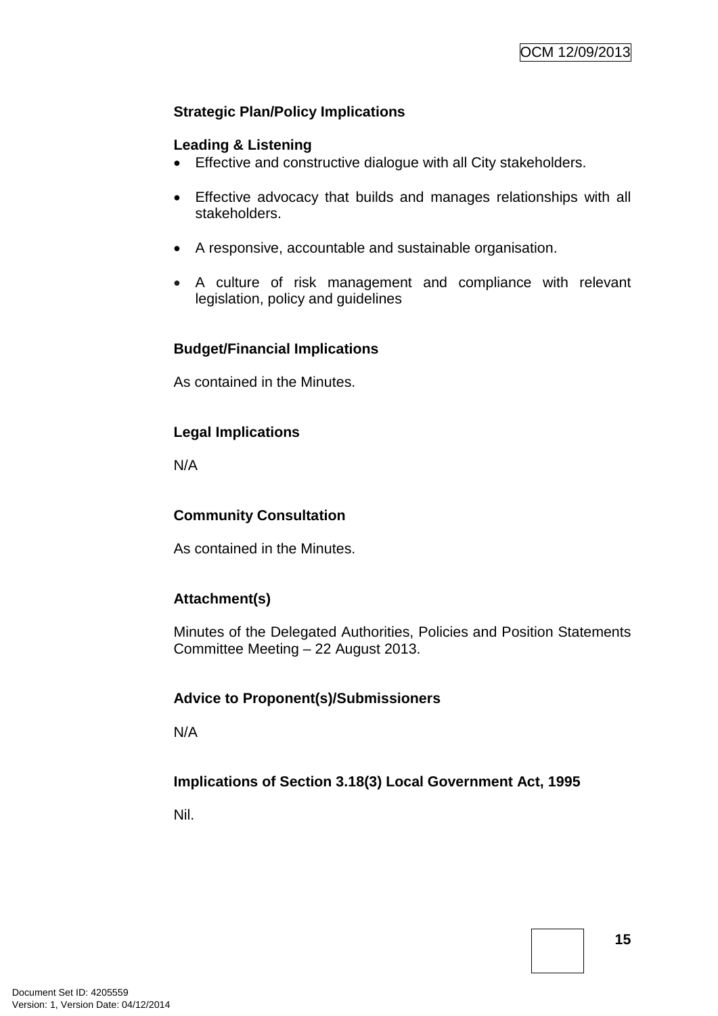## **Strategic Plan/Policy Implications**

#### **Leading & Listening**

- Effective and constructive dialogue with all City stakeholders.
- Effective advocacy that builds and manages relationships with all stakeholders.
- A responsive, accountable and sustainable organisation.
- A culture of risk management and compliance with relevant legislation, policy and guidelines

#### **Budget/Financial Implications**

As contained in the Minutes.

#### **Legal Implications**

N/A

#### **Community Consultation**

As contained in the Minutes.

#### **Attachment(s)**

Minutes of the Delegated Authorities, Policies and Position Statements Committee Meeting – 22 August 2013.

#### **Advice to Proponent(s)/Submissioners**

N/A

#### **Implications of Section 3.18(3) Local Government Act, 1995**

Nil.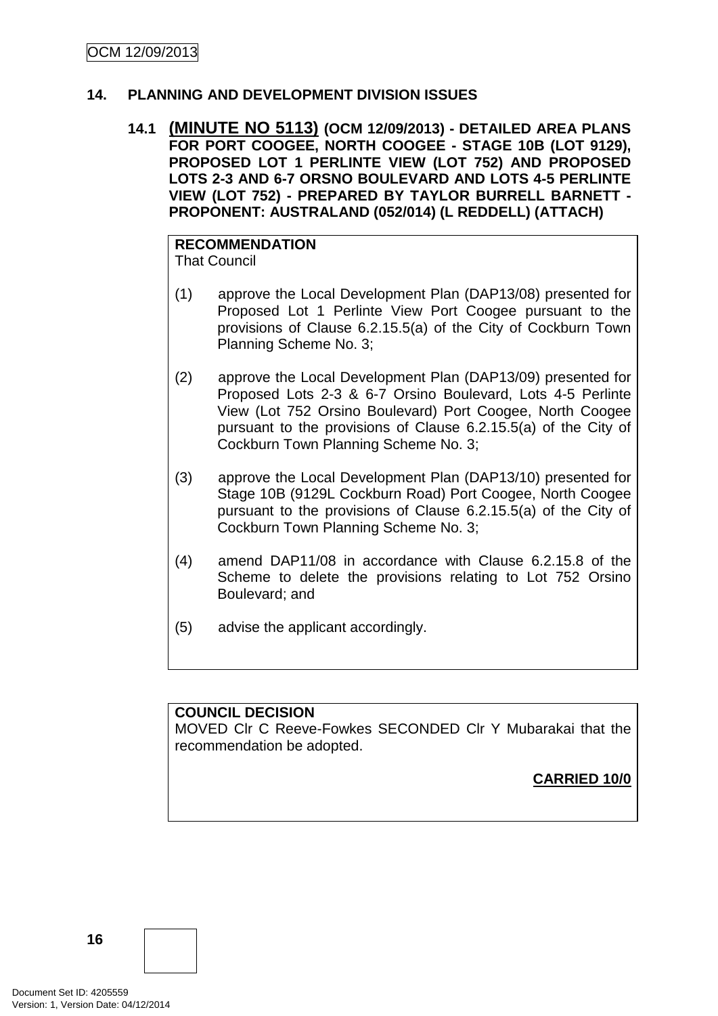#### **14. PLANNING AND DEVELOPMENT DIVISION ISSUES**

**14.1 (MINUTE NO 5113) (OCM 12/09/2013) - DETAILED AREA PLANS FOR PORT COOGEE, NORTH COOGEE - STAGE 10B (LOT 9129), PROPOSED LOT 1 PERLINTE VIEW (LOT 752) AND PROPOSED LOTS 2-3 AND 6-7 ORSNO BOULEVARD AND LOTS 4-5 PERLINTE VIEW (LOT 752) - PREPARED BY TAYLOR BURRELL BARNETT - PROPONENT: AUSTRALAND (052/014) (L REDDELL) (ATTACH)**

#### **RECOMMENDATION** That Council

- (1) approve the Local Development Plan (DAP13/08) presented for Proposed Lot 1 Perlinte View Port Coogee pursuant to the provisions of Clause 6.2.15.5(a) of the City of Cockburn Town Planning Scheme No. 3;
- (2) approve the Local Development Plan (DAP13/09) presented for Proposed Lots 2-3 & 6-7 Orsino Boulevard, Lots 4-5 Perlinte View (Lot 752 Orsino Boulevard) Port Coogee, North Coogee pursuant to the provisions of Clause 6.2.15.5(a) of the City of Cockburn Town Planning Scheme No. 3;
- (3) approve the Local Development Plan (DAP13/10) presented for Stage 10B (9129L Cockburn Road) Port Coogee, North Coogee pursuant to the provisions of Clause 6.2.15.5(a) of the City of Cockburn Town Planning Scheme No. 3;
- (4) amend DAP11/08 in accordance with Clause 6.2.15.8 of the Scheme to delete the provisions relating to Lot 752 Orsino Boulevard; and
- (5) advise the applicant accordingly.

#### **COUNCIL DECISION**

MOVED Clr C Reeve-Fowkes SECONDED Clr Y Mubarakai that the recommendation be adopted.

#### **CARRIED 10/0**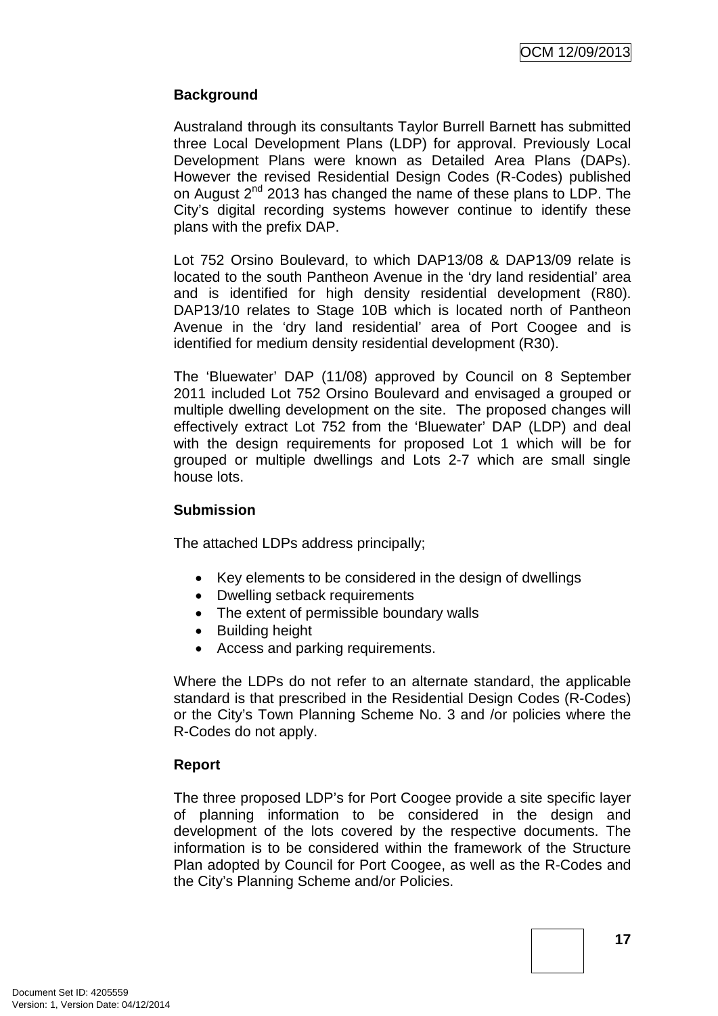## **Background**

Australand through its consultants Taylor Burrell Barnett has submitted three Local Development Plans (LDP) for approval. Previously Local Development Plans were known as Detailed Area Plans (DAPs). However the revised Residential Design Codes (R-Codes) published on August 2<sup>nd</sup> 2013 has changed the name of these plans to LDP. The City's digital recording systems however continue to identify these plans with the prefix DAP.

Lot 752 Orsino Boulevard, to which DAP13/08 & DAP13/09 relate is located to the south Pantheon Avenue in the 'dry land residential' area and is identified for high density residential development (R80). DAP13/10 relates to Stage 10B which is located north of Pantheon Avenue in the 'dry land residential' area of Port Coogee and is identified for medium density residential development (R30).

The 'Bluewater' DAP (11/08) approved by Council on 8 September 2011 included Lot 752 Orsino Boulevard and envisaged a grouped or multiple dwelling development on the site. The proposed changes will effectively extract Lot 752 from the 'Bluewater' DAP (LDP) and deal with the design requirements for proposed Lot 1 which will be for grouped or multiple dwellings and Lots 2-7 which are small single house lots.

#### **Submission**

The attached LDPs address principally;

- Key elements to be considered in the design of dwellings
- Dwelling setback requirements
- The extent of permissible boundary walls
- Building height
- Access and parking requirements.

Where the LDPs do not refer to an alternate standard, the applicable standard is that prescribed in the Residential Design Codes (R-Codes) or the City's Town Planning Scheme No. 3 and /or policies where the R-Codes do not apply.

#### **Report**

The three proposed LDP's for Port Coogee provide a site specific layer of planning information to be considered in the design and development of the lots covered by the respective documents. The information is to be considered within the framework of the Structure Plan adopted by Council for Port Coogee, as well as the R-Codes and the City's Planning Scheme and/or Policies.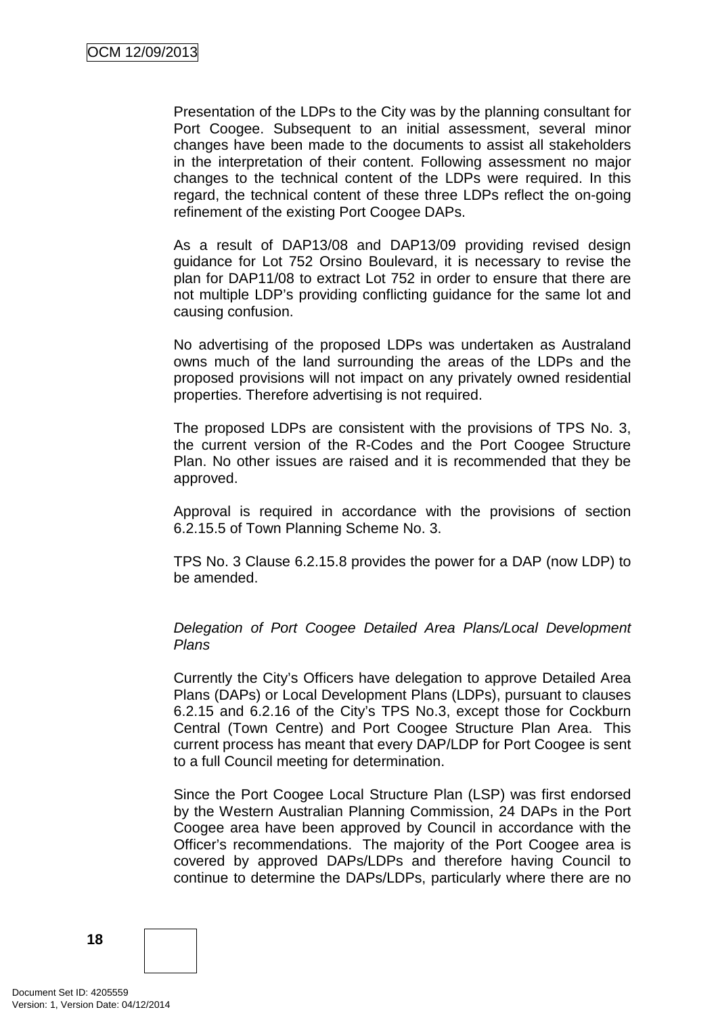Presentation of the LDPs to the City was by the planning consultant for Port Coogee. Subsequent to an initial assessment, several minor changes have been made to the documents to assist all stakeholders in the interpretation of their content. Following assessment no major changes to the technical content of the LDPs were required. In this regard, the technical content of these three LDPs reflect the on-going refinement of the existing Port Coogee DAPs.

As a result of DAP13/08 and DAP13/09 providing revised design guidance for Lot 752 Orsino Boulevard, it is necessary to revise the plan for DAP11/08 to extract Lot 752 in order to ensure that there are not multiple LDP's providing conflicting guidance for the same lot and causing confusion.

No advertising of the proposed LDPs was undertaken as Australand owns much of the land surrounding the areas of the LDPs and the proposed provisions will not impact on any privately owned residential properties. Therefore advertising is not required.

The proposed LDPs are consistent with the provisions of TPS No. 3, the current version of the R-Codes and the Port Coogee Structure Plan. No other issues are raised and it is recommended that they be approved.

Approval is required in accordance with the provisions of section 6.2.15.5 of Town Planning Scheme No. 3.

TPS No. 3 Clause 6.2.15.8 provides the power for a DAP (now LDP) to be amended.

#### *Delegation of Port Coogee Detailed Area Plans/Local Development Plans*

Currently the City's Officers have delegation to approve Detailed Area Plans (DAPs) or Local Development Plans (LDPs), pursuant to clauses 6.2.15 and 6.2.16 of the City's TPS No.3, except those for Cockburn Central (Town Centre) and Port Coogee Structure Plan Area. This current process has meant that every DAP/LDP for Port Coogee is sent to a full Council meeting for determination.

Since the Port Coogee Local Structure Plan (LSP) was first endorsed by the Western Australian Planning Commission, 24 DAPs in the Port Coogee area have been approved by Council in accordance with the Officer's recommendations. The majority of the Port Coogee area is covered by approved DAPs/LDPs and therefore having Council to continue to determine the DAPs/LDPs, particularly where there are no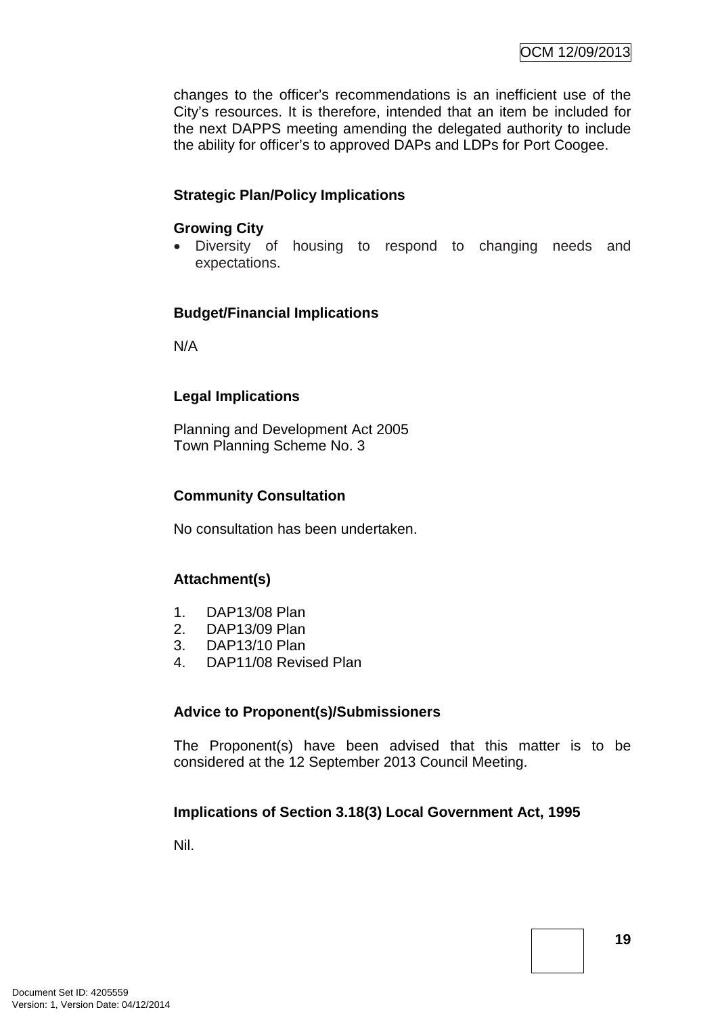changes to the officer's recommendations is an inefficient use of the City's resources. It is therefore, intended that an item be included for the next DAPPS meeting amending the delegated authority to include the ability for officer's to approved DAPs and LDPs for Port Coogee.

## **Strategic Plan/Policy Implications**

#### **Growing City**

• Diversity of housing to respond to changing needs and expectations.

#### **Budget/Financial Implications**

N/A

## **Legal Implications**

Planning and Development Act 2005 Town Planning Scheme No. 3

#### **Community Consultation**

No consultation has been undertaken.

#### **Attachment(s)**

- 1. DAP13/08 Plan<br>2. DAP13/09 Plan
- DAP13/09 Plan
- 3. DAP13/10 Plan
- 4. DAP11/08 Revised Plan

#### **Advice to Proponent(s)/Submissioners**

The Proponent(s) have been advised that this matter is to be considered at the 12 September 2013 Council Meeting.

#### **Implications of Section 3.18(3) Local Government Act, 1995**

Nil.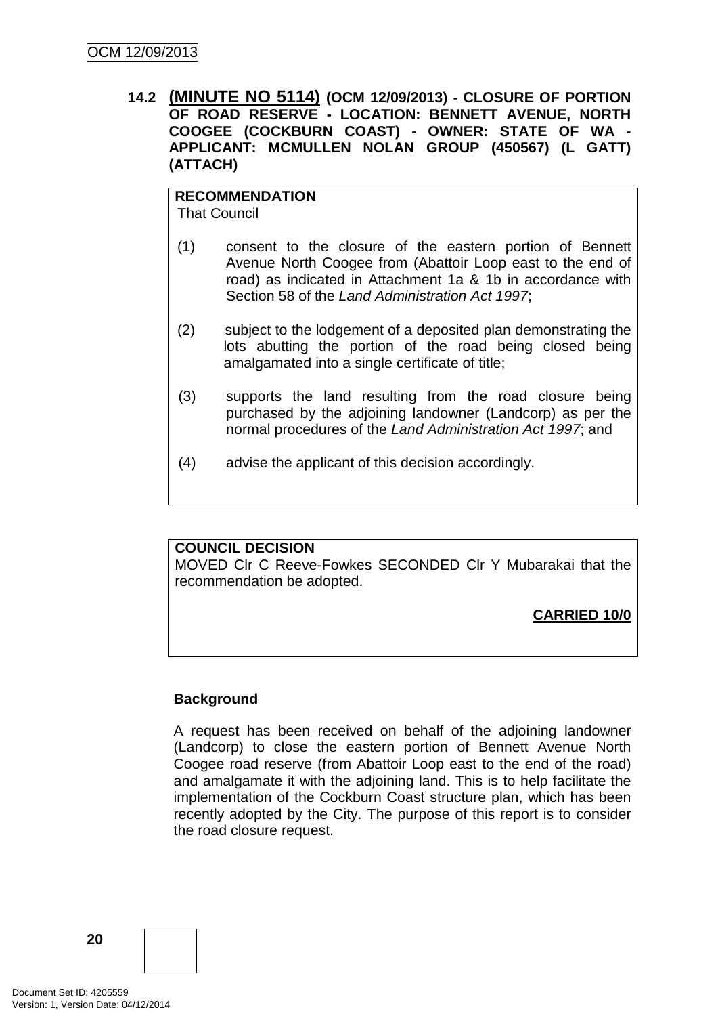**14.2 (MINUTE NO 5114) (OCM 12/09/2013) - CLOSURE OF PORTION OF ROAD RESERVE - LOCATION: BENNETT AVENUE, NORTH COOGEE (COCKBURN COAST) - OWNER: STATE OF WA - APPLICANT: MCMULLEN NOLAN GROUP (450567) (L GATT) (ATTACH)**

#### **RECOMMENDATION** That Council

- (1) consent to the closure of the eastern portion of Bennett Avenue North Coogee from (Abattoir Loop east to the end of road) as indicated in Attachment 1a & 1b in accordance with Section 58 of the *Land Administration Act 1997*;
- (2) subject to the lodgement of a deposited plan demonstrating the lots abutting the portion of the road being closed being amalgamated into a single certificate of title;
- (3) supports the land resulting from the road closure being purchased by the adjoining landowner (Landcorp) as per the normal procedures of the *Land Administration Act 1997*; and
- (4) advise the applicant of this decision accordingly.

## **COUNCIL DECISION**

MOVED Clr C Reeve-Fowkes SECONDED Clr Y Mubarakai that the recommendation be adopted.

## **CARRIED 10/0**

## **Background**

A request has been received on behalf of the adjoining landowner (Landcorp) to close the eastern portion of Bennett Avenue North Coogee road reserve (from Abattoir Loop east to the end of the road) and amalgamate it with the adjoining land. This is to help facilitate the implementation of the Cockburn Coast structure plan, which has been recently adopted by the City. The purpose of this report is to consider the road closure request.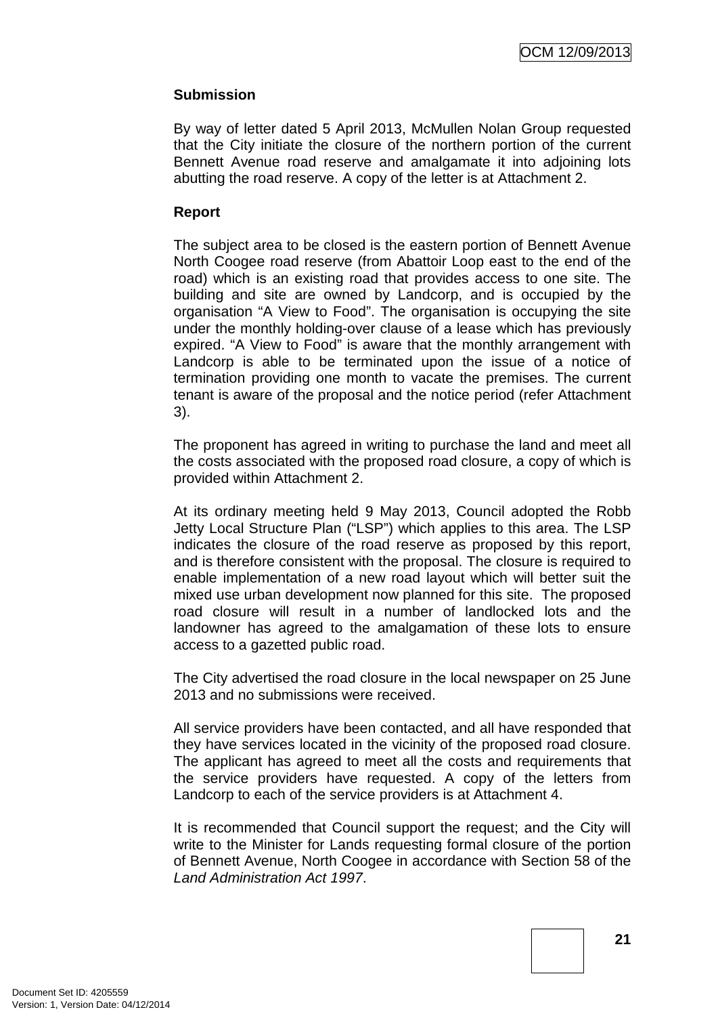OCM 12/09/2013

#### **Submission**

By way of letter dated 5 April 2013, McMullen Nolan Group requested that the City initiate the closure of the northern portion of the current Bennett Avenue road reserve and amalgamate it into adjoining lots abutting the road reserve. A copy of the letter is at Attachment 2.

#### **Report**

The subject area to be closed is the eastern portion of Bennett Avenue North Coogee road reserve (from Abattoir Loop east to the end of the road) which is an existing road that provides access to one site. The building and site are owned by Landcorp, and is occupied by the organisation "A View to Food". The organisation is occupying the site under the monthly holding-over clause of a lease which has previously expired. "A View to Food" is aware that the monthly arrangement with Landcorp is able to be terminated upon the issue of a notice of termination providing one month to vacate the premises. The current tenant is aware of the proposal and the notice period (refer Attachment 3).

The proponent has agreed in writing to purchase the land and meet all the costs associated with the proposed road closure, a copy of which is provided within Attachment 2.

At its ordinary meeting held 9 May 2013, Council adopted the Robb Jetty Local Structure Plan ("LSP") which applies to this area. The LSP indicates the closure of the road reserve as proposed by this report, and is therefore consistent with the proposal. The closure is required to enable implementation of a new road layout which will better suit the mixed use urban development now planned for this site. The proposed road closure will result in a number of landlocked lots and the landowner has agreed to the amalgamation of these lots to ensure access to a gazetted public road.

The City advertised the road closure in the local newspaper on 25 June 2013 and no submissions were received.

All service providers have been contacted, and all have responded that they have services located in the vicinity of the proposed road closure. The applicant has agreed to meet all the costs and requirements that the service providers have requested. A copy of the letters from Landcorp to each of the service providers is at Attachment 4.

It is recommended that Council support the request; and the City will write to the Minister for Lands requesting formal closure of the portion of Bennett Avenue, North Coogee in accordance with Section 58 of the *Land Administration Act 1997*.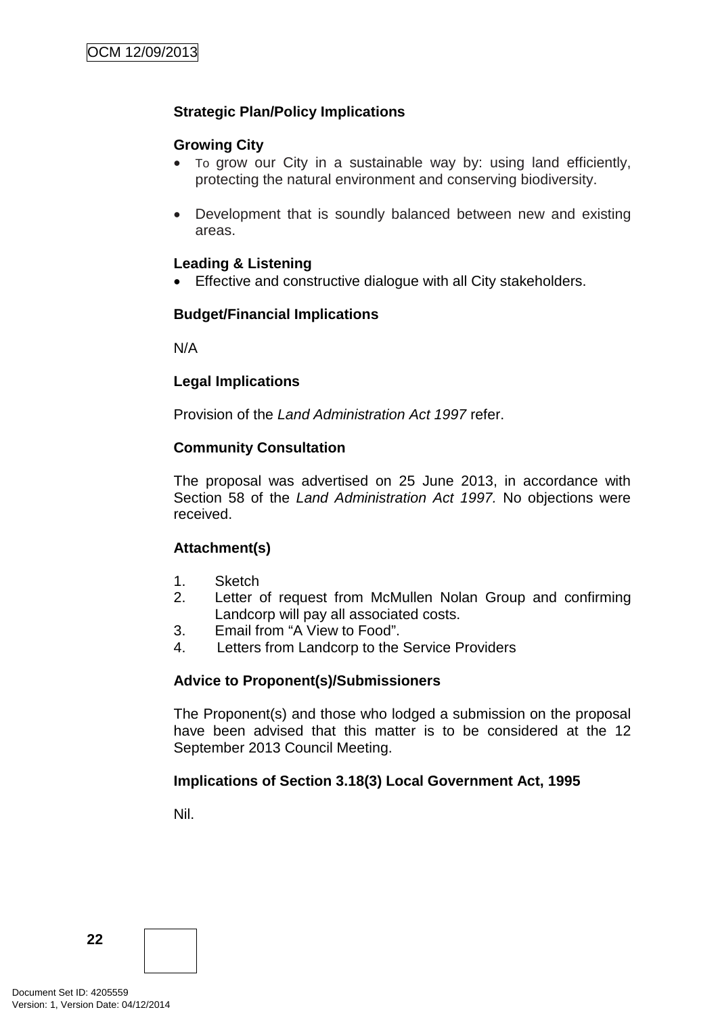## **Strategic Plan/Policy Implications**

### **Growing City**

- To grow our City in a sustainable way by: using land efficiently, protecting the natural environment and conserving biodiversity.
- Development that is soundly balanced between new and existing areas.

#### **Leading & Listening**

• Effective and constructive dialogue with all City stakeholders.

#### **Budget/Financial Implications**

N/A

#### **Legal Implications**

Provision of the *Land Administration Act 1997* refer.

#### **Community Consultation**

The proposal was advertised on 25 June 2013, in accordance with Section 58 of the *Land Administration Act 1997.* No objections were received.

## **Attachment(s)**

- 1. Sketch
- 2. Letter of request from McMullen Nolan Group and confirming Landcorp will pay all associated costs.
- 3. Email from "A View to Food".
- 4. Letters from Landcorp to the Service Providers

#### **Advice to Proponent(s)/Submissioners**

The Proponent(s) and those who lodged a submission on the proposal have been advised that this matter is to be considered at the 12 September 2013 Council Meeting.

#### **Implications of Section 3.18(3) Local Government Act, 1995**

Nil.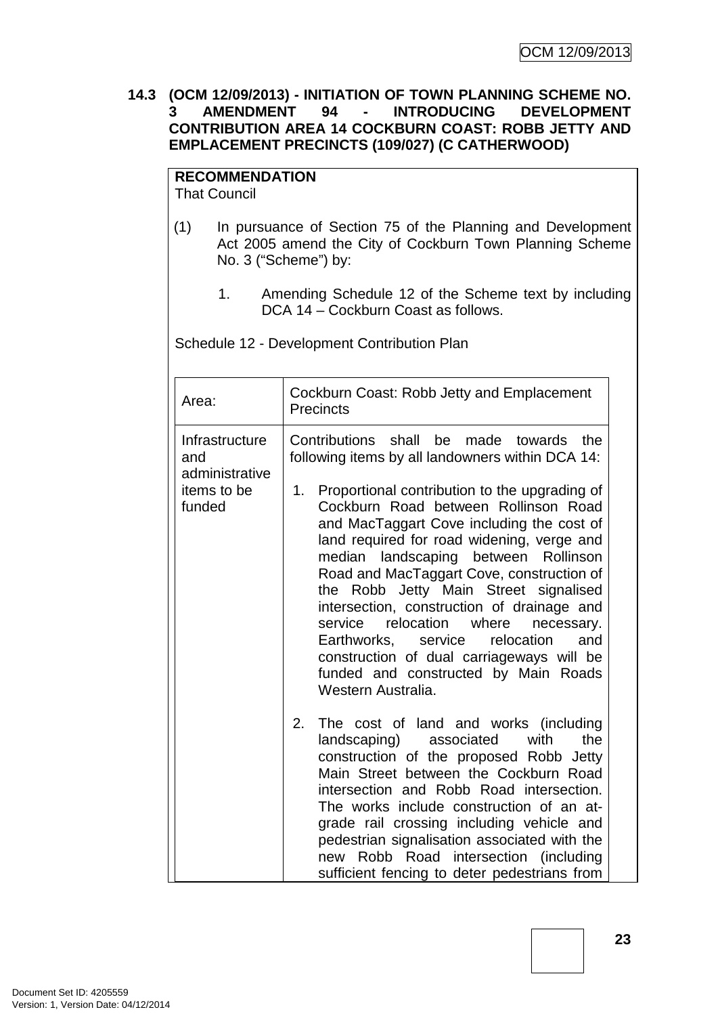### **14.3 (OCM 12/09/2013) - INITIATION OF TOWN PLANNING SCHEME NO. 3 AMENDMENT 94 - INTRODUCING DEVELOPMENT CONTRIBUTION AREA 14 COCKBURN COAST: ROBB JETTY AND EMPLACEMENT PRECINCTS (109/027) (C CATHERWOOD)**

## **RECOMMENDATION**

That Council

- (1) In pursuance of Section 75 of the Planning and Development Act 2005 amend the City of Cockburn Town Planning Scheme No. 3 ("Scheme") by:
	- 1. Amending Schedule 12 of the Scheme text by including DCA 14 – Cockburn Coast as follows.

Schedule 12 - Development Contribution Plan

| Area:                                                            | Cockburn Coast: Robb Jetty and Emplacement<br><b>Precincts</b>                                                                                                                                                                                                                                                                                                                                                                                                                                                                                                                                                                                                                 |
|------------------------------------------------------------------|--------------------------------------------------------------------------------------------------------------------------------------------------------------------------------------------------------------------------------------------------------------------------------------------------------------------------------------------------------------------------------------------------------------------------------------------------------------------------------------------------------------------------------------------------------------------------------------------------------------------------------------------------------------------------------|
| Infrastructure<br>and<br>administrative<br>items to be<br>funded | Contributions<br>shall be<br>made<br>the<br>towards<br>following items by all landowners within DCA 14:<br>Proportional contribution to the upgrading of<br>1.<br>Cockburn Road between Rollinson Road<br>and MacTaggart Cove including the cost of<br>land required for road widening, verge and<br>median landscaping between Rollinson<br>Road and MacTaggart Cove, construction of<br>the Robb Jetty Main Street signalised<br>intersection, construction of drainage and<br>service relocation where<br>necessary.<br>Earthworks, service<br>relocation<br>and<br>construction of dual carriageways will be<br>funded and constructed by Main Roads<br>Western Australia. |
|                                                                  | 2.<br>The cost of land and works (including<br>associated<br>with<br>the<br>landscaping)<br>construction of the proposed Robb Jetty<br>Main Street between the Cockburn Road<br>intersection and Robb Road intersection.<br>The works include construction of an at-<br>grade rail crossing including vehicle and<br>pedestrian signalisation associated with the<br>new Robb Road intersection (including<br>sufficient fencing to deter pedestrians from                                                                                                                                                                                                                     |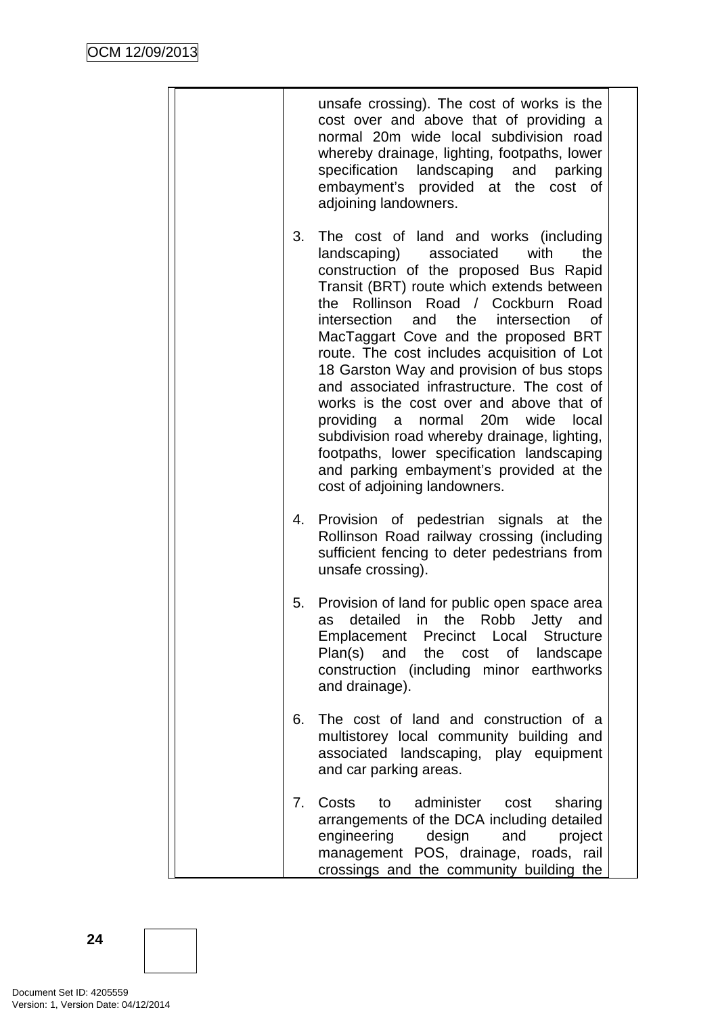|    | unsafe crossing). The cost of works is the<br>cost over and above that of providing a<br>normal 20m wide local subdivision road<br>whereby drainage, lighting, footpaths, lower<br>specification landscaping<br>and parking<br>embayment's provided at the<br>cost of<br>adjoining landowners.                                                                                                                                                                                                                                                                                                                                                                                                                                                 |
|----|------------------------------------------------------------------------------------------------------------------------------------------------------------------------------------------------------------------------------------------------------------------------------------------------------------------------------------------------------------------------------------------------------------------------------------------------------------------------------------------------------------------------------------------------------------------------------------------------------------------------------------------------------------------------------------------------------------------------------------------------|
| 3. | The cost of land and works (including<br>associated<br>with<br>the<br>landscaping)<br>construction of the proposed Bus Rapid<br>Transit (BRT) route which extends between<br>the Rollinson<br>Road / Cockburn Road<br>intersection<br>intersection<br>and<br>the<br>οf<br>MacTaggart Cove and the proposed BRT<br>route. The cost includes acquisition of Lot<br>18 Garston Way and provision of bus stops<br>and associated infrastructure. The cost of<br>works is the cost over and above that of<br>20 <sub>m</sub><br>providing<br>normal<br>wide<br>local<br>a<br>subdivision road whereby drainage, lighting,<br>footpaths, lower specification landscaping<br>and parking embayment's provided at the<br>cost of adjoining landowners. |
| 4. | Provision of pedestrian signals at the<br>Rollinson Road railway crossing (including<br>sufficient fencing to deter pedestrians from<br>unsafe crossing).                                                                                                                                                                                                                                                                                                                                                                                                                                                                                                                                                                                      |
| 5. | Provision of land for public open space area<br>detailed<br>in<br>the<br>Robb<br>Jetty<br>and<br>as<br>Emplacement Precinct Local<br><b>Structure</b><br>Plan(s) and the cost<br>of landscape<br>construction (including minor earthworks<br>and drainage).                                                                                                                                                                                                                                                                                                                                                                                                                                                                                    |
| 6. | The cost of land and construction of a<br>multistorey local community building and<br>associated landscaping, play equipment<br>and car parking areas.                                                                                                                                                                                                                                                                                                                                                                                                                                                                                                                                                                                         |
| 7. | Costs<br>administer<br>cost<br>sharing<br>to<br>arrangements of the DCA including detailed<br>engineering design<br>and project<br>management POS, drainage, roads, rail<br>crossings and the community building the                                                                                                                                                                                                                                                                                                                                                                                                                                                                                                                           |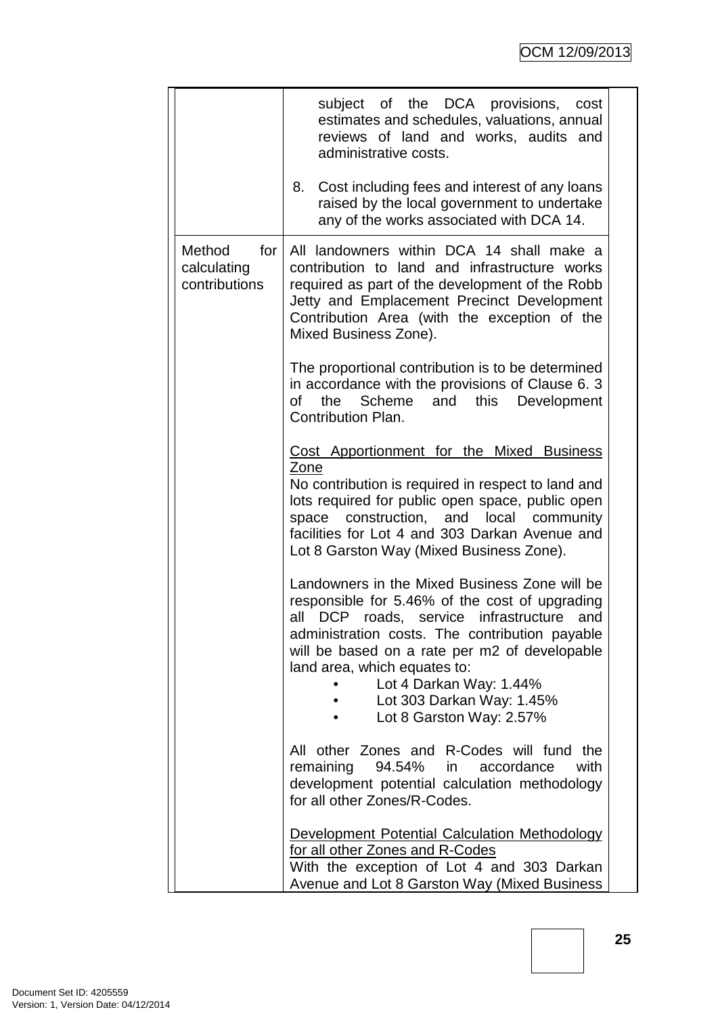|                                                       | subject of the DCA provisions, cost<br>estimates and schedules, valuations, annual<br>reviews of land and works, audits and<br>administrative costs.                                                                                                                                                                                                                |
|-------------------------------------------------------|---------------------------------------------------------------------------------------------------------------------------------------------------------------------------------------------------------------------------------------------------------------------------------------------------------------------------------------------------------------------|
|                                                       | Cost including fees and interest of any loans<br>8.<br>raised by the local government to undertake<br>any of the works associated with DCA 14.                                                                                                                                                                                                                      |
| Method<br>for $\vert$<br>calculating<br>contributions | All landowners within DCA 14 shall make a<br>contribution to land and infrastructure works<br>required as part of the development of the Robb<br>Jetty and Emplacement Precinct Development<br>Contribution Area (with the exception of the<br>Mixed Business Zone).                                                                                                |
|                                                       | The proportional contribution is to be determined<br>in accordance with the provisions of Clause 6.3<br>the Scheme and this Development<br>of<br>Contribution Plan.                                                                                                                                                                                                 |
|                                                       | Cost Apportionment for the Mixed Business<br>Zone<br>No contribution is required in respect to land and<br>lots required for public open space, public open<br>space construction, and local community<br>facilities for Lot 4 and 303 Darkan Avenue and<br>Lot 8 Garston Way (Mixed Business Zone).                                                                |
|                                                       | Landowners in the Mixed Business Zone will be<br>responsible for 5.46% of the cost of upgrading<br>all DCP roads, service infrastructure and<br>administration costs. The contribution payable<br>will be based on a rate per m2 of developable<br>land area, which equates to:<br>Lot 4 Darkan Way: 1.44%<br>Lot 303 Darkan Way: 1.45%<br>Lot 8 Garston Way: 2.57% |
|                                                       | All other Zones and R-Codes will fund the<br>remaining<br>with<br>94.54% in<br>accordance<br>development potential calculation methodology<br>for all other Zones/R-Codes.                                                                                                                                                                                          |
|                                                       | Development Potential Calculation Methodology<br>for all other Zones and R-Codes<br>With the exception of Lot 4 and 303 Darkan<br>Avenue and Lot 8 Garston Way (Mixed Business                                                                                                                                                                                      |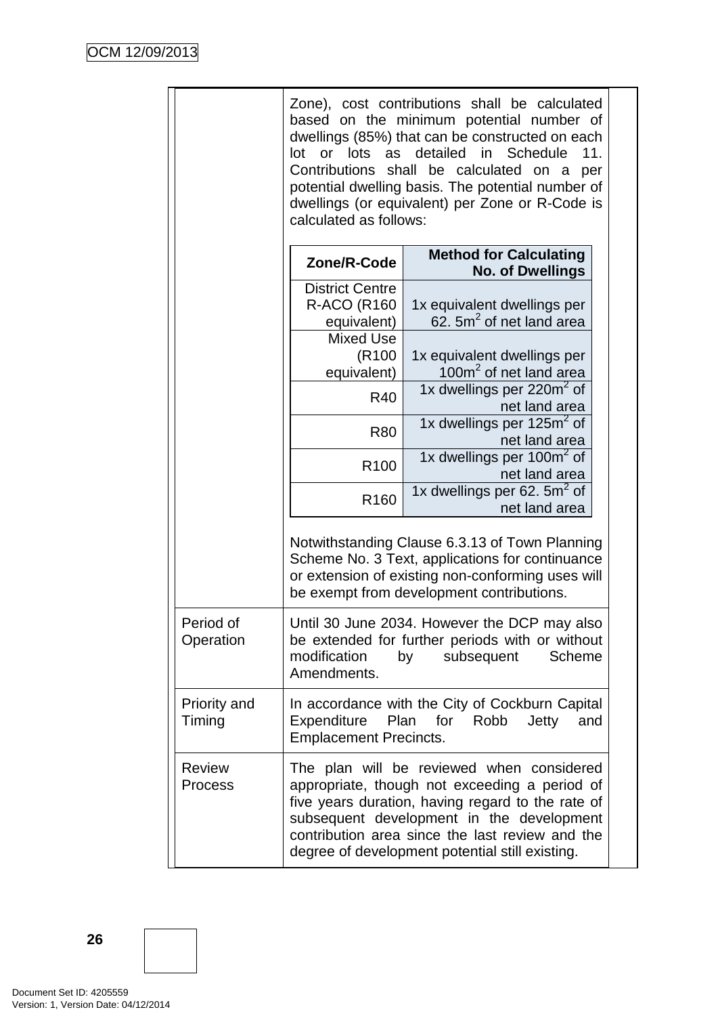|                                 | Zone), cost contributions shall be calculated<br>based on the minimum potential number of<br>dwellings (85%) that can be constructed on each<br>as detailed<br>or lots<br>in Schedule<br>lot<br>11.<br>shall be calculated on a<br>Contributions<br>per<br>potential dwelling basis. The potential number of<br>dwellings (or equivalent) per Zone or R-Code is<br>calculated as follows: |                                                                                                                                                                                                                                                                                                    |  |
|---------------------------------|-------------------------------------------------------------------------------------------------------------------------------------------------------------------------------------------------------------------------------------------------------------------------------------------------------------------------------------------------------------------------------------------|----------------------------------------------------------------------------------------------------------------------------------------------------------------------------------------------------------------------------------------------------------------------------------------------------|--|
|                                 | Zone/R-Code                                                                                                                                                                                                                                                                                                                                                                               | <b>Method for Calculating</b><br><b>No. of Dwellings</b>                                                                                                                                                                                                                                           |  |
|                                 | <b>District Centre</b><br><b>R-ACO (R160</b>                                                                                                                                                                                                                                                                                                                                              | 1x equivalent dwellings per<br>62. $5m2$ of net land area                                                                                                                                                                                                                                          |  |
|                                 | equivalent)<br><b>Mixed Use</b><br>(R <sub>100</sub>                                                                                                                                                                                                                                                                                                                                      | 1x equivalent dwellings per                                                                                                                                                                                                                                                                        |  |
|                                 | equivalent)                                                                                                                                                                                                                                                                                                                                                                               | 100 $m2$ of net land area<br>1x dwellings per 220m <sup>2</sup> of                                                                                                                                                                                                                                 |  |
|                                 | R40                                                                                                                                                                                                                                                                                                                                                                                       | net land area<br>1x dwellings per 125m <sup>2</sup> of                                                                                                                                                                                                                                             |  |
|                                 | <b>R80</b>                                                                                                                                                                                                                                                                                                                                                                                | net land area<br>1x dwellings per 100m <sup>2</sup> of                                                                                                                                                                                                                                             |  |
|                                 | R <sub>100</sub>                                                                                                                                                                                                                                                                                                                                                                          | net land area<br>1x dwellings per 62. $5m2$ of                                                                                                                                                                                                                                                     |  |
|                                 | R <sub>160</sub>                                                                                                                                                                                                                                                                                                                                                                          | net land area                                                                                                                                                                                                                                                                                      |  |
|                                 |                                                                                                                                                                                                                                                                                                                                                                                           | Notwithstanding Clause 6.3.13 of Town Planning<br>Scheme No. 3 Text, applications for continuance<br>or extension of existing non-conforming uses will<br>be exempt from development contributions.                                                                                                |  |
| Period of<br>Operation          | modification<br>Amendments.                                                                                                                                                                                                                                                                                                                                                               | Until 30 June 2034. However the DCP may also<br>be extended for further periods with or without<br>subsequent<br>by<br>Scheme                                                                                                                                                                      |  |
| Priority and<br>Timing          | Expenditure<br><b>Emplacement Precincts.</b>                                                                                                                                                                                                                                                                                                                                              | In accordance with the City of Cockburn Capital<br>Plan<br>for<br>Robb<br>Jetty<br>and                                                                                                                                                                                                             |  |
| <b>Review</b><br><b>Process</b> |                                                                                                                                                                                                                                                                                                                                                                                           | The plan will be reviewed when considered<br>appropriate, though not exceeding a period of<br>five years duration, having regard to the rate of<br>subsequent development in the development<br>contribution area since the last review and the<br>degree of development potential still existing. |  |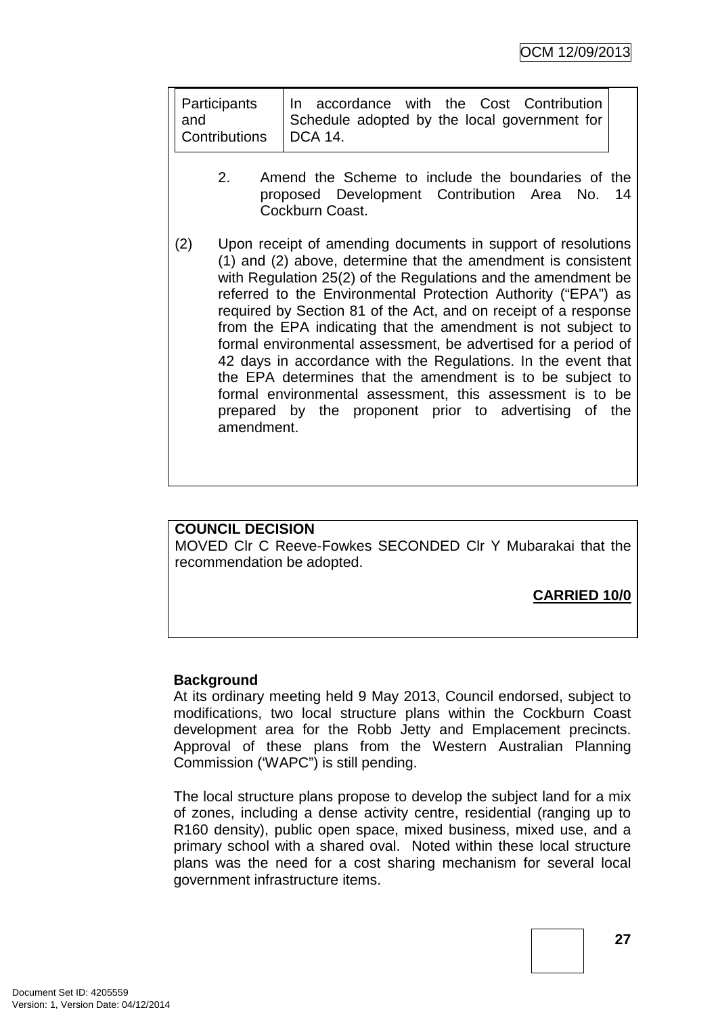| Participants<br>and<br>Contributions |                                                                                                                                                                                                                                                                                                                                                                                                                                                                                                                                                                                                                                                                                                                                        | In accordance with the Cost Contribution<br>Schedule adopted by the local government for<br>DCA 14.                      |  |
|--------------------------------------|----------------------------------------------------------------------------------------------------------------------------------------------------------------------------------------------------------------------------------------------------------------------------------------------------------------------------------------------------------------------------------------------------------------------------------------------------------------------------------------------------------------------------------------------------------------------------------------------------------------------------------------------------------------------------------------------------------------------------------------|--------------------------------------------------------------------------------------------------------------------------|--|
| 2.                                   |                                                                                                                                                                                                                                                                                                                                                                                                                                                                                                                                                                                                                                                                                                                                        | Amend the Scheme to include the boundaries of the<br>proposed Development Contribution Area No.<br>14<br>Cockburn Coast. |  |
| (2)                                  | Upon receipt of amending documents in support of resolutions<br>(1) and (2) above, determine that the amendment is consistent<br>with Regulation 25(2) of the Regulations and the amendment be<br>referred to the Environmental Protection Authority ("EPA") as<br>required by Section 81 of the Act, and on receipt of a response<br>from the EPA indicating that the amendment is not subject to<br>formal environmental assessment, be advertised for a period of<br>42 days in accordance with the Regulations. In the event that<br>the EPA determines that the amendment is to be subject to<br>formal environmental assessment, this assessment is to be<br>prepared by the proponent prior to advertising of the<br>amendment. |                                                                                                                          |  |

## **COUNCIL DECISION**

MOVED Clr C Reeve-Fowkes SECONDED Clr Y Mubarakai that the recommendation be adopted.

## **CARRIED 10/0**

#### **Background**

At its ordinary meeting held 9 May 2013, Council endorsed, subject to modifications, two local structure plans within the Cockburn Coast development area for the Robb Jetty and Emplacement precincts. Approval of these plans from the Western Australian Planning Commission ('WAPC") is still pending.

The local structure plans propose to develop the subject land for a mix of zones, including a dense activity centre, residential (ranging up to R160 density), public open space, mixed business, mixed use, and a primary school with a shared oval. Noted within these local structure plans was the need for a cost sharing mechanism for several local government infrastructure items.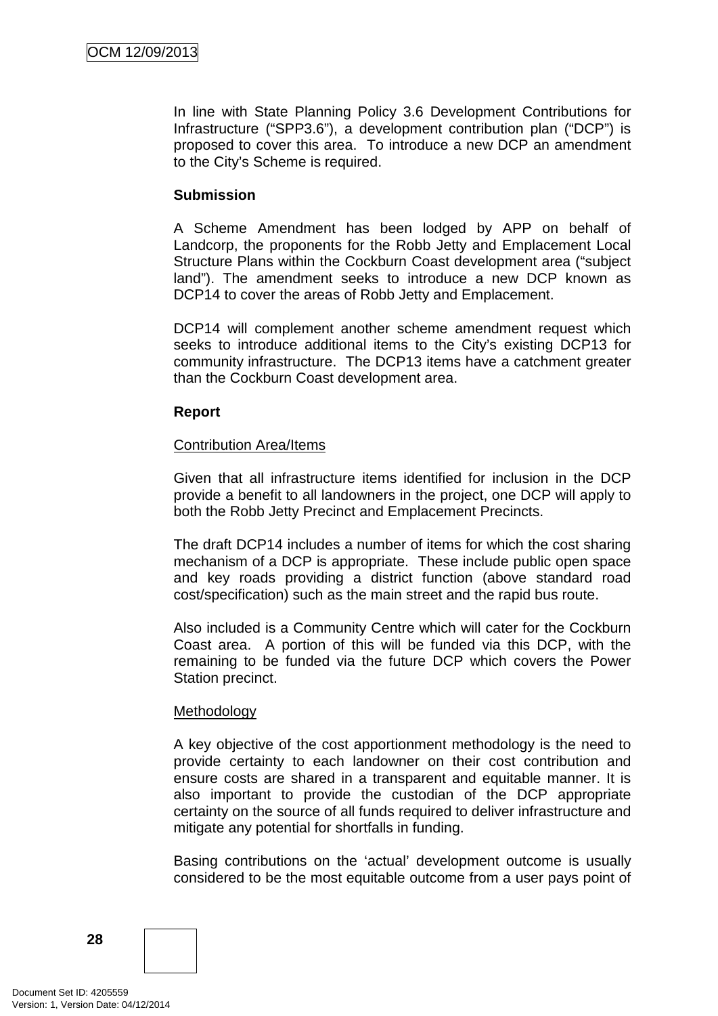In line with State Planning Policy 3.6 Development Contributions for Infrastructure ("SPP3.6"), a development contribution plan ("DCP") is proposed to cover this area. To introduce a new DCP an amendment to the City's Scheme is required.

#### **Submission**

A Scheme Amendment has been lodged by APP on behalf of Landcorp, the proponents for the Robb Jetty and Emplacement Local Structure Plans within the Cockburn Coast development area ("subject land"). The amendment seeks to introduce a new DCP known as DCP14 to cover the areas of Robb Jetty and Emplacement.

DCP14 will complement another scheme amendment request which seeks to introduce additional items to the City's existing DCP13 for community infrastructure. The DCP13 items have a catchment greater than the Cockburn Coast development area.

#### **Report**

#### Contribution Area/Items

Given that all infrastructure items identified for inclusion in the DCP provide a benefit to all landowners in the project, one DCP will apply to both the Robb Jetty Precinct and Emplacement Precincts.

The draft DCP14 includes a number of items for which the cost sharing mechanism of a DCP is appropriate. These include public open space and key roads providing a district function (above standard road cost/specification) such as the main street and the rapid bus route.

Also included is a Community Centre which will cater for the Cockburn Coast area. A portion of this will be funded via this DCP, with the remaining to be funded via the future DCP which covers the Power Station precinct.

#### **Methodology**

A key objective of the cost apportionment methodology is the need to provide certainty to each landowner on their cost contribution and ensure costs are shared in a transparent and equitable manner. It is also important to provide the custodian of the DCP appropriate certainty on the source of all funds required to deliver infrastructure and mitigate any potential for shortfalls in funding.

Basing contributions on the 'actual' development outcome is usually considered to be the most equitable outcome from a user pays point of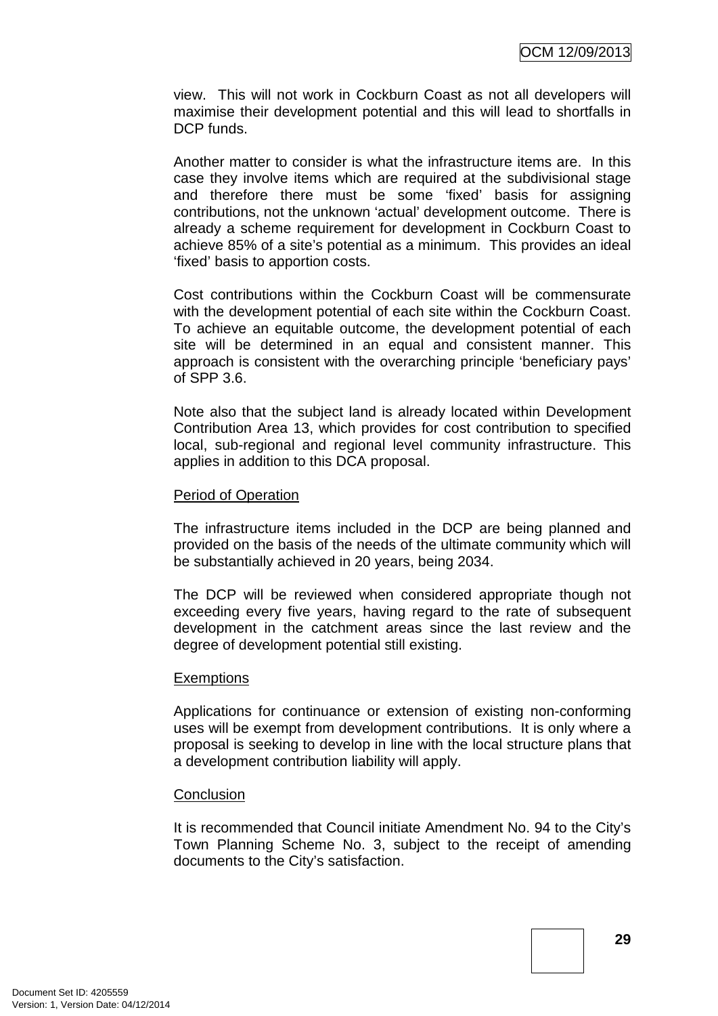view. This will not work in Cockburn Coast as not all developers will maximise their development potential and this will lead to shortfalls in DCP funds.

Another matter to consider is what the infrastructure items are. In this case they involve items which are required at the subdivisional stage and therefore there must be some 'fixed' basis for assigning contributions, not the unknown 'actual' development outcome. There is already a scheme requirement for development in Cockburn Coast to achieve 85% of a site's potential as a minimum. This provides an ideal 'fixed' basis to apportion costs.

Cost contributions within the Cockburn Coast will be commensurate with the development potential of each site within the Cockburn Coast. To achieve an equitable outcome, the development potential of each site will be determined in an equal and consistent manner. This approach is consistent with the overarching principle 'beneficiary pays' of SPP 3.6.

Note also that the subject land is already located within Development Contribution Area 13, which provides for cost contribution to specified local, sub-regional and regional level community infrastructure. This applies in addition to this DCA proposal.

#### Period of Operation

The infrastructure items included in the DCP are being planned and provided on the basis of the needs of the ultimate community which will be substantially achieved in 20 years, being 2034.

The DCP will be reviewed when considered appropriate though not exceeding every five years, having regard to the rate of subsequent development in the catchment areas since the last review and the degree of development potential still existing.

#### **Exemptions**

Applications for continuance or extension of existing non-conforming uses will be exempt from development contributions. It is only where a proposal is seeking to develop in line with the local structure plans that a development contribution liability will apply.

#### **Conclusion**

It is recommended that Council initiate Amendment No. 94 to the City's Town Planning Scheme No. 3, subject to the receipt of amending documents to the City's satisfaction.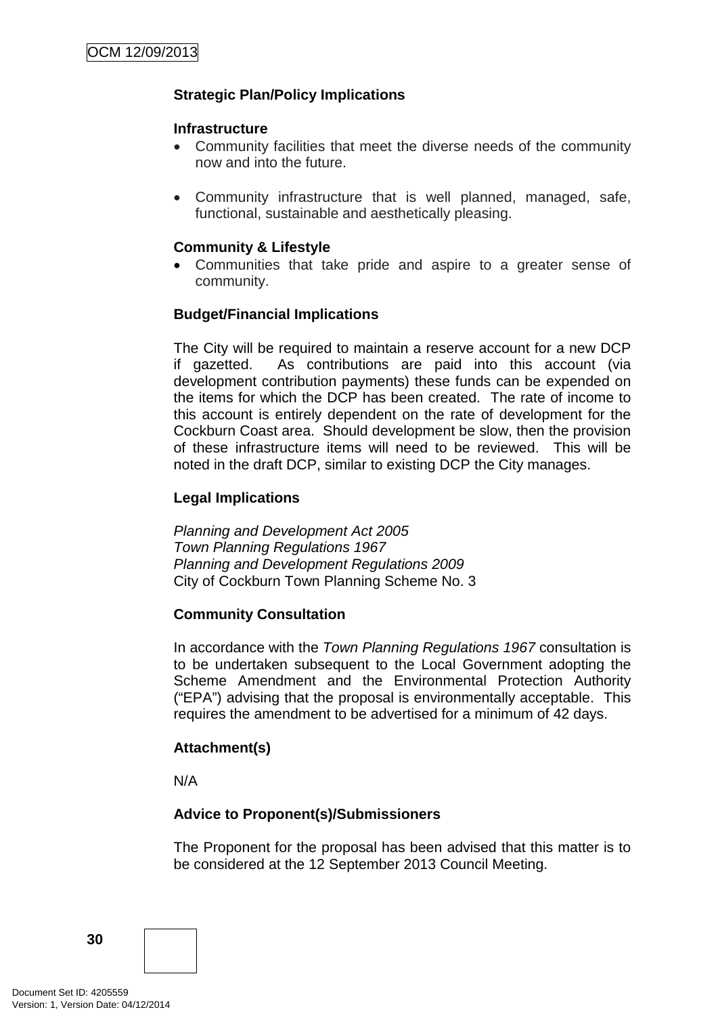## **Strategic Plan/Policy Implications**

#### **Infrastructure**

- Community facilities that meet the diverse needs of the community now and into the future.
- Community infrastructure that is well planned, managed, safe, functional, sustainable and aesthetically pleasing.

#### **Community & Lifestyle**

• Communities that take pride and aspire to a greater sense of community.

## **Budget/Financial Implications**

The City will be required to maintain a reserve account for a new DCP if gazetted. As contributions are paid into this account (via development contribution payments) these funds can be expended on the items for which the DCP has been created. The rate of income to this account is entirely dependent on the rate of development for the Cockburn Coast area. Should development be slow, then the provision of these infrastructure items will need to be reviewed. This will be noted in the draft DCP, similar to existing DCP the City manages.

## **Legal Implications**

*Planning and Development Act 2005 Town Planning Regulations 1967 Planning and Development Regulations 2009* City of Cockburn Town Planning Scheme No. 3

#### **Community Consultation**

In accordance with the *Town Planning Regulations 1967* consultation is to be undertaken subsequent to the Local Government adopting the Scheme Amendment and the Environmental Protection Authority ("EPA") advising that the proposal is environmentally acceptable. This requires the amendment to be advertised for a minimum of 42 days.

#### **Attachment(s)**

N/A

#### **Advice to Proponent(s)/Submissioners**

The Proponent for the proposal has been advised that this matter is to be considered at the 12 September 2013 Council Meeting.

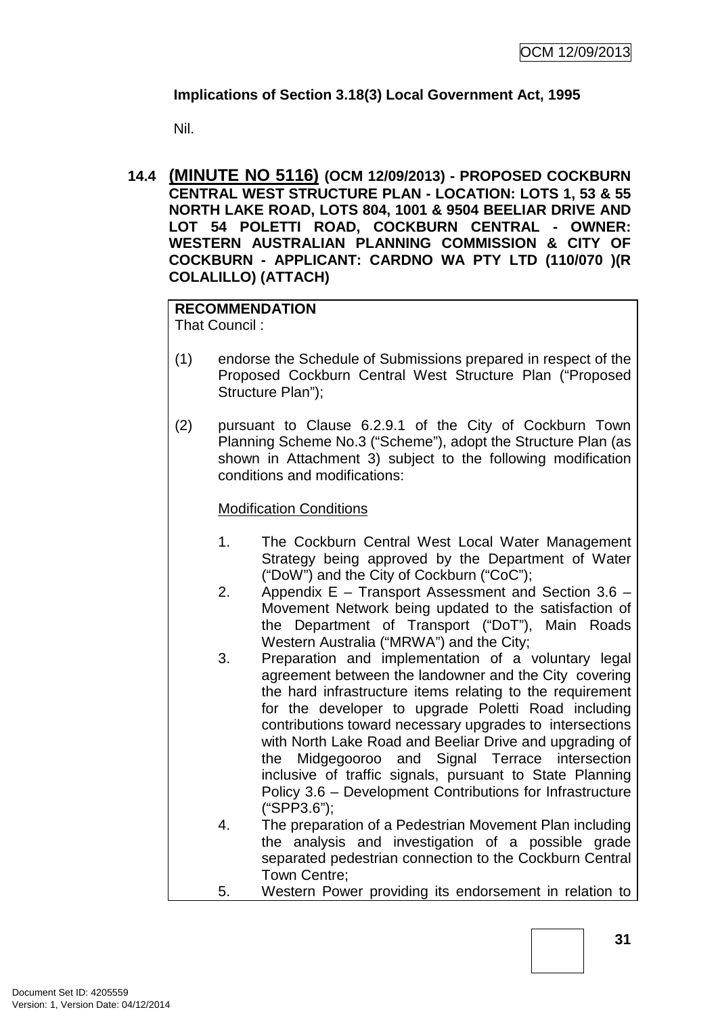## **Implications of Section 3.18(3) Local Government Act, 1995**

Nil.

**14.4 (MINUTE NO 5116) (OCM 12/09/2013) - PROPOSED COCKBURN CENTRAL WEST STRUCTURE PLAN - LOCATION: LOTS 1, 53 & 55 NORTH LAKE ROAD, LOTS 804, 1001 & 9504 BEELIAR DRIVE AND LOT 54 POLETTI ROAD, COCKBURN CENTRAL - OWNER: WESTERN AUSTRALIAN PLANNING COMMISSION & CITY OF COCKBURN - APPLICANT: CARDNO WA PTY LTD (110/070 )(R COLALILLO) (ATTACH)**

# **RECOMMENDATION**

That Council :

- (1) endorse the Schedule of Submissions prepared in respect of the Proposed Cockburn Central West Structure Plan ("Proposed Structure Plan");
- (2) pursuant to Clause 6.2.9.1 of the City of Cockburn Town Planning Scheme No.3 ("Scheme"), adopt the Structure Plan (as shown in Attachment 3) subject to the following modification conditions and modifications:

### Modification Conditions

- 1. The Cockburn Central West Local Water Management Strategy being approved by the Department of Water ("DoW") and the City of Cockburn ("CoC");
- 2. Appendix E Transport Assessment and Section 3.6 Movement Network being updated to the satisfaction of the Department of Transport ("DoT"), Main Roads Western Australia ("MRWA") and the City;
- 3. Preparation and implementation of a voluntary legal agreement between the landowner and the City covering the hard infrastructure items relating to the requirement for the developer to upgrade Poletti Road including contributions toward necessary upgrades to intersections with North Lake Road and Beeliar Drive and upgrading of the Midgegooroo and Signal Terrace intersection inclusive of traffic signals, pursuant to State Planning Policy 3.6 – Development Contributions for Infrastructure ("SPP3.6");
- 4. The preparation of a Pedestrian Movement Plan including the analysis and investigation of a possible grade separated pedestrian connection to the Cockburn Central Town Centre;
- 5. Western Power providing its endorsement in relation to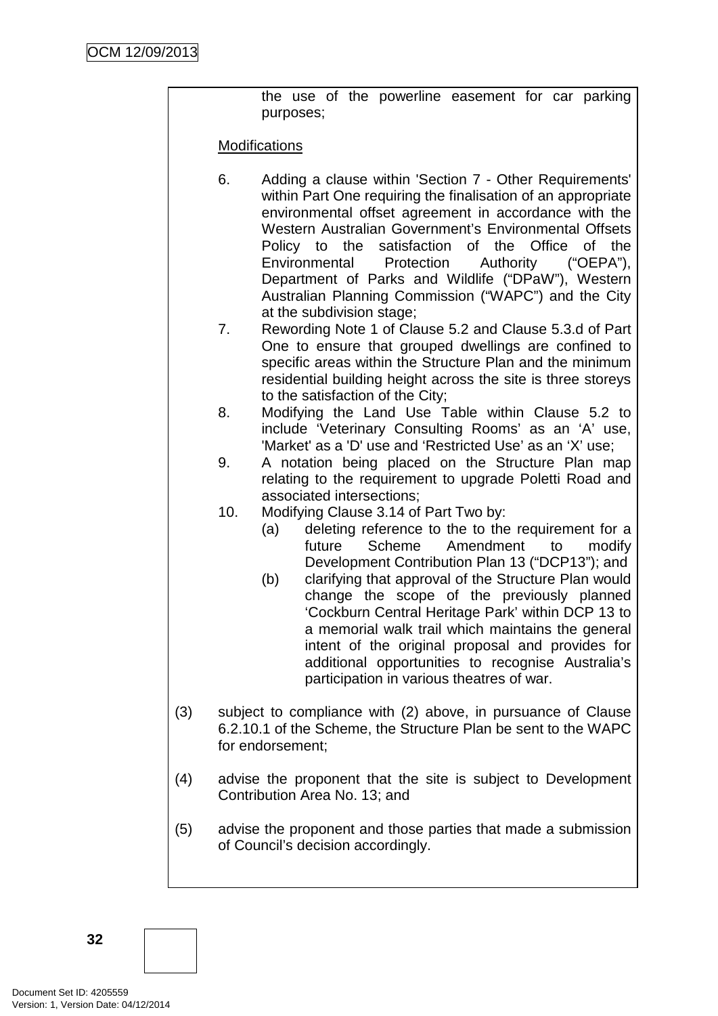the use of the powerline easement for car parking purposes;

#### **Modifications**

- 6. Adding a clause within 'Section 7 Other Requirements' within Part One requiring the finalisation of an appropriate environmental offset agreement in accordance with the Western Australian Government's Environmental Offsets Policy to the satisfaction of the Office of the Environmental Protection Authority ("OEPA"), Department of Parks and Wildlife ("DPaW"), Western Australian Planning Commission ("WAPC") and the City at the subdivision stage;
- 7. Rewording Note 1 of Clause 5.2 and Clause 5.3.d of Part One to ensure that grouped dwellings are confined to specific areas within the Structure Plan and the minimum residential building height across the site is three storeys to the satisfaction of the City;
- 8. Modifying the Land Use Table within Clause 5.2 to include 'Veterinary Consulting Rooms' as an 'A' use, 'Market' as a 'D' use and 'Restricted Use' as an 'X' use;
- 9. A notation being placed on the Structure Plan map relating to the requirement to upgrade Poletti Road and associated intersections;
- 10. Modifying Clause 3.14 of Part Two by:
	- (a) deleting reference to the to the requirement for a future Scheme Amendment to modify Development Contribution Plan 13 ("DCP13"); and
	- (b) clarifying that approval of the Structure Plan would change the scope of the previously planned 'Cockburn Central Heritage Park' within DCP 13 to a memorial walk trail which maintains the general intent of the original proposal and provides for additional opportunities to recognise Australia's participation in various theatres of war.
- (3) subject to compliance with (2) above, in pursuance of Clause 6.2.10.1 of the Scheme, the Structure Plan be sent to the WAPC for endorsement;
- (4) advise the proponent that the site is subject to Development Contribution Area No. 13; and
- (5) advise the proponent and those parties that made a submission of Council's decision accordingly.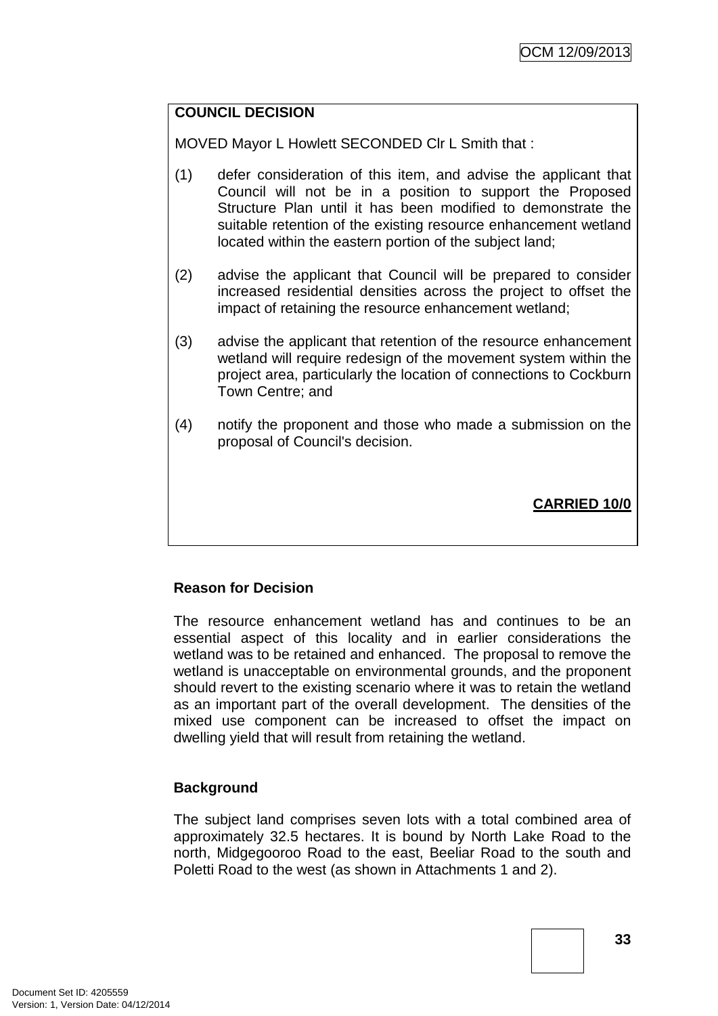# **COUNCIL DECISION**

MOVED Mayor L Howlett SECONDED Clr L Smith that :

- (1) defer consideration of this item, and advise the applicant that Council will not be in a position to support the Proposed Structure Plan until it has been modified to demonstrate the suitable retention of the existing resource enhancement wetland located within the eastern portion of the subject land;
- (2) advise the applicant that Council will be prepared to consider increased residential densities across the project to offset the impact of retaining the resource enhancement wetland;
- (3) advise the applicant that retention of the resource enhancement wetland will require redesign of the movement system within the project area, particularly the location of connections to Cockburn Town Centre; and
- (4) notify the proponent and those who made a submission on the proposal of Council's decision.

**CARRIED 10/0**

## **Reason for Decision**

The resource enhancement wetland has and continues to be an essential aspect of this locality and in earlier considerations the wetland was to be retained and enhanced. The proposal to remove the wetland is unacceptable on environmental grounds, and the proponent should revert to the existing scenario where it was to retain the wetland as an important part of the overall development. The densities of the mixed use component can be increased to offset the impact on dwelling yield that will result from retaining the wetland.

## **Background**

The subject land comprises seven lots with a total combined area of approximately 32.5 hectares. It is bound by North Lake Road to the north, Midgegooroo Road to the east, Beeliar Road to the south and Poletti Road to the west (as shown in Attachments 1 and 2).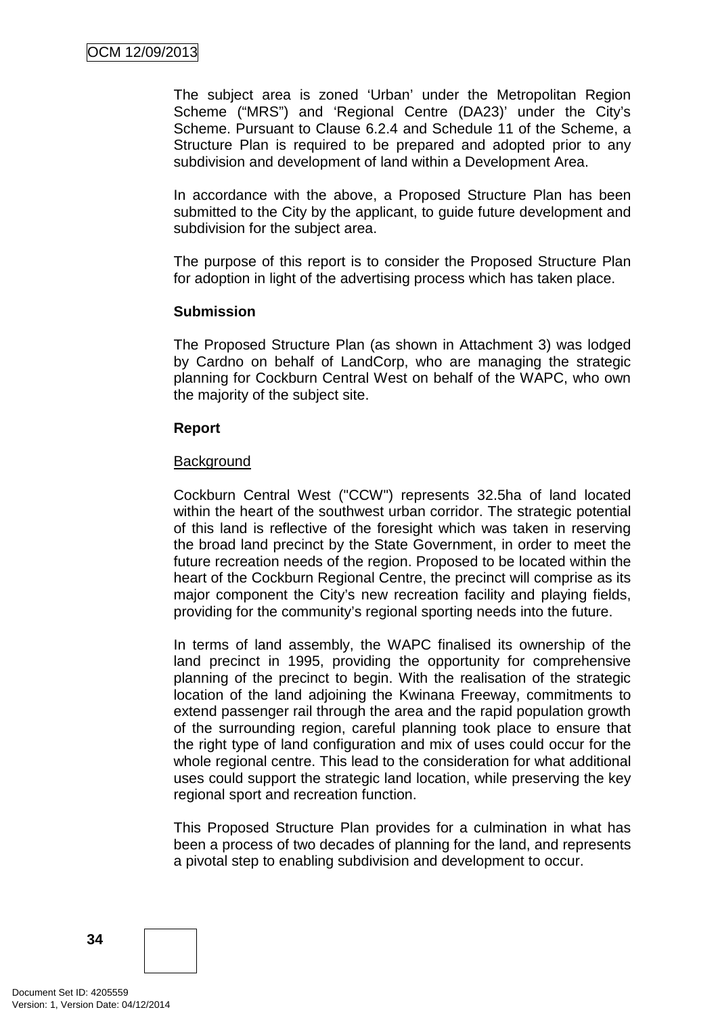The subject area is zoned 'Urban' under the Metropolitan Region Scheme ("MRS") and 'Regional Centre (DA23)' under the City's Scheme. Pursuant to Clause 6.2.4 and Schedule 11 of the Scheme, a Structure Plan is required to be prepared and adopted prior to any subdivision and development of land within a Development Area.

In accordance with the above, a Proposed Structure Plan has been submitted to the City by the applicant, to guide future development and subdivision for the subject area.

The purpose of this report is to consider the Proposed Structure Plan for adoption in light of the advertising process which has taken place.

### **Submission**

The Proposed Structure Plan (as shown in Attachment 3) was lodged by Cardno on behalf of LandCorp, who are managing the strategic planning for Cockburn Central West on behalf of the WAPC, who own the majority of the subject site.

### **Report**

### **Background**

Cockburn Central West ("CCW") represents 32.5ha of land located within the heart of the southwest urban corridor. The strategic potential of this land is reflective of the foresight which was taken in reserving the broad land precinct by the State Government, in order to meet the future recreation needs of the region. Proposed to be located within the heart of the Cockburn Regional Centre, the precinct will comprise as its major component the City's new recreation facility and playing fields, providing for the community's regional sporting needs into the future.

In terms of land assembly, the WAPC finalised its ownership of the land precinct in 1995, providing the opportunity for comprehensive planning of the precinct to begin. With the realisation of the strategic location of the land adjoining the Kwinana Freeway, commitments to extend passenger rail through the area and the rapid population growth of the surrounding region, careful planning took place to ensure that the right type of land configuration and mix of uses could occur for the whole regional centre. This lead to the consideration for what additional uses could support the strategic land location, while preserving the key regional sport and recreation function.

This Proposed Structure Plan provides for a culmination in what has been a process of two decades of planning for the land, and represents a pivotal step to enabling subdivision and development to occur.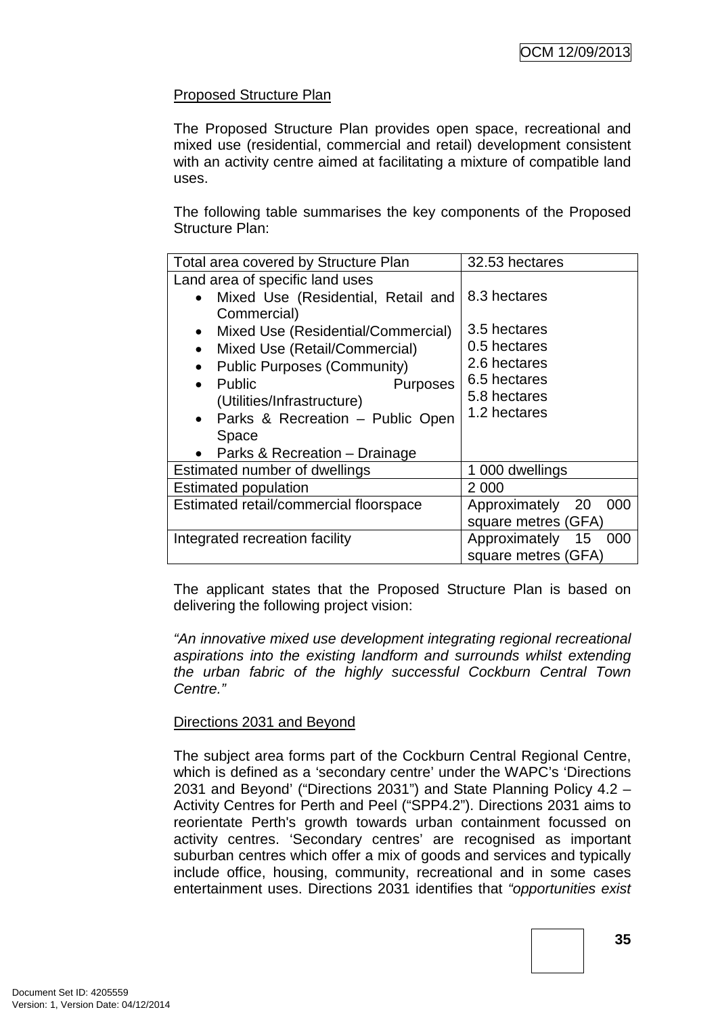## Proposed Structure Plan

The Proposed Structure Plan provides open space, recreational and mixed use (residential, commercial and retail) development consistent with an activity centre aimed at facilitating a mixture of compatible land uses.

The following table summarises the key components of the Proposed Structure Plan:

| Total area covered by Structure Plan       | 32.53 hectares             |
|--------------------------------------------|----------------------------|
| Land area of specific land uses            |                            |
| Mixed Use (Residential, Retail and         | 8.3 hectares               |
| Commercial)                                |                            |
| Mixed Use (Residential/Commercial)         | 3.5 hectares               |
| Mixed Use (Retail/Commercial)              | 0.5 hectares               |
| <b>Public Purposes (Community)</b>         | 2.6 hectares               |
| Public<br><b>Purposes</b>                  | 6.5 hectares               |
| (Utilities/Infrastructure)                 | 5.8 hectares               |
| • Parks & Recreation – Public Open         | 1.2 hectares               |
| Space                                      |                            |
| Parks & Recreation - Drainage<br>$\bullet$ |                            |
| Estimated number of dwellings              | 1 000 dwellings            |
| <b>Estimated population</b>                | 2 0 0 0                    |
| Estimated retail/commercial floorspace     | Approximately<br>20<br>000 |
|                                            | square metres (GFA)        |
| Integrated recreation facility             | Approximately 15<br>000    |
|                                            | square metres (GFA)        |

The applicant states that the Proposed Structure Plan is based on delivering the following project vision:

*"An innovative mixed use development integrating regional recreational aspirations into the existing landform and surrounds whilst extending the urban fabric of the highly successful Cockburn Central Town Centre."*

## Directions 2031 and Beyond

The subject area forms part of the Cockburn Central Regional Centre, which is defined as a 'secondary centre' under the WAPC's 'Directions 2031 and Beyond' ("Directions 2031") and State Planning Policy 4.2 – Activity Centres for Perth and Peel ("SPP4.2"). Directions 2031 aims to reorientate Perth's growth towards urban containment focussed on activity centres. 'Secondary centres' are recognised as important suburban centres which offer a mix of goods and services and typically include office, housing, community, recreational and in some cases entertainment uses. Directions 2031 identifies that *"opportunities exist*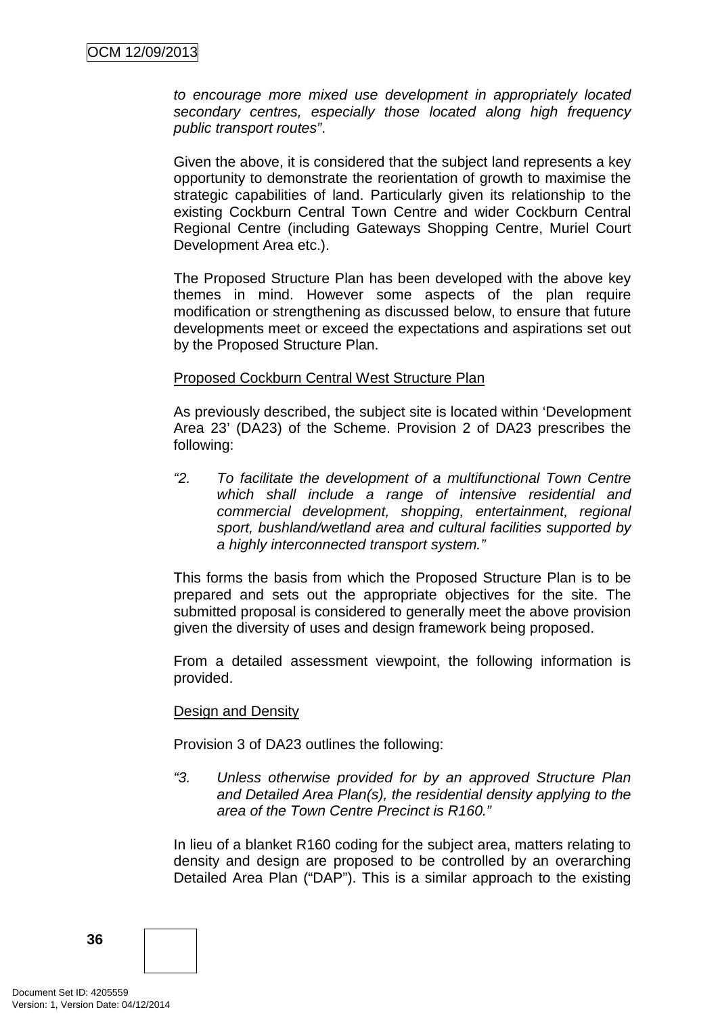*to encourage more mixed use development in appropriately located secondary centres, especially those located along high frequency public transport routes"*.

Given the above, it is considered that the subject land represents a key opportunity to demonstrate the reorientation of growth to maximise the strategic capabilities of land. Particularly given its relationship to the existing Cockburn Central Town Centre and wider Cockburn Central Regional Centre (including Gateways Shopping Centre, Muriel Court Development Area etc.).

The Proposed Structure Plan has been developed with the above key themes in mind. However some aspects of the plan require modification or strengthening as discussed below, to ensure that future developments meet or exceed the expectations and aspirations set out by the Proposed Structure Plan.

### Proposed Cockburn Central West Structure Plan

As previously described, the subject site is located within 'Development Area 23' (DA23) of the Scheme. Provision 2 of DA23 prescribes the following:

*"2. To facilitate the development of a multifunctional Town Centre which shall include a range of intensive residential and commercial development, shopping, entertainment, regional sport, bushland/wetland area and cultural facilities supported by a highly interconnected transport system."* 

This forms the basis from which the Proposed Structure Plan is to be prepared and sets out the appropriate objectives for the site. The submitted proposal is considered to generally meet the above provision given the diversity of uses and design framework being proposed.

From a detailed assessment viewpoint, the following information is provided.

#### Design and Density

Provision 3 of DA23 outlines the following:

*"3. Unless otherwise provided for by an approved Structure Plan and Detailed Area Plan(s), the residential density applying to the area of the Town Centre Precinct is R160."*

In lieu of a blanket R160 coding for the subject area, matters relating to density and design are proposed to be controlled by an overarching Detailed Area Plan ("DAP"). This is a similar approach to the existing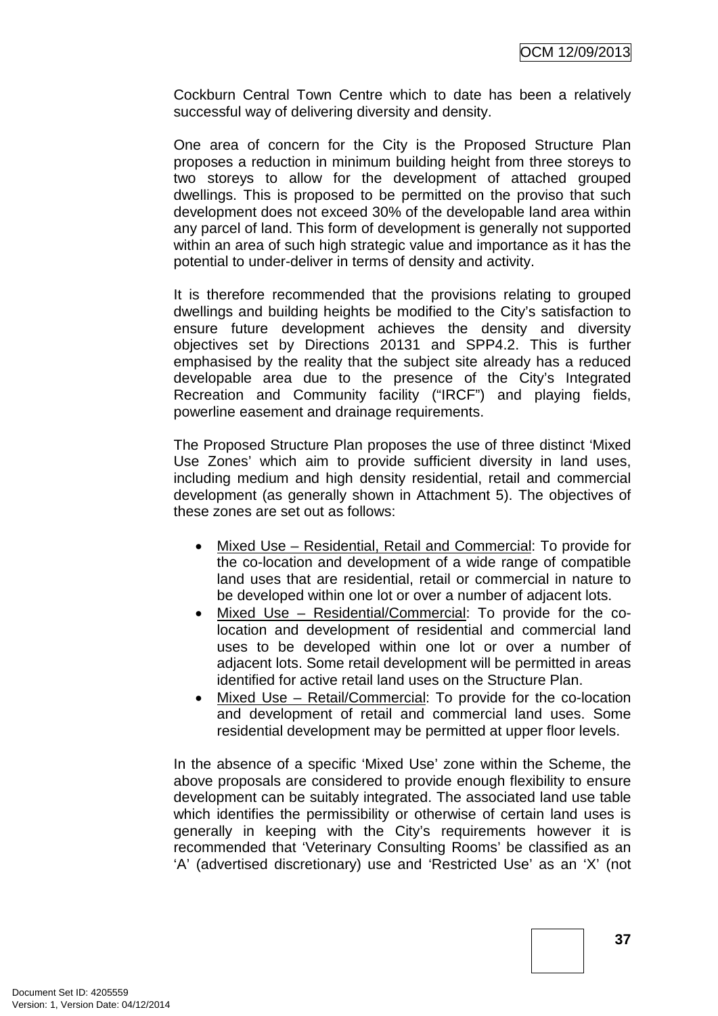Cockburn Central Town Centre which to date has been a relatively successful way of delivering diversity and density.

One area of concern for the City is the Proposed Structure Plan proposes a reduction in minimum building height from three storeys to two storeys to allow for the development of attached grouped dwellings. This is proposed to be permitted on the proviso that such development does not exceed 30% of the developable land area within any parcel of land. This form of development is generally not supported within an area of such high strategic value and importance as it has the potential to under-deliver in terms of density and activity.

It is therefore recommended that the provisions relating to grouped dwellings and building heights be modified to the City's satisfaction to ensure future development achieves the density and diversity objectives set by Directions 20131 and SPP4.2. This is further emphasised by the reality that the subject site already has a reduced developable area due to the presence of the City's Integrated Recreation and Community facility ("IRCF") and playing fields, powerline easement and drainage requirements.

The Proposed Structure Plan proposes the use of three distinct 'Mixed Use Zones' which aim to provide sufficient diversity in land uses, including medium and high density residential, retail and commercial development (as generally shown in Attachment 5). The objectives of these zones are set out as follows:

- Mixed Use Residential, Retail and Commercial: To provide for the co-location and development of a wide range of compatible land uses that are residential, retail or commercial in nature to be developed within one lot or over a number of adjacent lots.
- Mixed Use Residential/Commercial: To provide for the colocation and development of residential and commercial land uses to be developed within one lot or over a number of adjacent lots. Some retail development will be permitted in areas identified for active retail land uses on the Structure Plan.
- Mixed Use Retail/Commercial: To provide for the co-location and development of retail and commercial land uses. Some residential development may be permitted at upper floor levels.

In the absence of a specific 'Mixed Use' zone within the Scheme, the above proposals are considered to provide enough flexibility to ensure development can be suitably integrated. The associated land use table which identifies the permissibility or otherwise of certain land uses is generally in keeping with the City's requirements however it is recommended that 'Veterinary Consulting Rooms' be classified as an 'A' (advertised discretionary) use and 'Restricted Use' as an 'X' (not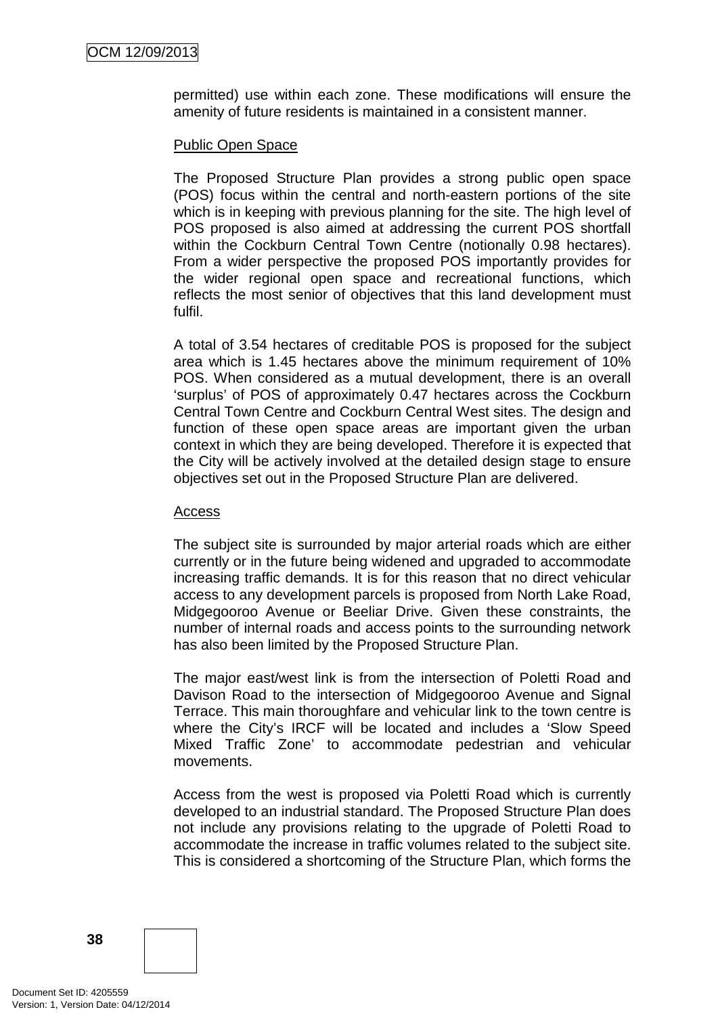permitted) use within each zone. These modifications will ensure the amenity of future residents is maintained in a consistent manner.

### Public Open Space

The Proposed Structure Plan provides a strong public open space (POS) focus within the central and north-eastern portions of the site which is in keeping with previous planning for the site. The high level of POS proposed is also aimed at addressing the current POS shortfall within the Cockburn Central Town Centre (notionally 0.98 hectares). From a wider perspective the proposed POS importantly provides for the wider regional open space and recreational functions, which reflects the most senior of objectives that this land development must fulfil.

A total of 3.54 hectares of creditable POS is proposed for the subject area which is 1.45 hectares above the minimum requirement of 10% POS. When considered as a mutual development, there is an overall 'surplus' of POS of approximately 0.47 hectares across the Cockburn Central Town Centre and Cockburn Central West sites. The design and function of these open space areas are important given the urban context in which they are being developed. Therefore it is expected that the City will be actively involved at the detailed design stage to ensure objectives set out in the Proposed Structure Plan are delivered.

#### Access

The subject site is surrounded by major arterial roads which are either currently or in the future being widened and upgraded to accommodate increasing traffic demands. It is for this reason that no direct vehicular access to any development parcels is proposed from North Lake Road, Midgegooroo Avenue or Beeliar Drive. Given these constraints, the number of internal roads and access points to the surrounding network has also been limited by the Proposed Structure Plan.

The major east/west link is from the intersection of Poletti Road and Davison Road to the intersection of Midgegooroo Avenue and Signal Terrace. This main thoroughfare and vehicular link to the town centre is where the City's IRCF will be located and includes a 'Slow Speed Mixed Traffic Zone' to accommodate pedestrian and vehicular movements.

Access from the west is proposed via Poletti Road which is currently developed to an industrial standard. The Proposed Structure Plan does not include any provisions relating to the upgrade of Poletti Road to accommodate the increase in traffic volumes related to the subject site. This is considered a shortcoming of the Structure Plan, which forms the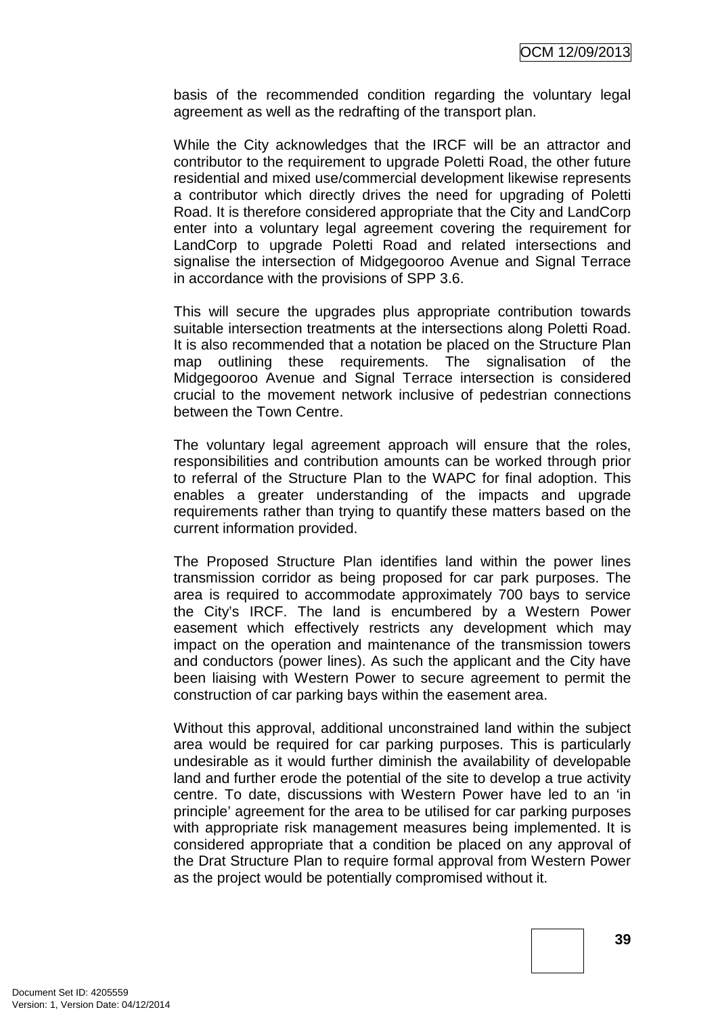basis of the recommended condition regarding the voluntary legal agreement as well as the redrafting of the transport plan.

While the City acknowledges that the IRCF will be an attractor and contributor to the requirement to upgrade Poletti Road, the other future residential and mixed use/commercial development likewise represents a contributor which directly drives the need for upgrading of Poletti Road. It is therefore considered appropriate that the City and LandCorp enter into a voluntary legal agreement covering the requirement for LandCorp to upgrade Poletti Road and related intersections and signalise the intersection of Midgegooroo Avenue and Signal Terrace in accordance with the provisions of SPP 3.6.

This will secure the upgrades plus appropriate contribution towards suitable intersection treatments at the intersections along Poletti Road. It is also recommended that a notation be placed on the Structure Plan map outlining these requirements. The signalisation of the Midgegooroo Avenue and Signal Terrace intersection is considered crucial to the movement network inclusive of pedestrian connections between the Town Centre.

The voluntary legal agreement approach will ensure that the roles, responsibilities and contribution amounts can be worked through prior to referral of the Structure Plan to the WAPC for final adoption. This enables a greater understanding of the impacts and upgrade requirements rather than trying to quantify these matters based on the current information provided.

The Proposed Structure Plan identifies land within the power lines transmission corridor as being proposed for car park purposes. The area is required to accommodate approximately 700 bays to service the City's IRCF. The land is encumbered by a Western Power easement which effectively restricts any development which may impact on the operation and maintenance of the transmission towers and conductors (power lines). As such the applicant and the City have been liaising with Western Power to secure agreement to permit the construction of car parking bays within the easement area.

Without this approval, additional unconstrained land within the subject area would be required for car parking purposes. This is particularly undesirable as it would further diminish the availability of developable land and further erode the potential of the site to develop a true activity centre. To date, discussions with Western Power have led to an 'in principle' agreement for the area to be utilised for car parking purposes with appropriate risk management measures being implemented. It is considered appropriate that a condition be placed on any approval of the Drat Structure Plan to require formal approval from Western Power as the project would be potentially compromised without it.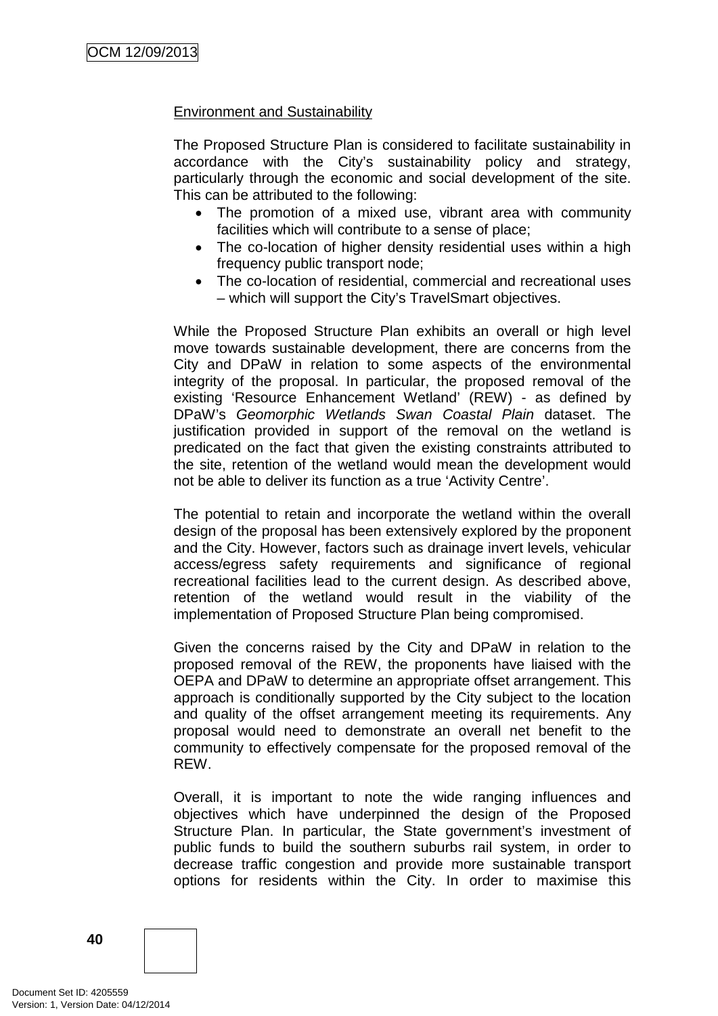### Environment and Sustainability

The Proposed Structure Plan is considered to facilitate sustainability in accordance with the City's sustainability policy and strategy, particularly through the economic and social development of the site. This can be attributed to the following:

- The promotion of a mixed use, vibrant area with community facilities which will contribute to a sense of place;
- The co-location of higher density residential uses within a high frequency public transport node;
- The co-location of residential, commercial and recreational uses – which will support the City's TravelSmart objectives.

While the Proposed Structure Plan exhibits an overall or high level move towards sustainable development, there are concerns from the City and DPaW in relation to some aspects of the environmental integrity of the proposal. In particular, the proposed removal of the existing 'Resource Enhancement Wetland' (REW) - as defined by DPaW's *Geomorphic Wetlands Swan Coastal Plain* dataset. The justification provided in support of the removal on the wetland is predicated on the fact that given the existing constraints attributed to the site, retention of the wetland would mean the development would not be able to deliver its function as a true 'Activity Centre'.

The potential to retain and incorporate the wetland within the overall design of the proposal has been extensively explored by the proponent and the City. However, factors such as drainage invert levels, vehicular access/egress safety requirements and significance of regional recreational facilities lead to the current design. As described above, retention of the wetland would result in the viability of the implementation of Proposed Structure Plan being compromised.

Given the concerns raised by the City and DPaW in relation to the proposed removal of the REW, the proponents have liaised with the OEPA and DPaW to determine an appropriate offset arrangement. This approach is conditionally supported by the City subject to the location and quality of the offset arrangement meeting its requirements. Any proposal would need to demonstrate an overall net benefit to the community to effectively compensate for the proposed removal of the REW.

Overall, it is important to note the wide ranging influences and objectives which have underpinned the design of the Proposed Structure Plan. In particular, the State government's investment of public funds to build the southern suburbs rail system, in order to decrease traffic congestion and provide more sustainable transport options for residents within the City. In order to maximise this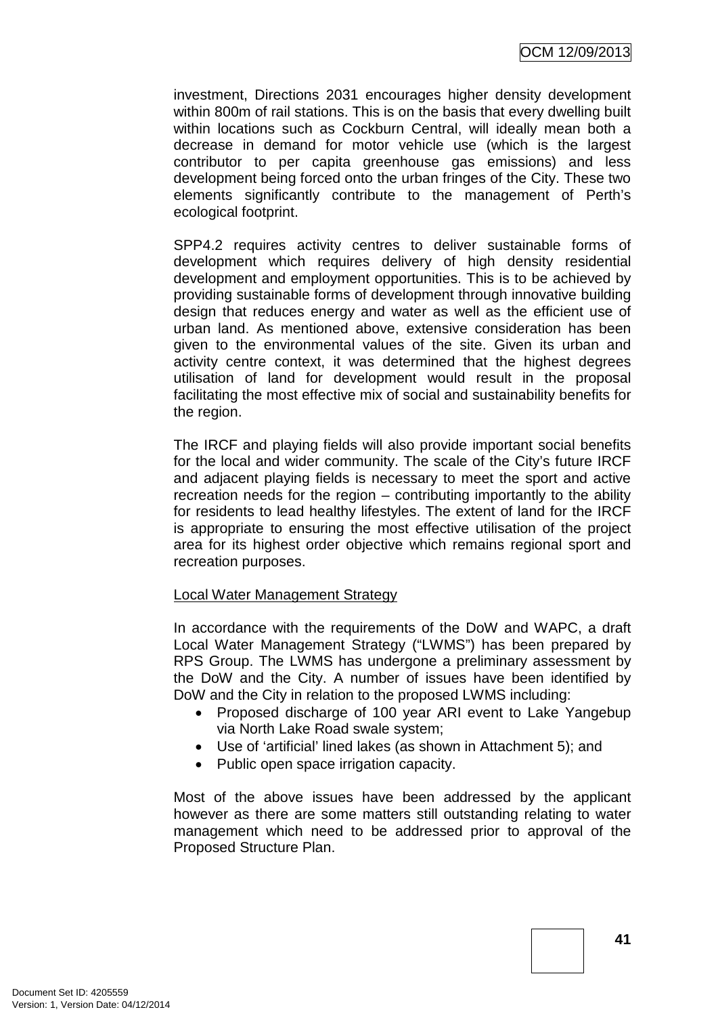investment, Directions 2031 encourages higher density development within 800m of rail stations. This is on the basis that every dwelling built within locations such as Cockburn Central, will ideally mean both a decrease in demand for motor vehicle use (which is the largest contributor to per capita greenhouse gas emissions) and less development being forced onto the urban fringes of the City. These two elements significantly contribute to the management of Perth's ecological footprint.

SPP4.2 requires activity centres to deliver sustainable forms of development which requires delivery of high density residential development and employment opportunities. This is to be achieved by providing sustainable forms of development through innovative building design that reduces energy and water as well as the efficient use of urban land. As mentioned above, extensive consideration has been given to the environmental values of the site. Given its urban and activity centre context, it was determined that the highest degrees utilisation of land for development would result in the proposal facilitating the most effective mix of social and sustainability benefits for the region.

The IRCF and playing fields will also provide important social benefits for the local and wider community. The scale of the City's future IRCF and adjacent playing fields is necessary to meet the sport and active recreation needs for the region – contributing importantly to the ability for residents to lead healthy lifestyles. The extent of land for the IRCF is appropriate to ensuring the most effective utilisation of the project area for its highest order objective which remains regional sport and recreation purposes.

#### Local Water Management Strategy

In accordance with the requirements of the DoW and WAPC, a draft Local Water Management Strategy ("LWMS") has been prepared by RPS Group. The LWMS has undergone a preliminary assessment by the DoW and the City. A number of issues have been identified by DoW and the City in relation to the proposed LWMS including:

- Proposed discharge of 100 year ARI event to Lake Yangebup via North Lake Road swale system;
- Use of 'artificial' lined lakes (as shown in Attachment 5); and
- Public open space irrigation capacity.

Most of the above issues have been addressed by the applicant however as there are some matters still outstanding relating to water management which need to be addressed prior to approval of the Proposed Structure Plan.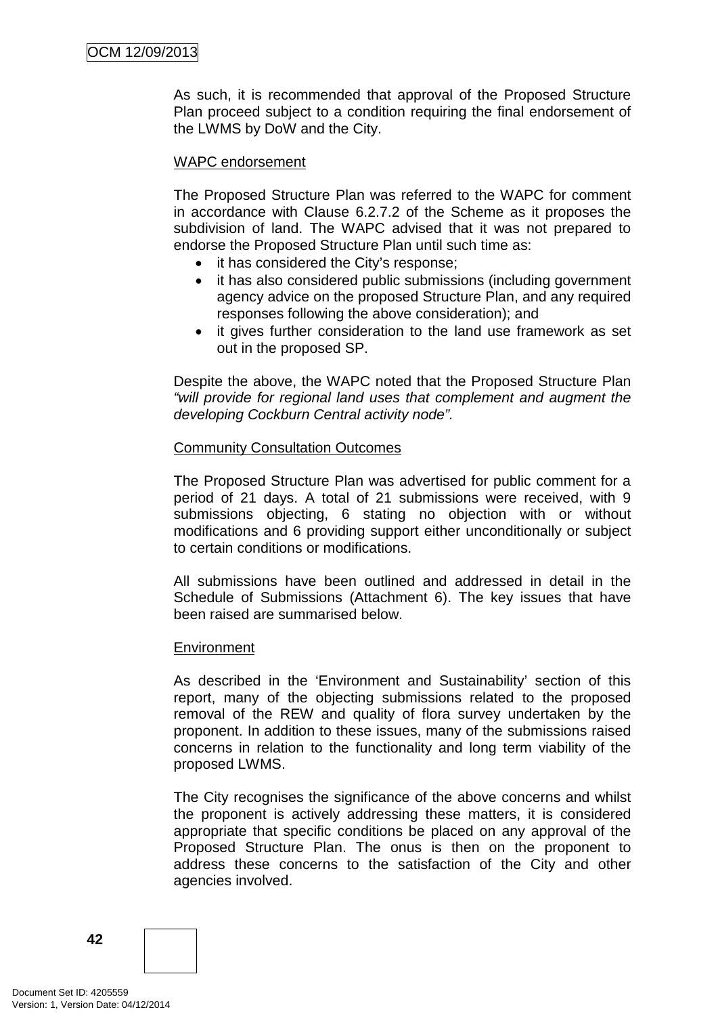As such, it is recommended that approval of the Proposed Structure Plan proceed subject to a condition requiring the final endorsement of the LWMS by DoW and the City.

## WAPC endorsement

The Proposed Structure Plan was referred to the WAPC for comment in accordance with Clause 6.2.7.2 of the Scheme as it proposes the subdivision of land. The WAPC advised that it was not prepared to endorse the Proposed Structure Plan until such time as:

- it has considered the City's response;
- it has also considered public submissions (including government agency advice on the proposed Structure Plan, and any required responses following the above consideration); and
- it gives further consideration to the land use framework as set out in the proposed SP.

Despite the above, the WAPC noted that the Proposed Structure Plan *"will provide for regional land uses that complement and augment the developing Cockburn Central activity node".*

### Community Consultation Outcomes

The Proposed Structure Plan was advertised for public comment for a period of 21 days. A total of 21 submissions were received, with 9 submissions objecting, 6 stating no objection with or without modifications and 6 providing support either unconditionally or subject to certain conditions or modifications.

All submissions have been outlined and addressed in detail in the Schedule of Submissions (Attachment 6). The key issues that have been raised are summarised below.

#### **Environment**

As described in the 'Environment and Sustainability' section of this report, many of the objecting submissions related to the proposed removal of the REW and quality of flora survey undertaken by the proponent. In addition to these issues, many of the submissions raised concerns in relation to the functionality and long term viability of the proposed LWMS.

The City recognises the significance of the above concerns and whilst the proponent is actively addressing these matters, it is considered appropriate that specific conditions be placed on any approval of the Proposed Structure Plan. The onus is then on the proponent to address these concerns to the satisfaction of the City and other agencies involved.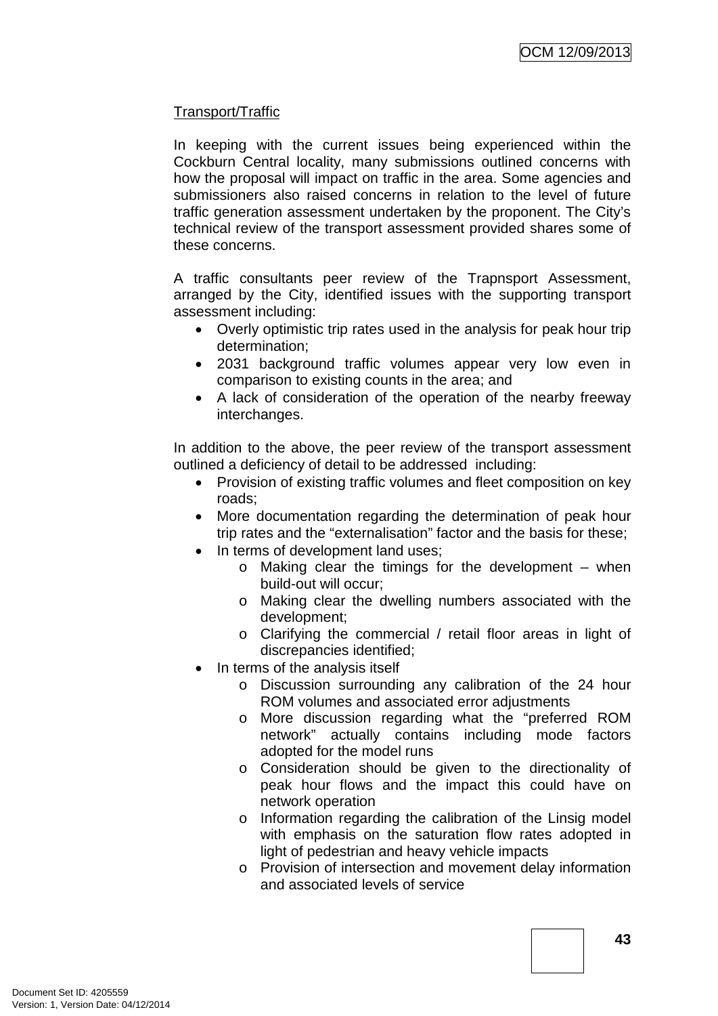# Transport/Traffic

In keeping with the current issues being experienced within the Cockburn Central locality, many submissions outlined concerns with how the proposal will impact on traffic in the area. Some agencies and submissioners also raised concerns in relation to the level of future traffic generation assessment undertaken by the proponent. The City's technical review of the transport assessment provided shares some of these concerns.

A traffic consultants peer review of the Trapnsport Assessment, arranged by the City, identified issues with the supporting transport assessment including:

- Overly optimistic trip rates used in the analysis for peak hour trip determination;
- 2031 background traffic volumes appear very low even in comparison to existing counts in the area; and
- A lack of consideration of the operation of the nearby freeway interchanges.

In addition to the above, the peer review of the transport assessment outlined a deficiency of detail to be addressed including:

- Provision of existing traffic volumes and fleet composition on key roads;
- More documentation regarding the determination of peak hour trip rates and the "externalisation" factor and the basis for these;
- In terms of development land uses;
	- o Making clear the timings for the development when build-out will occur;
	- o Making clear the dwelling numbers associated with the development;
	- o Clarifying the commercial / retail floor areas in light of discrepancies identified;
- In terms of the analysis itself
	- o Discussion surrounding any calibration of the 24 hour ROM volumes and associated error adjustments
	- o More discussion regarding what the "preferred ROM network" actually contains including mode factors adopted for the model runs
	- o Consideration should be given to the directionality of peak hour flows and the impact this could have on network operation
	- o Information regarding the calibration of the Linsig model with emphasis on the saturation flow rates adopted in light of pedestrian and heavy vehicle impacts
	- o Provision of intersection and movement delay information and associated levels of service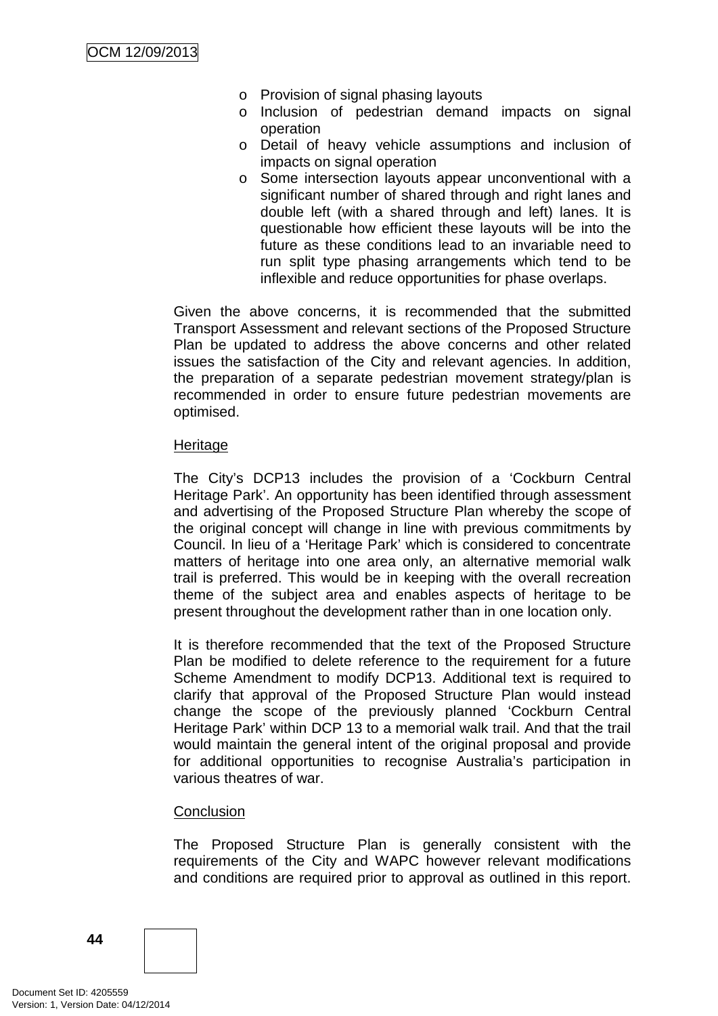- o Provision of signal phasing layouts
- o Inclusion of pedestrian demand impacts on signal operation
- o Detail of heavy vehicle assumptions and inclusion of impacts on signal operation
- o Some intersection layouts appear unconventional with a significant number of shared through and right lanes and double left (with a shared through and left) lanes. It is questionable how efficient these layouts will be into the future as these conditions lead to an invariable need to run split type phasing arrangements which tend to be inflexible and reduce opportunities for phase overlaps.

Given the above concerns, it is recommended that the submitted Transport Assessment and relevant sections of the Proposed Structure Plan be updated to address the above concerns and other related issues the satisfaction of the City and relevant agencies. In addition, the preparation of a separate pedestrian movement strategy/plan is recommended in order to ensure future pedestrian movements are optimised.

### **Heritage**

The City's DCP13 includes the provision of a 'Cockburn Central Heritage Park'. An opportunity has been identified through assessment and advertising of the Proposed Structure Plan whereby the scope of the original concept will change in line with previous commitments by Council. In lieu of a 'Heritage Park' which is considered to concentrate matters of heritage into one area only, an alternative memorial walk trail is preferred. This would be in keeping with the overall recreation theme of the subject area and enables aspects of heritage to be present throughout the development rather than in one location only.

It is therefore recommended that the text of the Proposed Structure Plan be modified to delete reference to the requirement for a future Scheme Amendment to modify DCP13. Additional text is required to clarify that approval of the Proposed Structure Plan would instead change the scope of the previously planned 'Cockburn Central Heritage Park' within DCP 13 to a memorial walk trail. And that the trail would maintain the general intent of the original proposal and provide for additional opportunities to recognise Australia's participation in various theatres of war.

## **Conclusion**

The Proposed Structure Plan is generally consistent with the requirements of the City and WAPC however relevant modifications and conditions are required prior to approval as outlined in this report.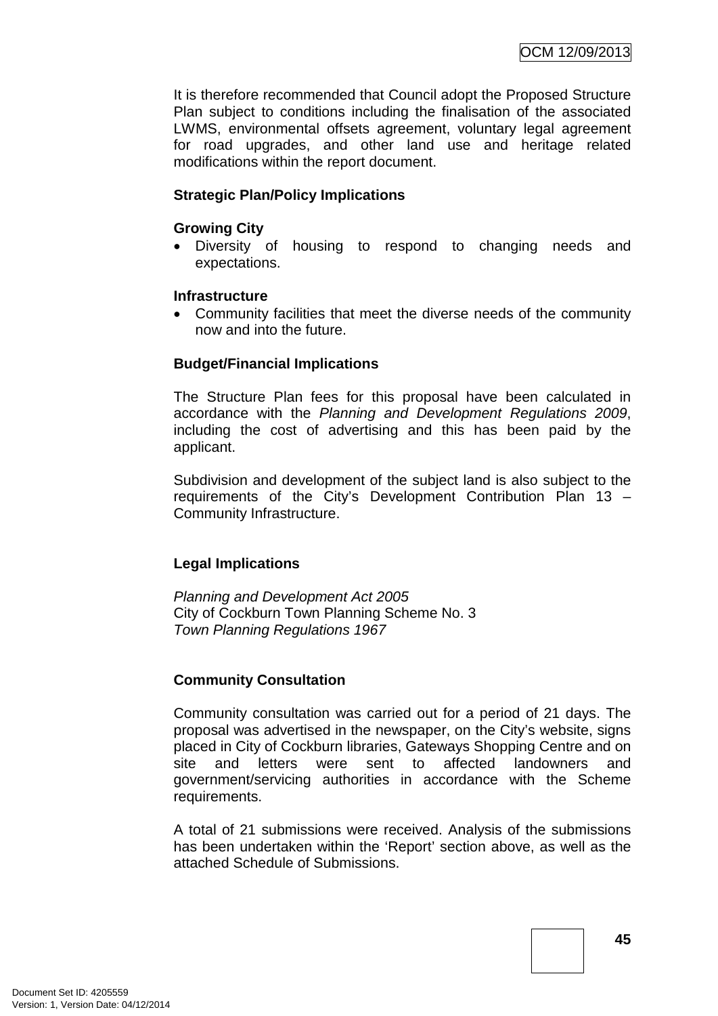It is therefore recommended that Council adopt the Proposed Structure Plan subject to conditions including the finalisation of the associated LWMS, environmental offsets agreement, voluntary legal agreement for road upgrades, and other land use and heritage related modifications within the report document.

## **Strategic Plan/Policy Implications**

## **Growing City**

• Diversity of housing to respond to changing needs and expectations.

## **Infrastructure**

• Community facilities that meet the diverse needs of the community now and into the future.

# **Budget/Financial Implications**

The Structure Plan fees for this proposal have been calculated in accordance with the *Planning and Development Regulations 2009*, including the cost of advertising and this has been paid by the applicant.

Subdivision and development of the subject land is also subject to the requirements of the City's Development Contribution Plan 13 – Community Infrastructure.

## **Legal Implications**

*Planning and Development Act 2005* City of Cockburn Town Planning Scheme No. 3 *Town Planning Regulations 1967*

## **Community Consultation**

Community consultation was carried out for a period of 21 days. The proposal was advertised in the newspaper, on the City's website, signs placed in City of Cockburn libraries, Gateways Shopping Centre and on site and letters were sent to affected landowners and government/servicing authorities in accordance with the Scheme requirements.

A total of 21 submissions were received. Analysis of the submissions has been undertaken within the 'Report' section above, as well as the attached Schedule of Submissions.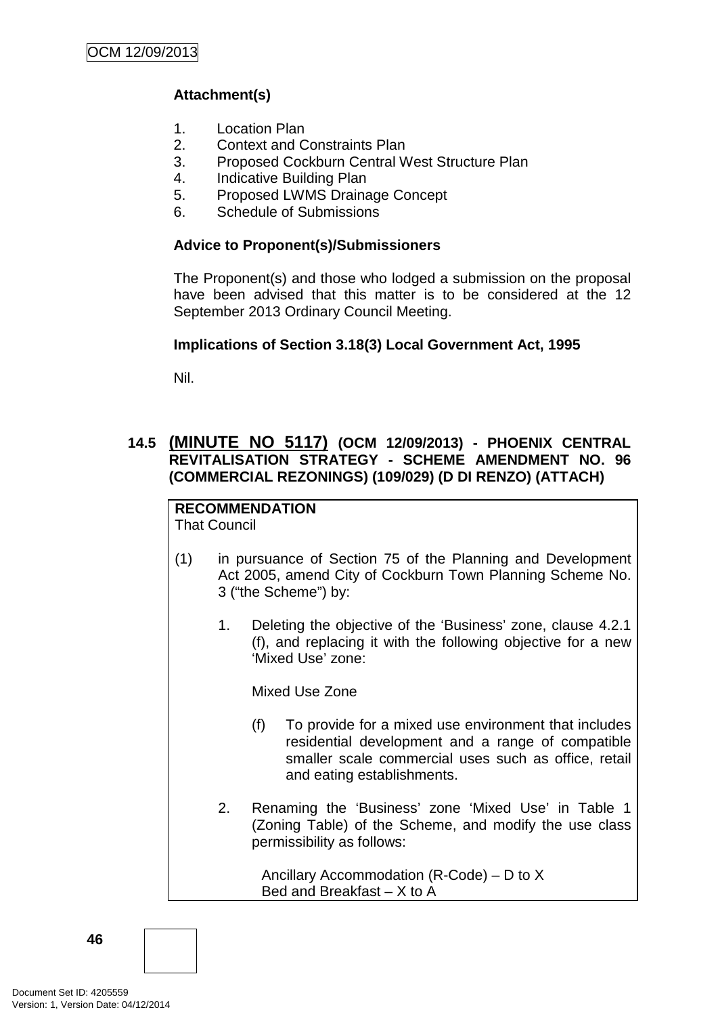# **Attachment(s)**

- 1. Location Plan
- 2. Context and Constraints Plan
- 3. Proposed Cockburn Central West Structure Plan
- 4. Indicative Building Plan
- 5. Proposed LWMS Drainage Concept
- 6. Schedule of Submissions

# **Advice to Proponent(s)/Submissioners**

The Proponent(s) and those who lodged a submission on the proposal have been advised that this matter is to be considered at the 12 September 2013 Ordinary Council Meeting.

# **Implications of Section 3.18(3) Local Government Act, 1995**

Nil.

# **14.5 (MINUTE NO 5117) (OCM 12/09/2013) - PHOENIX CENTRAL REVITALISATION STRATEGY - SCHEME AMENDMENT NO. 96 (COMMERCIAL REZONINGS) (109/029) (D DI RENZO) (ATTACH)**

**RECOMMENDATION** That Council

- (1) in pursuance of Section 75 of the Planning and Development Act 2005, amend City of Cockburn Town Planning Scheme No. 3 ("the Scheme") by:
	- 1. Deleting the objective of the 'Business' zone, clause 4.2.1 (f), and replacing it with the following objective for a new 'Mixed Use' zone:

Mixed Use Zone

- (f) To provide for a mixed use environment that includes residential development and a range of compatible smaller scale commercial uses such as office, retail and eating establishments.
- 2. Renaming the 'Business' zone 'Mixed Use' in Table 1 (Zoning Table) of the Scheme, and modify the use class permissibility as follows:

Ancillary Accommodation (R-Code) – D to X Bed and Breakfast – X to A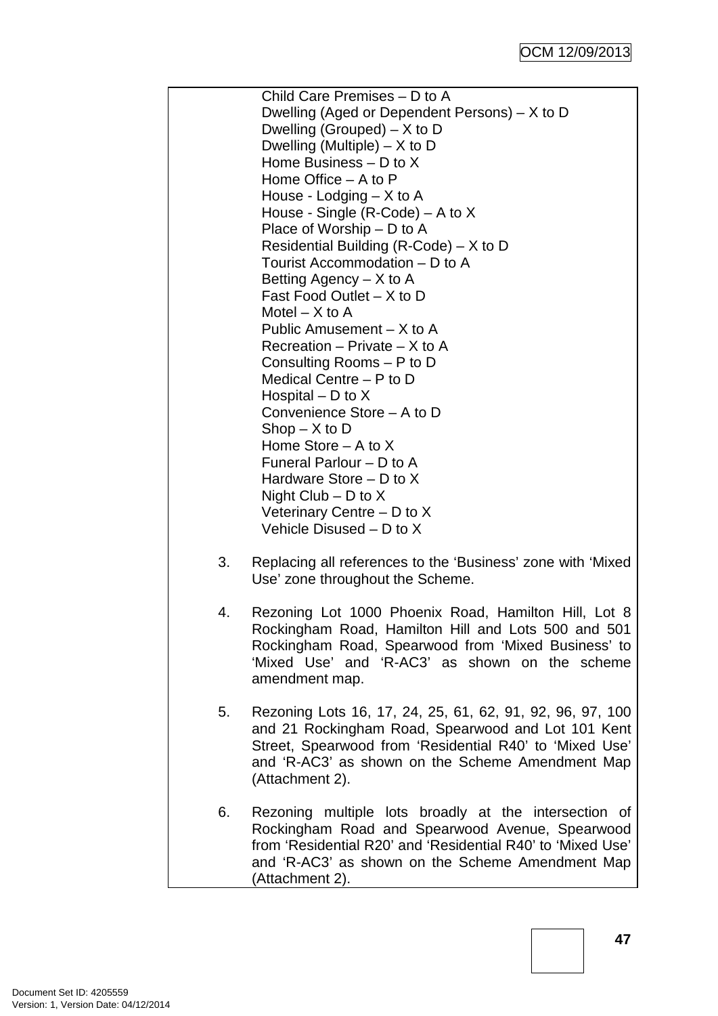Child Care Premises – D to A Dwelling (Aged or Dependent Persons) – X to D Dwelling (Grouped) – X to D Dwelling (Multiple)  $- X$  to D Home Business – D to X Home Office – A to P House - Lodging – X to A House - Single (R-Code) – A to X Place of Worship – D to A Residential Building (R-Code) – X to D Tourist Accommodation – D to A Betting Agency  $- X$  to A Fast Food Outlet – X to D Motel – X to A Public Amusement – X to A Recreation – Private –  $X$  to A Consulting Rooms – P to D Medical Centre – P to D Hospital –  $D$  to  $X$ Convenience Store – A to D Shop – X to D Home Store – A to X Funeral Parlour – D to A Hardware Store – D to X Night Club –  $D$  to  $X$ Veterinary Centre – D to X Vehicle Disused – D to X 3. Replacing all references to the 'Business' zone with 'Mixed Use' zone throughout the Scheme. 4. Rezoning Lot 1000 Phoenix Road, Hamilton Hill, Lot 8 Rockingham Road, Hamilton Hill and Lots 500 and 501 Rockingham Road, Spearwood from 'Mixed Business' to 'Mixed Use' and 'R-AC3' as shown on the scheme amendment map. 5. Rezoning Lots 16, 17, 24, 25, 61, 62, 91, 92, 96, 97, 100 and 21 Rockingham Road, Spearwood and Lot 101 Kent Street, Spearwood from 'Residential R40' to 'Mixed Use' and 'R-AC3' as shown on the Scheme Amendment Map (Attachment 2).

6. Rezoning multiple lots broadly at the intersection of Rockingham Road and Spearwood Avenue, Spearwood from 'Residential R20' and 'Residential R40' to 'Mixed Use' and 'R-AC3' as shown on the Scheme Amendment Map (Attachment 2).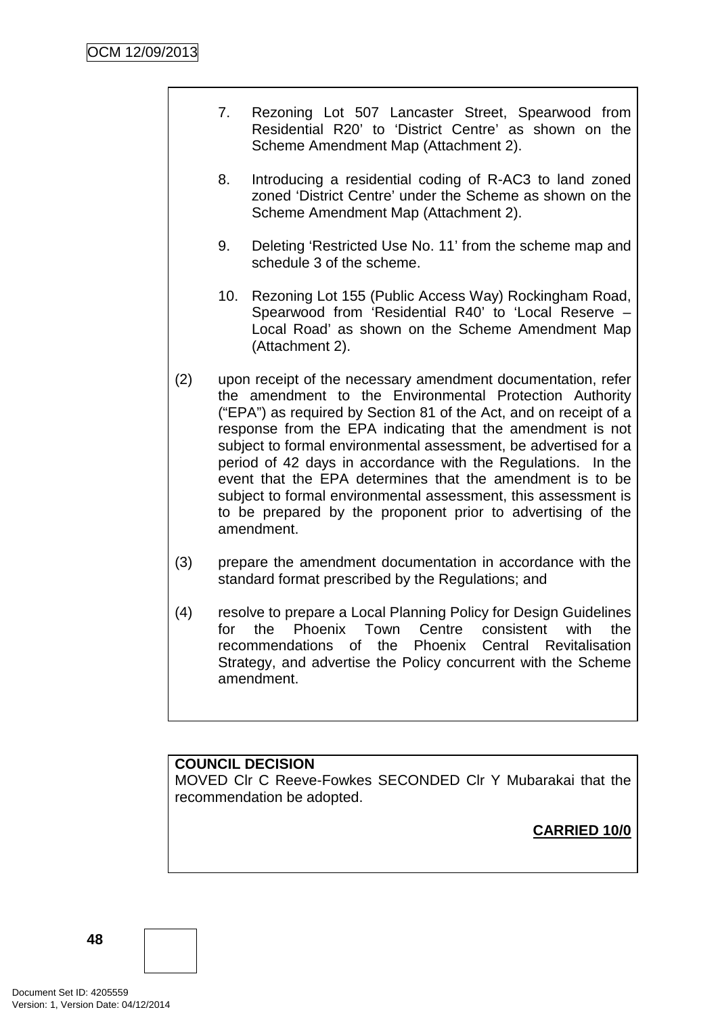- 7. Rezoning Lot 507 Lancaster Street, Spearwood from Residential R20' to 'District Centre' as shown on the Scheme Amendment Map (Attachment 2).
- 8. Introducing a residential coding of R-AC3 to land zoned zoned 'District Centre' under the Scheme as shown on the Scheme Amendment Map (Attachment 2).
- 9. Deleting 'Restricted Use No. 11' from the scheme map and schedule 3 of the scheme.
- 10. Rezoning Lot 155 (Public Access Way) Rockingham Road, Spearwood from 'Residential R40' to 'Local Reserve – Local Road' as shown on the Scheme Amendment Map (Attachment 2).
- (2) upon receipt of the necessary amendment documentation, refer the amendment to the Environmental Protection Authority ("EPA") as required by Section 81 of the Act, and on receipt of a response from the EPA indicating that the amendment is not subject to formal environmental assessment, be advertised for a period of 42 days in accordance with the Regulations. In the event that the EPA determines that the amendment is to be subject to formal environmental assessment, this assessment is to be prepared by the proponent prior to advertising of the amendment.
- (3) prepare the amendment documentation in accordance with the standard format prescribed by the Regulations; and
- (4) resolve to prepare a Local Planning Policy for Design Guidelines for the Phoenix Town Centre consistent with the recommendations of the Phoenix Central Revitalisation Strategy, and advertise the Policy concurrent with the Scheme amendment.

# **COUNCIL DECISION**

MOVED Clr C Reeve-Fowkes SECONDED Clr Y Mubarakai that the recommendation be adopted.

**CARRIED 10/0**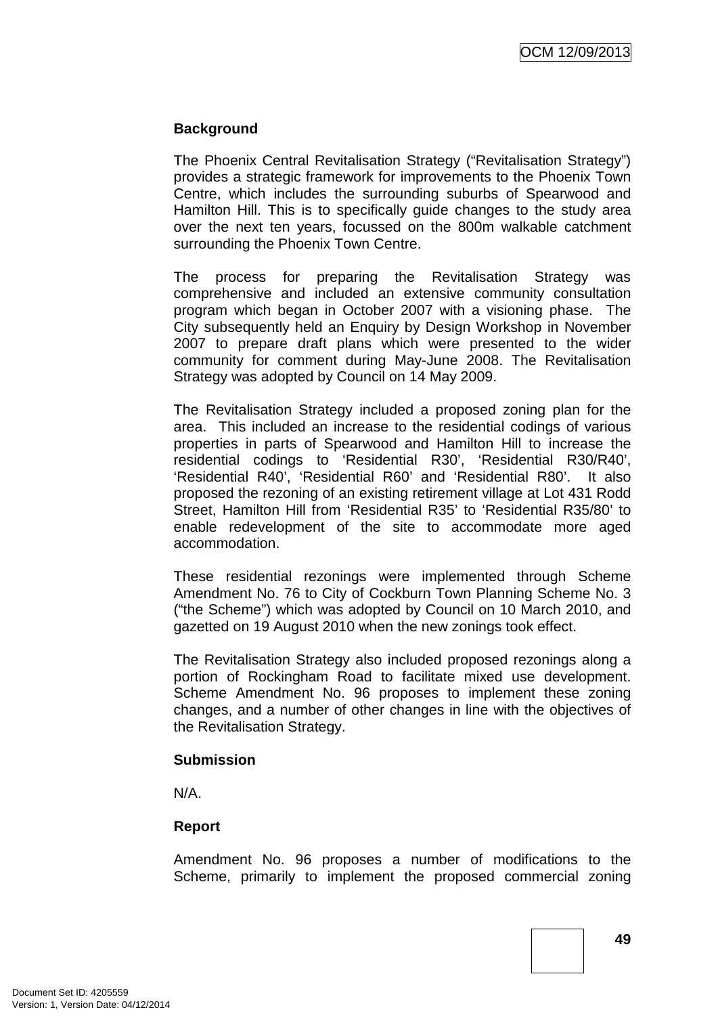## **Background**

The Phoenix Central Revitalisation Strategy ("Revitalisation Strategy") provides a strategic framework for improvements to the Phoenix Town Centre, which includes the surrounding suburbs of Spearwood and Hamilton Hill. This is to specifically guide changes to the study area over the next ten years, focussed on the 800m walkable catchment surrounding the Phoenix Town Centre.

The process for preparing the Revitalisation Strategy was comprehensive and included an extensive community consultation program which began in October 2007 with a visioning phase. The City subsequently held an Enquiry by Design Workshop in November 2007 to prepare draft plans which were presented to the wider community for comment during May-June 2008. The Revitalisation Strategy was adopted by Council on 14 May 2009.

The Revitalisation Strategy included a proposed zoning plan for the area. This included an increase to the residential codings of various properties in parts of Spearwood and Hamilton Hill to increase the residential codings to 'Residential R30', 'Residential R30/R40', 'Residential R40', 'Residential R60' and 'Residential R80'. It also proposed the rezoning of an existing retirement village at Lot 431 Rodd Street, Hamilton Hill from 'Residential R35' to 'Residential R35/80' to enable redevelopment of the site to accommodate more aged accommodation.

These residential rezonings were implemented through Scheme Amendment No. 76 to City of Cockburn Town Planning Scheme No. 3 ("the Scheme") which was adopted by Council on 10 March 2010, and gazetted on 19 August 2010 when the new zonings took effect.

The Revitalisation Strategy also included proposed rezonings along a portion of Rockingham Road to facilitate mixed use development. Scheme Amendment No. 96 proposes to implement these zoning changes, and a number of other changes in line with the objectives of the Revitalisation Strategy.

## **Submission**

N/A.

## **Report**

Amendment No. 96 proposes a number of modifications to the Scheme, primarily to implement the proposed commercial zoning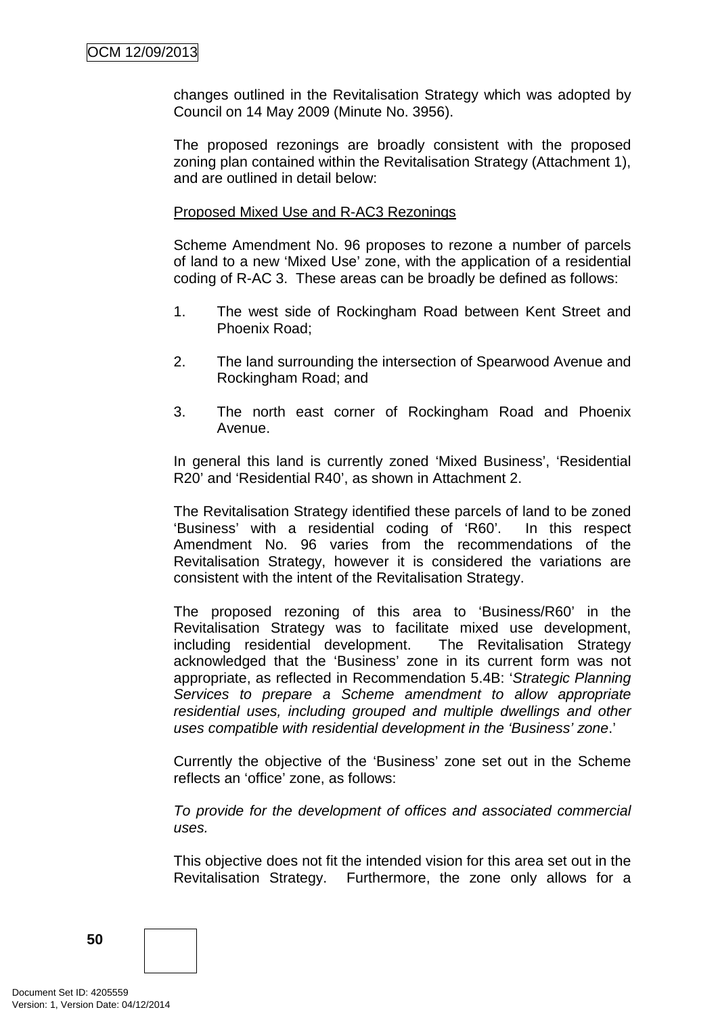changes outlined in the Revitalisation Strategy which was adopted by Council on 14 May 2009 (Minute No. 3956).

The proposed rezonings are broadly consistent with the proposed zoning plan contained within the Revitalisation Strategy (Attachment 1), and are outlined in detail below:

Proposed Mixed Use and R-AC3 Rezonings

Scheme Amendment No. 96 proposes to rezone a number of parcels of land to a new 'Mixed Use' zone, with the application of a residential coding of R-AC 3. These areas can be broadly be defined as follows:

- 1. The west side of Rockingham Road between Kent Street and Phoenix Road;
- 2. The land surrounding the intersection of Spearwood Avenue and Rockingham Road; and
- 3. The north east corner of Rockingham Road and Phoenix Avenue.

In general this land is currently zoned 'Mixed Business', 'Residential R20' and 'Residential R40', as shown in Attachment 2.

The Revitalisation Strategy identified these parcels of land to be zoned 'Business' with a residential coding of 'R60'. In this respect Amendment No. 96 varies from the recommendations of the Revitalisation Strategy, however it is considered the variations are consistent with the intent of the Revitalisation Strategy.

The proposed rezoning of this area to 'Business/R60' in the Revitalisation Strategy was to facilitate mixed use development, including residential development. The Revitalisation Strategy acknowledged that the 'Business' zone in its current form was not appropriate, as reflected in Recommendation 5.4B: '*Strategic Planning Services to prepare a Scheme amendment to allow appropriate residential uses, including grouped and multiple dwellings and other uses compatible with residential development in the 'Business' zone*.'

Currently the objective of the 'Business' zone set out in the Scheme reflects an 'office' zone, as follows:

*To provide for the development of offices and associated commercial uses.*

This objective does not fit the intended vision for this area set out in the Revitalisation Strategy. Furthermore, the zone only allows for a

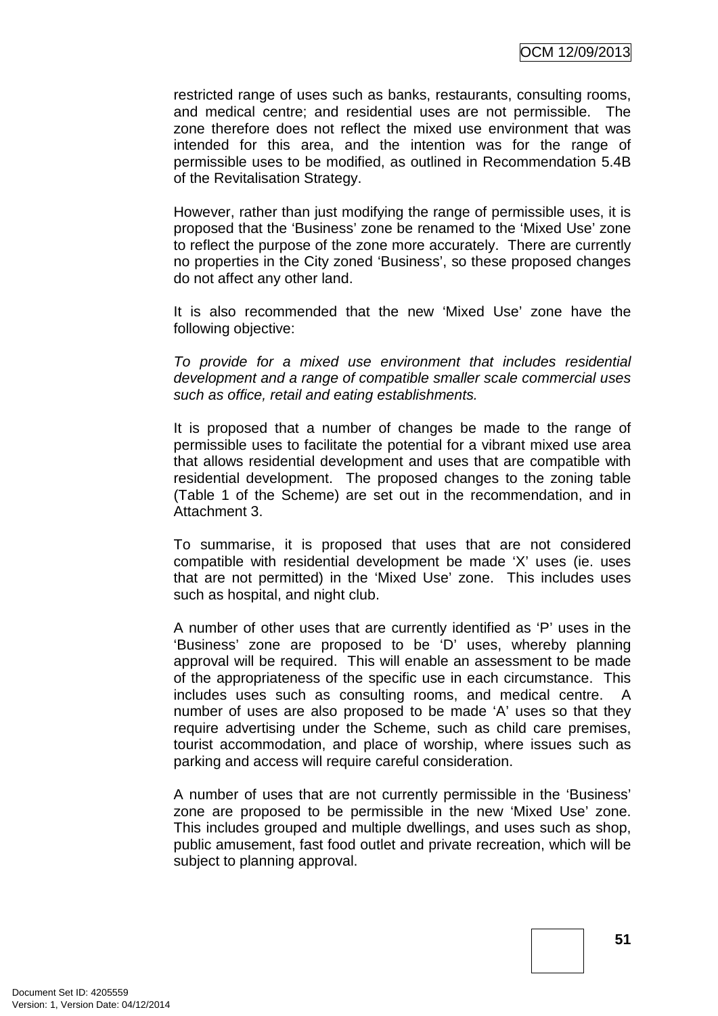restricted range of uses such as banks, restaurants, consulting rooms, and medical centre; and residential uses are not permissible. The zone therefore does not reflect the mixed use environment that was intended for this area, and the intention was for the range of permissible uses to be modified, as outlined in Recommendation 5.4B of the Revitalisation Strategy.

However, rather than just modifying the range of permissible uses, it is proposed that the 'Business' zone be renamed to the 'Mixed Use' zone to reflect the purpose of the zone more accurately. There are currently no properties in the City zoned 'Business', so these proposed changes do not affect any other land.

It is also recommended that the new 'Mixed Use' zone have the following objective:

*To provide for a mixed use environment that includes residential development and a range of compatible smaller scale commercial uses such as office, retail and eating establishments.*

It is proposed that a number of changes be made to the range of permissible uses to facilitate the potential for a vibrant mixed use area that allows residential development and uses that are compatible with residential development. The proposed changes to the zoning table (Table 1 of the Scheme) are set out in the recommendation, and in Attachment 3.

To summarise, it is proposed that uses that are not considered compatible with residential development be made 'X' uses (ie. uses that are not permitted) in the 'Mixed Use' zone. This includes uses such as hospital, and night club.

A number of other uses that are currently identified as 'P' uses in the 'Business' zone are proposed to be 'D' uses, whereby planning approval will be required. This will enable an assessment to be made of the appropriateness of the specific use in each circumstance. This includes uses such as consulting rooms, and medical centre. number of uses are also proposed to be made 'A' uses so that they require advertising under the Scheme, such as child care premises, tourist accommodation, and place of worship, where issues such as parking and access will require careful consideration.

A number of uses that are not currently permissible in the 'Business' zone are proposed to be permissible in the new 'Mixed Use' zone. This includes grouped and multiple dwellings, and uses such as shop, public amusement, fast food outlet and private recreation, which will be subject to planning approval.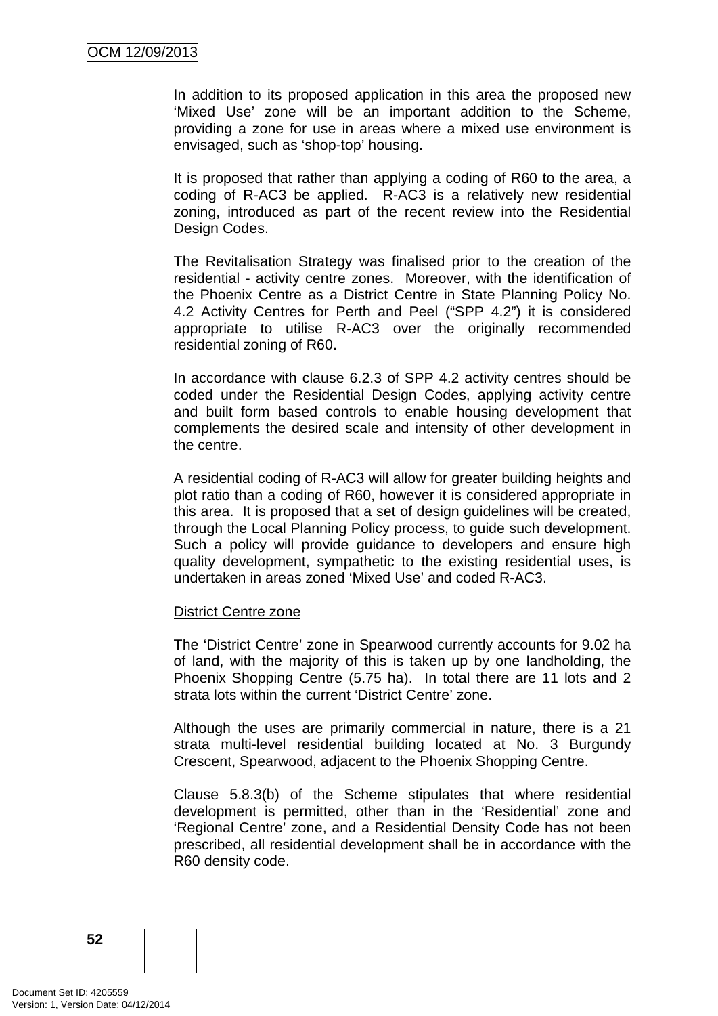In addition to its proposed application in this area the proposed new 'Mixed Use' zone will be an important addition to the Scheme, providing a zone for use in areas where a mixed use environment is envisaged, such as 'shop-top' housing.

It is proposed that rather than applying a coding of R60 to the area, a coding of R-AC3 be applied. R-AC3 is a relatively new residential zoning, introduced as part of the recent review into the Residential Design Codes.

The Revitalisation Strategy was finalised prior to the creation of the residential - activity centre zones. Moreover, with the identification of the Phoenix Centre as a District Centre in State Planning Policy No. 4.2 Activity Centres for Perth and Peel ("SPP 4.2") it is considered appropriate to utilise R-AC3 over the originally recommended residential zoning of R60.

In accordance with clause 6.2.3 of SPP 4.2 activity centres should be coded under the Residential Design Codes, applying activity centre and built form based controls to enable housing development that complements the desired scale and intensity of other development in the centre.

A residential coding of R-AC3 will allow for greater building heights and plot ratio than a coding of R60, however it is considered appropriate in this area. It is proposed that a set of design guidelines will be created, through the Local Planning Policy process, to guide such development. Such a policy will provide guidance to developers and ensure high quality development, sympathetic to the existing residential uses, is undertaken in areas zoned 'Mixed Use' and coded R-AC3.

#### District Centre zone

The 'District Centre' zone in Spearwood currently accounts for 9.02 ha of land, with the majority of this is taken up by one landholding, the Phoenix Shopping Centre (5.75 ha). In total there are 11 lots and 2 strata lots within the current 'District Centre' zone.

Although the uses are primarily commercial in nature, there is a 21 strata multi-level residential building located at No. 3 Burgundy Crescent, Spearwood, adjacent to the Phoenix Shopping Centre.

Clause 5.8.3(b) of the Scheme stipulates that where residential development is permitted, other than in the 'Residential' zone and 'Regional Centre' zone, and a Residential Density Code has not been prescribed, all residential development shall be in accordance with the R60 density code.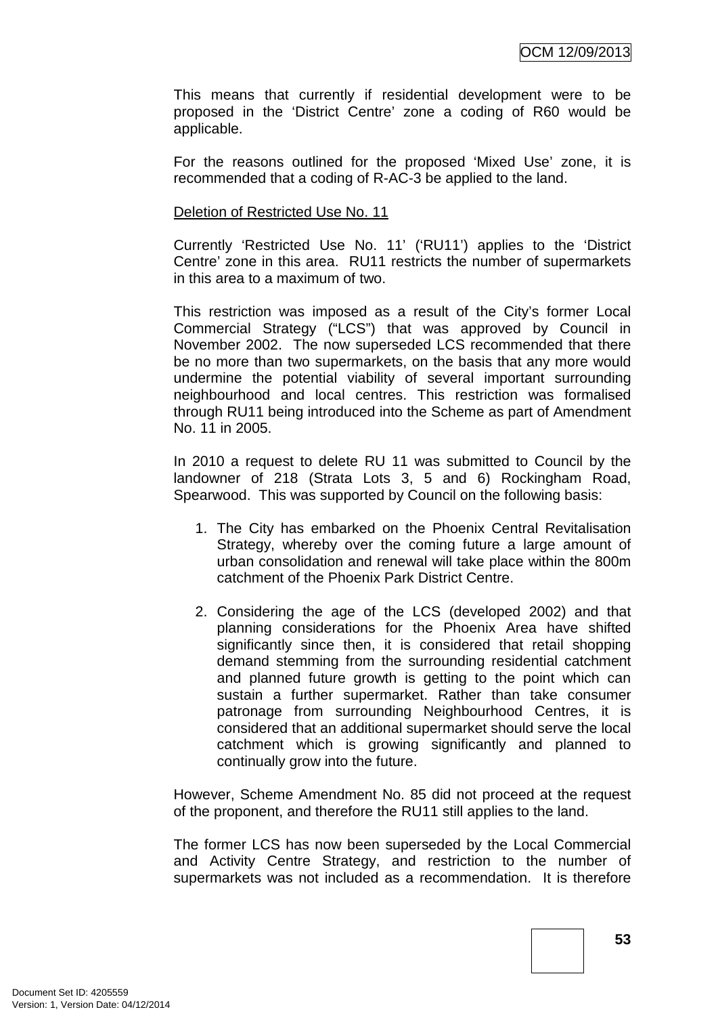This means that currently if residential development were to be proposed in the 'District Centre' zone a coding of R60 would be applicable.

For the reasons outlined for the proposed 'Mixed Use' zone, it is recommended that a coding of R-AC-3 be applied to the land.

#### Deletion of Restricted Use No. 11

Currently 'Restricted Use No. 11' ('RU11') applies to the 'District Centre' zone in this area. RU11 restricts the number of supermarkets in this area to a maximum of two.

This restriction was imposed as a result of the City's former Local Commercial Strategy ("LCS") that was approved by Council in November 2002. The now superseded LCS recommended that there be no more than two supermarkets, on the basis that any more would undermine the potential viability of several important surrounding neighbourhood and local centres. This restriction was formalised through RU11 being introduced into the Scheme as part of Amendment No. 11 in 2005.

In 2010 a request to delete RU 11 was submitted to Council by the landowner of 218 (Strata Lots 3, 5 and 6) Rockingham Road, Spearwood. This was supported by Council on the following basis:

- 1. The City has embarked on the Phoenix Central Revitalisation Strategy, whereby over the coming future a large amount of urban consolidation and renewal will take place within the 800m catchment of the Phoenix Park District Centre.
- 2. Considering the age of the LCS (developed 2002) and that planning considerations for the Phoenix Area have shifted significantly since then, it is considered that retail shopping demand stemming from the surrounding residential catchment and planned future growth is getting to the point which can sustain a further supermarket. Rather than take consumer patronage from surrounding Neighbourhood Centres, it is considered that an additional supermarket should serve the local catchment which is growing significantly and planned to continually grow into the future.

However, Scheme Amendment No. 85 did not proceed at the request of the proponent, and therefore the RU11 still applies to the land.

The former LCS has now been superseded by the Local Commercial and Activity Centre Strategy, and restriction to the number of supermarkets was not included as a recommendation. It is therefore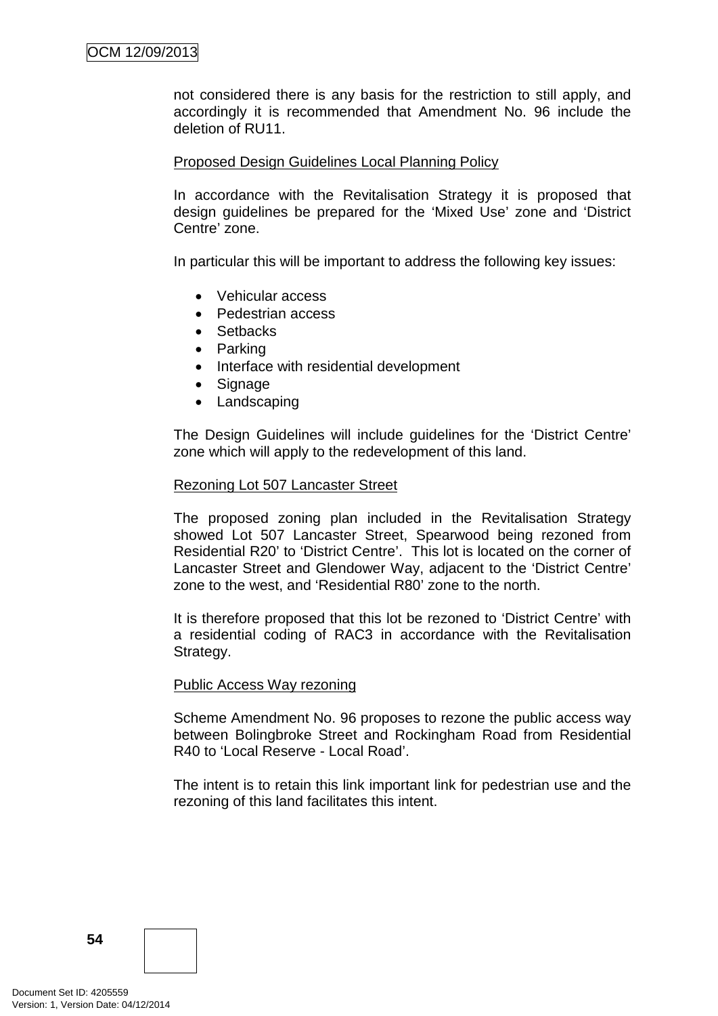not considered there is any basis for the restriction to still apply, and accordingly it is recommended that Amendment No. 96 include the deletion of RU11.

### Proposed Design Guidelines Local Planning Policy

In accordance with the Revitalisation Strategy it is proposed that design guidelines be prepared for the 'Mixed Use' zone and 'District Centre' zone.

In particular this will be important to address the following key issues:

- Vehicular access
- Pedestrian access
- Setbacks
- Parking
- Interface with residential development
- Signage
- Landscaping

The Design Guidelines will include guidelines for the 'District Centre' zone which will apply to the redevelopment of this land.

#### Rezoning Lot 507 Lancaster Street

The proposed zoning plan included in the Revitalisation Strategy showed Lot 507 Lancaster Street, Spearwood being rezoned from Residential R20' to 'District Centre'. This lot is located on the corner of Lancaster Street and Glendower Way, adjacent to the 'District Centre' zone to the west, and 'Residential R80' zone to the north.

It is therefore proposed that this lot be rezoned to 'District Centre' with a residential coding of RAC3 in accordance with the Revitalisation Strategy.

#### Public Access Way rezoning

Scheme Amendment No. 96 proposes to rezone the public access way between Bolingbroke Street and Rockingham Road from Residential R40 to 'Local Reserve - Local Road'.

The intent is to retain this link important link for pedestrian use and the rezoning of this land facilitates this intent.

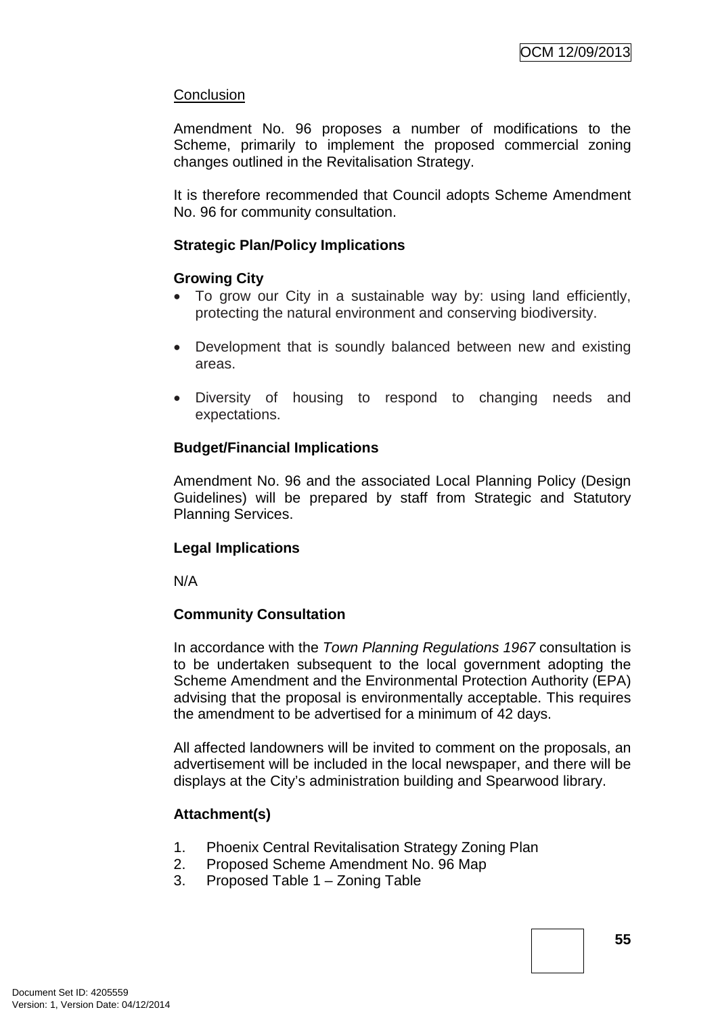# **Conclusion**

Amendment No. 96 proposes a number of modifications to the Scheme, primarily to implement the proposed commercial zoning changes outlined in the Revitalisation Strategy.

It is therefore recommended that Council adopts Scheme Amendment No. 96 for community consultation.

# **Strategic Plan/Policy Implications**

## **Growing City**

- To grow our City in a sustainable way by: using land efficiently, protecting the natural environment and conserving biodiversity.
- Development that is soundly balanced between new and existing areas.
- Diversity of housing to respond to changing needs and expectations.

# **Budget/Financial Implications**

Amendment No. 96 and the associated Local Planning Policy (Design Guidelines) will be prepared by staff from Strategic and Statutory Planning Services.

# **Legal Implications**

N/A

# **Community Consultation**

In accordance with the *Town Planning Regulations 1967* consultation is to be undertaken subsequent to the local government adopting the Scheme Amendment and the Environmental Protection Authority (EPA) advising that the proposal is environmentally acceptable. This requires the amendment to be advertised for a minimum of 42 days.

All affected landowners will be invited to comment on the proposals, an advertisement will be included in the local newspaper, and there will be displays at the City's administration building and Spearwood library.

## **Attachment(s)**

- 1. Phoenix Central Revitalisation Strategy Zoning Plan
- 2. Proposed Scheme Amendment No. 96 Map
- 3. Proposed Table 1 Zoning Table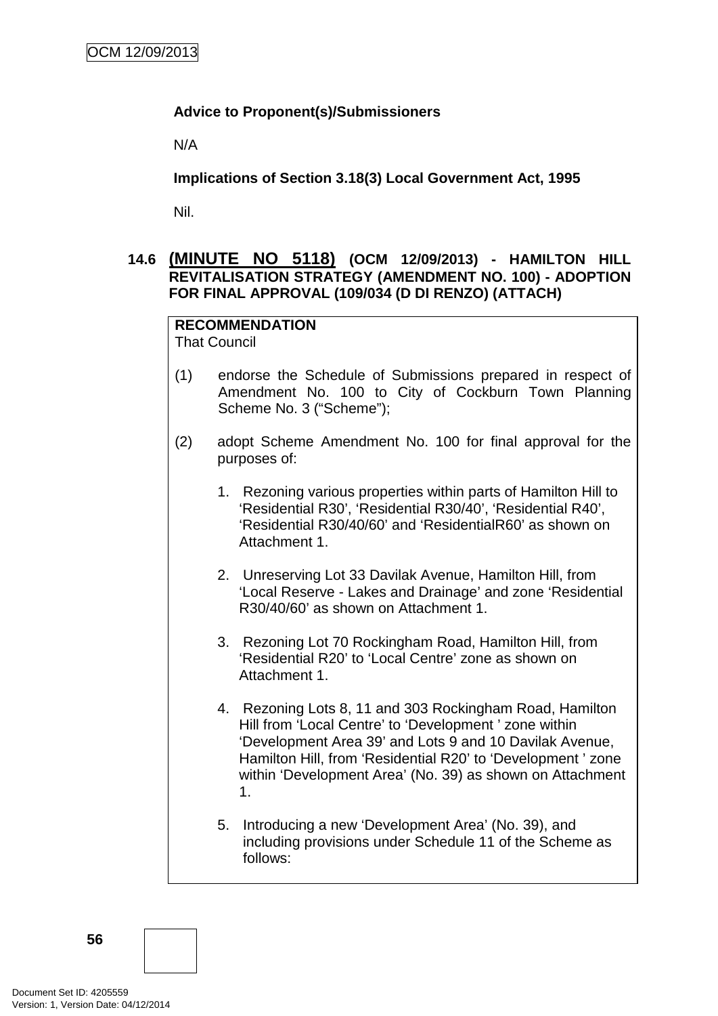# **Advice to Proponent(s)/Submissioners**

N/A

**Implications of Section 3.18(3) Local Government Act, 1995**

Nil.

# **14.6 (MINUTE NO 5118) (OCM 12/09/2013) - HAMILTON HILL REVITALISATION STRATEGY (AMENDMENT NO. 100) - ADOPTION FOR FINAL APPROVAL (109/034 (D DI RENZO) (ATTACH)**

#### **RECOMMENDATION** That Council

- (1) endorse the Schedule of Submissions prepared in respect of Amendment No. 100 to City of Cockburn Town Planning Scheme No. 3 ("Scheme");
- (2) adopt Scheme Amendment No. 100 for final approval for the purposes of:
	- 1. Rezoning various properties within parts of Hamilton Hill to 'Residential R30', 'Residential R30/40', 'Residential R40', 'Residential R30/40/60' and 'ResidentialR60' as shown on Attachment 1.
	- 2. Unreserving Lot 33 Davilak Avenue, Hamilton Hill, from 'Local Reserve - Lakes and Drainage' and zone 'Residential R30/40/60' as shown on Attachment 1.
	- 3. Rezoning Lot 70 Rockingham Road, Hamilton Hill, from 'Residential R20' to 'Local Centre' zone as shown on Attachment 1.
	- 4. Rezoning Lots 8, 11 and 303 Rockingham Road, Hamilton Hill from 'Local Centre' to 'Development ' zone within 'Development Area 39' and Lots 9 and 10 Davilak Avenue, Hamilton Hill, from 'Residential R20' to 'Development ' zone within 'Development Area' (No. 39) as shown on Attachment 1.
	- 5. Introducing a new 'Development Area' (No. 39), and including provisions under Schedule 11 of the Scheme as follows: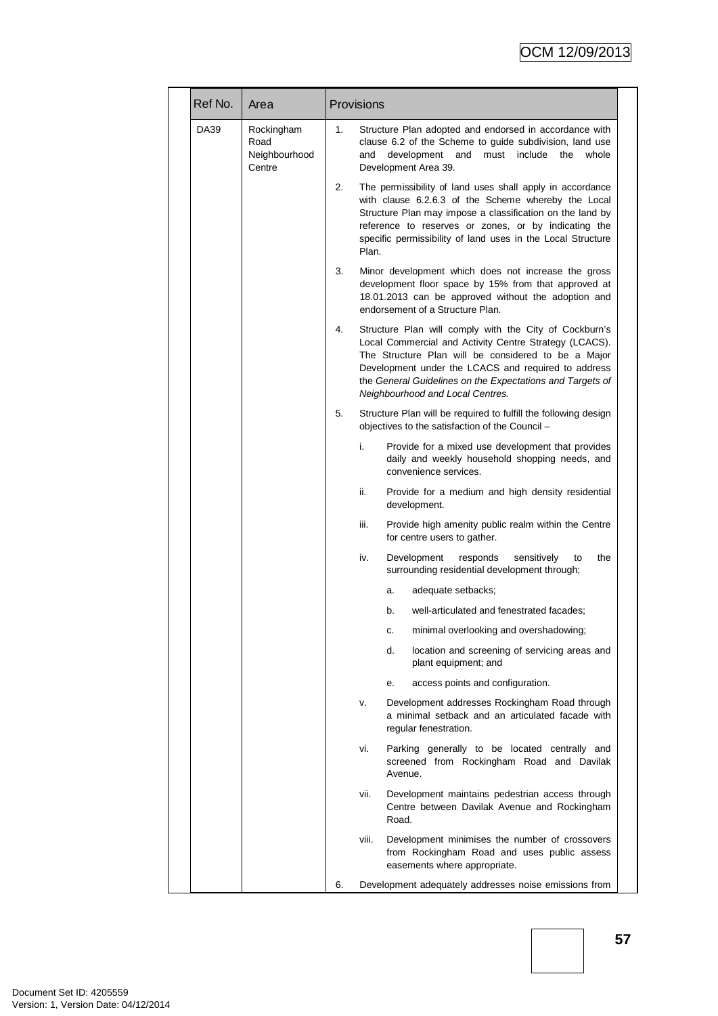| Ref No.     | Area                                          | Provisions |       |                                                                                                                                                                                                                                                                                                                                 |
|-------------|-----------------------------------------------|------------|-------|---------------------------------------------------------------------------------------------------------------------------------------------------------------------------------------------------------------------------------------------------------------------------------------------------------------------------------|
| <b>DA39</b> | Rockingham<br>Road<br>Neighbourhood<br>Centre | 1.         | and   | Structure Plan adopted and endorsed in accordance with<br>clause 6.2 of the Scheme to guide subdivision, land use<br>development and<br>must include<br>the<br>whole<br>Development Area 39.                                                                                                                                    |
|             |                                               | 2.         | Plan. | The permissibility of land uses shall apply in accordance<br>with clause 6.2.6.3 of the Scheme whereby the Local<br>Structure Plan may impose a classification on the land by<br>reference to reserves or zones, or by indicating the<br>specific permissibility of land uses in the Local Structure                            |
|             |                                               | 3.         |       | Minor development which does not increase the gross<br>development floor space by 15% from that approved at<br>18.01.2013 can be approved without the adoption and<br>endorsement of a Structure Plan.                                                                                                                          |
|             |                                               | 4.         |       | Structure Plan will comply with the City of Cockburn's<br>Local Commercial and Activity Centre Strategy (LCACS).<br>The Structure Plan will be considered to be a Major<br>Development under the LCACS and required to address<br>the General Guidelines on the Expectations and Targets of<br>Neighbourhood and Local Centres. |
|             |                                               | 5.         |       | Structure Plan will be required to fulfill the following design<br>objectives to the satisfaction of the Council -                                                                                                                                                                                                              |
|             |                                               |            | i.    | Provide for a mixed use development that provides<br>daily and weekly household shopping needs, and<br>convenience services.                                                                                                                                                                                                    |
|             |                                               |            | ii.   | Provide for a medium and high density residential<br>development.                                                                                                                                                                                                                                                               |
|             |                                               |            | iii.  | Provide high amenity public realm within the Centre<br>for centre users to gather.                                                                                                                                                                                                                                              |
|             |                                               |            | iv.   | Development<br>responds<br>sensitively<br>the<br>to<br>surrounding residential development through;                                                                                                                                                                                                                             |
|             |                                               |            |       | adequate setbacks;<br>а.                                                                                                                                                                                                                                                                                                        |
|             |                                               |            |       | well-articulated and fenestrated facades;<br>b.                                                                                                                                                                                                                                                                                 |
|             |                                               |            |       | minimal overlooking and overshadowing;<br>c.                                                                                                                                                                                                                                                                                    |
|             |                                               |            |       | d.<br>location and screening of servicing areas and<br>plant equipment; and                                                                                                                                                                                                                                                     |
|             |                                               |            |       | access points and configuration.<br>е.                                                                                                                                                                                                                                                                                          |
|             |                                               |            | v.    | Development addresses Rockingham Road through<br>a minimal setback and an articulated facade with<br>regular fenestration.                                                                                                                                                                                                      |
|             |                                               |            | vi.   | Parking generally to be located centrally and<br>screened from Rockingham Road and Davilak<br>Avenue.                                                                                                                                                                                                                           |
|             |                                               |            | vii.  | Development maintains pedestrian access through<br>Centre between Davilak Avenue and Rockingham<br>Road.                                                                                                                                                                                                                        |
|             |                                               |            | viii. | Development minimises the number of crossovers<br>from Rockingham Road and uses public assess<br>easements where appropriate.                                                                                                                                                                                                   |
|             |                                               | 6.         |       | Development adequately addresses noise emissions from                                                                                                                                                                                                                                                                           |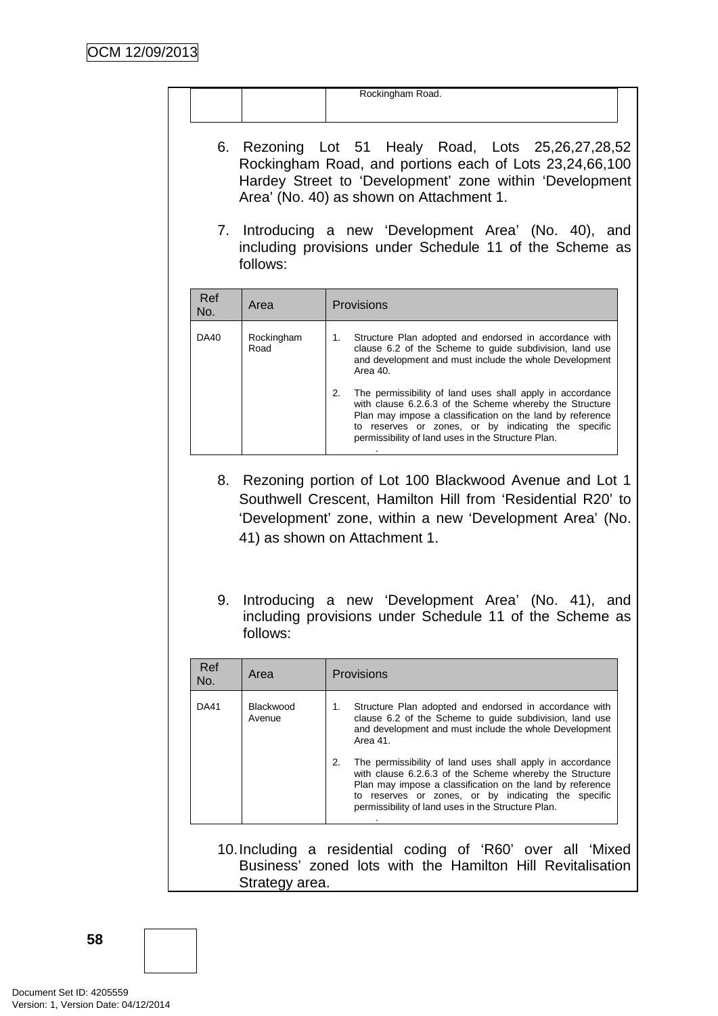|                                                                                                                                                                                                                       |                                                                                                                                                                                                                      | Rockingham Road.                                                                                                                                                                                                                                                                                     |  |  |  |  |  |  |
|-----------------------------------------------------------------------------------------------------------------------------------------------------------------------------------------------------------------------|----------------------------------------------------------------------------------------------------------------------------------------------------------------------------------------------------------------------|------------------------------------------------------------------------------------------------------------------------------------------------------------------------------------------------------------------------------------------------------------------------------------------------------|--|--|--|--|--|--|
|                                                                                                                                                                                                                       |                                                                                                                                                                                                                      |                                                                                                                                                                                                                                                                                                      |  |  |  |  |  |  |
|                                                                                                                                                                                                                       | 6. Rezoning Lot 51 Healy Road, Lots 25,26,27,28,52<br>Rockingham Road, and portions each of Lots 23,24,66,100<br>Hardey Street to 'Development' zone within 'Development<br>Area' (No. 40) as shown on Attachment 1. |                                                                                                                                                                                                                                                                                                      |  |  |  |  |  |  |
| 7. Introducing a new 'Development Area' (No. 40), and<br>including provisions under Schedule 11 of the Scheme as<br>follows:                                                                                          |                                                                                                                                                                                                                      |                                                                                                                                                                                                                                                                                                      |  |  |  |  |  |  |
| Ref<br>No.                                                                                                                                                                                                            | Area                                                                                                                                                                                                                 | Provisions                                                                                                                                                                                                                                                                                           |  |  |  |  |  |  |
| <b>DA40</b>                                                                                                                                                                                                           | Rockingham<br>Road                                                                                                                                                                                                   | 1.<br>Structure Plan adopted and endorsed in accordance with<br>clause 6.2 of the Scheme to guide subdivision, land use<br>and development and must include the whole Development<br>Area 40.                                                                                                        |  |  |  |  |  |  |
|                                                                                                                                                                                                                       |                                                                                                                                                                                                                      | 2.<br>The permissibility of land uses shall apply in accordance<br>with clause 6.2.6.3 of the Scheme whereby the Structure<br>Plan may impose a classification on the land by reference<br>to reserves or zones, or by indicating the specific<br>permissibility of land uses in the Structure Plan. |  |  |  |  |  |  |
| 8. Rezoning portion of Lot 100 Blackwood Avenue and Lot 1<br>Southwell Crescent, Hamilton Hill from 'Residential R20' to<br>'Development' zone, within a new 'Development Area' (No.<br>41) as shown on Attachment 1. |                                                                                                                                                                                                                      |                                                                                                                                                                                                                                                                                                      |  |  |  |  |  |  |
| Introducing a new 'Development Area' (No. 41), and<br>9.<br>including provisions under Schedule 11 of the Scheme as<br>follows:                                                                                       |                                                                                                                                                                                                                      |                                                                                                                                                                                                                                                                                                      |  |  |  |  |  |  |
| Ref<br>No.                                                                                                                                                                                                            | Area                                                                                                                                                                                                                 | <b>Provisions</b>                                                                                                                                                                                                                                                                                    |  |  |  |  |  |  |
| <b>DA41</b>                                                                                                                                                                                                           | Blackwood<br>Avenue                                                                                                                                                                                                  | Structure Plan adopted and endorsed in accordance with<br>1.<br>clause 6.2 of the Scheme to guide subdivision, land use<br>and development and must include the whole Development<br>Area 41.                                                                                                        |  |  |  |  |  |  |
|                                                                                                                                                                                                                       |                                                                                                                                                                                                                      | 2.<br>The permissibility of land uses shall apply in accordance<br>with clause 6.2.6.3 of the Scheme whereby the Structure<br>Plan may impose a classification on the land by reference<br>to reserves or zones, or by indicating the specific<br>permissibility of land uses in the Structure Plan. |  |  |  |  |  |  |
| 10. Including a residential coding of 'R60' over all 'Mixed<br>Business' zoned lots with the Hamilton Hill Revitalisation<br>Strategy area.                                                                           |                                                                                                                                                                                                                      |                                                                                                                                                                                                                                                                                                      |  |  |  |  |  |  |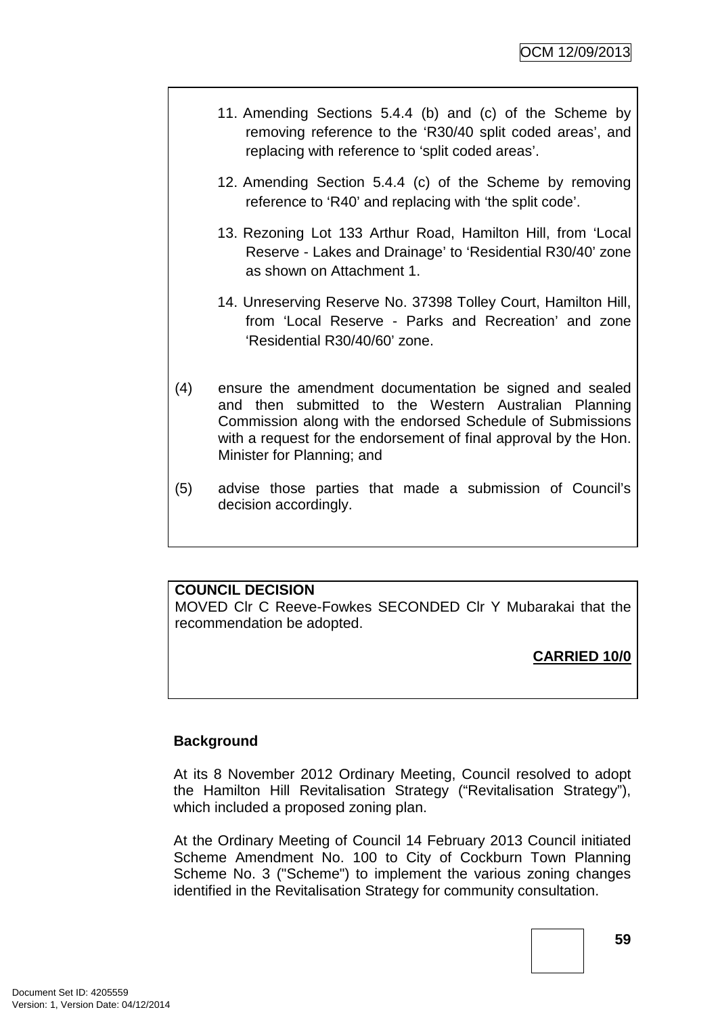- 11. Amending Sections 5.4.4 (b) and (c) of the Scheme by removing reference to the 'R30/40 split coded areas', and replacing with reference to 'split coded areas'.
- 12. Amending Section 5.4.4 (c) of the Scheme by removing reference to 'R40' and replacing with 'the split code'.
- 13. Rezoning Lot 133 Arthur Road, Hamilton Hill, from 'Local Reserve - Lakes and Drainage' to 'Residential R30/40' zone as shown on Attachment 1.
- 14. Unreserving Reserve No. 37398 Tolley Court, Hamilton Hill, from 'Local Reserve - Parks and Recreation' and zone 'Residential R30/40/60' zone.
- (4) ensure the amendment documentation be signed and sealed and then submitted to the Western Australian Planning Commission along with the endorsed Schedule of Submissions with a request for the endorsement of final approval by the Hon. Minister for Planning; and
- (5) advise those parties that made a submission of Council's decision accordingly.

# **COUNCIL DECISION**

MOVED Clr C Reeve-Fowkes SECONDED Clr Y Mubarakai that the recommendation be adopted.

# **CARRIED 10/0**

# **Background**

At its 8 November 2012 Ordinary Meeting, Council resolved to adopt the Hamilton Hill Revitalisation Strategy ("Revitalisation Strategy"), which included a proposed zoning plan.

At the Ordinary Meeting of Council 14 February 2013 Council initiated Scheme Amendment No. 100 to City of Cockburn Town Planning Scheme No. 3 ("Scheme") to implement the various zoning changes identified in the Revitalisation Strategy for community consultation.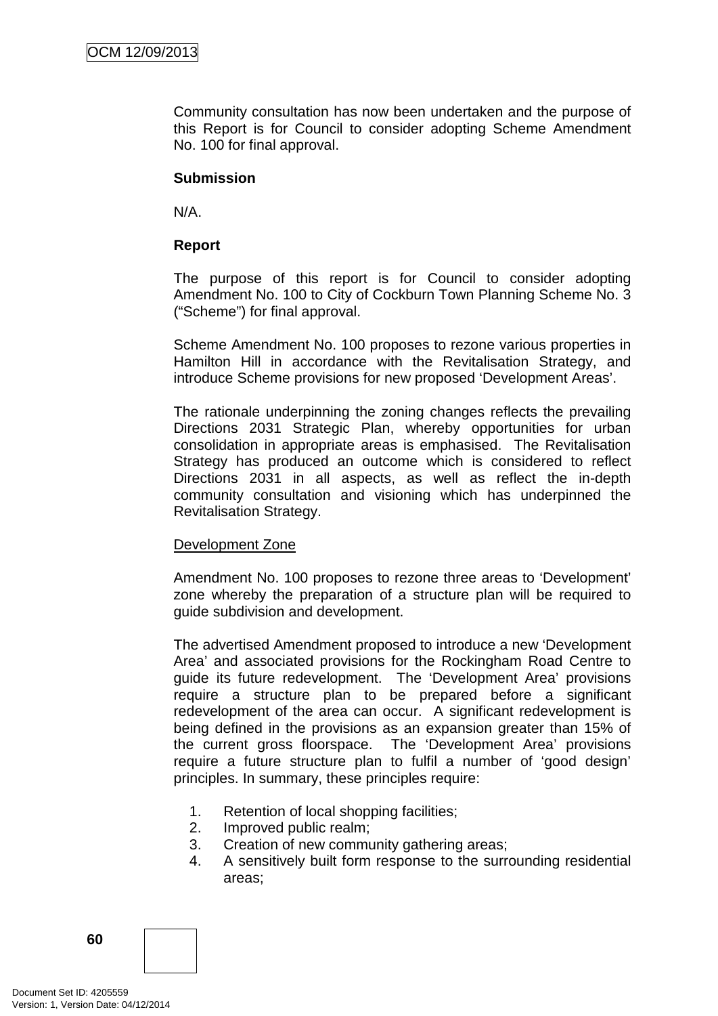Community consultation has now been undertaken and the purpose of this Report is for Council to consider adopting Scheme Amendment No. 100 for final approval.

### **Submission**

N/A.

## **Report**

The purpose of this report is for Council to consider adopting Amendment No. 100 to City of Cockburn Town Planning Scheme No. 3 ("Scheme") for final approval.

Scheme Amendment No. 100 proposes to rezone various properties in Hamilton Hill in accordance with the Revitalisation Strategy, and introduce Scheme provisions for new proposed 'Development Areas'.

The rationale underpinning the zoning changes reflects the prevailing Directions 2031 Strategic Plan, whereby opportunities for urban consolidation in appropriate areas is emphasised. The Revitalisation Strategy has produced an outcome which is considered to reflect Directions 2031 in all aspects, as well as reflect the in-depth community consultation and visioning which has underpinned the Revitalisation Strategy.

## Development Zone

Amendment No. 100 proposes to rezone three areas to 'Development' zone whereby the preparation of a structure plan will be required to guide subdivision and development.

The advertised Amendment proposed to introduce a new 'Development Area' and associated provisions for the Rockingham Road Centre to guide its future redevelopment. The 'Development Area' provisions require a structure plan to be prepared before a significant redevelopment of the area can occur. A significant redevelopment is being defined in the provisions as an expansion greater than 15% of the current gross floorspace. The 'Development Area' provisions require a future structure plan to fulfil a number of 'good design' principles. In summary, these principles require:

- 1. Retention of local shopping facilities;
- 2. Improved public realm;
- 3. Creation of new community gathering areas;
- 4. A sensitively built form response to the surrounding residential areas;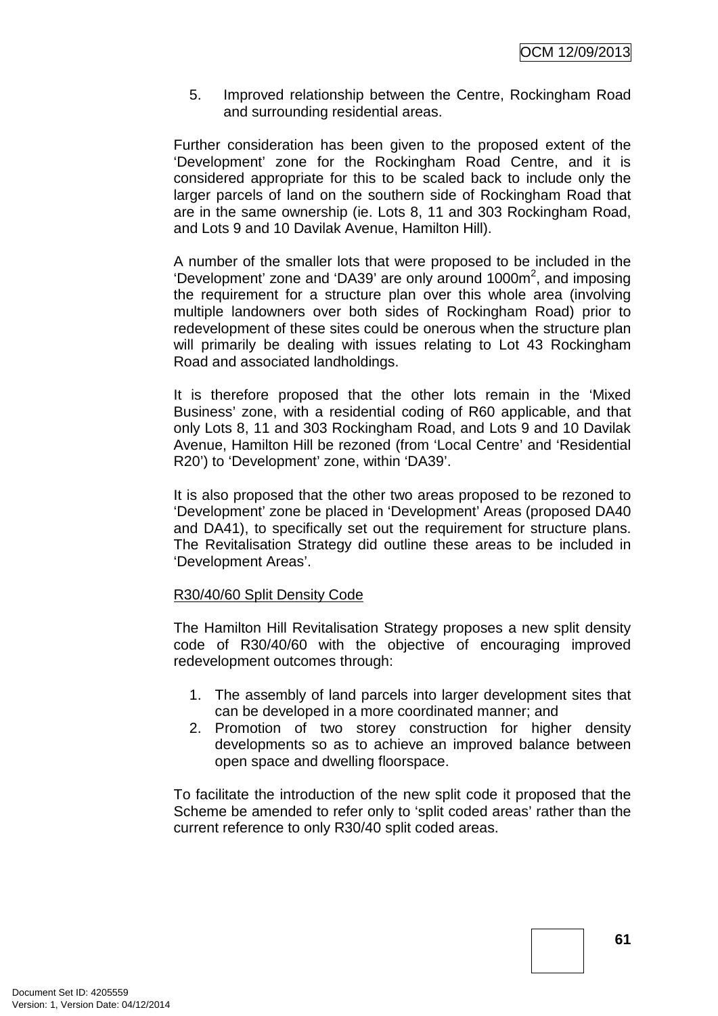5. Improved relationship between the Centre, Rockingham Road and surrounding residential areas.

Further consideration has been given to the proposed extent of the 'Development' zone for the Rockingham Road Centre, and it is considered appropriate for this to be scaled back to include only the larger parcels of land on the southern side of Rockingham Road that are in the same ownership (ie. Lots 8, 11 and 303 Rockingham Road, and Lots 9 and 10 Davilak Avenue, Hamilton Hill).

A number of the smaller lots that were proposed to be included in the 'Development' zone and 'DA39' are only around  $1000m^2$ , and imposing the requirement for a structure plan over this whole area (involving multiple landowners over both sides of Rockingham Road) prior to redevelopment of these sites could be onerous when the structure plan will primarily be dealing with issues relating to Lot 43 Rockingham Road and associated landholdings.

It is therefore proposed that the other lots remain in the 'Mixed Business' zone, with a residential coding of R60 applicable, and that only Lots 8, 11 and 303 Rockingham Road, and Lots 9 and 10 Davilak Avenue, Hamilton Hill be rezoned (from 'Local Centre' and 'Residential R20') to 'Development' zone, within 'DA39'.

It is also proposed that the other two areas proposed to be rezoned to 'Development' zone be placed in 'Development' Areas (proposed DA40 and DA41), to specifically set out the requirement for structure plans. The Revitalisation Strategy did outline these areas to be included in 'Development Areas'.

#### R30/40/60 Split Density Code

The Hamilton Hill Revitalisation Strategy proposes a new split density code of R30/40/60 with the objective of encouraging improved redevelopment outcomes through:

- 1. The assembly of land parcels into larger development sites that can be developed in a more coordinated manner; and
- 2. Promotion of two storey construction for higher density developments so as to achieve an improved balance between open space and dwelling floorspace.

To facilitate the introduction of the new split code it proposed that the Scheme be amended to refer only to 'split coded areas' rather than the current reference to only R30/40 split coded areas.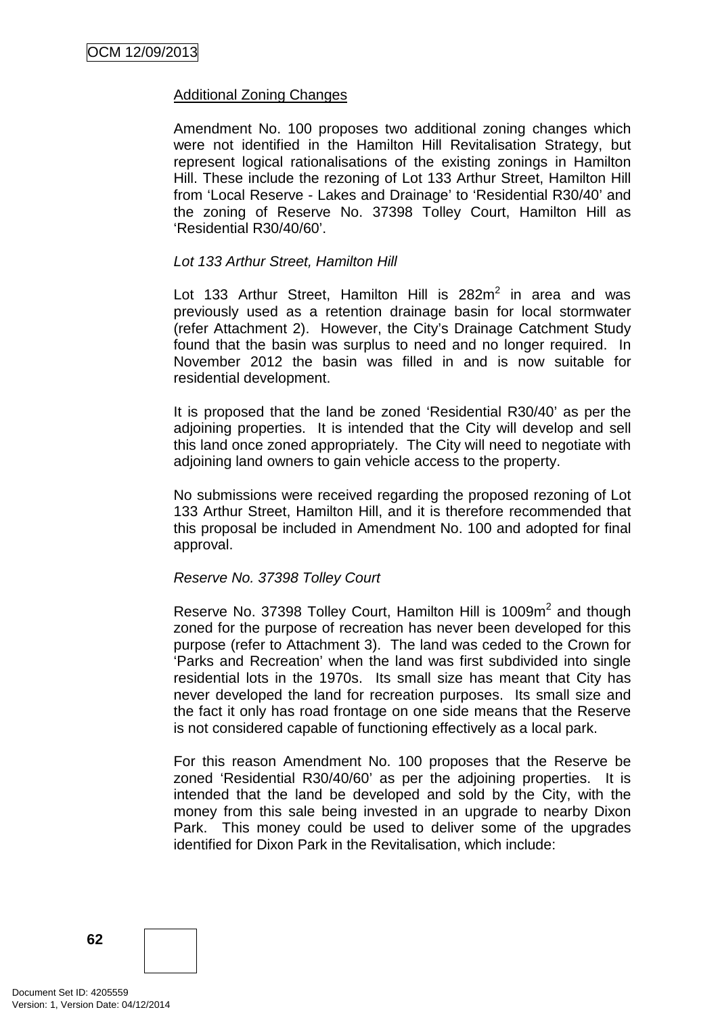## Additional Zoning Changes

Amendment No. 100 proposes two additional zoning changes which were not identified in the Hamilton Hill Revitalisation Strategy, but represent logical rationalisations of the existing zonings in Hamilton Hill. These include the rezoning of Lot 133 Arthur Street, Hamilton Hill from 'Local Reserve - Lakes and Drainage' to 'Residential R30/40' and the zoning of Reserve No. 37398 Tolley Court, Hamilton Hill as 'Residential R30/40/60'.

### *Lot 133 Arthur Street, Hamilton Hill*

Lot 133 Arthur Street, Hamilton Hill is 282m<sup>2</sup> in area and was previously used as a retention drainage basin for local stormwater (refer Attachment 2). However, the City's Drainage Catchment Study found that the basin was surplus to need and no longer required. In November 2012 the basin was filled in and is now suitable for residential development.

It is proposed that the land be zoned 'Residential R30/40' as per the adjoining properties. It is intended that the City will develop and sell this land once zoned appropriately. The City will need to negotiate with adjoining land owners to gain vehicle access to the property.

No submissions were received regarding the proposed rezoning of Lot 133 Arthur Street, Hamilton Hill, and it is therefore recommended that this proposal be included in Amendment No. 100 and adopted for final approval.

#### *Reserve No. 37398 Tolley Court*

Reserve No. 37398 Tolley Court, Hamilton Hill is 1009m<sup>2</sup> and though zoned for the purpose of recreation has never been developed for this purpose (refer to Attachment 3). The land was ceded to the Crown for 'Parks and Recreation' when the land was first subdivided into single residential lots in the 1970s. Its small size has meant that City has never developed the land for recreation purposes. Its small size and the fact it only has road frontage on one side means that the Reserve is not considered capable of functioning effectively as a local park.

For this reason Amendment No. 100 proposes that the Reserve be zoned 'Residential R30/40/60' as per the adjoining properties. It is intended that the land be developed and sold by the City, with the money from this sale being invested in an upgrade to nearby Dixon Park. This money could be used to deliver some of the upgrades identified for Dixon Park in the Revitalisation, which include: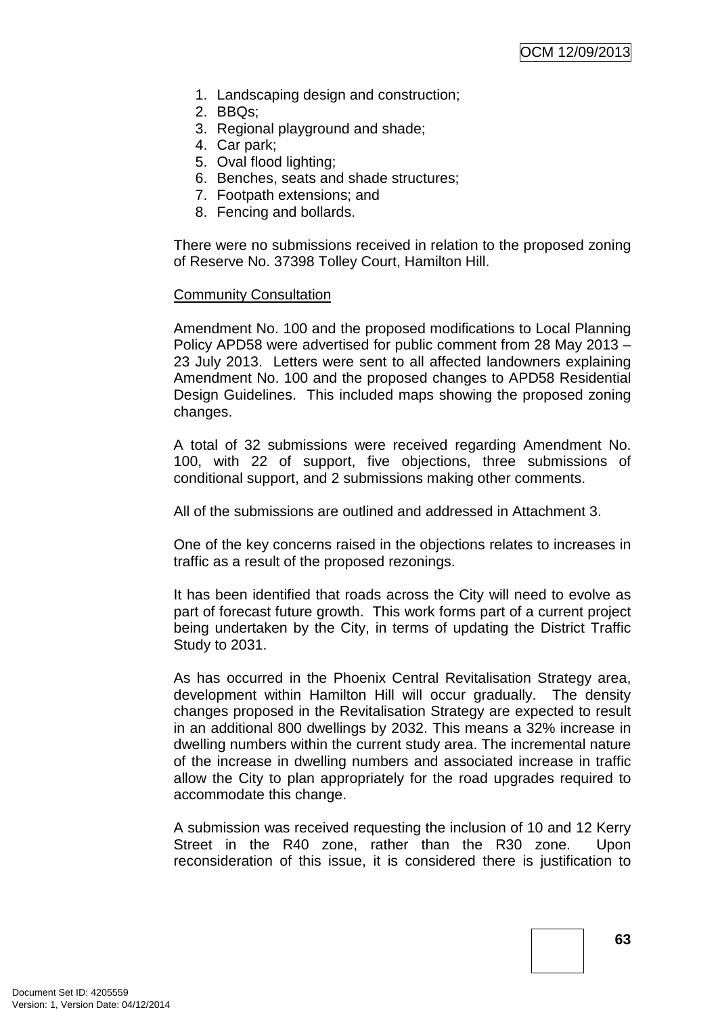- 1. Landscaping design and construction;
- 2. BBQs;
- 3. Regional playground and shade;
- 4. Car park;
- 5. Oval flood lighting;
- 6. Benches, seats and shade structures;
- 7. Footpath extensions; and
- 8. Fencing and bollards.

There were no submissions received in relation to the proposed zoning of Reserve No. 37398 Tolley Court, Hamilton Hill.

### **Community Consultation**

Amendment No. 100 and the proposed modifications to Local Planning Policy APD58 were advertised for public comment from 28 May 2013 – 23 July 2013. Letters were sent to all affected landowners explaining Amendment No. 100 and the proposed changes to APD58 Residential Design Guidelines. This included maps showing the proposed zoning changes.

A total of 32 submissions were received regarding Amendment No. 100, with 22 of support, five objections, three submissions of conditional support, and 2 submissions making other comments.

All of the submissions are outlined and addressed in Attachment 3.

One of the key concerns raised in the objections relates to increases in traffic as a result of the proposed rezonings.

It has been identified that roads across the City will need to evolve as part of forecast future growth. This work forms part of a current project being undertaken by the City, in terms of updating the District Traffic Study to 2031.

As has occurred in the Phoenix Central Revitalisation Strategy area, development within Hamilton Hill will occur gradually. The density changes proposed in the Revitalisation Strategy are expected to result in an additional 800 dwellings by 2032. This means a 32% increase in dwelling numbers within the current study area. The incremental nature of the increase in dwelling numbers and associated increase in traffic allow the City to plan appropriately for the road upgrades required to accommodate this change.

A submission was received requesting the inclusion of 10 and 12 Kerry Street in the R40 zone, rather than the R30 zone. Upon reconsideration of this issue, it is considered there is justification to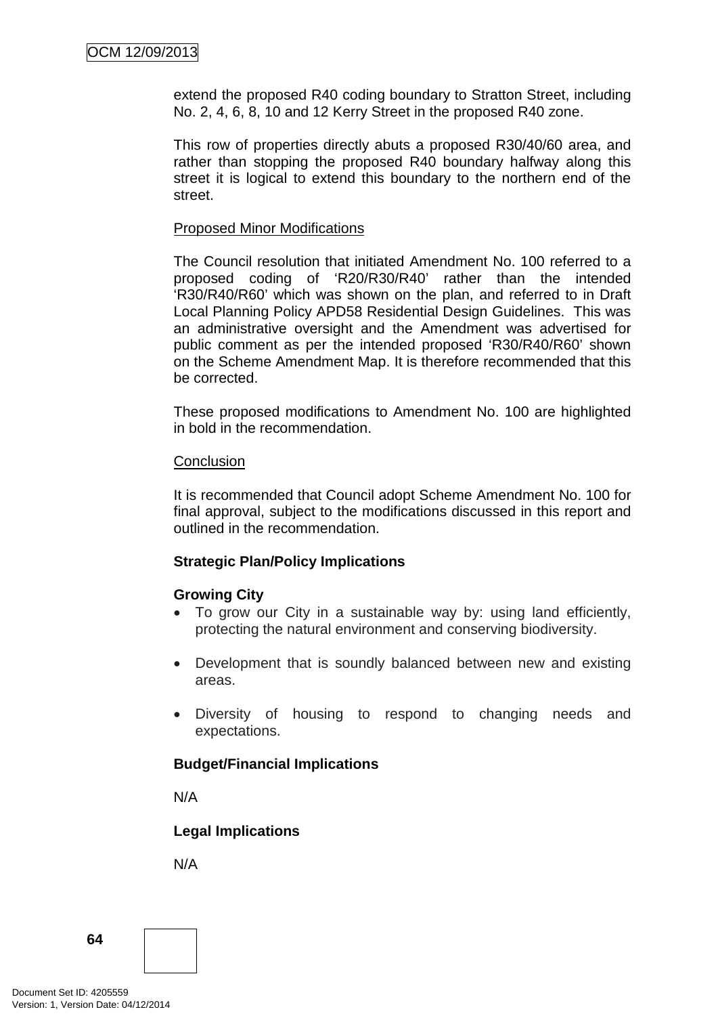extend the proposed R40 coding boundary to Stratton Street, including No. 2, 4, 6, 8, 10 and 12 Kerry Street in the proposed R40 zone.

This row of properties directly abuts a proposed R30/40/60 area, and rather than stopping the proposed R40 boundary halfway along this street it is logical to extend this boundary to the northern end of the street.

#### Proposed Minor Modifications

The Council resolution that initiated Amendment No. 100 referred to a proposed coding of 'R20/R30/R40' rather than the intended 'R30/R40/R60' which was shown on the plan, and referred to in Draft Local Planning Policy APD58 Residential Design Guidelines. This was an administrative oversight and the Amendment was advertised for public comment as per the intended proposed 'R30/R40/R60' shown on the Scheme Amendment Map. It is therefore recommended that this be corrected.

These proposed modifications to Amendment No. 100 are highlighted in bold in the recommendation.

### **Conclusion**

It is recommended that Council adopt Scheme Amendment No. 100 for final approval, subject to the modifications discussed in this report and outlined in the recommendation.

#### **Strategic Plan/Policy Implications**

#### **Growing City**

- To grow our City in a sustainable way by: using land efficiently, protecting the natural environment and conserving biodiversity.
- Development that is soundly balanced between new and existing areas.
- Diversity of housing to respond to changing needs and expectations.

## **Budget/Financial Implications**

N/A

## **Legal Implications**

N/A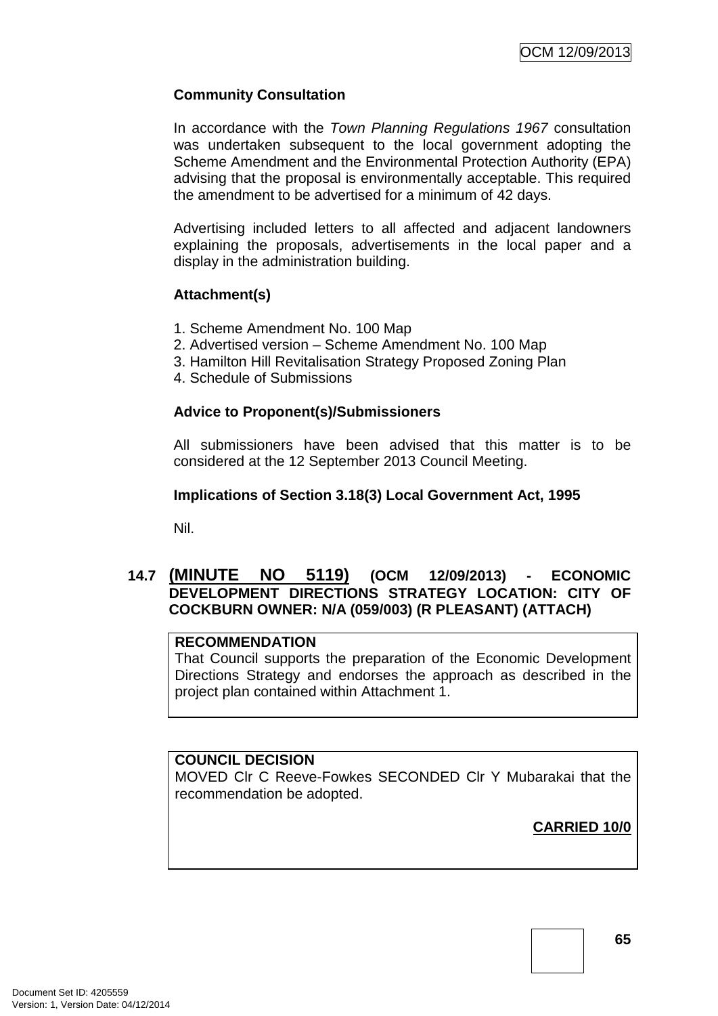# **Community Consultation**

In accordance with the *Town Planning Regulations 1967* consultation was undertaken subsequent to the local government adopting the Scheme Amendment and the Environmental Protection Authority (EPA) advising that the proposal is environmentally acceptable. This required the amendment to be advertised for a minimum of 42 days.

Advertising included letters to all affected and adjacent landowners explaining the proposals, advertisements in the local paper and a display in the administration building.

# **Attachment(s)**

- 1. Scheme Amendment No. 100 Map
- 2. Advertised version Scheme Amendment No. 100 Map
- 3. Hamilton Hill Revitalisation Strategy Proposed Zoning Plan
- 4. Schedule of Submissions

## **Advice to Proponent(s)/Submissioners**

All submissioners have been advised that this matter is to be considered at the 12 September 2013 Council Meeting.

### **Implications of Section 3.18(3) Local Government Act, 1995**

Nil.

# **14.7 (MINUTE NO 5119) (OCM 12/09/2013) - ECONOMIC DEVELOPMENT DIRECTIONS STRATEGY LOCATION: CITY OF COCKBURN OWNER: N/A (059/003) (R PLEASANT) (ATTACH)**

### **RECOMMENDATION**

That Council supports the preparation of the Economic Development Directions Strategy and endorses the approach as described in the project plan contained within Attachment 1.

## **COUNCIL DECISION**

MOVED Clr C Reeve-Fowkes SECONDED Clr Y Mubarakai that the recommendation be adopted.

**CARRIED 10/0**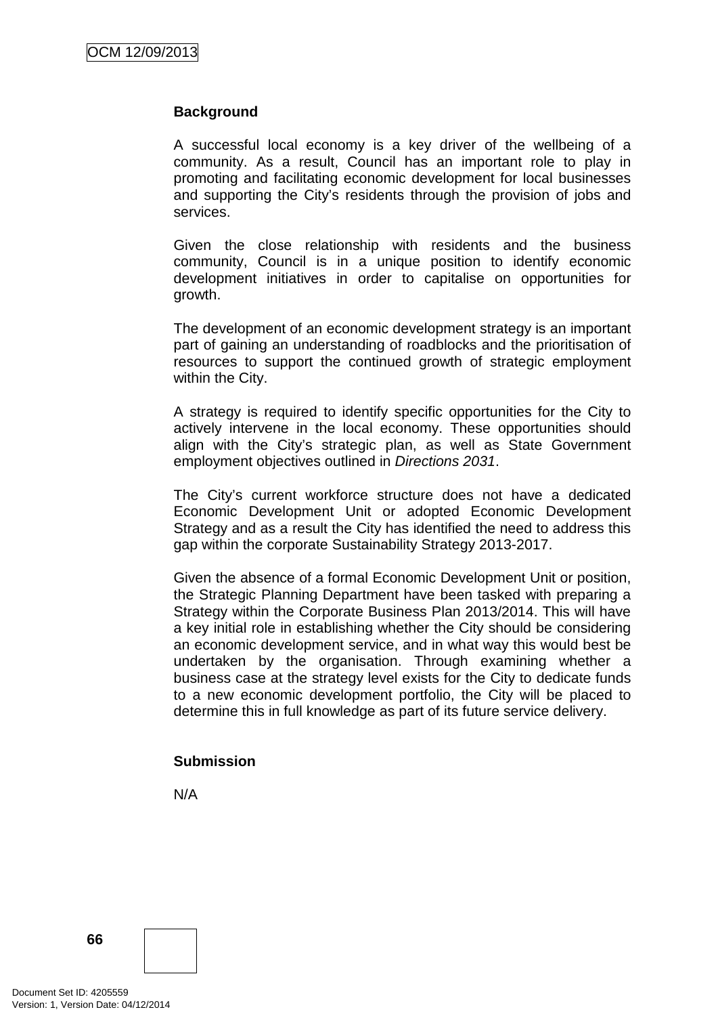### **Background**

A successful local economy is a key driver of the wellbeing of a community. As a result, Council has an important role to play in promoting and facilitating economic development for local businesses and supporting the City's residents through the provision of jobs and services.

Given the close relationship with residents and the business community, Council is in a unique position to identify economic development initiatives in order to capitalise on opportunities for growth.

The development of an economic development strategy is an important part of gaining an understanding of roadblocks and the prioritisation of resources to support the continued growth of strategic employment within the City.

A strategy is required to identify specific opportunities for the City to actively intervene in the local economy. These opportunities should align with the City's strategic plan, as well as State Government employment objectives outlined in *Directions 2031*.

The City's current workforce structure does not have a dedicated Economic Development Unit or adopted Economic Development Strategy and as a result the City has identified the need to address this gap within the corporate Sustainability Strategy 2013-2017.

Given the absence of a formal Economic Development Unit or position, the Strategic Planning Department have been tasked with preparing a Strategy within the Corporate Business Plan 2013/2014. This will have a key initial role in establishing whether the City should be considering an economic development service, and in what way this would best be undertaken by the organisation. Through examining whether a business case at the strategy level exists for the City to dedicate funds to a new economic development portfolio, the City will be placed to determine this in full knowledge as part of its future service delivery.

#### **Submission**

N/A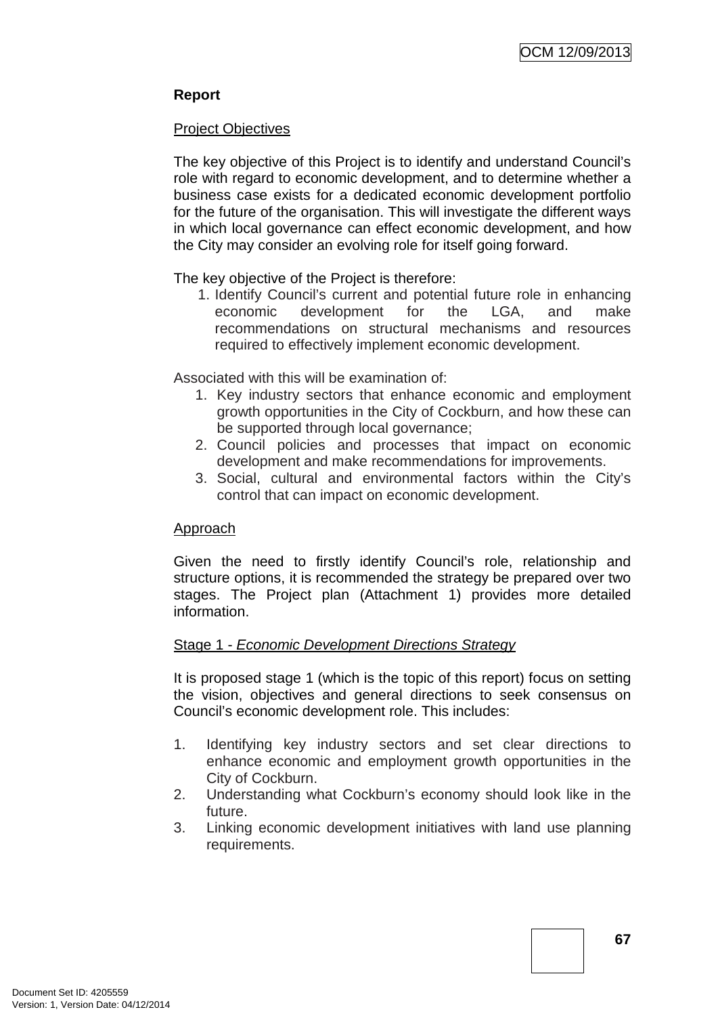# **Report**

# Project Objectives

The key objective of this Project is to identify and understand Council's role with regard to economic development, and to determine whether a business case exists for a dedicated economic development portfolio for the future of the organisation. This will investigate the different ways in which local governance can effect economic development, and how the City may consider an evolving role for itself going forward.

The key objective of the Project is therefore:

1. Identify Council's current and potential future role in enhancing economic development for the LGA, and make recommendations on structural mechanisms and resources required to effectively implement economic development.

Associated with this will be examination of:

- 1. Key industry sectors that enhance economic and employment growth opportunities in the City of Cockburn, and how these can be supported through local governance;
- 2. Council policies and processes that impact on economic development and make recommendations for improvements.
- 3. Social, cultural and environmental factors within the City's control that can impact on economic development.

# Approach

Given the need to firstly identify Council's role, relationship and structure options, it is recommended the strategy be prepared over two stages. The Project plan (Attachment 1) provides more detailed information.

# Stage 1 - *Economic Development Directions Strategy*

It is proposed stage 1 (which is the topic of this report) focus on setting the vision, objectives and general directions to seek consensus on Council's economic development role. This includes:

- 1. Identifying key industry sectors and set clear directions to enhance economic and employment growth opportunities in the City of Cockburn.
- 2. Understanding what Cockburn's economy should look like in the future.
- 3. Linking economic development initiatives with land use planning requirements.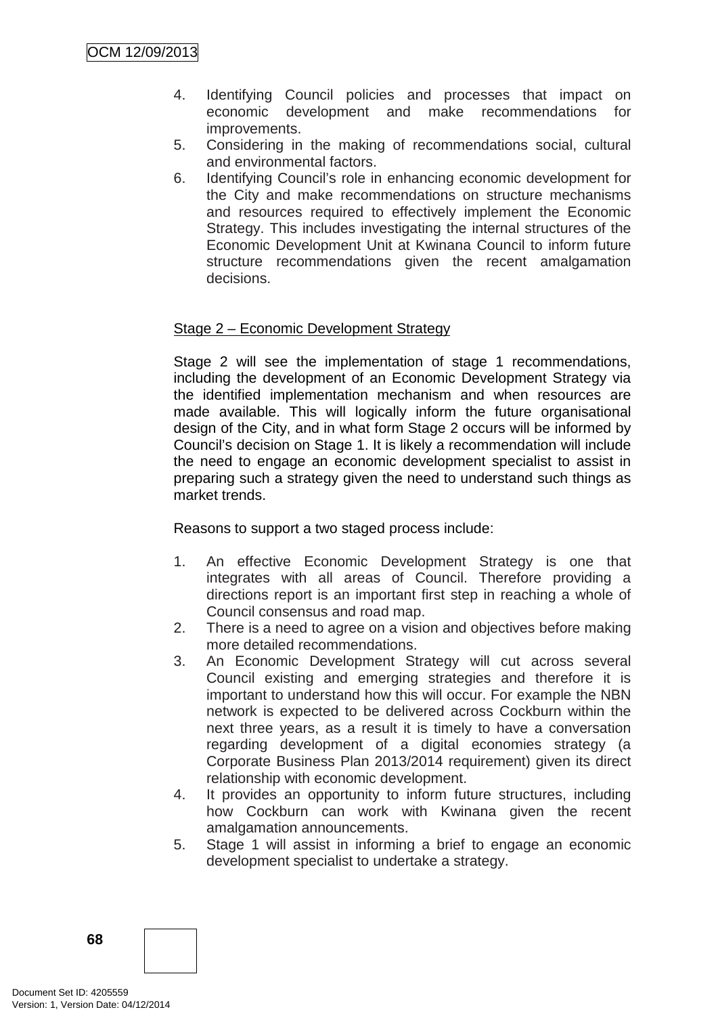- 4. Identifying Council policies and processes that impact on economic development and make recommendations for improvements.
- 5. Considering in the making of recommendations social, cultural and environmental factors.
- 6. Identifying Council's role in enhancing economic development for the City and make recommendations on structure mechanisms and resources required to effectively implement the Economic Strategy. This includes investigating the internal structures of the Economic Development Unit at Kwinana Council to inform future structure recommendations given the recent amalgamation decisions.

# Stage 2 – Economic Development Strategy

Stage 2 will see the implementation of stage 1 recommendations, including the development of an Economic Development Strategy via the identified implementation mechanism and when resources are made available. This will logically inform the future organisational design of the City, and in what form Stage 2 occurs will be informed by Council's decision on Stage 1. It is likely a recommendation will include the need to engage an economic development specialist to assist in preparing such a strategy given the need to understand such things as market trends.

Reasons to support a two staged process include:

- 1. An effective Economic Development Strategy is one that integrates with all areas of Council. Therefore providing a directions report is an important first step in reaching a whole of Council consensus and road map.
- 2. There is a need to agree on a vision and objectives before making more detailed recommendations.
- 3. An Economic Development Strategy will cut across several Council existing and emerging strategies and therefore it is important to understand how this will occur. For example the NBN network is expected to be delivered across Cockburn within the next three years, as a result it is timely to have a conversation regarding development of a digital economies strategy (a Corporate Business Plan 2013/2014 requirement) given its direct relationship with economic development.
- 4. It provides an opportunity to inform future structures, including how Cockburn can work with Kwinana given the recent amalgamation announcements.
- 5. Stage 1 will assist in informing a brief to engage an economic development specialist to undertake a strategy.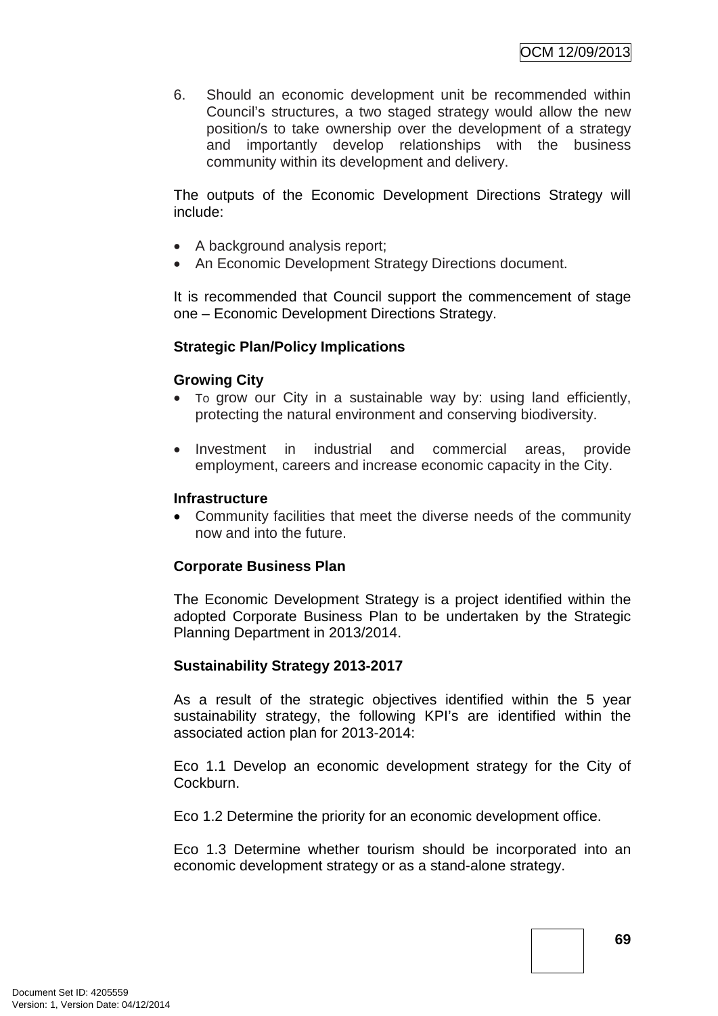6. Should an economic development unit be recommended within Council's structures, a two staged strategy would allow the new position/s to take ownership over the development of a strategy and importantly develop relationships with the business community within its development and delivery.

The outputs of the Economic Development Directions Strategy will include:

- A background analysis report;
- An Economic Development Strategy Directions document.

It is recommended that Council support the commencement of stage one – Economic Development Directions Strategy.

## **Strategic Plan/Policy Implications**

## **Growing City**

- To grow our City in a sustainable way by: using land efficiently, protecting the natural environment and conserving biodiversity.
- Investment in industrial and commercial areas, provide employment, careers and increase economic capacity in the City.

## **Infrastructure**

• Community facilities that meet the diverse needs of the community now and into the future.

## **Corporate Business Plan**

The Economic Development Strategy is a project identified within the adopted Corporate Business Plan to be undertaken by the Strategic Planning Department in 2013/2014.

## **Sustainability Strategy 2013-2017**

As a result of the strategic objectives identified within the 5 year sustainability strategy, the following KPI's are identified within the associated action plan for 2013-2014:

Eco 1.1 Develop an economic development strategy for the City of Cockburn.

Eco 1.2 Determine the priority for an economic development office.

Eco 1.3 Determine whether tourism should be incorporated into an economic development strategy or as a stand-alone strategy.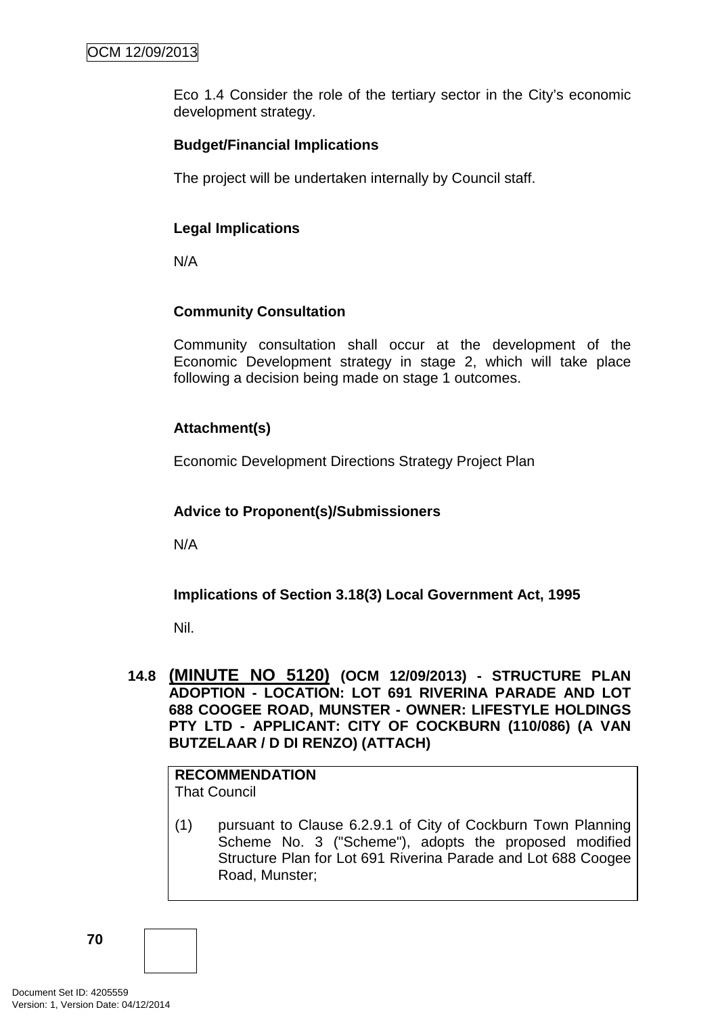Eco 1.4 Consider the role of the tertiary sector in the City's economic development strategy.

# **Budget/Financial Implications**

The project will be undertaken internally by Council staff.

## **Legal Implications**

N/A

# **Community Consultation**

Community consultation shall occur at the development of the Economic Development strategy in stage 2, which will take place following a decision being made on stage 1 outcomes.

# **Attachment(s)**

Economic Development Directions Strategy Project Plan

## **Advice to Proponent(s)/Submissioners**

N/A

**Implications of Section 3.18(3) Local Government Act, 1995**

Nil.

**14.8 (MINUTE NO 5120) (OCM 12/09/2013) - STRUCTURE PLAN ADOPTION - LOCATION: LOT 691 RIVERINA PARADE AND LOT 688 COOGEE ROAD, MUNSTER - OWNER: LIFESTYLE HOLDINGS PTY LTD - APPLICANT: CITY OF COCKBURN (110/086) (A VAN BUTZELAAR / D DI RENZO) (ATTACH)**

#### **RECOMMENDATION** That Council

(1) pursuant to Clause 6.2.9.1 of City of Cockburn Town Planning Scheme No. 3 ("Scheme"), adopts the proposed modified Structure Plan for Lot 691 Riverina Parade and Lot 688 Coogee Road, Munster;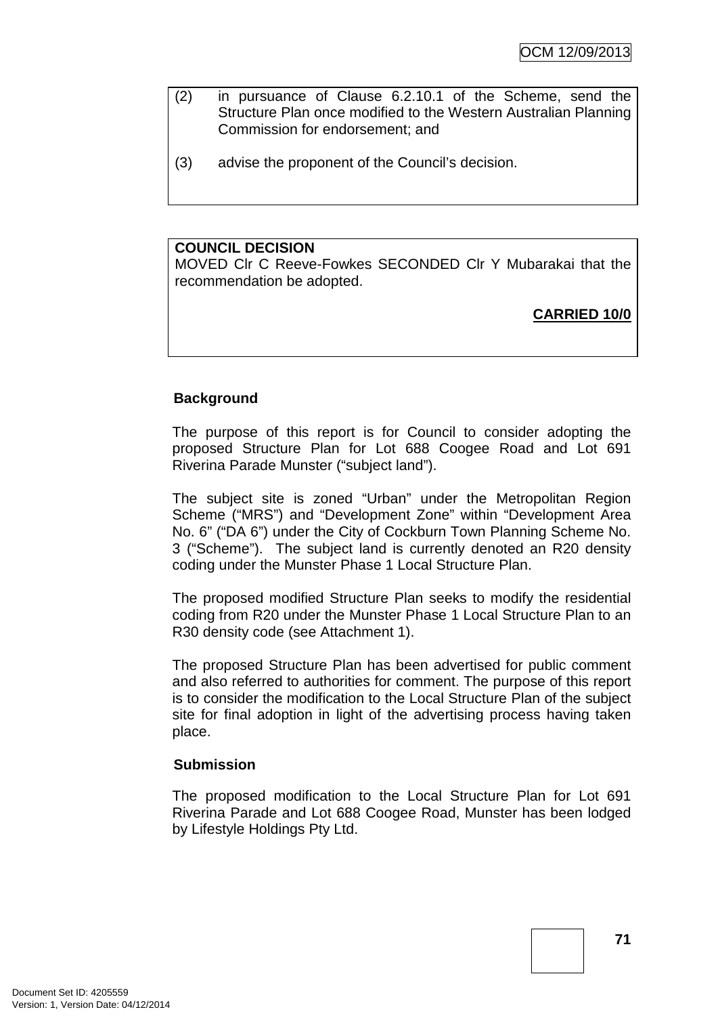- (2) in pursuance of Clause 6.2.10.1 of the Scheme, send the Structure Plan once modified to the Western Australian Planning Commission for endorsement; and
- (3) advise the proponent of the Council's decision.

# **COUNCIL DECISION**

MOVED Clr C Reeve-Fowkes SECONDED Clr Y Mubarakai that the recommendation be adopted.

# **CARRIED 10/0**

## **Background**

The purpose of this report is for Council to consider adopting the proposed Structure Plan for Lot 688 Coogee Road and Lot 691 Riverina Parade Munster ("subject land").

The subject site is zoned "Urban" under the Metropolitan Region Scheme ("MRS") and "Development Zone" within "Development Area No. 6" ("DA 6") under the City of Cockburn Town Planning Scheme No. 3 ("Scheme"). The subject land is currently denoted an R20 density coding under the Munster Phase 1 Local Structure Plan.

The proposed modified Structure Plan seeks to modify the residential coding from R20 under the Munster Phase 1 Local Structure Plan to an R30 density code (see Attachment 1).

The proposed Structure Plan has been advertised for public comment and also referred to authorities for comment. The purpose of this report is to consider the modification to the Local Structure Plan of the subject site for final adoption in light of the advertising process having taken place.

## **Submission**

The proposed modification to the Local Structure Plan for Lot 691 Riverina Parade and Lot 688 Coogee Road, Munster has been lodged by Lifestyle Holdings Pty Ltd.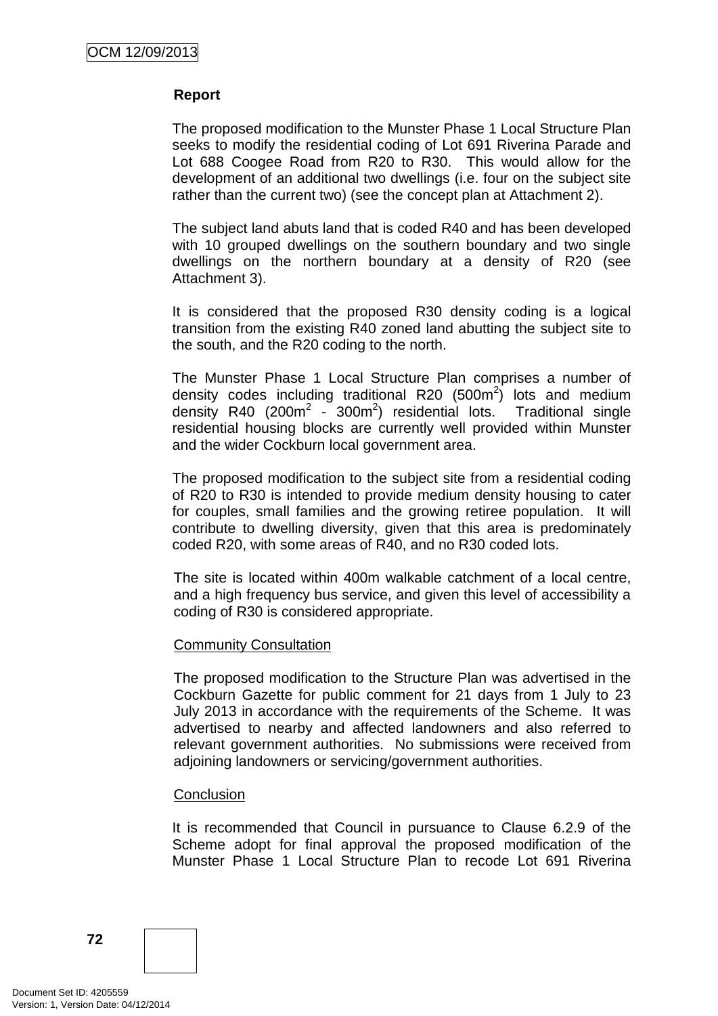## **Report**

The proposed modification to the Munster Phase 1 Local Structure Plan seeks to modify the residential coding of Lot 691 Riverina Parade and Lot 688 Coogee Road from R20 to R30. This would allow for the development of an additional two dwellings (i.e. four on the subject site rather than the current two) (see the concept plan at Attachment 2).

The subject land abuts land that is coded R40 and has been developed with 10 grouped dwellings on the southern boundary and two single dwellings on the northern boundary at a density of R20 (see Attachment 3).

It is considered that the proposed R30 density coding is a logical transition from the existing R40 zoned land abutting the subject site to the south, and the R20 coding to the north.

The Munster Phase 1 Local Structure Plan comprises a number of density codes including traditional R20  $(500m^2)$  lots and medium density R40 (200 $m^2$  - 300 $m^2$ ) residential lots. Traditional single residential housing blocks are currently well provided within Munster and the wider Cockburn local government area.

The proposed modification to the subject site from a residential coding of R20 to R30 is intended to provide medium density housing to cater for couples, small families and the growing retiree population. It will contribute to dwelling diversity, given that this area is predominately coded R20, with some areas of R40, and no R30 coded lots.

The site is located within 400m walkable catchment of a local centre, and a high frequency bus service, and given this level of accessibility a coding of R30 is considered appropriate.

## Community Consultation

The proposed modification to the Structure Plan was advertised in the Cockburn Gazette for public comment for 21 days from 1 July to 23 July 2013 in accordance with the requirements of the Scheme. It was advertised to nearby and affected landowners and also referred to relevant government authorities. No submissions were received from adjoining landowners or servicing/government authorities.

## **Conclusion**

It is recommended that Council in pursuance to Clause 6.2.9 of the Scheme adopt for final approval the proposed modification of the Munster Phase 1 Local Structure Plan to recode Lot 691 Riverina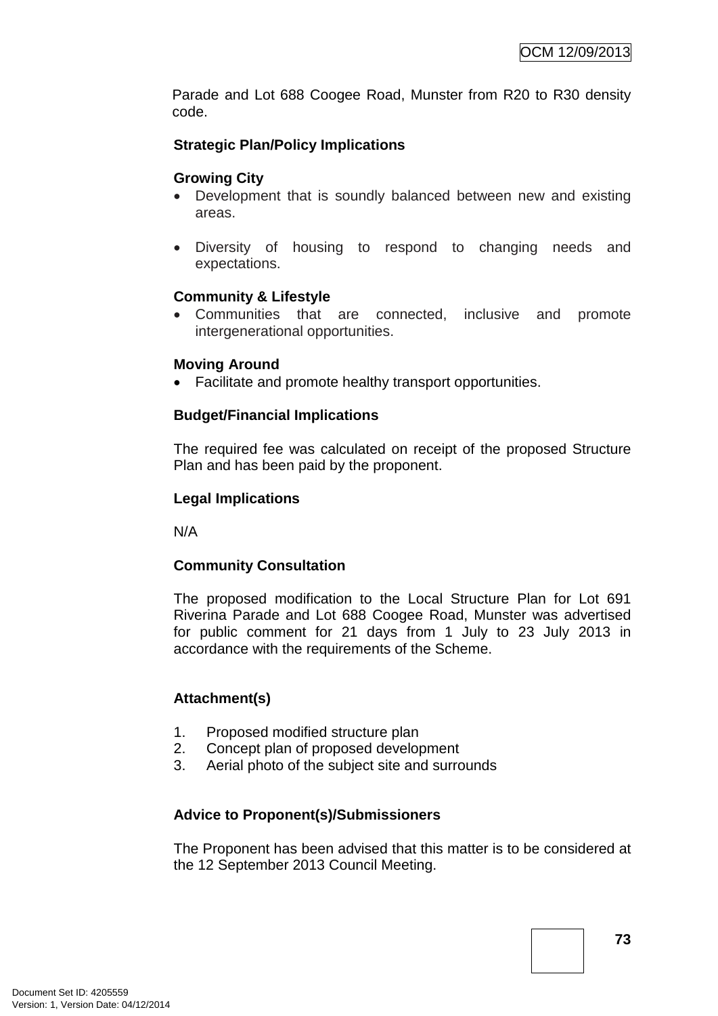Parade and Lot 688 Coogee Road, Munster from R20 to R30 density code.

# **Strategic Plan/Policy Implications**

## **Growing City**

- Development that is soundly balanced between new and existing areas.
- Diversity of housing to respond to changing needs and expectations.

## **Community & Lifestyle**

• Communities that are connected, inclusive and promote intergenerational opportunities.

## **Moving Around**

• Facilitate and promote healthy transport opportunities.

## **Budget/Financial Implications**

The required fee was calculated on receipt of the proposed Structure Plan and has been paid by the proponent.

## **Legal Implications**

N/A

# **Community Consultation**

The proposed modification to the Local Structure Plan for Lot 691 Riverina Parade and Lot 688 Coogee Road, Munster was advertised for public comment for 21 days from 1 July to 23 July 2013 in accordance with the requirements of the Scheme.

# **Attachment(s)**

- 1. Proposed modified structure plan
- 2. Concept plan of proposed development
- 3. Aerial photo of the subject site and surrounds

# **Advice to Proponent(s)/Submissioners**

The Proponent has been advised that this matter is to be considered at the 12 September 2013 Council Meeting.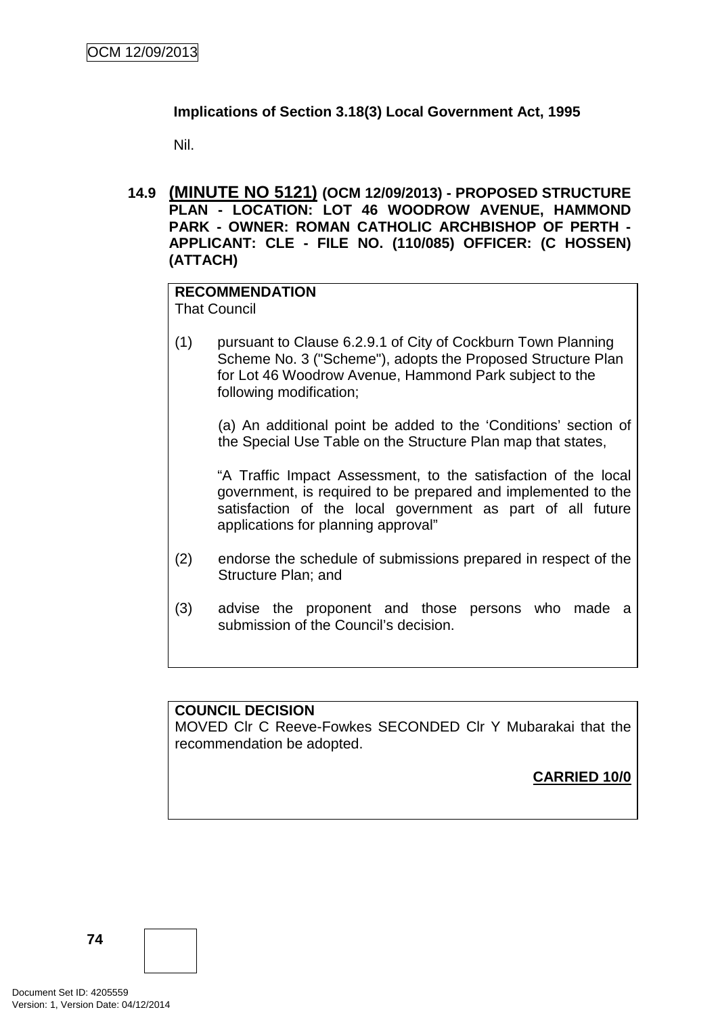## **Implications of Section 3.18(3) Local Government Act, 1995**

Nil.

**14.9 (MINUTE NO 5121) (OCM 12/09/2013) - PROPOSED STRUCTURE PLAN - LOCATION: LOT 46 WOODROW AVENUE, HAMMOND PARK - OWNER: ROMAN CATHOLIC ARCHBISHOP OF PERTH - APPLICANT: CLE - FILE NO. (110/085) OFFICER: (C HOSSEN) (ATTACH)**

# **RECOMMENDATION**

That Council

(1) pursuant to Clause 6.2.9.1 of City of Cockburn Town Planning Scheme No. 3 ("Scheme"), adopts the Proposed Structure Plan for Lot 46 Woodrow Avenue, Hammond Park subject to the following modification;

(a) An additional point be added to the 'Conditions' section of the Special Use Table on the Structure Plan map that states,

"A Traffic Impact Assessment, to the satisfaction of the local government, is required to be prepared and implemented to the satisfaction of the local government as part of all future applications for planning approval"

- (2) endorse the schedule of submissions prepared in respect of the Structure Plan; and
- (3) advise the proponent and those persons who made a submission of the Council's decision.

## **COUNCIL DECISION**

MOVED Clr C Reeve-Fowkes SECONDED Clr Y Mubarakai that the recommendation be adopted.

# **CARRIED 10/0**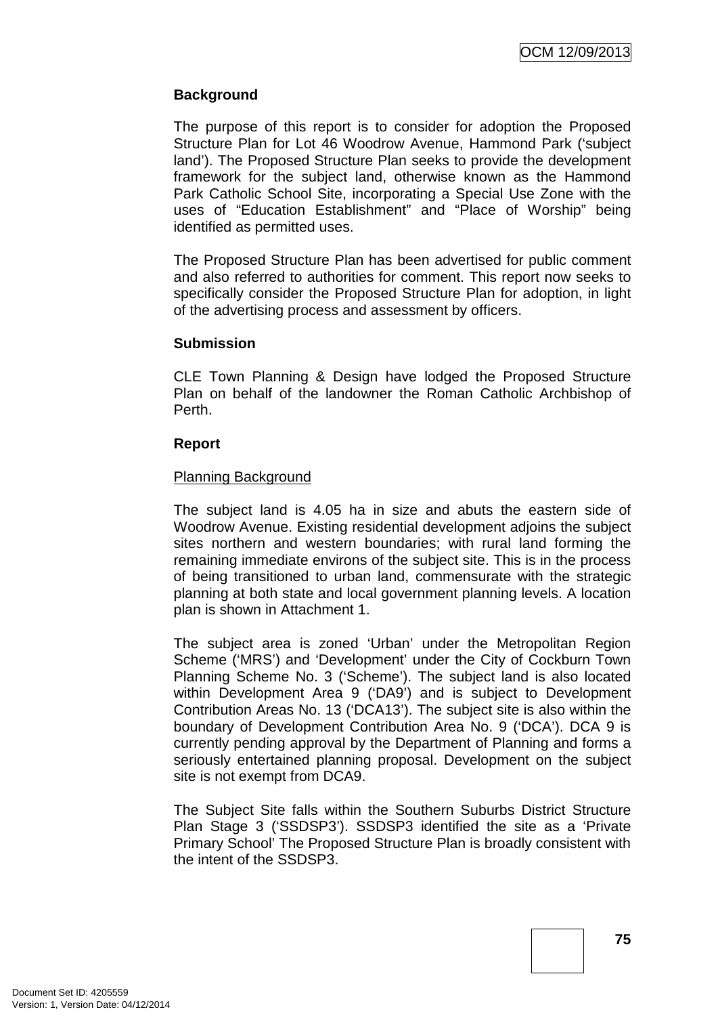## **Background**

The purpose of this report is to consider for adoption the Proposed Structure Plan for Lot 46 Woodrow Avenue, Hammond Park ('subject land'). The Proposed Structure Plan seeks to provide the development framework for the subject land, otherwise known as the Hammond Park Catholic School Site, incorporating a Special Use Zone with the uses of "Education Establishment" and "Place of Worship" being identified as permitted uses.

The Proposed Structure Plan has been advertised for public comment and also referred to authorities for comment. This report now seeks to specifically consider the Proposed Structure Plan for adoption, in light of the advertising process and assessment by officers.

#### **Submission**

CLE Town Planning & Design have lodged the Proposed Structure Plan on behalf of the landowner the Roman Catholic Archbishop of Perth.

#### **Report**

#### Planning Background

The subject land is 4.05 ha in size and abuts the eastern side of Woodrow Avenue. Existing residential development adjoins the subject sites northern and western boundaries; with rural land forming the remaining immediate environs of the subject site. This is in the process of being transitioned to urban land, commensurate with the strategic planning at both state and local government planning levels. A location plan is shown in Attachment 1.

The subject area is zoned 'Urban' under the Metropolitan Region Scheme ('MRS') and 'Development' under the City of Cockburn Town Planning Scheme No. 3 ('Scheme'). The subject land is also located within Development Area 9 ('DA9') and is subject to Development Contribution Areas No. 13 ('DCA13'). The subject site is also within the boundary of Development Contribution Area No. 9 ('DCA'). DCA 9 is currently pending approval by the Department of Planning and forms a seriously entertained planning proposal. Development on the subject site is not exempt from DCA9.

The Subject Site falls within the Southern Suburbs District Structure Plan Stage 3 ('SSDSP3'). SSDSP3 identified the site as a 'Private Primary School' The Proposed Structure Plan is broadly consistent with the intent of the SSDSP3.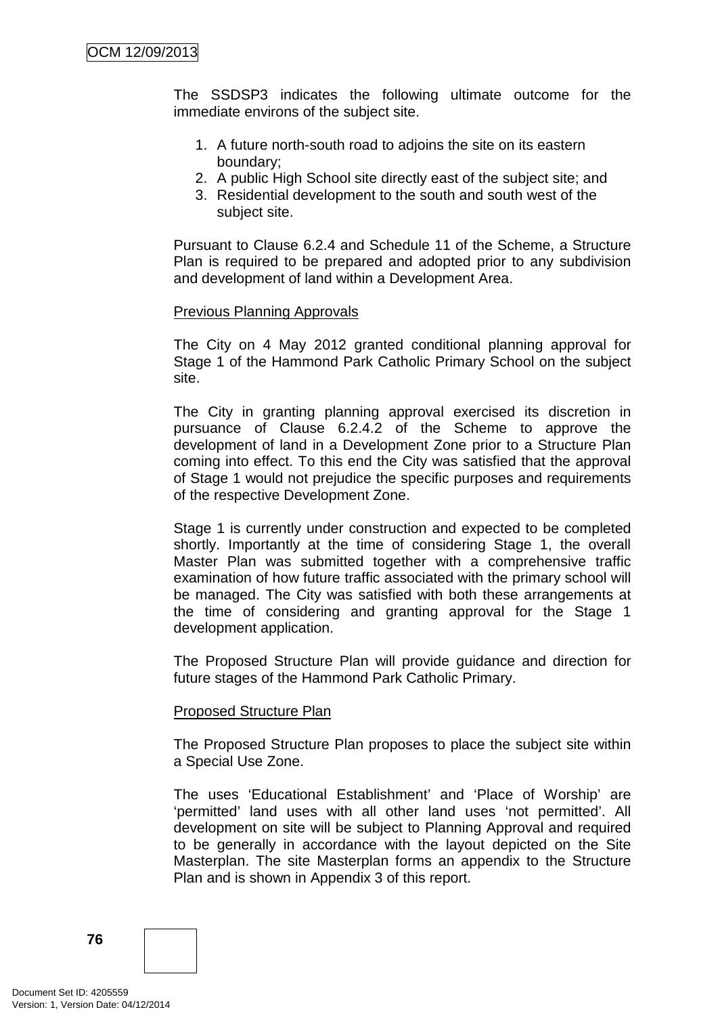The SSDSP3 indicates the following ultimate outcome for the immediate environs of the subject site.

- 1. A future north-south road to adjoins the site on its eastern boundary;
- 2. A public High School site directly east of the subject site; and
- 3. Residential development to the south and south west of the subject site.

Pursuant to Clause 6.2.4 and Schedule 11 of the Scheme, a Structure Plan is required to be prepared and adopted prior to any subdivision and development of land within a Development Area.

## Previous Planning Approvals

The City on 4 May 2012 granted conditional planning approval for Stage 1 of the Hammond Park Catholic Primary School on the subject site.

The City in granting planning approval exercised its discretion in pursuance of Clause 6.2.4.2 of the Scheme to approve the development of land in a Development Zone prior to a Structure Plan coming into effect. To this end the City was satisfied that the approval of Stage 1 would not prejudice the specific purposes and requirements of the respective Development Zone.

Stage 1 is currently under construction and expected to be completed shortly. Importantly at the time of considering Stage 1, the overall Master Plan was submitted together with a comprehensive traffic examination of how future traffic associated with the primary school will be managed. The City was satisfied with both these arrangements at the time of considering and granting approval for the Stage 1 development application.

The Proposed Structure Plan will provide guidance and direction for future stages of the Hammond Park Catholic Primary.

#### Proposed Structure Plan

The Proposed Structure Plan proposes to place the subject site within a Special Use Zone.

The uses 'Educational Establishment' and 'Place of Worship' are 'permitted' land uses with all other land uses 'not permitted'. All development on site will be subject to Planning Approval and required to be generally in accordance with the layout depicted on the Site Masterplan. The site Masterplan forms an appendix to the Structure Plan and is shown in Appendix 3 of this report.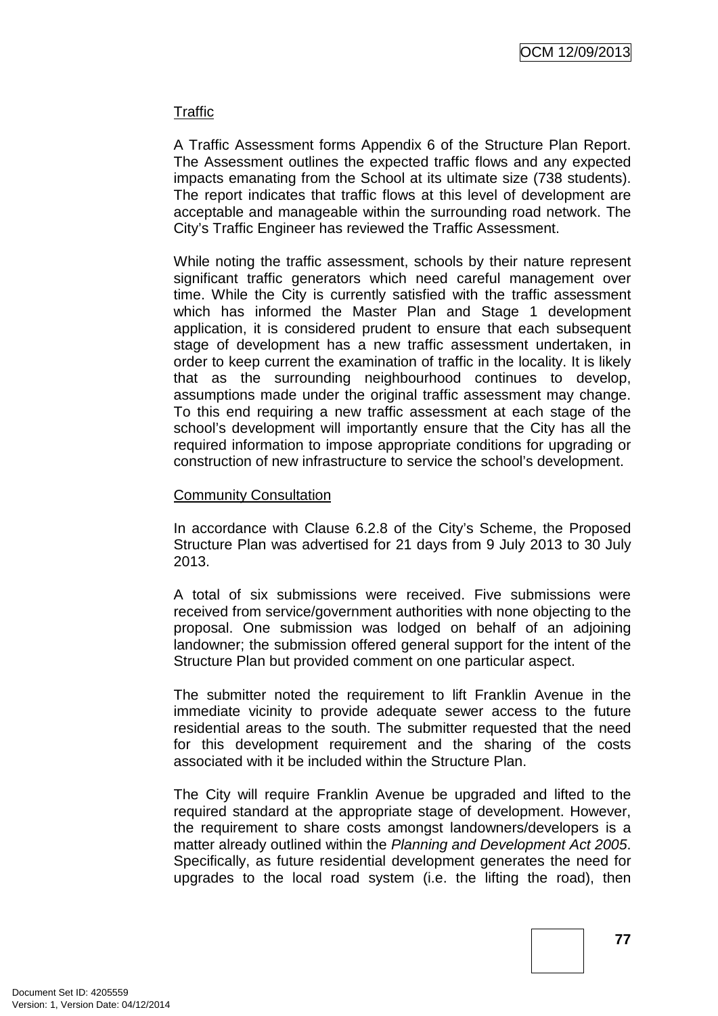# **Traffic**

A Traffic Assessment forms Appendix 6 of the Structure Plan Report. The Assessment outlines the expected traffic flows and any expected impacts emanating from the School at its ultimate size (738 students). The report indicates that traffic flows at this level of development are acceptable and manageable within the surrounding road network. The City's Traffic Engineer has reviewed the Traffic Assessment.

While noting the traffic assessment, schools by their nature represent significant traffic generators which need careful management over time. While the City is currently satisfied with the traffic assessment which has informed the Master Plan and Stage 1 development application, it is considered prudent to ensure that each subsequent stage of development has a new traffic assessment undertaken, in order to keep current the examination of traffic in the locality. It is likely that as the surrounding neighbourhood continues to develop, assumptions made under the original traffic assessment may change. To this end requiring a new traffic assessment at each stage of the school's development will importantly ensure that the City has all the required information to impose appropriate conditions for upgrading or construction of new infrastructure to service the school's development.

#### Community Consultation

In accordance with Clause 6.2.8 of the City's Scheme, the Proposed Structure Plan was advertised for 21 days from 9 July 2013 to 30 July 2013.

A total of six submissions were received. Five submissions were received from service/government authorities with none objecting to the proposal. One submission was lodged on behalf of an adjoining landowner; the submission offered general support for the intent of the Structure Plan but provided comment on one particular aspect.

The submitter noted the requirement to lift Franklin Avenue in the immediate vicinity to provide adequate sewer access to the future residential areas to the south. The submitter requested that the need for this development requirement and the sharing of the costs associated with it be included within the Structure Plan.

The City will require Franklin Avenue be upgraded and lifted to the required standard at the appropriate stage of development. However, the requirement to share costs amongst landowners/developers is a matter already outlined within the *Planning and Development Act 2005*. Specifically, as future residential development generates the need for upgrades to the local road system (i.e. the lifting the road), then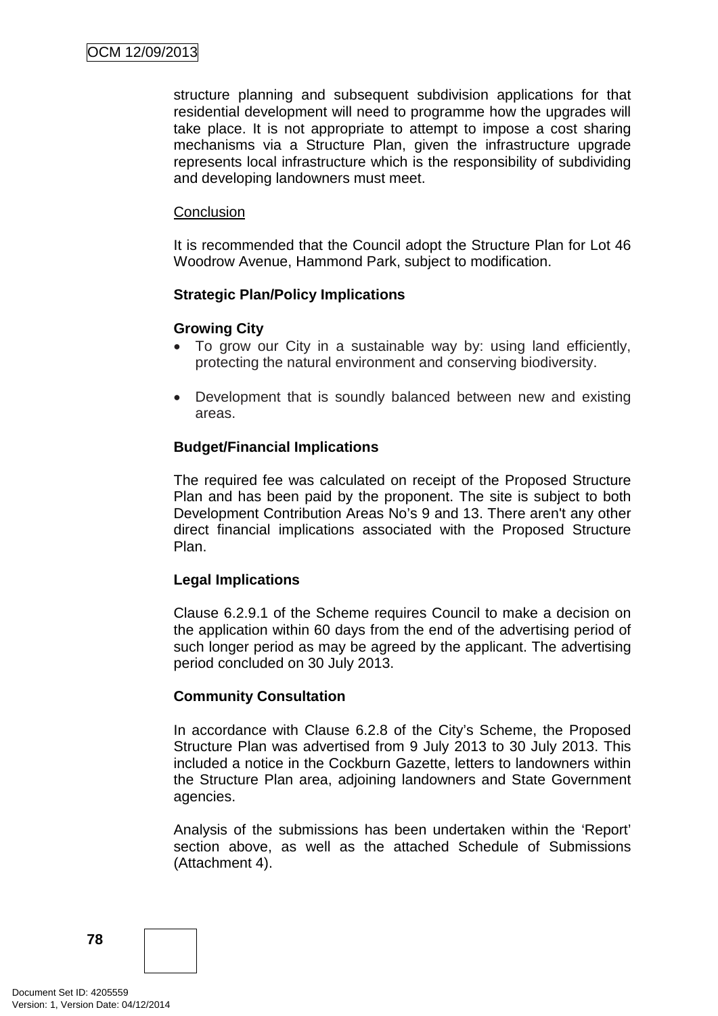structure planning and subsequent subdivision applications for that residential development will need to programme how the upgrades will take place. It is not appropriate to attempt to impose a cost sharing mechanisms via a Structure Plan, given the infrastructure upgrade represents local infrastructure which is the responsibility of subdividing and developing landowners must meet.

#### **Conclusion**

It is recommended that the Council adopt the Structure Plan for Lot 46 Woodrow Avenue, Hammond Park, subject to modification.

## **Strategic Plan/Policy Implications**

#### **Growing City**

- To grow our City in a sustainable way by: using land efficiently, protecting the natural environment and conserving biodiversity.
- Development that is soundly balanced between new and existing areas.

#### **Budget/Financial Implications**

The required fee was calculated on receipt of the Proposed Structure Plan and has been paid by the proponent. The site is subject to both Development Contribution Areas No's 9 and 13. There aren't any other direct financial implications associated with the Proposed Structure Plan.

## **Legal Implications**

Clause 6.2.9.1 of the Scheme requires Council to make a decision on the application within 60 days from the end of the advertising period of such longer period as may be agreed by the applicant. The advertising period concluded on 30 July 2013.

## **Community Consultation**

In accordance with Clause 6.2.8 of the City's Scheme, the Proposed Structure Plan was advertised from 9 July 2013 to 30 July 2013. This included a notice in the Cockburn Gazette, letters to landowners within the Structure Plan area, adjoining landowners and State Government agencies.

Analysis of the submissions has been undertaken within the 'Report' section above, as well as the attached Schedule of Submissions (Attachment 4).

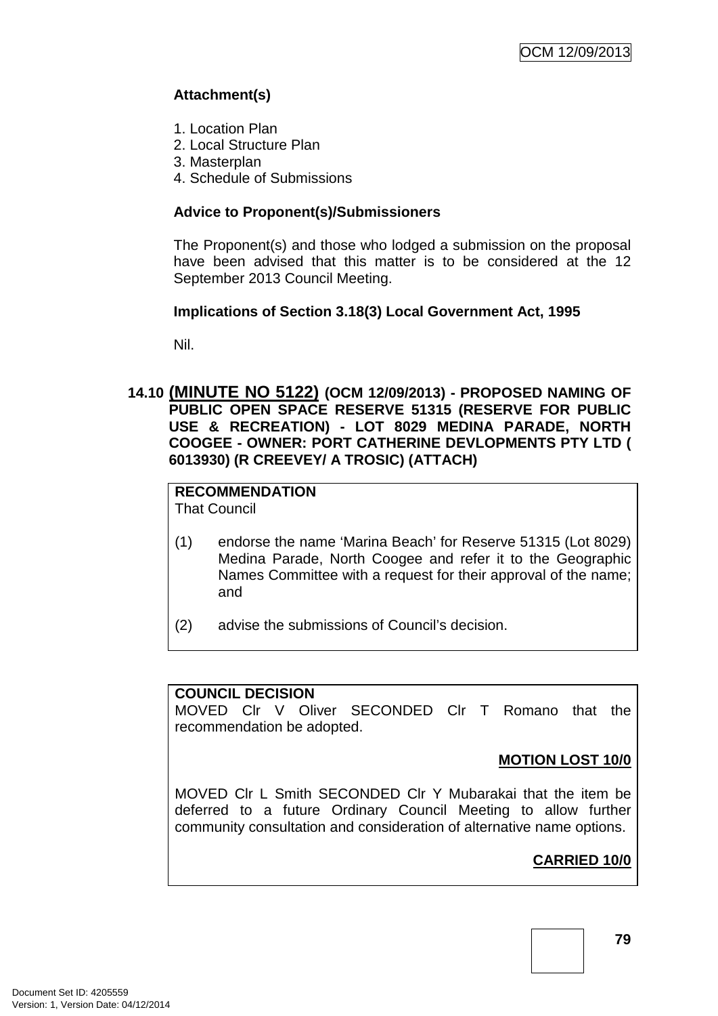# **Attachment(s)**

- 1. Location Plan
- 2. Local Structure Plan
- 3. Masterplan
- 4. Schedule of Submissions

# **Advice to Proponent(s)/Submissioners**

The Proponent(s) and those who lodged a submission on the proposal have been advised that this matter is to be considered at the 12 September 2013 Council Meeting.

# **Implications of Section 3.18(3) Local Government Act, 1995**

Nil.

## **14.10 (MINUTE NO 5122) (OCM 12/09/2013) - PROPOSED NAMING OF PUBLIC OPEN SPACE RESERVE 51315 (RESERVE FOR PUBLIC USE & RECREATION) - LOT 8029 MEDINA PARADE, NORTH COOGEE - OWNER: PORT CATHERINE DEVLOPMENTS PTY LTD ( 6013930) (R CREEVEY/ A TROSIC) (ATTACH)**

# **RECOMMENDATION**

That Council

- (1) endorse the name 'Marina Beach' for Reserve 51315 (Lot 8029) Medina Parade, North Coogee and refer it to the Geographic Names Committee with a request for their approval of the name; and
- (2) advise the submissions of Council's decision.

# **COUNCIL DECISION**

MOVED Clr V Oliver SECONDED Clr T Romano that the recommendation be adopted.

# **MOTION LOST 10/0**

MOVED Clr L Smith SECONDED Clr Y Mubarakai that the item be deferred to a future Ordinary Council Meeting to allow further community consultation and consideration of alternative name options.

# **CARRIED 10/0**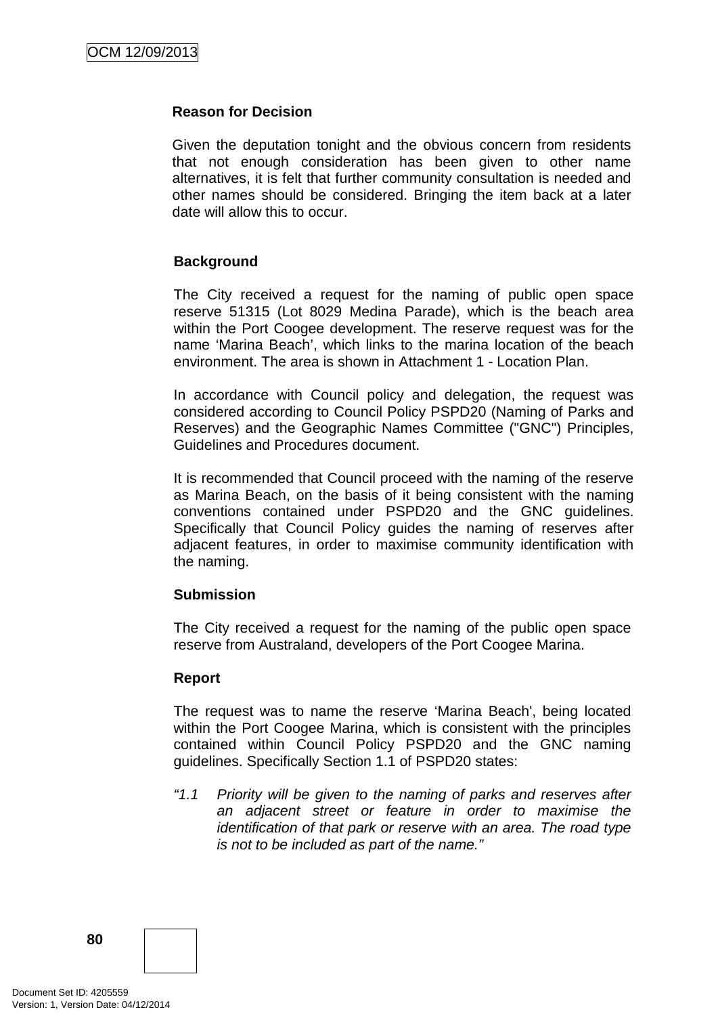#### **Reason for Decision**

Given the deputation tonight and the obvious concern from residents that not enough consideration has been given to other name alternatives, it is felt that further community consultation is needed and other names should be considered. Bringing the item back at a later date will allow this to occur.

## **Background**

The City received a request for the naming of public open space reserve 51315 (Lot 8029 Medina Parade), which is the beach area within the Port Coogee development. The reserve request was for the name 'Marina Beach', which links to the marina location of the beach environment. The area is shown in Attachment 1 - Location Plan.

In accordance with Council policy and delegation, the request was considered according to Council Policy PSPD20 (Naming of Parks and Reserves) and the Geographic Names Committee ("GNC") Principles, Guidelines and Procedures document.

It is recommended that Council proceed with the naming of the reserve as Marina Beach, on the basis of it being consistent with the naming conventions contained under PSPD20 and the GNC guidelines. Specifically that Council Policy guides the naming of reserves after adjacent features, in order to maximise community identification with the naming.

#### **Submission**

The City received a request for the naming of the public open space reserve from Australand, developers of the Port Coogee Marina.

#### **Report**

The request was to name the reserve 'Marina Beach', being located within the Port Coogee Marina, which is consistent with the principles contained within Council Policy PSPD20 and the GNC naming guidelines. Specifically Section 1.1 of PSPD20 states:

*"1.1 Priority will be given to the naming of parks and reserves after an adjacent street or feature in order to maximise the identification of that park or reserve with an area. The road type is not to be included as part of the name."*

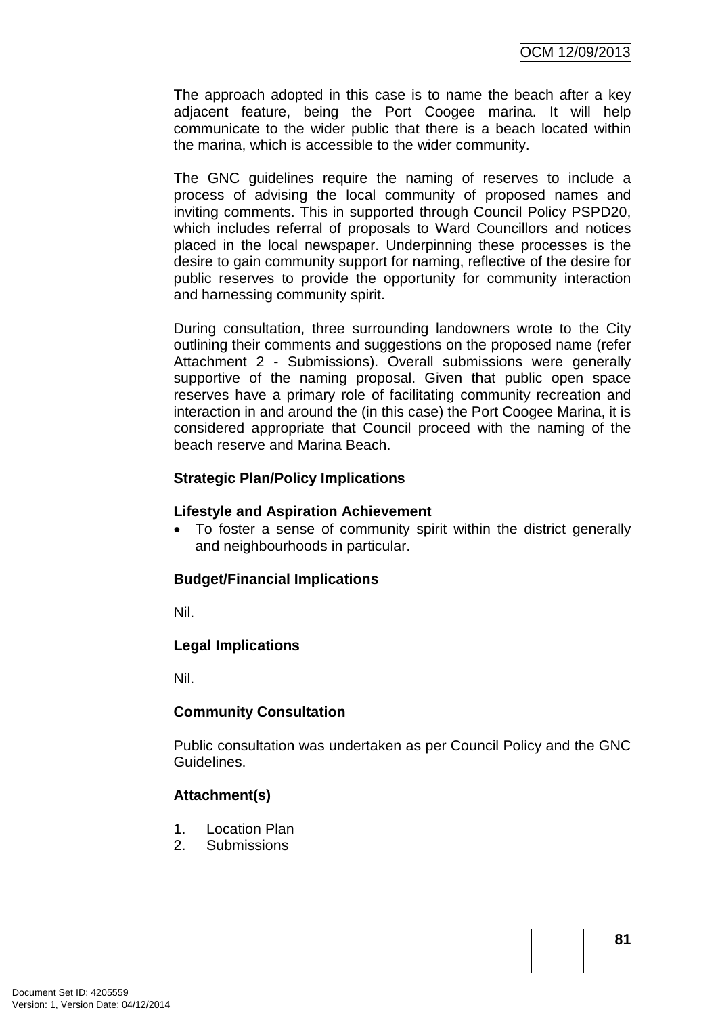The approach adopted in this case is to name the beach after a key adjacent feature, being the Port Coogee marina. It will help communicate to the wider public that there is a beach located within the marina, which is accessible to the wider community.

The GNC guidelines require the naming of reserves to include a process of advising the local community of proposed names and inviting comments. This in supported through Council Policy PSPD20, which includes referral of proposals to Ward Councillors and notices placed in the local newspaper. Underpinning these processes is the desire to gain community support for naming, reflective of the desire for public reserves to provide the opportunity for community interaction and harnessing community spirit.

During consultation, three surrounding landowners wrote to the City outlining their comments and suggestions on the proposed name (refer Attachment 2 - Submissions). Overall submissions were generally supportive of the naming proposal. Given that public open space reserves have a primary role of facilitating community recreation and interaction in and around the (in this case) the Port Coogee Marina, it is considered appropriate that Council proceed with the naming of the beach reserve and Marina Beach.

## **Strategic Plan/Policy Implications**

## **Lifestyle and Aspiration Achievement**

• To foster a sense of community spirit within the district generally and neighbourhoods in particular.

# **Budget/Financial Implications**

Nil.

# **Legal Implications**

Nil.

## **Community Consultation**

Public consultation was undertaken as per Council Policy and the GNC Guidelines.

## **Attachment(s)**

- 1. Location Plan
- 2. Submissions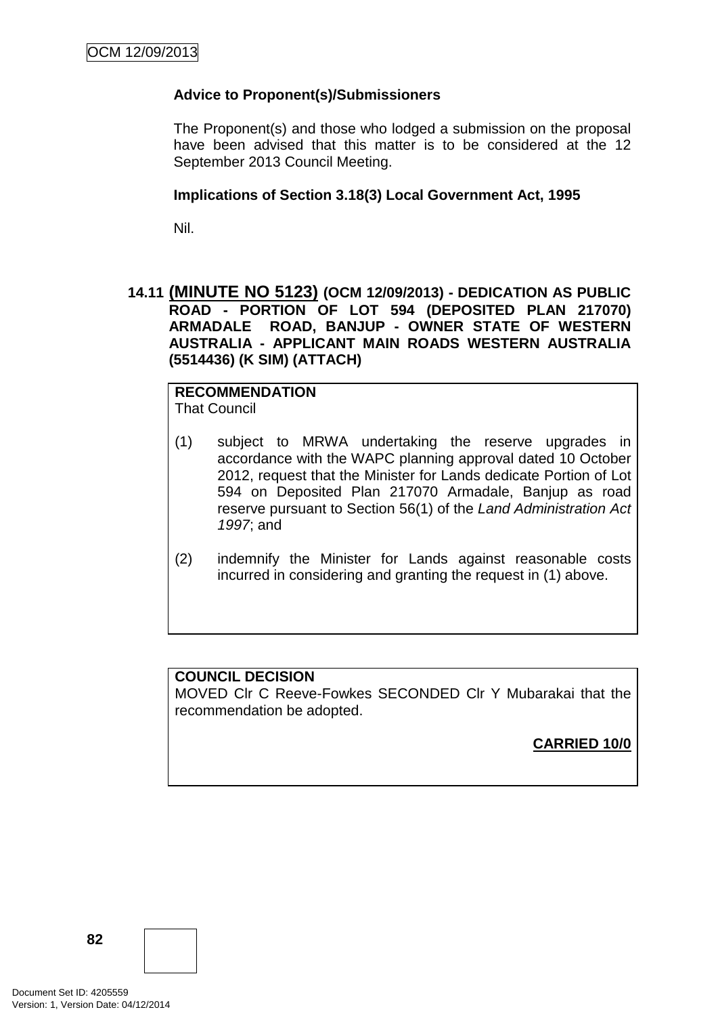# **Advice to Proponent(s)/Submissioners**

The Proponent(s) and those who lodged a submission on the proposal have been advised that this matter is to be considered at the 12 September 2013 Council Meeting.

## **Implications of Section 3.18(3) Local Government Act, 1995**

Nil.

## **14.11 (MINUTE NO 5123) (OCM 12/09/2013) - DEDICATION AS PUBLIC ROAD - PORTION OF LOT 594 (DEPOSITED PLAN 217070) ARMADALE ROAD, BANJUP - OWNER STATE OF WESTERN AUSTRALIA - APPLICANT MAIN ROADS WESTERN AUSTRALIA (5514436) (K SIM) (ATTACH)**

# **RECOMMENDATION**

That Council

- (1) subject to MRWA undertaking the reserve upgrades in accordance with the WAPC planning approval dated 10 October 2012, request that the Minister for Lands dedicate Portion of Lot 594 on Deposited Plan 217070 Armadale, Banjup as road reserve pursuant to Section 56(1) of the *Land Administration Act 1997*; and
- (2) indemnify the Minister for Lands against reasonable costs incurred in considering and granting the request in (1) above.

# **COUNCIL DECISION**

MOVED Clr C Reeve-Fowkes SECONDED Clr Y Mubarakai that the recommendation be adopted.

**CARRIED 10/0**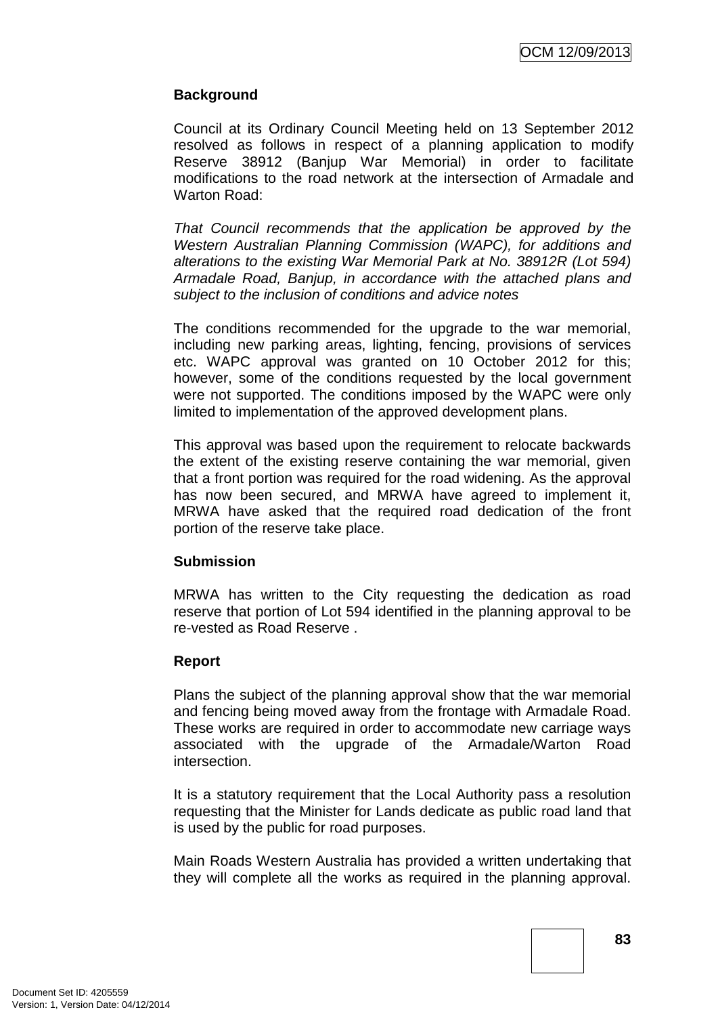# **Background**

Council at its Ordinary Council Meeting held on 13 September 2012 resolved as follows in respect of a planning application to modify Reserve 38912 (Banjup War Memorial) in order to facilitate modifications to the road network at the intersection of Armadale and Warton Road:

*That Council recommends that the application be approved by the Western Australian Planning Commission (WAPC), for additions and alterations to the existing War Memorial Park at No. 38912R (Lot 594) Armadale Road, Banjup, in accordance with the attached plans and subject to the inclusion of conditions and advice notes*

The conditions recommended for the upgrade to the war memorial, including new parking areas, lighting, fencing, provisions of services etc. WAPC approval was granted on 10 October 2012 for this; however, some of the conditions requested by the local government were not supported. The conditions imposed by the WAPC were only limited to implementation of the approved development plans.

This approval was based upon the requirement to relocate backwards the extent of the existing reserve containing the war memorial, given that a front portion was required for the road widening. As the approval has now been secured, and MRWA have agreed to implement it, MRWA have asked that the required road dedication of the front portion of the reserve take place.

## **Submission**

MRWA has written to the City requesting the dedication as road reserve that portion of Lot 594 identified in the planning approval to be re-vested as Road Reserve .

# **Report**

Plans the subject of the planning approval show that the war memorial and fencing being moved away from the frontage with Armadale Road. These works are required in order to accommodate new carriage ways associated with the upgrade of the Armadale/Warton Road intersection.

It is a statutory requirement that the Local Authority pass a resolution requesting that the Minister for Lands dedicate as public road land that is used by the public for road purposes.

Main Roads Western Australia has provided a written undertaking that they will complete all the works as required in the planning approval.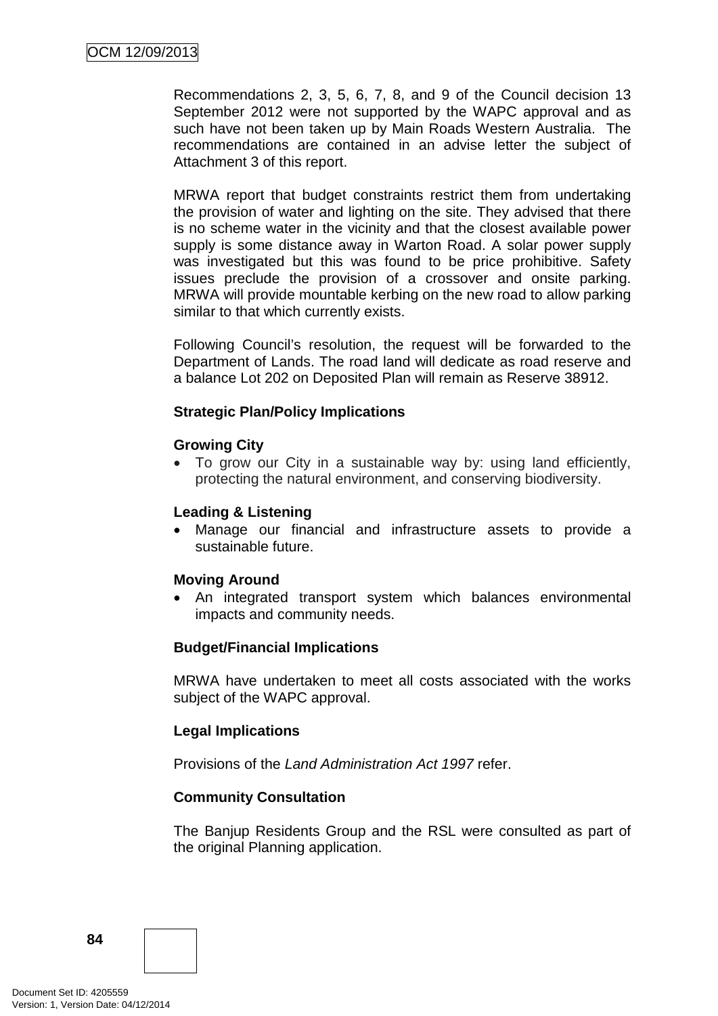Recommendations 2, 3, 5, 6, 7, 8, and 9 of the Council decision 13 September 2012 were not supported by the WAPC approval and as such have not been taken up by Main Roads Western Australia. The recommendations are contained in an advise letter the subject of Attachment 3 of this report.

MRWA report that budget constraints restrict them from undertaking the provision of water and lighting on the site. They advised that there is no scheme water in the vicinity and that the closest available power supply is some distance away in Warton Road. A solar power supply was investigated but this was found to be price prohibitive. Safety issues preclude the provision of a crossover and onsite parking. MRWA will provide mountable kerbing on the new road to allow parking similar to that which currently exists.

Following Council's resolution, the request will be forwarded to the Department of Lands. The road land will dedicate as road reserve and a balance Lot 202 on Deposited Plan will remain as Reserve 38912.

## **Strategic Plan/Policy Implications**

## **Growing City**

• To grow our City in a sustainable way by: using land efficiently, protecting the natural environment, and conserving biodiversity.

## **Leading & Listening**

• Manage our financial and infrastructure assets to provide a sustainable future.

# **Moving Around**

• An integrated transport system which balances environmental impacts and community needs.

## **Budget/Financial Implications**

MRWA have undertaken to meet all costs associated with the works subject of the WAPC approval.

## **Legal Implications**

Provisions of the *Land Administration Act 1997* refer.

# **Community Consultation**

The Banjup Residents Group and the RSL were consulted as part of the original Planning application.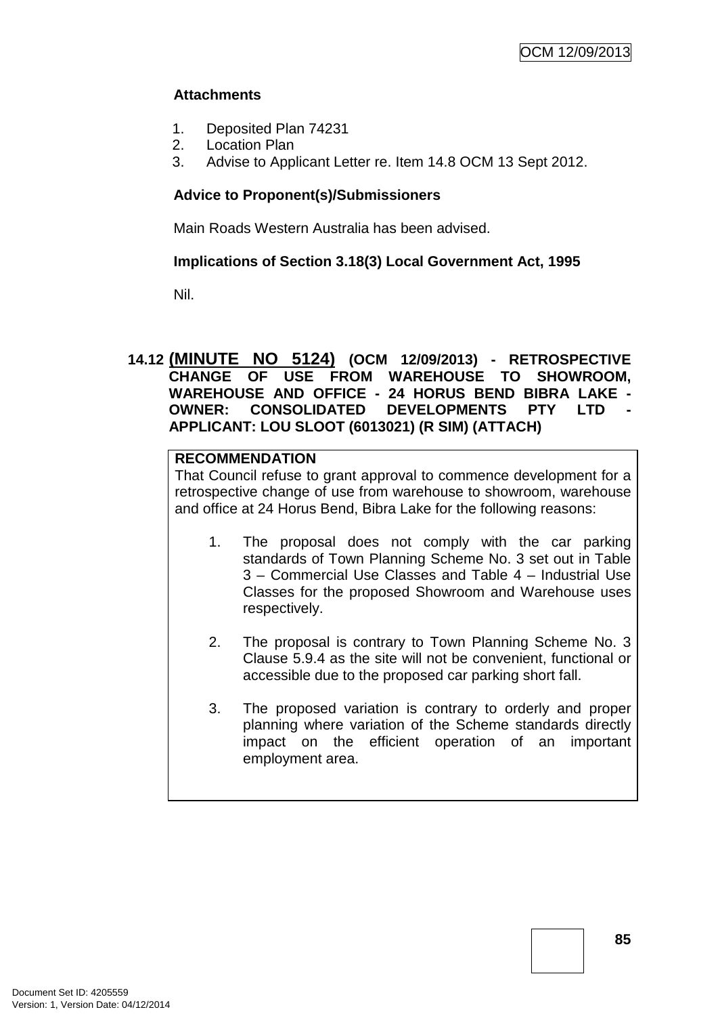# **Attachments**

- 1. Deposited Plan 74231
- 2. Location Plan
- 3. Advise to Applicant Letter re. Item 14.8 OCM 13 Sept 2012.

# **Advice to Proponent(s)/Submissioners**

Main Roads Western Australia has been advised.

# **Implications of Section 3.18(3) Local Government Act, 1995**

Nil.

# **14.12 (MINUTE NO 5124) (OCM 12/09/2013) - RETROSPECTIVE CHANGE OF USE FROM WAREHOUSE TO SHOWROOM, WAREHOUSE AND OFFICE - 24 HORUS BEND BIBRA LAKE - OWNER: CONSOLIDATED DEVELOPMENTS PTY LTD - APPLICANT: LOU SLOOT (6013021) (R SIM) (ATTACH)**

# **RECOMMENDATION**

That Council refuse to grant approval to commence development for a retrospective change of use from warehouse to showroom, warehouse and office at 24 Horus Bend, Bibra Lake for the following reasons:

- 1. The proposal does not comply with the car parking standards of Town Planning Scheme No. 3 set out in Table 3 – Commercial Use Classes and Table 4 – Industrial Use Classes for the proposed Showroom and Warehouse uses respectively.
- 2. The proposal is contrary to Town Planning Scheme No. 3 Clause 5.9.4 as the site will not be convenient, functional or accessible due to the proposed car parking short fall.
- 3. The proposed variation is contrary to orderly and proper planning where variation of the Scheme standards directly impact on the efficient operation of an important employment area.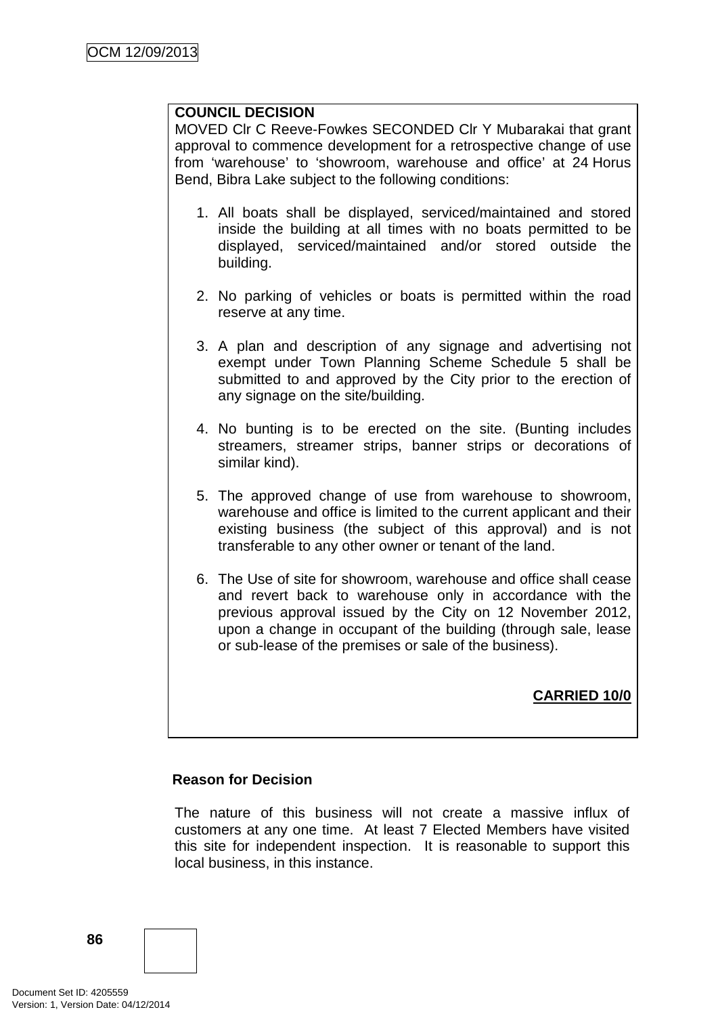## **COUNCIL DECISION**

MOVED Clr C Reeve-Fowkes SECONDED Clr Y Mubarakai that grant approval to commence development for a retrospective change of use from 'warehouse' to 'showroom, warehouse and office' at 24 Horus Bend, Bibra Lake subject to the following conditions:

- 1. All boats shall be displayed, serviced/maintained and stored inside the building at all times with no boats permitted to be displayed, serviced/maintained and/or stored outside the building.
- 2. No parking of vehicles or boats is permitted within the road reserve at any time.
- 3. A plan and description of any signage and advertising not exempt under Town Planning Scheme Schedule 5 shall be submitted to and approved by the City prior to the erection of any signage on the site/building.
- 4. No bunting is to be erected on the site. (Bunting includes streamers, streamer strips, banner strips or decorations of similar kind).
- 5. The approved change of use from warehouse to showroom, warehouse and office is limited to the current applicant and their existing business (the subject of this approval) and is not transferable to any other owner or tenant of the land.
- 6. The Use of site for showroom, warehouse and office shall cease and revert back to warehouse only in accordance with the previous approval issued by the City on 12 November 2012, upon a change in occupant of the building (through sale, lease or sub-lease of the premises or sale of the business).

**CARRIED 10/0**

#### **Reason for Decision**

The nature of this business will not create a massive influx of customers at any one time. At least 7 Elected Members have visited this site for independent inspection. It is reasonable to support this local business, in this instance.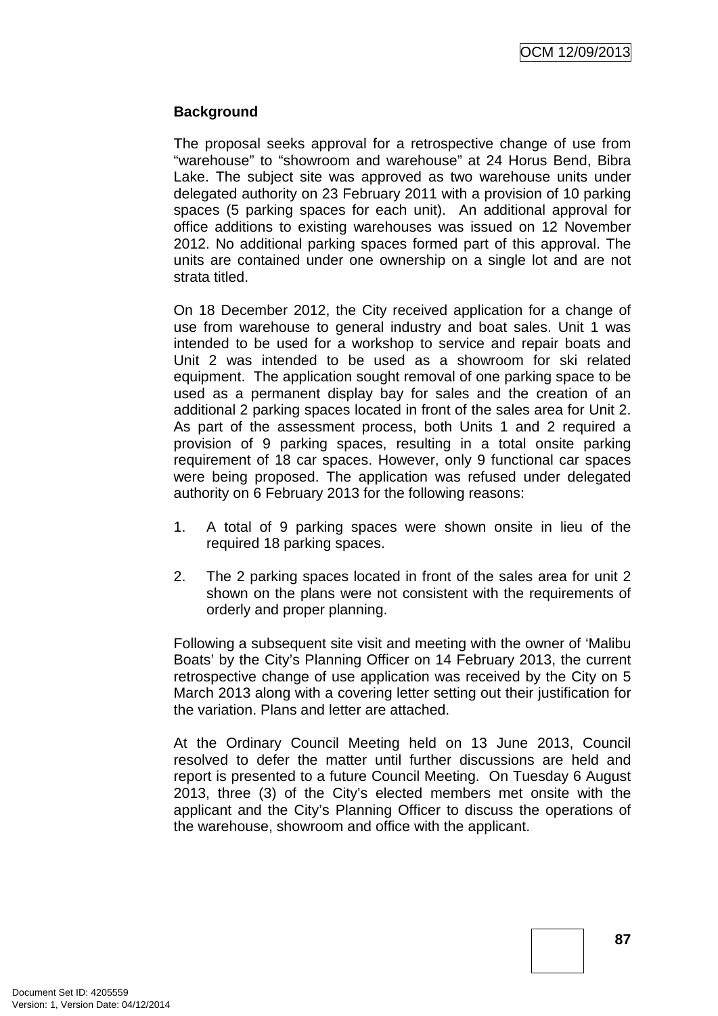## **Background**

The proposal seeks approval for a retrospective change of use from "warehouse" to "showroom and warehouse" at 24 Horus Bend, Bibra Lake. The subject site was approved as two warehouse units under delegated authority on 23 February 2011 with a provision of 10 parking spaces (5 parking spaces for each unit). An additional approval for office additions to existing warehouses was issued on 12 November 2012. No additional parking spaces formed part of this approval. The units are contained under one ownership on a single lot and are not strata titled.

On 18 December 2012, the City received application for a change of use from warehouse to general industry and boat sales. Unit 1 was intended to be used for a workshop to service and repair boats and Unit 2 was intended to be used as a showroom for ski related equipment. The application sought removal of one parking space to be used as a permanent display bay for sales and the creation of an additional 2 parking spaces located in front of the sales area for Unit 2. As part of the assessment process, both Units 1 and 2 required a provision of 9 parking spaces, resulting in a total onsite parking requirement of 18 car spaces. However, only 9 functional car spaces were being proposed. The application was refused under delegated authority on 6 February 2013 for the following reasons:

- 1. A total of 9 parking spaces were shown onsite in lieu of the required 18 parking spaces.
- 2. The 2 parking spaces located in front of the sales area for unit 2 shown on the plans were not consistent with the requirements of orderly and proper planning.

Following a subsequent site visit and meeting with the owner of 'Malibu Boats' by the City's Planning Officer on 14 February 2013, the current retrospective change of use application was received by the City on 5 March 2013 along with a covering letter setting out their justification for the variation. Plans and letter are attached.

At the Ordinary Council Meeting held on 13 June 2013, Council resolved to defer the matter until further discussions are held and report is presented to a future Council Meeting. On Tuesday 6 August 2013, three (3) of the City's elected members met onsite with the applicant and the City's Planning Officer to discuss the operations of the warehouse, showroom and office with the applicant.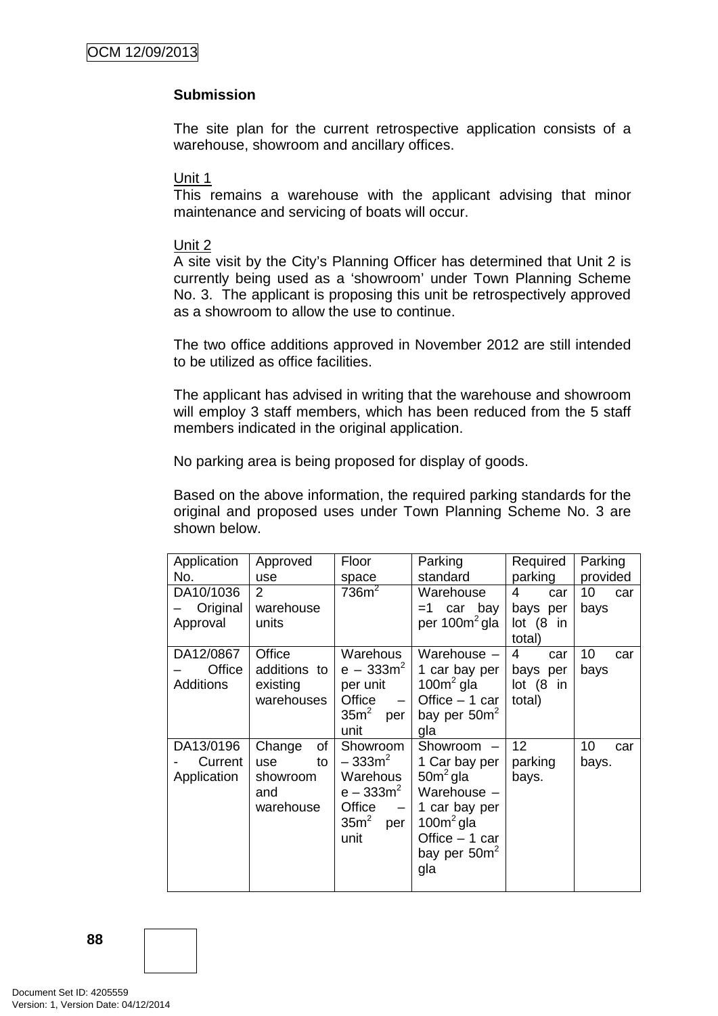# **Submission**

The site plan for the current retrospective application consists of a warehouse, showroom and ancillary offices.

#### Unit 1

This remains a warehouse with the applicant advising that minor maintenance and servicing of boats will occur.

## Unit 2

A site visit by the City's Planning Officer has determined that Unit 2 is currently being used as a 'showroom' under Town Planning Scheme No. 3. The applicant is proposing this unit be retrospectively approved as a showroom to allow the use to continue.

The two office additions approved in November 2012 are still intended to be utilized as office facilities.

The applicant has advised in writing that the warehouse and showroom will employ 3 staff members, which has been reduced from the 5 staff members indicated in the original application.

No parking area is being proposed for display of goods.

Based on the above information, the required parking standards for the original and proposed uses under Town Planning Scheme No. 3 are shown below.

| Application<br>No.                  | Approved<br>use                                           | Floor<br>space                                                                                    | Parking<br>standard                                                                                                                  | Required<br>parking                                | Parking<br>provided |
|-------------------------------------|-----------------------------------------------------------|---------------------------------------------------------------------------------------------------|--------------------------------------------------------------------------------------------------------------------------------------|----------------------------------------------------|---------------------|
| DA10/1036<br>Original<br>Approval   | $\overline{2}$<br>warehouse<br>units                      | $736m^2$                                                                                          | Warehouse<br>car bay<br>$=1$<br>per 100m <sup>2</sup> gla                                                                            | 4<br>car<br>bays<br>per<br>$lot$ $(8$ in<br>total) | 10<br>car<br>bays   |
| DA12/0867<br>Office<br>Additions    | Office<br>additions to<br>existing<br>warehouses          | Warehous<br>$e - 333m^2$<br>per unit<br>Office<br>$ \,$<br>35 $m^2$ per<br>unit                   | Warehouse -<br>1 car bay per<br>100 $m2$ gla<br>Office $-1$ car<br>bay per $50m²$<br>gla                                             | 4<br>car<br>bays per<br>$lot$ $(8$ in<br>total)    | 10<br>car<br>bays   |
| DA13/0196<br>Current<br>Application | of<br>Change<br>to<br>use<br>showroom<br>and<br>warehouse | Showroom<br>$-333$ m $^2$<br>Warehous<br>$e - 333m2$<br>Office<br>35m <sup>2</sup><br>per<br>unit | Showroom<br>1 Car bay per<br>$502$ gla<br>Warehouse $-$<br>1 car bay per<br>$100m^2$ gla<br>Office $-1$ car<br>bay per $50m²$<br>gla | 12<br>parking<br>bays.                             | 10<br>car<br>bays.  |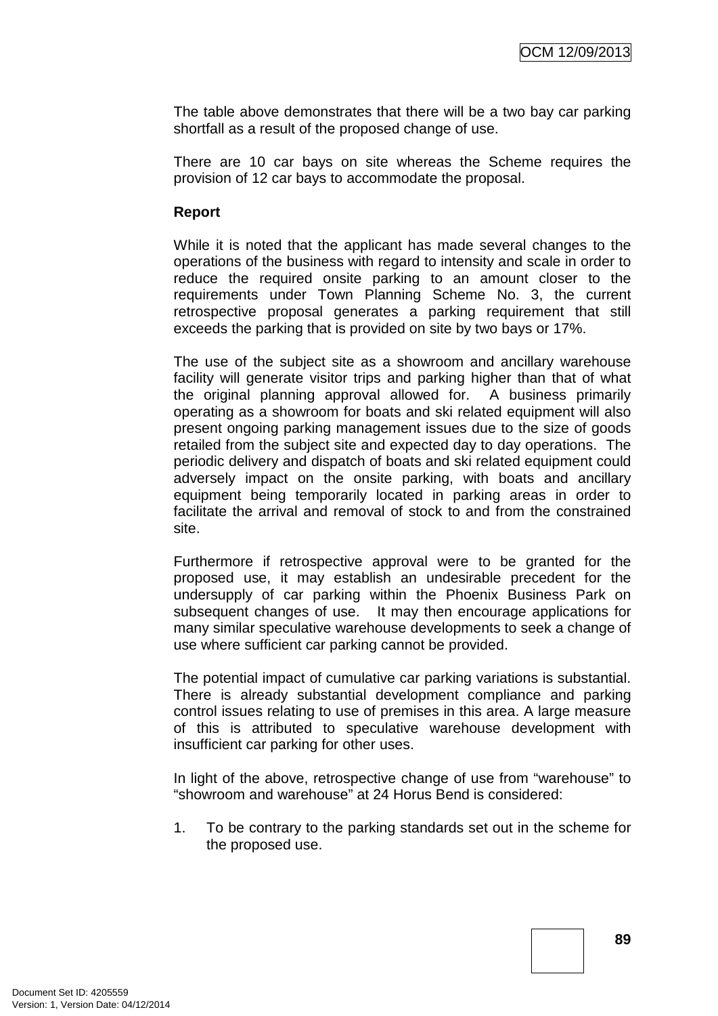The table above demonstrates that there will be a two bay car parking shortfall as a result of the proposed change of use.

There are 10 car bays on site whereas the Scheme requires the provision of 12 car bays to accommodate the proposal.

#### **Report**

While it is noted that the applicant has made several changes to the operations of the business with regard to intensity and scale in order to reduce the required onsite parking to an amount closer to the requirements under Town Planning Scheme No. 3, the current retrospective proposal generates a parking requirement that still exceeds the parking that is provided on site by two bays or 17%.

The use of the subject site as a showroom and ancillary warehouse facility will generate visitor trips and parking higher than that of what the original planning approval allowed for. A business primarily operating as a showroom for boats and ski related equipment will also present ongoing parking management issues due to the size of goods retailed from the subject site and expected day to day operations. The periodic delivery and dispatch of boats and ski related equipment could adversely impact on the onsite parking, with boats and ancillary equipment being temporarily located in parking areas in order to facilitate the arrival and removal of stock to and from the constrained site.

Furthermore if retrospective approval were to be granted for the proposed use, it may establish an undesirable precedent for the undersupply of car parking within the Phoenix Business Park on subsequent changes of use. It may then encourage applications for many similar speculative warehouse developments to seek a change of use where sufficient car parking cannot be provided.

The potential impact of cumulative car parking variations is substantial. There is already substantial development compliance and parking control issues relating to use of premises in this area. A large measure of this is attributed to speculative warehouse development with insufficient car parking for other uses.

In light of the above, retrospective change of use from "warehouse" to "showroom and warehouse" at 24 Horus Bend is considered:

1. To be contrary to the parking standards set out in the scheme for the proposed use.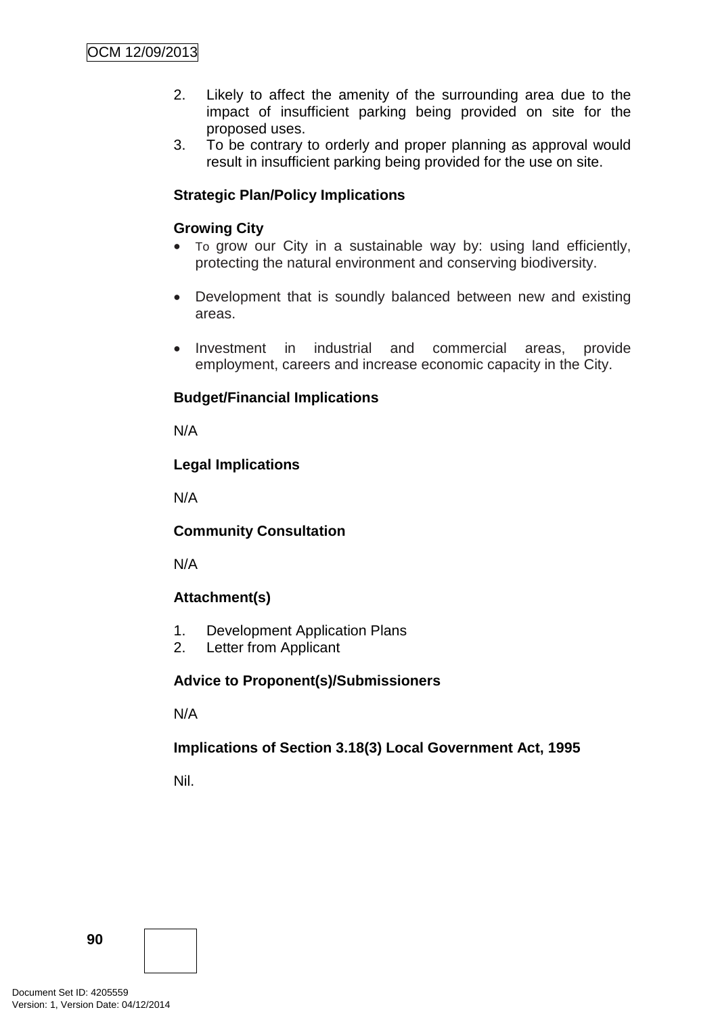- 2. Likely to affect the amenity of the surrounding area due to the impact of insufficient parking being provided on site for the proposed uses.
- 3. To be contrary to orderly and proper planning as approval would result in insufficient parking being provided for the use on site.

## **Strategic Plan/Policy Implications**

## **Growing City**

- To grow our City in a sustainable way by: using land efficiently, protecting the natural environment and conserving biodiversity.
- Development that is soundly balanced between new and existing areas.
- Investment in industrial and commercial areas, provide employment, careers and increase economic capacity in the City.

#### **Budget/Financial Implications**

N/A

#### **Legal Implications**

N/A

## **Community Consultation**

N/A

## **Attachment(s)**

- 1. Development Application Plans
- 2. Letter from Applicant

## **Advice to Proponent(s)/Submissioners**

N/A

## **Implications of Section 3.18(3) Local Government Act, 1995**

Nil.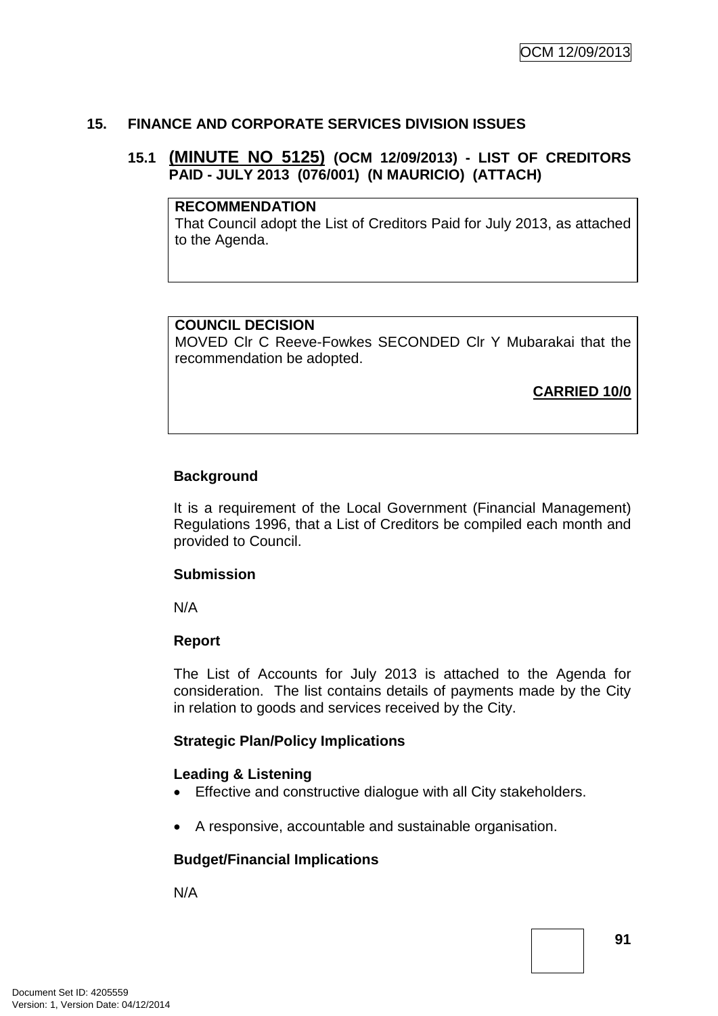## **15. FINANCE AND CORPORATE SERVICES DIVISION ISSUES**

# **15.1 (MINUTE NO 5125) (OCM 12/09/2013) - LIST OF CREDITORS PAID - JULY 2013 (076/001) (N MAURICIO) (ATTACH)**

## **RECOMMENDATION**

That Council adopt the List of Creditors Paid for July 2013, as attached to the Agenda.

# **COUNCIL DECISION**

MOVED Clr C Reeve-Fowkes SECONDED Clr Y Mubarakai that the recommendation be adopted.

**CARRIED 10/0**

# **Background**

It is a requirement of the Local Government (Financial Management) Regulations 1996, that a List of Creditors be compiled each month and provided to Council.

## **Submission**

N/A

## **Report**

The List of Accounts for July 2013 is attached to the Agenda for consideration. The list contains details of payments made by the City in relation to goods and services received by the City.

## **Strategic Plan/Policy Implications**

## **Leading & Listening**

- Effective and constructive dialogue with all City stakeholders.
- A responsive, accountable and sustainable organisation.

# **Budget/Financial Implications**

N/A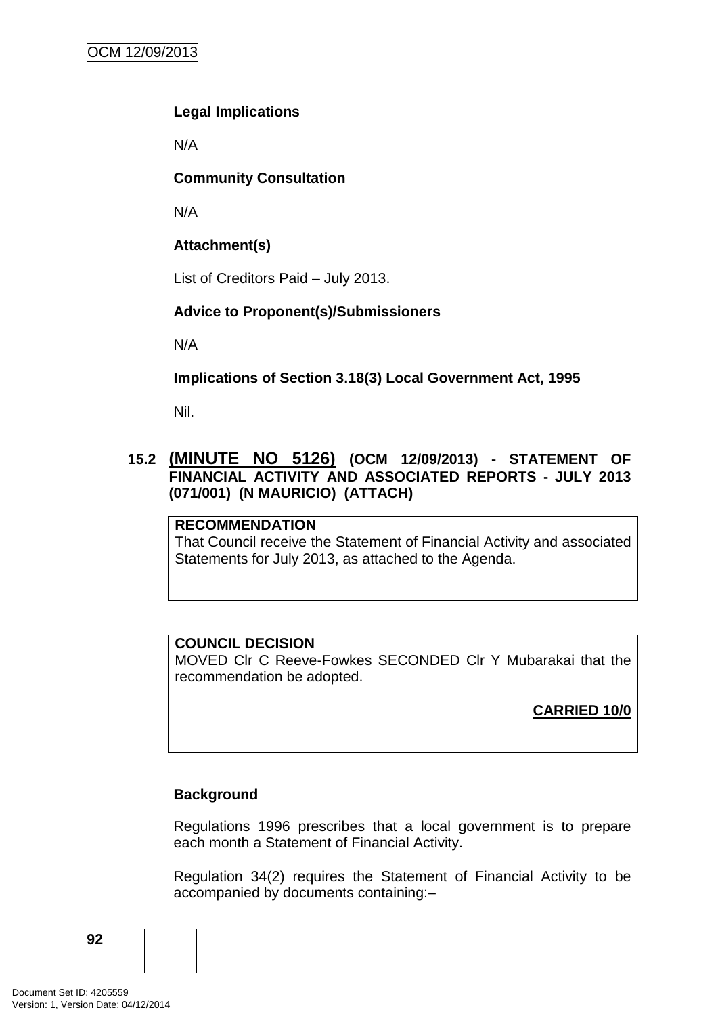# **Legal Implications**

N/A

# **Community Consultation**

N/A

# **Attachment(s)**

List of Creditors Paid – July 2013.

# **Advice to Proponent(s)/Submissioners**

N/A

**Implications of Section 3.18(3) Local Government Act, 1995**

Nil.

# **15.2 (MINUTE NO 5126) (OCM 12/09/2013) - STATEMENT OF FINANCIAL ACTIVITY AND ASSOCIATED REPORTS - JULY 2013 (071/001) (N MAURICIO) (ATTACH)**

## **RECOMMENDATION**

That Council receive the Statement of Financial Activity and associated Statements for July 2013, as attached to the Agenda.

## **COUNCIL DECISION**

MOVED Clr C Reeve-Fowkes SECONDED Clr Y Mubarakai that the recommendation be adopted.

**CARRIED 10/0**

# **Background**

Regulations 1996 prescribes that a local government is to prepare each month a Statement of Financial Activity.

Regulation 34(2) requires the Statement of Financial Activity to be accompanied by documents containing:–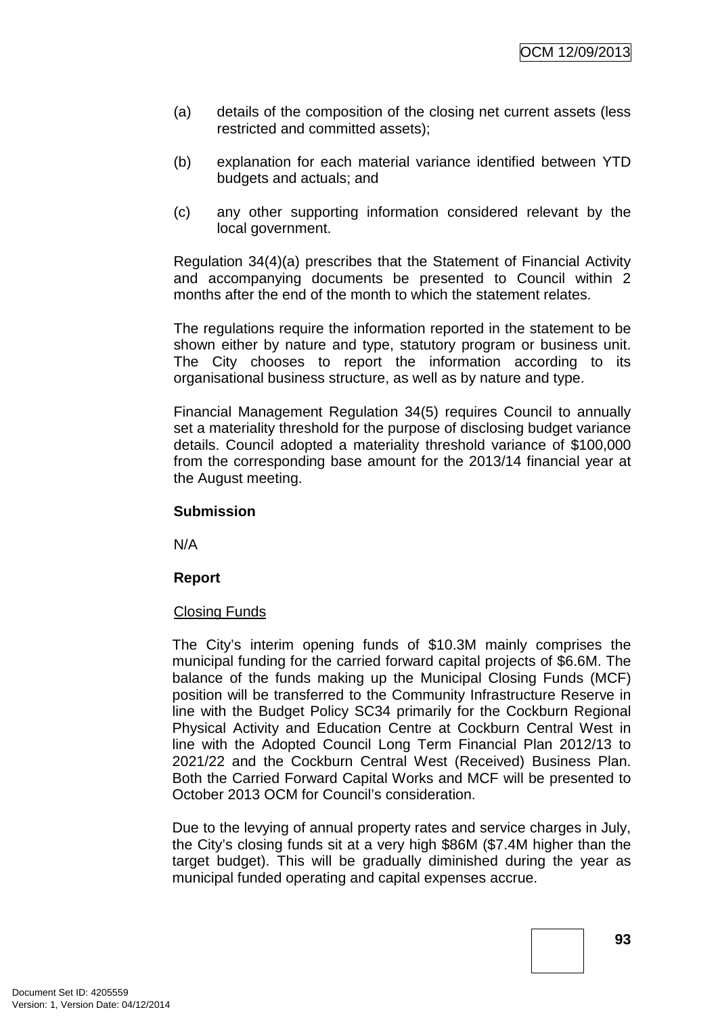- (a) details of the composition of the closing net current assets (less restricted and committed assets);
- (b) explanation for each material variance identified between YTD budgets and actuals; and
- (c) any other supporting information considered relevant by the local government.

Regulation 34(4)(a) prescribes that the Statement of Financial Activity and accompanying documents be presented to Council within 2 months after the end of the month to which the statement relates.

The regulations require the information reported in the statement to be shown either by nature and type, statutory program or business unit. The City chooses to report the information according to its organisational business structure, as well as by nature and type.

Financial Management Regulation 34(5) requires Council to annually set a materiality threshold for the purpose of disclosing budget variance details. Council adopted a materiality threshold variance of \$100,000 from the corresponding base amount for the 2013/14 financial year at the August meeting.

## **Submission**

N/A

## **Report**

## Closing Funds

The City's interim opening funds of \$10.3M mainly comprises the municipal funding for the carried forward capital projects of \$6.6M. The balance of the funds making up the Municipal Closing Funds (MCF) position will be transferred to the Community Infrastructure Reserve in line with the Budget Policy SC34 primarily for the Cockburn Regional Physical Activity and Education Centre at Cockburn Central West in line with the Adopted Council Long Term Financial Plan 2012/13 to 2021/22 and the Cockburn Central West (Received) Business Plan. Both the Carried Forward Capital Works and MCF will be presented to October 2013 OCM for Council's consideration.

Due to the levying of annual property rates and service charges in July, the City's closing funds sit at a very high \$86M (\$7.4M higher than the target budget). This will be gradually diminished during the year as municipal funded operating and capital expenses accrue.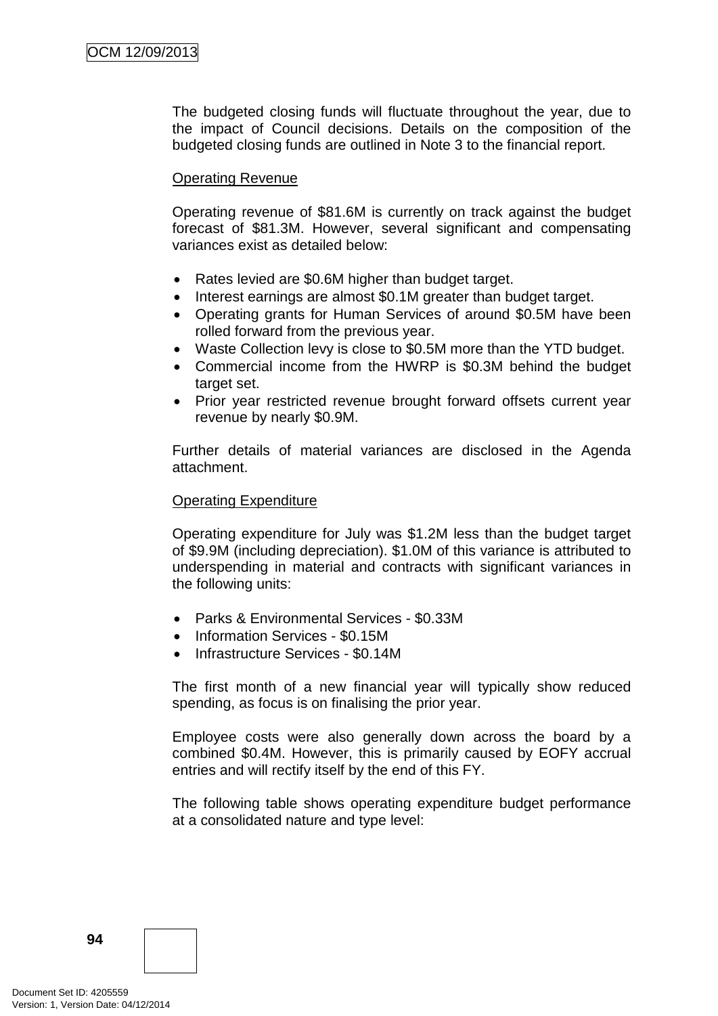The budgeted closing funds will fluctuate throughout the year, due to the impact of Council decisions. Details on the composition of the budgeted closing funds are outlined in Note 3 to the financial report.

## Operating Revenue

Operating revenue of \$81.6M is currently on track against the budget forecast of \$81.3M. However, several significant and compensating variances exist as detailed below:

- Rates levied are \$0.6M higher than budget target.
- Interest earnings are almost \$0.1M greater than budget target.
- Operating grants for Human Services of around \$0.5M have been rolled forward from the previous year.
- Waste Collection levy is close to \$0.5M more than the YTD budget.
- Commercial income from the HWRP is \$0.3M behind the budget target set.
- Prior year restricted revenue brought forward offsets current year revenue by nearly \$0.9M.

Further details of material variances are disclosed in the Agenda attachment.

#### Operating Expenditure

Operating expenditure for July was \$1.2M less than the budget target of \$9.9M (including depreciation). \$1.0M of this variance is attributed to underspending in material and contracts with significant variances in the following units:

- Parks & Environmental Services \$0.33M
- Information Services \$0.15M
- Infrastructure Services \$0.14M

The first month of a new financial year will typically show reduced spending, as focus is on finalising the prior year.

Employee costs were also generally down across the board by a combined \$0.4M. However, this is primarily caused by EOFY accrual entries and will rectify itself by the end of this FY.

The following table shows operating expenditure budget performance at a consolidated nature and type level:

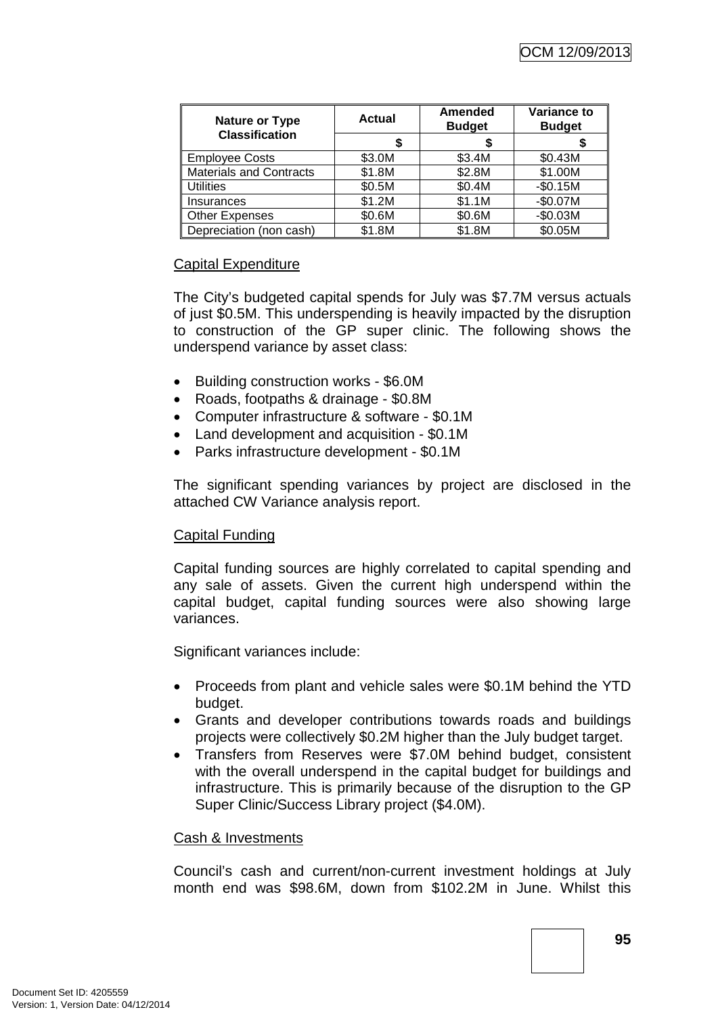| Nature or Type<br><b>Classification</b> | Actual | Amended<br><b>Budget</b> | <b>Variance to</b><br><b>Budget</b> |
|-----------------------------------------|--------|--------------------------|-------------------------------------|
|                                         |        |                          |                                     |
| <b>Employee Costs</b>                   | \$3.0M | \$3.4M                   | \$0.43M                             |
| <b>Materials and Contracts</b>          | \$1.8M | \$2.8M                   | \$1.00M                             |
| <b>Utilities</b>                        | \$0.5M | \$0.4M                   | $-$0.15M$                           |
| Insurances                              | \$1.2M | \$1.1M                   | $-$0.07M$                           |
| <b>Other Expenses</b>                   | \$0.6M | \$0.6M                   | $-$0.03M$                           |
| Depreciation (non cash)                 | \$1.8M | \$1.8M                   | \$0.05M                             |

## Capital Expenditure

The City's budgeted capital spends for July was \$7.7M versus actuals of just \$0.5M. This underspending is heavily impacted by the disruption to construction of the GP super clinic. The following shows the underspend variance by asset class:

- Building construction works \$6.0M
- Roads, footpaths & drainage \$0.8M
- Computer infrastructure & software \$0.1M
- Land development and acquisition \$0.1M
- Parks infrastructure development \$0.1M

The significant spending variances by project are disclosed in the attached CW Variance analysis report.

#### Capital Funding

Capital funding sources are highly correlated to capital spending and any sale of assets. Given the current high underspend within the capital budget, capital funding sources were also showing large variances.

Significant variances include:

- Proceeds from plant and vehicle sales were \$0.1M behind the YTD budget.
- Grants and developer contributions towards roads and buildings projects were collectively \$0.2M higher than the July budget target.
- Transfers from Reserves were \$7.0M behind budget, consistent with the overall underspend in the capital budget for buildings and infrastructure. This is primarily because of the disruption to the GP Super Clinic/Success Library project (\$4.0M).

#### Cash & Investments

Council's cash and current/non-current investment holdings at July month end was \$98.6M, down from \$102.2M in June. Whilst this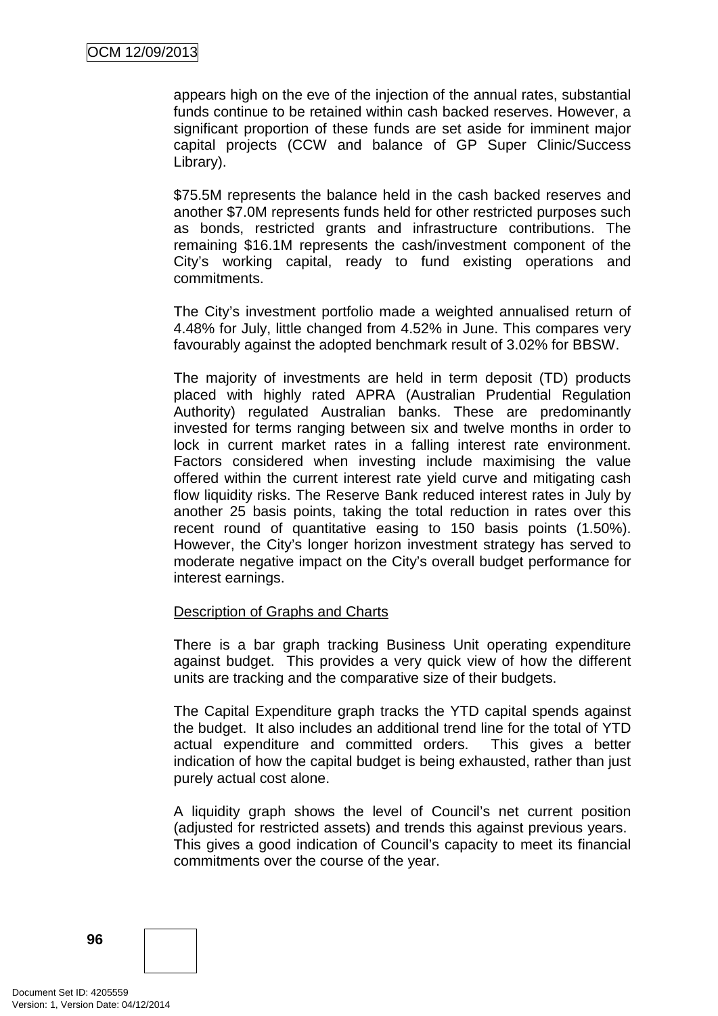appears high on the eve of the injection of the annual rates, substantial funds continue to be retained within cash backed reserves. However, a significant proportion of these funds are set aside for imminent major capital projects (CCW and balance of GP Super Clinic/Success Library).

\$75.5M represents the balance held in the cash backed reserves and another \$7.0M represents funds held for other restricted purposes such as bonds, restricted grants and infrastructure contributions. The remaining \$16.1M represents the cash/investment component of the City's working capital, ready to fund existing operations and commitments.

The City's investment portfolio made a weighted annualised return of 4.48% for July, little changed from 4.52% in June. This compares very favourably against the adopted benchmark result of 3.02% for BBSW.

The majority of investments are held in term deposit (TD) products placed with highly rated APRA (Australian Prudential Regulation Authority) regulated Australian banks. These are predominantly invested for terms ranging between six and twelve months in order to lock in current market rates in a falling interest rate environment. Factors considered when investing include maximising the value offered within the current interest rate yield curve and mitigating cash flow liquidity risks. The Reserve Bank reduced interest rates in July by another 25 basis points, taking the total reduction in rates over this recent round of quantitative easing to 150 basis points (1.50%). However, the City's longer horizon investment strategy has served to moderate negative impact on the City's overall budget performance for interest earnings.

#### Description of Graphs and Charts

There is a bar graph tracking Business Unit operating expenditure against budget. This provides a very quick view of how the different units are tracking and the comparative size of their budgets.

The Capital Expenditure graph tracks the YTD capital spends against the budget. It also includes an additional trend line for the total of YTD actual expenditure and committed orders. This gives a better indication of how the capital budget is being exhausted, rather than just purely actual cost alone.

A liquidity graph shows the level of Council's net current position (adjusted for restricted assets) and trends this against previous years. This gives a good indication of Council's capacity to meet its financial commitments over the course of the year.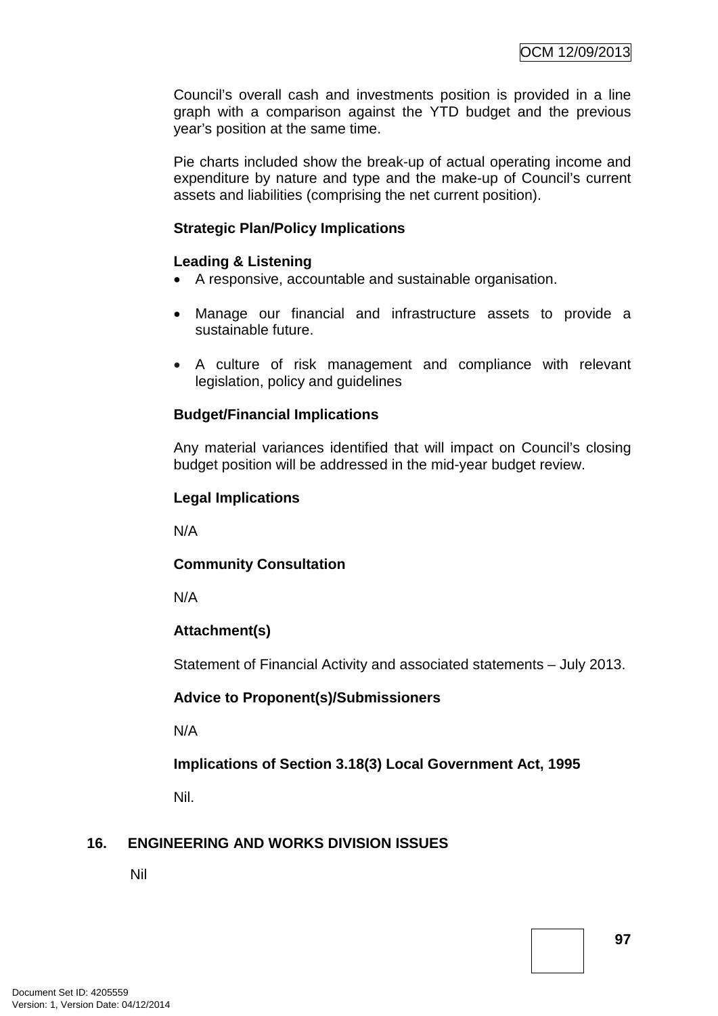Council's overall cash and investments position is provided in a line graph with a comparison against the YTD budget and the previous year's position at the same time.

Pie charts included show the break-up of actual operating income and expenditure by nature and type and the make-up of Council's current assets and liabilities (comprising the net current position).

## **Strategic Plan/Policy Implications**

## **Leading & Listening**

- A responsive, accountable and sustainable organisation.
- Manage our financial and infrastructure assets to provide a sustainable future.
- A culture of risk management and compliance with relevant legislation, policy and guidelines

# **Budget/Financial Implications**

Any material variances identified that will impact on Council's closing budget position will be addressed in the mid-year budget review.

# **Legal Implications**

N/A

# **Community Consultation**

N/A

# **Attachment(s)**

Statement of Financial Activity and associated statements – July 2013.

# **Advice to Proponent(s)/Submissioners**

N/A

# **Implications of Section 3.18(3) Local Government Act, 1995**

Nil.

# **16. ENGINEERING AND WORKS DIVISION ISSUES**

Nil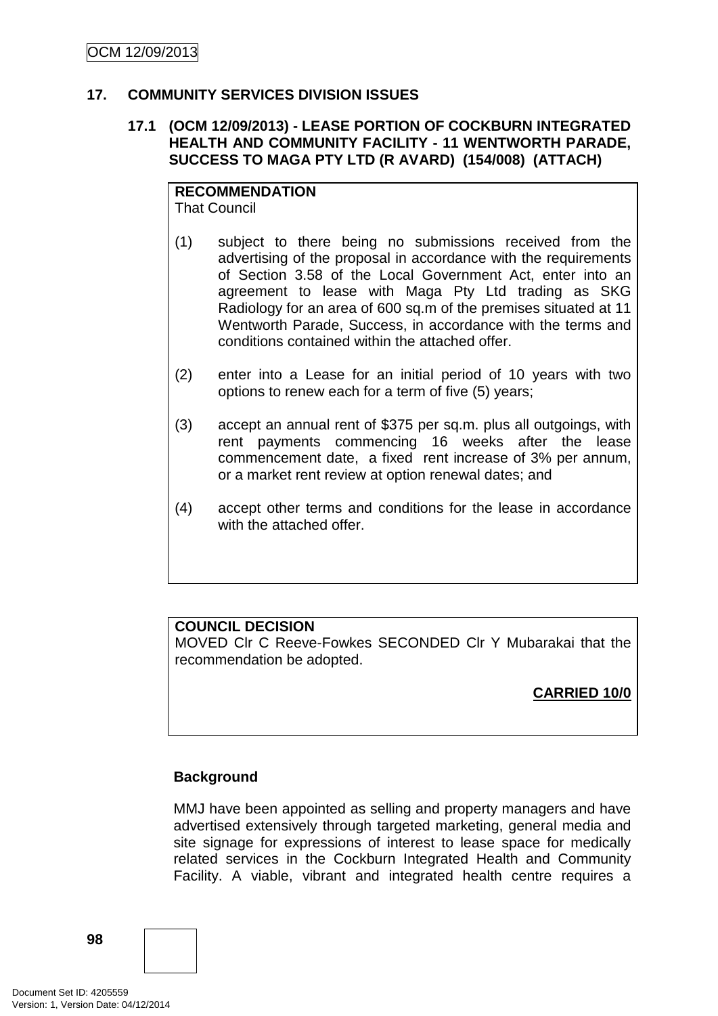## **17. COMMUNITY SERVICES DIVISION ISSUES**

## **17.1 (OCM 12/09/2013) - LEASE PORTION OF COCKBURN INTEGRATED HEALTH AND COMMUNITY FACILITY - 11 WENTWORTH PARADE, SUCCESS TO MAGA PTY LTD (R AVARD) (154/008) (ATTACH)**

**RECOMMENDATION** That Council

- (1) subject to there being no submissions received from the advertising of the proposal in accordance with the requirements of Section 3.58 of the Local Government Act, enter into an agreement to lease with Maga Pty Ltd trading as SKG Radiology for an area of 600 sq.m of the premises situated at 11 Wentworth Parade, Success, in accordance with the terms and conditions contained within the attached offer.
- (2) enter into a Lease for an initial period of 10 years with two options to renew each for a term of five (5) years;
- (3) accept an annual rent of \$375 per sq.m. plus all outgoings, with rent payments commencing 16 weeks after the lease commencement date, a fixed rent increase of 3% per annum, or a market rent review at option renewal dates; and
- (4) accept other terms and conditions for the lease in accordance with the attached offer.

## **COUNCIL DECISION**

MOVED Clr C Reeve-Fowkes SECONDED Clr Y Mubarakai that the recommendation be adopted.

# **CARRIED 10/0**

## **Background**

MMJ have been appointed as selling and property managers and have advertised extensively through targeted marketing, general media and site signage for expressions of interest to lease space for medically related services in the Cockburn Integrated Health and Community Facility. A viable, vibrant and integrated health centre requires a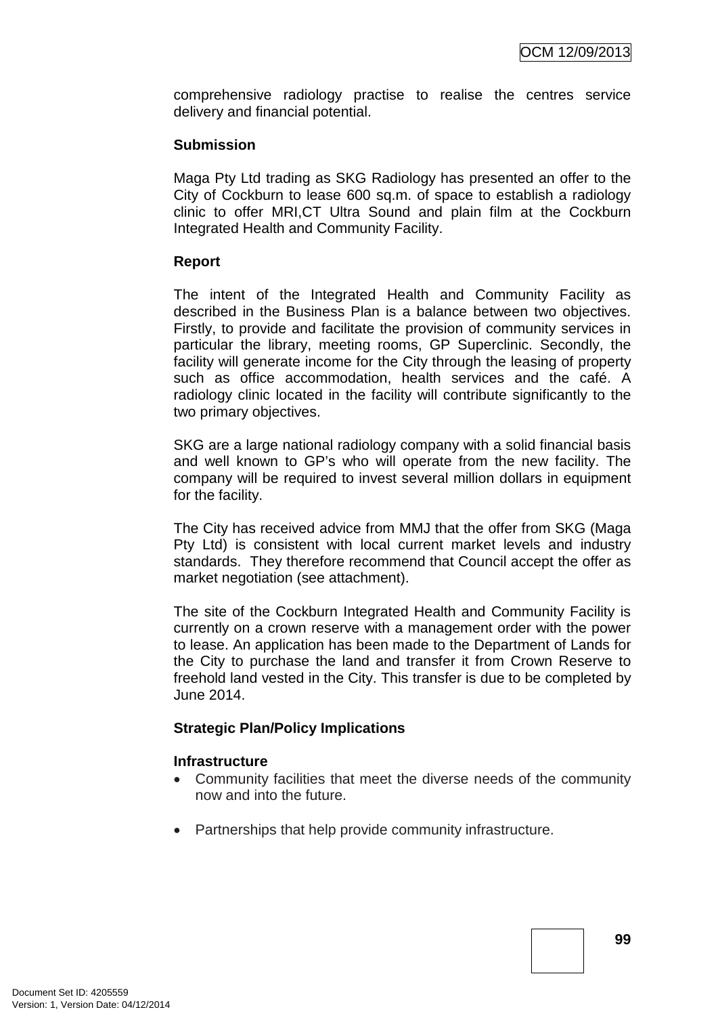comprehensive radiology practise to realise the centres service delivery and financial potential.

## **Submission**

Maga Pty Ltd trading as SKG Radiology has presented an offer to the City of Cockburn to lease 600 sq.m. of space to establish a radiology clinic to offer MRI,CT Ultra Sound and plain film at the Cockburn Integrated Health and Community Facility.

## **Report**

The intent of the Integrated Health and Community Facility as described in the Business Plan is a balance between two objectives. Firstly, to provide and facilitate the provision of community services in particular the library, meeting rooms, GP Superclinic. Secondly, the facility will generate income for the City through the leasing of property such as office accommodation, health services and the café. A radiology clinic located in the facility will contribute significantly to the two primary objectives.

SKG are a large national radiology company with a solid financial basis and well known to GP's who will operate from the new facility. The company will be required to invest several million dollars in equipment for the facility.

The City has received advice from MMJ that the offer from SKG (Maga Pty Ltd) is consistent with local current market levels and industry standards. They therefore recommend that Council accept the offer as market negotiation (see attachment).

The site of the Cockburn Integrated Health and Community Facility is currently on a crown reserve with a management order with the power to lease. An application has been made to the Department of Lands for the City to purchase the land and transfer it from Crown Reserve to freehold land vested in the City. This transfer is due to be completed by June 2014.

## **Strategic Plan/Policy Implications**

#### **Infrastructure**

- Community facilities that meet the diverse needs of the community now and into the future.
- Partnerships that help provide community infrastructure.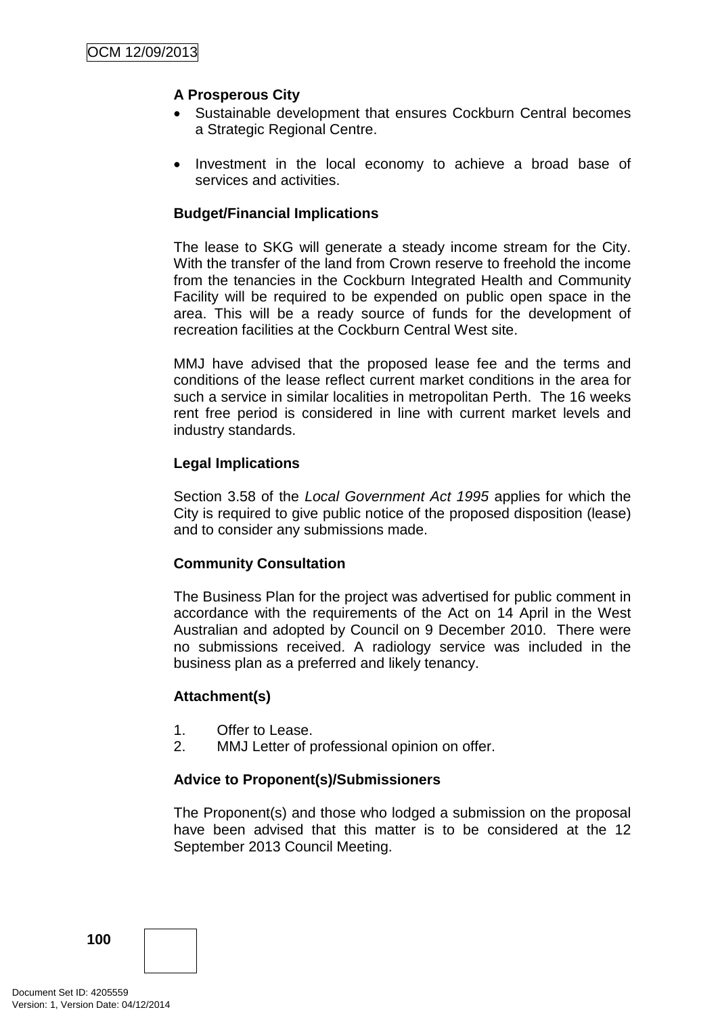# **A Prosperous City**

- Sustainable development that ensures Cockburn Central becomes a Strategic Regional Centre.
- Investment in the local economy to achieve a broad base of services and activities.

## **Budget/Financial Implications**

The lease to SKG will generate a steady income stream for the City. With the transfer of the land from Crown reserve to freehold the income from the tenancies in the Cockburn Integrated Health and Community Facility will be required to be expended on public open space in the area. This will be a ready source of funds for the development of recreation facilities at the Cockburn Central West site.

MMJ have advised that the proposed lease fee and the terms and conditions of the lease reflect current market conditions in the area for such a service in similar localities in metropolitan Perth. The 16 weeks rent free period is considered in line with current market levels and industry standards.

## **Legal Implications**

Section 3.58 of the *Local Government Act 1995* applies for which the City is required to give public notice of the proposed disposition (lease) and to consider any submissions made.

## **Community Consultation**

The Business Plan for the project was advertised for public comment in accordance with the requirements of the Act on 14 April in the West Australian and adopted by Council on 9 December 2010. There were no submissions received. A radiology service was included in the business plan as a preferred and likely tenancy.

# **Attachment(s)**

- 1. Offer to Lease.
- 2. MMJ Letter of professional opinion on offer.

## **Advice to Proponent(s)/Submissioners**

The Proponent(s) and those who lodged a submission on the proposal have been advised that this matter is to be considered at the 12 September 2013 Council Meeting.

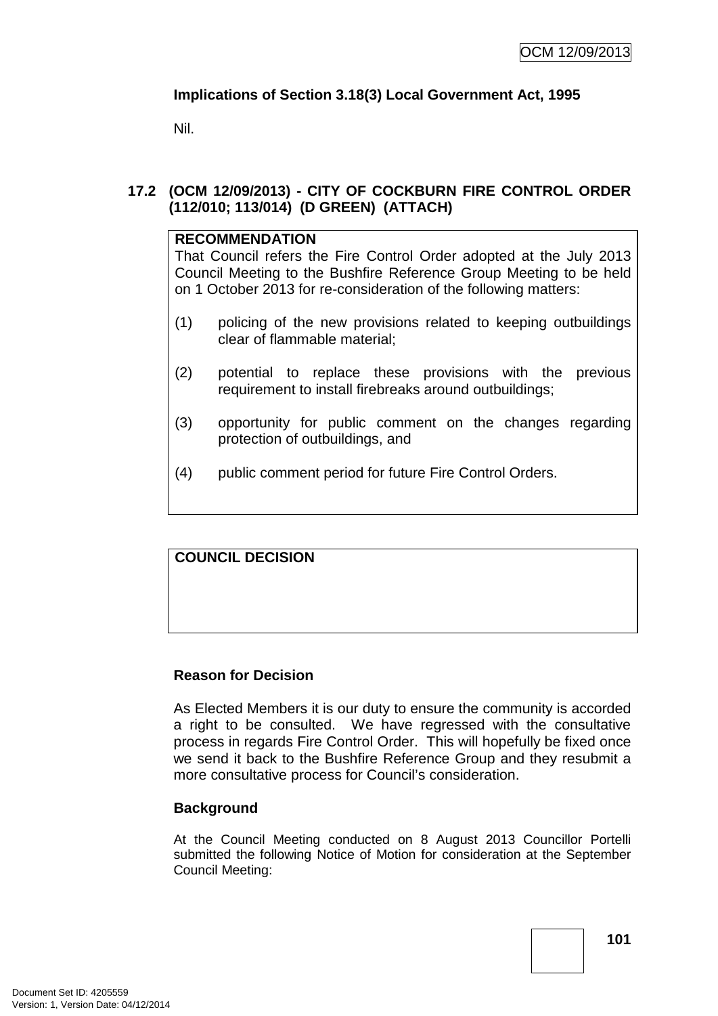# **Implications of Section 3.18(3) Local Government Act, 1995**

Nil.

## **17.2 (OCM 12/09/2013) - CITY OF COCKBURN FIRE CONTROL ORDER (112/010; 113/014) (D GREEN) (ATTACH)**

## **RECOMMENDATION**

That Council refers the Fire Control Order adopted at the July 2013 Council Meeting to the Bushfire Reference Group Meeting to be held on 1 October 2013 for re-consideration of the following matters:

- (1) policing of the new provisions related to keeping outbuildings clear of flammable material;
- (2) potential to replace these provisions with the previous requirement to install firebreaks around outbuildings;
- (3) opportunity for public comment on the changes regarding protection of outbuildings, and
- (4) public comment period for future Fire Control Orders.

## **COUNCIL DECISION**

## **Reason for Decision**

As Elected Members it is our duty to ensure the community is accorded a right to be consulted. We have regressed with the consultative process in regards Fire Control Order. This will hopefully be fixed once we send it back to the Bushfire Reference Group and they resubmit a more consultative process for Council's consideration.

## **Background**

At the Council Meeting conducted on 8 August 2013 Councillor Portelli submitted the following Notice of Motion for consideration at the September Council Meeting: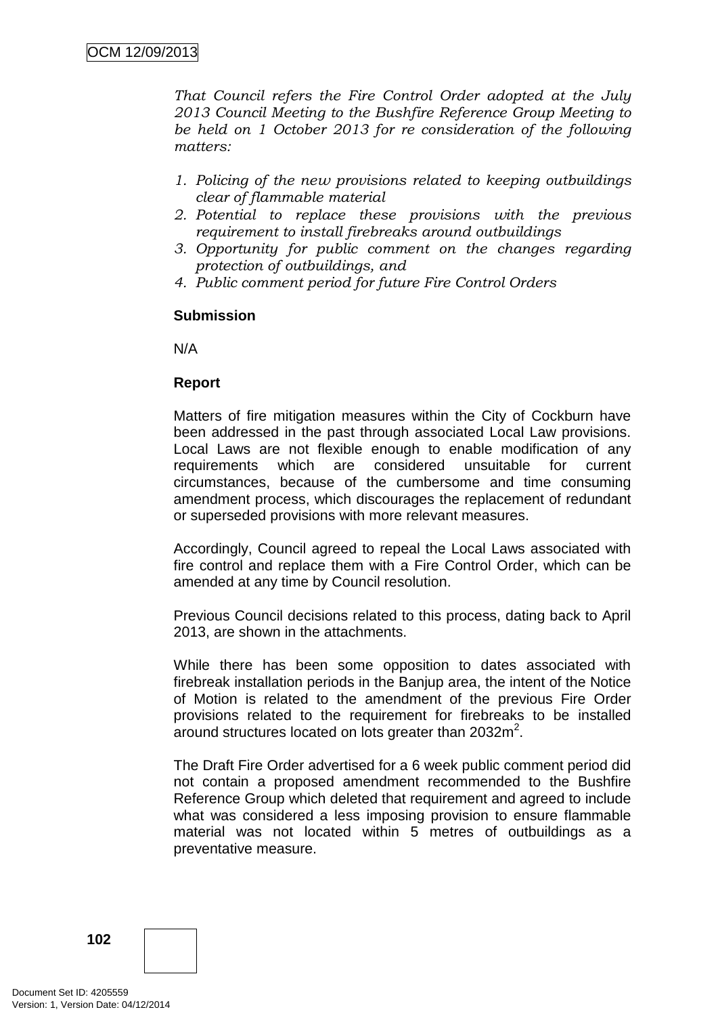*That Council refers the Fire Control Order adopted at the July 2013 Council Meeting to the Bushfire Reference Group Meeting to be held on 1 October 2013 for re consideration of the following matters:*

- *1. Policing of the new provisions related to keeping outbuildings clear of flammable material*
- *2. Potential to replace these provisions with the previous requirement to install firebreaks around outbuildings*
- *3. Opportunity for public comment on the changes regarding protection of outbuildings, and*
- *4. Public comment period for future Fire Control Orders*

#### **Submission**

N/A

#### **Report**

Matters of fire mitigation measures within the City of Cockburn have been addressed in the past through associated Local Law provisions. Local Laws are not flexible enough to enable modification of any requirements which are considered unsuitable for current circumstances, because of the cumbersome and time consuming amendment process, which discourages the replacement of redundant or superseded provisions with more relevant measures.

Accordingly, Council agreed to repeal the Local Laws associated with fire control and replace them with a Fire Control Order, which can be amended at any time by Council resolution.

Previous Council decisions related to this process, dating back to April 2013, are shown in the attachments.

While there has been some opposition to dates associated with firebreak installation periods in the Banjup area, the intent of the Notice of Motion is related to the amendment of the previous Fire Order provisions related to the requirement for firebreaks to be installed around structures located on lots greater than 2032m<sup>2</sup>.

The Draft Fire Order advertised for a 6 week public comment period did not contain a proposed amendment recommended to the Bushfire Reference Group which deleted that requirement and agreed to include what was considered a less imposing provision to ensure flammable material was not located within 5 metres of outbuildings as a preventative measure.

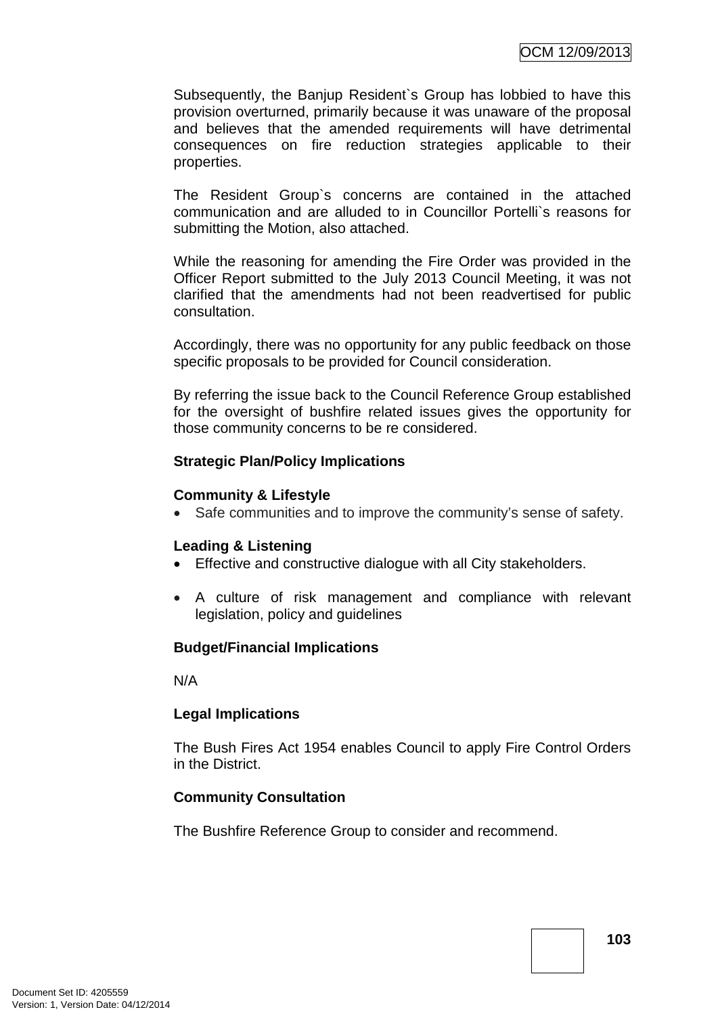Subsequently, the Banjup Resident`s Group has lobbied to have this provision overturned, primarily because it was unaware of the proposal and believes that the amended requirements will have detrimental consequences on fire reduction strategies applicable to their properties.

The Resident Group`s concerns are contained in the attached communication and are alluded to in Councillor Portelli`s reasons for submitting the Motion, also attached.

While the reasoning for amending the Fire Order was provided in the Officer Report submitted to the July 2013 Council Meeting, it was not clarified that the amendments had not been readvertised for public consultation.

Accordingly, there was no opportunity for any public feedback on those specific proposals to be provided for Council consideration.

By referring the issue back to the Council Reference Group established for the oversight of bushfire related issues gives the opportunity for those community concerns to be re considered.

## **Strategic Plan/Policy Implications**

## **Community & Lifestyle**

Safe communities and to improve the community's sense of safety.

## **Leading & Listening**

- Effective and constructive dialogue with all City stakeholders.
- A culture of risk management and compliance with relevant legislation, policy and guidelines

## **Budget/Financial Implications**

N/A

## **Legal Implications**

The Bush Fires Act 1954 enables Council to apply Fire Control Orders in the District.

## **Community Consultation**

The Bushfire Reference Group to consider and recommend.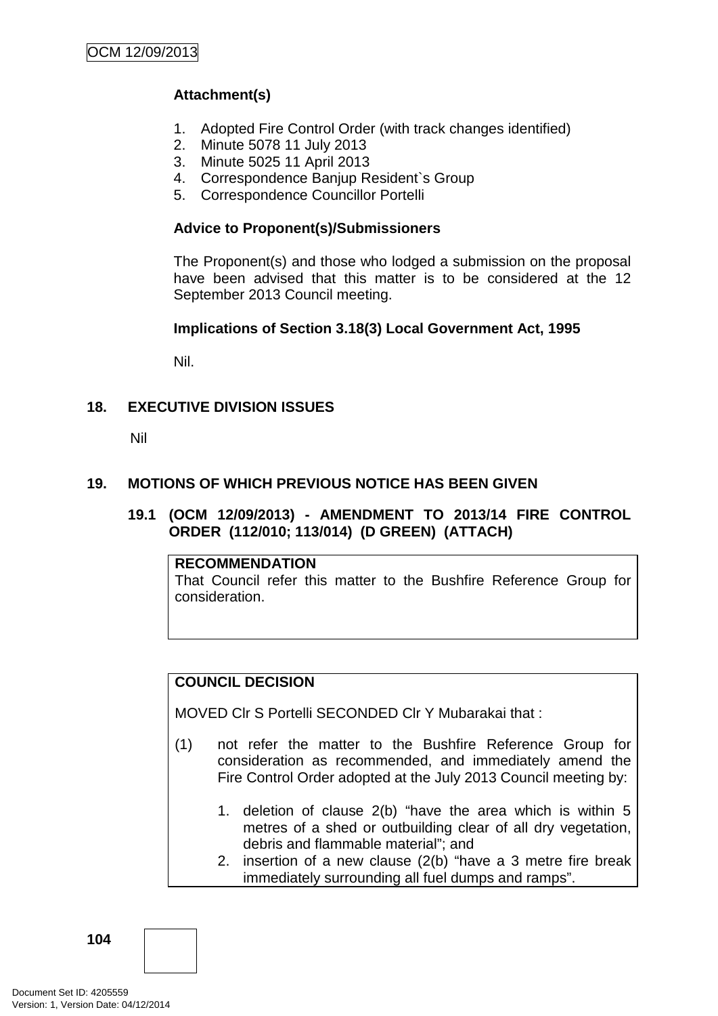# **Attachment(s)**

- 1. Adopted Fire Control Order (with track changes identified)
- 2. Minute 5078 11 July 2013
- 3. Minute 5025 11 April 2013
- 4. Correspondence Banjup Resident`s Group
- 5. Correspondence Councillor Portelli

## **Advice to Proponent(s)/Submissioners**

The Proponent(s) and those who lodged a submission on the proposal have been advised that this matter is to be considered at the 12 September 2013 Council meeting.

## **Implications of Section 3.18(3) Local Government Act, 1995**

Nil.

# **18. EXECUTIVE DIVISION ISSUES**

Nil

# **19. MOTIONS OF WHICH PREVIOUS NOTICE HAS BEEN GIVEN**

**19.1 (OCM 12/09/2013) - AMENDMENT TO 2013/14 FIRE CONTROL ORDER (112/010; 113/014) (D GREEN) (ATTACH)**

## **RECOMMENDATION**

That Council refer this matter to the Bushfire Reference Group for consideration.

# **COUNCIL DECISION**

MOVED Clr S Portelli SECONDED Clr Y Mubarakai that :

- (1) not refer the matter to the Bushfire Reference Group for consideration as recommended, and immediately amend the Fire Control Order adopted at the July 2013 Council meeting by:
	- 1. deletion of clause 2(b) "have the area which is within 5 metres of a shed or outbuilding clear of all dry vegetation, debris and flammable material"; and
	- 2. insertion of a new clause (2(b) "have a 3 metre fire break immediately surrounding all fuel dumps and ramps".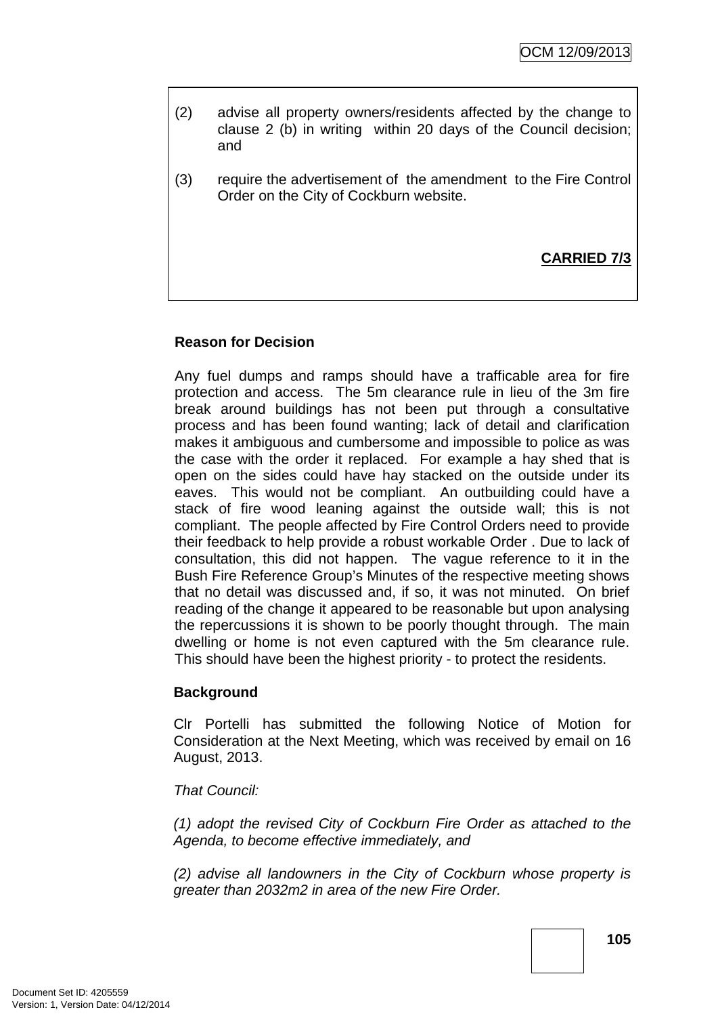- (2) advise all property owners/residents affected by the change to clause 2 (b) in writing within 20 days of the Council decision; and
- (3) require the advertisement of the amendment to the Fire Control Order on the City of Cockburn website.

# **CARRIED 7/3**

### **Reason for Decision**

Any fuel dumps and ramps should have a trafficable area for fire protection and access. The 5m clearance rule in lieu of the 3m fire break around buildings has not been put through a consultative process and has been found wanting; lack of detail and clarification makes it ambiguous and cumbersome and impossible to police as was the case with the order it replaced. For example a hay shed that is open on the sides could have hay stacked on the outside under its eaves. This would not be compliant. An outbuilding could have a stack of fire wood leaning against the outside wall; this is not compliant. The people affected by Fire Control Orders need to provide their feedback to help provide a robust workable Order . Due to lack of consultation, this did not happen. The vague reference to it in the Bush Fire Reference Group's Minutes of the respective meeting shows that no detail was discussed and, if so, it was not minuted. On brief reading of the change it appeared to be reasonable but upon analysing the repercussions it is shown to be poorly thought through. The main dwelling or home is not even captured with the 5m clearance rule. This should have been the highest priority - to protect the residents.

#### **Background**

Clr Portelli has submitted the following Notice of Motion for Consideration at the Next Meeting, which was received by email on 16 August, 2013.

#### *That Council:*

*(1) adopt the revised City of Cockburn Fire Order as attached to the Agenda, to become effective immediately, and*

*(2) advise all landowners in the City of Cockburn whose property is greater than 2032m2 in area of the new Fire Order.*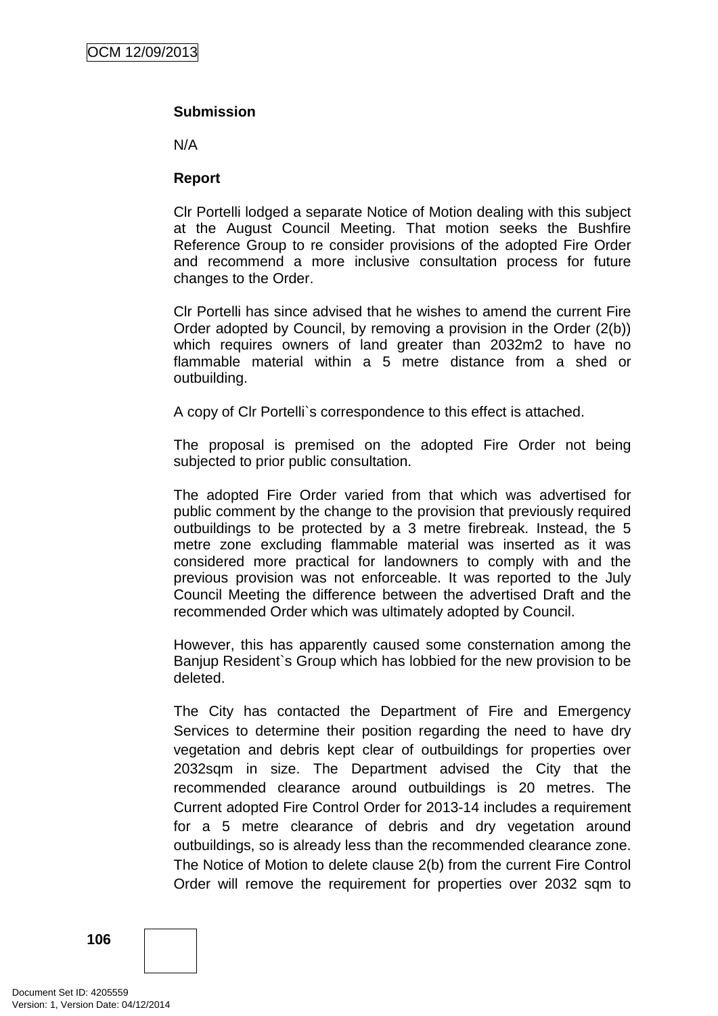#### **Submission**

N/A

#### **Report**

Clr Portelli lodged a separate Notice of Motion dealing with this subject at the August Council Meeting. That motion seeks the Bushfire Reference Group to re consider provisions of the adopted Fire Order and recommend a more inclusive consultation process for future changes to the Order.

Clr Portelli has since advised that he wishes to amend the current Fire Order adopted by Council, by removing a provision in the Order (2(b)) which requires owners of land greater than 2032m2 to have no flammable material within a 5 metre distance from a shed or outbuilding.

A copy of Clr Portelli`s correspondence to this effect is attached.

The proposal is premised on the adopted Fire Order not being subjected to prior public consultation.

The adopted Fire Order varied from that which was advertised for public comment by the change to the provision that previously required outbuildings to be protected by a 3 metre firebreak. Instead, the 5 metre zone excluding flammable material was inserted as it was considered more practical for landowners to comply with and the previous provision was not enforceable. It was reported to the July Council Meeting the difference between the advertised Draft and the recommended Order which was ultimately adopted by Council.

However, this has apparently caused some consternation among the Banjup Resident`s Group which has lobbied for the new provision to be deleted.

The City has contacted the Department of Fire and Emergency Services to determine their position regarding the need to have dry vegetation and debris kept clear of outbuildings for properties over 2032sqm in size. The Department advised the City that the recommended clearance around outbuildings is 20 metres. The Current adopted Fire Control Order for 2013-14 includes a requirement for a 5 metre clearance of debris and dry vegetation around outbuildings, so is already less than the recommended clearance zone. The Notice of Motion to delete clause 2(b) from the current Fire Control Order will remove the requirement for properties over 2032 sam to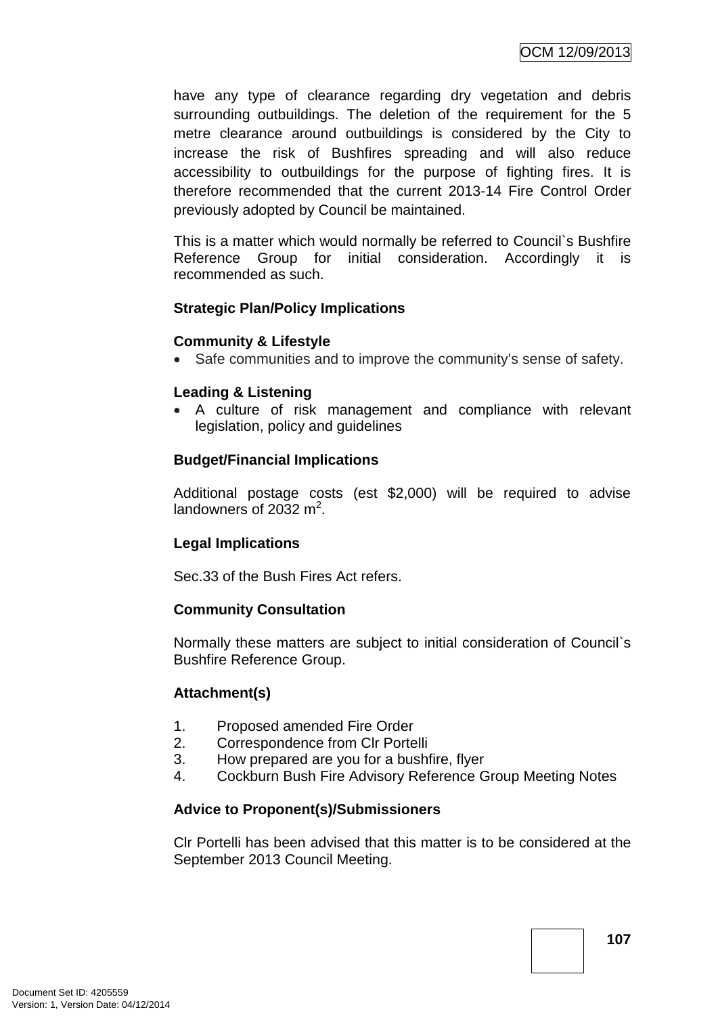have any type of clearance regarding dry vegetation and debris surrounding outbuildings. The deletion of the requirement for the 5 metre clearance around outbuildings is considered by the City to increase the risk of Bushfires spreading and will also reduce accessibility to outbuildings for the purpose of fighting fires. It is therefore recommended that the current 2013-14 Fire Control Order previously adopted by Council be maintained.

This is a matter which would normally be referred to Council`s Bushfire Reference Group for initial consideration. Accordingly it is recommended as such.

### **Strategic Plan/Policy Implications**

#### **Community & Lifestyle**

Safe communities and to improve the community's sense of safety.

#### **Leading & Listening**

• A culture of risk management and compliance with relevant legislation, policy and guidelines

### **Budget/Financial Implications**

Additional postage costs (est \$2,000) will be required to advise landowners of 2032  $m^2$ .

#### **Legal Implications**

Sec.33 of the Bush Fires Act refers.

#### **Community Consultation**

Normally these matters are subject to initial consideration of Council`s Bushfire Reference Group.

#### **Attachment(s)**

- 1. Proposed amended Fire Order
- 2. Correspondence from Clr Portelli
- 3. How prepared are you for a bushfire, flyer
- 4. Cockburn Bush Fire Advisory Reference Group Meeting Notes

#### **Advice to Proponent(s)/Submissioners**

Clr Portelli has been advised that this matter is to be considered at the September 2013 Council Meeting.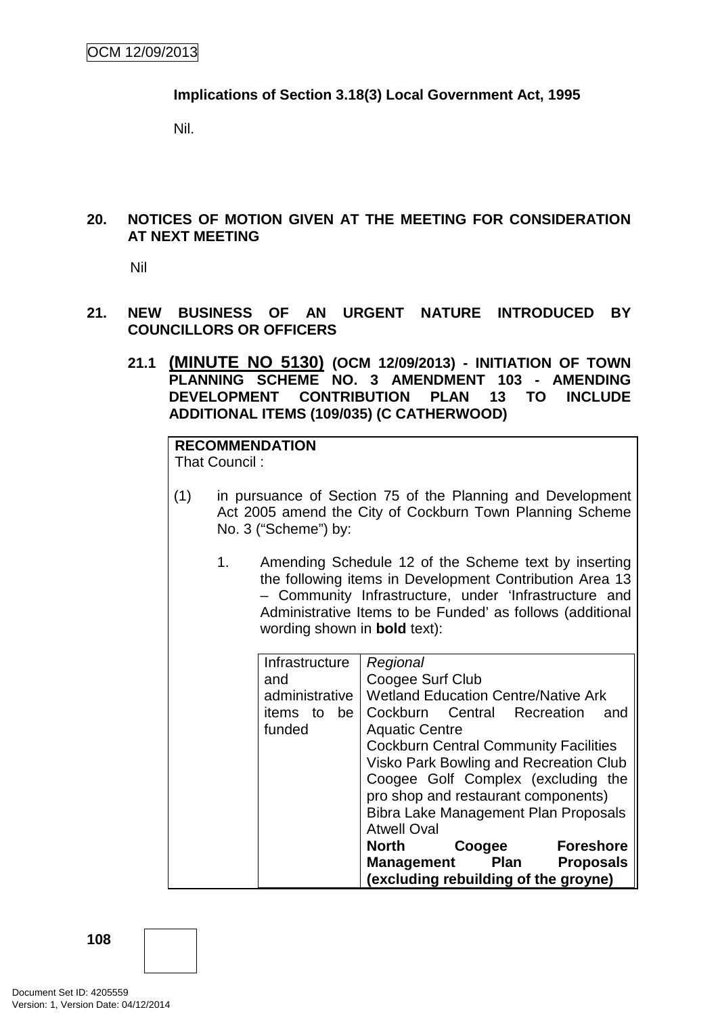**Implications of Section 3.18(3) Local Government Act, 1995**

Nil.

#### **20. NOTICES OF MOTION GIVEN AT THE MEETING FOR CONSIDERATION AT NEXT MEETING**

Nil

### **21. NEW BUSINESS OF AN URGENT NATURE INTRODUCED BY COUNCILLORS OR OFFICERS**

**21.1 (MINUTE NO 5130) (OCM 12/09/2013) - INITIATION OF TOWN PLANNING SCHEME NO. 3 AMENDMENT 103 - AMENDING DEVELOPMENT CONTRIBUTION PLAN 13 TO INCLUDE ADDITIONAL ITEMS (109/035) (C CATHERWOOD)**

# **RECOMMENDATION**

That Council :

- (1) in pursuance of Section 75 of the Planning and Development Act 2005 amend the City of Cockburn Town Planning Scheme No. 3 ("Scheme") by:
	- 1. Amending Schedule 12 of the Scheme text by inserting the following items in Development Contribution Area 13 – Community Infrastructure, under 'Infrastructure and Administrative Items to be Funded' as follows (additional wording shown in **bold** text):

| Infrastructure | Regional                                     |  |  |  |  |
|----------------|----------------------------------------------|--|--|--|--|
| and            | Coogee Surf Club                             |  |  |  |  |
| administrative | <b>Wetland Education Centre/Native Ark</b>   |  |  |  |  |
| items to be    | Cockburn Central Recreation<br>and           |  |  |  |  |
| funded         | <b>Aquatic Centre</b>                        |  |  |  |  |
|                | <b>Cockburn Central Community Facilities</b> |  |  |  |  |
|                | Visko Park Bowling and Recreation Club       |  |  |  |  |
|                | Coogee Golf Complex (excluding the           |  |  |  |  |
|                | pro shop and restaurant components)          |  |  |  |  |
|                | Bibra Lake Management Plan Proposals         |  |  |  |  |
|                | <b>Atwell Oval</b>                           |  |  |  |  |
|                | <b>Foreshore</b><br>North<br>Coogee          |  |  |  |  |
|                | <b>Management</b> Plan<br><b>Proposals</b>   |  |  |  |  |
|                | (excluding rebuilding of the groyne)         |  |  |  |  |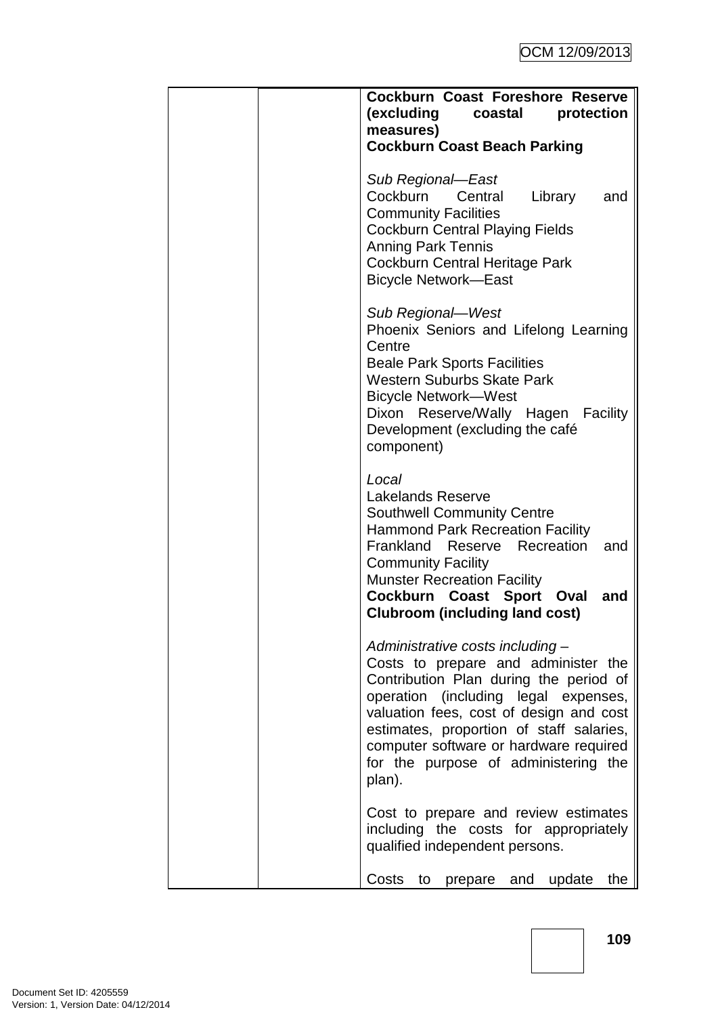| <b>Cockburn Coast Foreshore Reserve</b><br>(excluding<br>protection<br>coastal<br>measures)<br><b>Cockburn Coast Beach Parking</b>                                                                                                                                                                                                           |  |  |
|----------------------------------------------------------------------------------------------------------------------------------------------------------------------------------------------------------------------------------------------------------------------------------------------------------------------------------------------|--|--|
| Sub Regional-East<br>Cockburn Central<br>Library<br>and<br><b>Community Facilities</b><br><b>Cockburn Central Playing Fields</b><br><b>Anning Park Tennis</b><br>Cockburn Central Heritage Park<br><b>Bicycle Network-East</b>                                                                                                               |  |  |
| Sub Regional-West<br>Phoenix Seniors and Lifelong Learning<br>Centre<br><b>Beale Park Sports Facilities</b><br><b>Western Suburbs Skate Park</b><br><b>Bicycle Network-West</b><br>Dixon Reserve/Wally Hagen Facility<br>Development (excluding the café<br>component)                                                                       |  |  |
| Local<br><b>Lakelands Reserve</b><br><b>Southwell Community Centre</b><br><b>Hammond Park Recreation Facility</b><br>Frankland<br>Reserve Recreation<br>and<br><b>Community Facility</b><br><b>Munster Recreation Facility</b><br>Cockburn Coast Sport<br>Oval<br>and<br><b>Clubroom (including land cost)</b>                               |  |  |
| Administrative costs including -<br>Costs to prepare and administer the<br>Contribution Plan during the period of<br>operation (including legal expenses,<br>valuation fees, cost of design and cost<br>estimates, proportion of staff salaries,<br>computer software or hardware required<br>for the purpose of administering the<br>plan). |  |  |
| Cost to prepare and review estimates<br>including the costs for appropriately<br>qualified independent persons.                                                                                                                                                                                                                              |  |  |
| Costs to prepare and update<br>the                                                                                                                                                                                                                                                                                                           |  |  |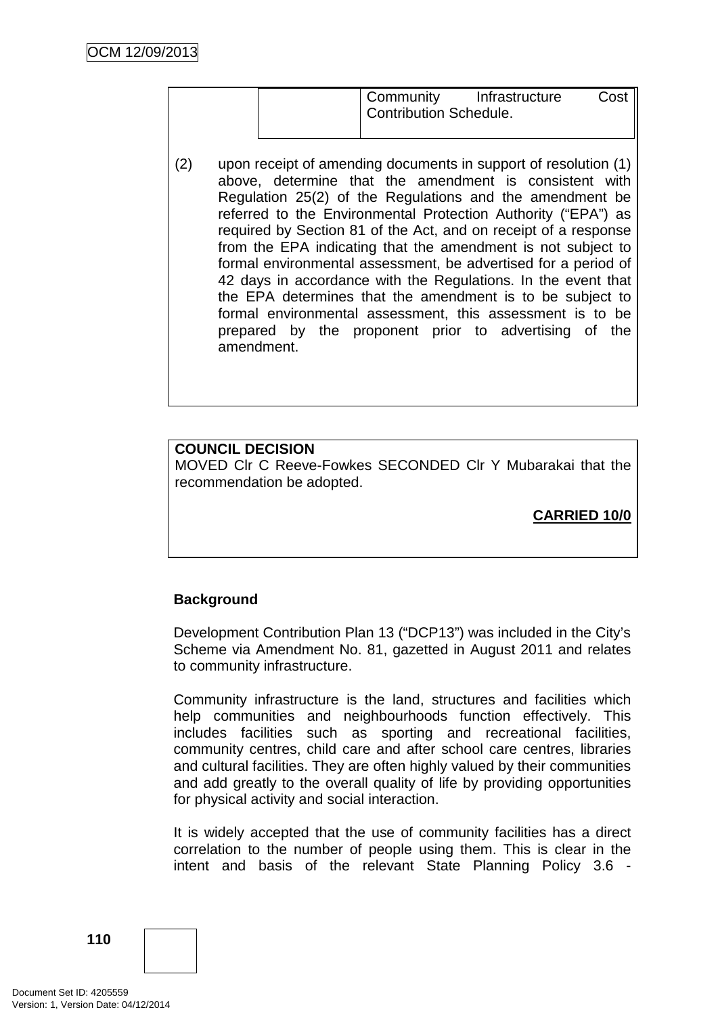|  | Community                     | Infrastructure | Cost |
|--|-------------------------------|----------------|------|
|  | <b>Contribution Schedule.</b> |                |      |
|  |                               |                |      |

(2) upon receipt of amending documents in support of resolution (1) above, determine that the amendment is consistent with Regulation 25(2) of the Regulations and the amendment be referred to the Environmental Protection Authority ("EPA") as required by Section 81 of the Act, and on receipt of a response from the EPA indicating that the amendment is not subject to formal environmental assessment, be advertised for a period of 42 days in accordance with the Regulations. In the event that the EPA determines that the amendment is to be subject to formal environmental assessment, this assessment is to be prepared by the proponent prior to advertising of the amendment.

#### **COUNCIL DECISION**

MOVED Clr C Reeve-Fowkes SECONDED Clr Y Mubarakai that the recommendation be adopted.

**CARRIED 10/0**

# **Background**

Development Contribution Plan 13 ("DCP13") was included in the City's Scheme via Amendment No. 81, gazetted in August 2011 and relates to community infrastructure.

Community infrastructure is the land, structures and facilities which help communities and neighbourhoods function effectively. This includes facilities such as sporting and recreational facilities, community centres, child care and after school care centres, libraries and cultural facilities. They are often highly valued by their communities and add greatly to the overall quality of life by providing opportunities for physical activity and social interaction.

It is widely accepted that the use of community facilities has a direct correlation to the number of people using them. This is clear in the intent and basis of the relevant State Planning Policy 3.6 -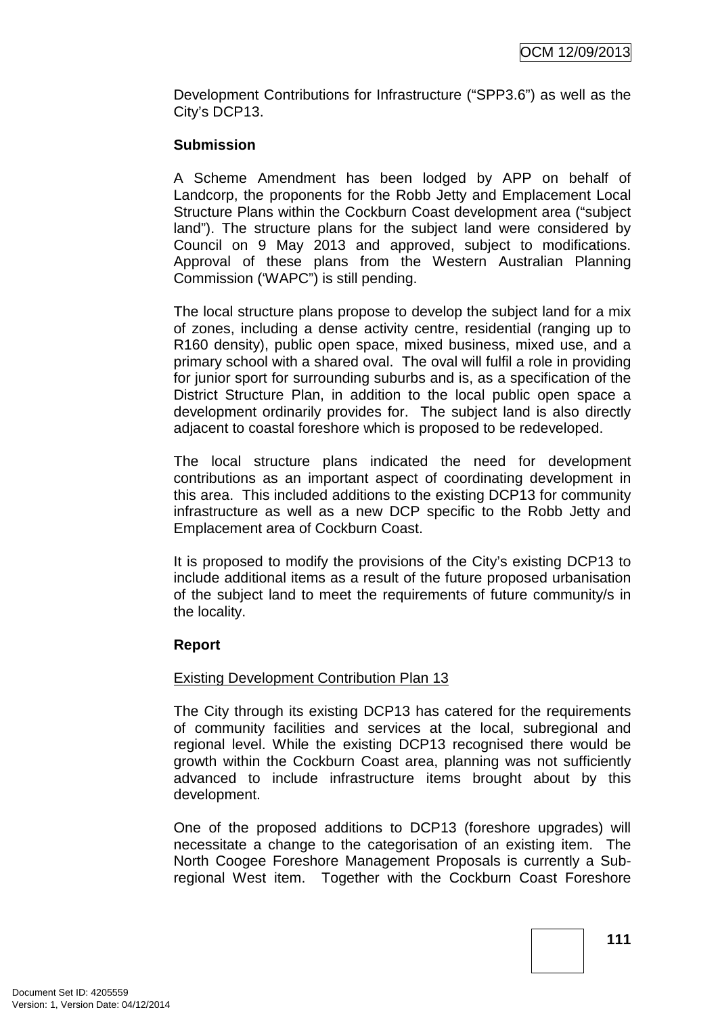Development Contributions for Infrastructure ("SPP3.6") as well as the City's DCP13.

# **Submission**

A Scheme Amendment has been lodged by APP on behalf of Landcorp, the proponents for the Robb Jetty and Emplacement Local Structure Plans within the Cockburn Coast development area ("subject land"). The structure plans for the subject land were considered by Council on 9 May 2013 and approved, subject to modifications. Approval of these plans from the Western Australian Planning Commission ('WAPC") is still pending.

The local structure plans propose to develop the subject land for a mix of zones, including a dense activity centre, residential (ranging up to R160 density), public open space, mixed business, mixed use, and a primary school with a shared oval. The oval will fulfil a role in providing for junior sport for surrounding suburbs and is, as a specification of the District Structure Plan, in addition to the local public open space a development ordinarily provides for. The subject land is also directly adjacent to coastal foreshore which is proposed to be redeveloped.

The local structure plans indicated the need for development contributions as an important aspect of coordinating development in this area. This included additions to the existing DCP13 for community infrastructure as well as a new DCP specific to the Robb Jetty and Emplacement area of Cockburn Coast.

It is proposed to modify the provisions of the City's existing DCP13 to include additional items as a result of the future proposed urbanisation of the subject land to meet the requirements of future community/s in the locality.

# **Report**

#### Existing Development Contribution Plan 13

The City through its existing DCP13 has catered for the requirements of community facilities and services at the local, subregional and regional level. While the existing DCP13 recognised there would be growth within the Cockburn Coast area, planning was not sufficiently advanced to include infrastructure items brought about by this development.

One of the proposed additions to DCP13 (foreshore upgrades) will necessitate a change to the categorisation of an existing item. The North Coogee Foreshore Management Proposals is currently a Subregional West item. Together with the Cockburn Coast Foreshore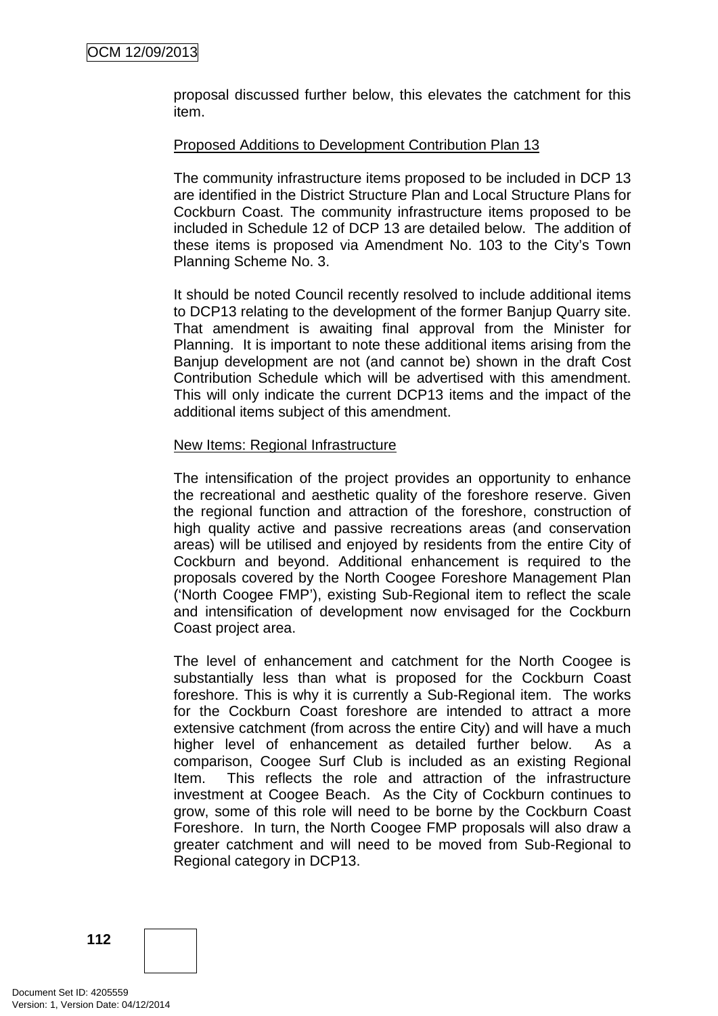proposal discussed further below, this elevates the catchment for this item.

#### Proposed Additions to Development Contribution Plan 13

The community infrastructure items proposed to be included in DCP 13 are identified in the District Structure Plan and Local Structure Plans for Cockburn Coast. The community infrastructure items proposed to be included in Schedule 12 of DCP 13 are detailed below. The addition of these items is proposed via Amendment No. 103 to the City's Town Planning Scheme No. 3.

It should be noted Council recently resolved to include additional items to DCP13 relating to the development of the former Banjup Quarry site. That amendment is awaiting final approval from the Minister for Planning. It is important to note these additional items arising from the Banjup development are not (and cannot be) shown in the draft Cost Contribution Schedule which will be advertised with this amendment. This will only indicate the current DCP13 items and the impact of the additional items subject of this amendment.

#### New Items: Regional Infrastructure

The intensification of the project provides an opportunity to enhance the recreational and aesthetic quality of the foreshore reserve. Given the regional function and attraction of the foreshore, construction of high quality active and passive recreations areas (and conservation areas) will be utilised and enjoyed by residents from the entire City of Cockburn and beyond. Additional enhancement is required to the proposals covered by the North Coogee Foreshore Management Plan ('North Coogee FMP'), existing Sub-Regional item to reflect the scale and intensification of development now envisaged for the Cockburn Coast project area.

The level of enhancement and catchment for the North Coogee is substantially less than what is proposed for the Cockburn Coast foreshore. This is why it is currently a Sub-Regional item. The works for the Cockburn Coast foreshore are intended to attract a more extensive catchment (from across the entire City) and will have a much higher level of enhancement as detailed further below. As a comparison, Coogee Surf Club is included as an existing Regional Item. This reflects the role and attraction of the infrastructure investment at Coogee Beach. As the City of Cockburn continues to grow, some of this role will need to be borne by the Cockburn Coast Foreshore. In turn, the North Coogee FMP proposals will also draw a greater catchment and will need to be moved from Sub-Regional to Regional category in DCP13.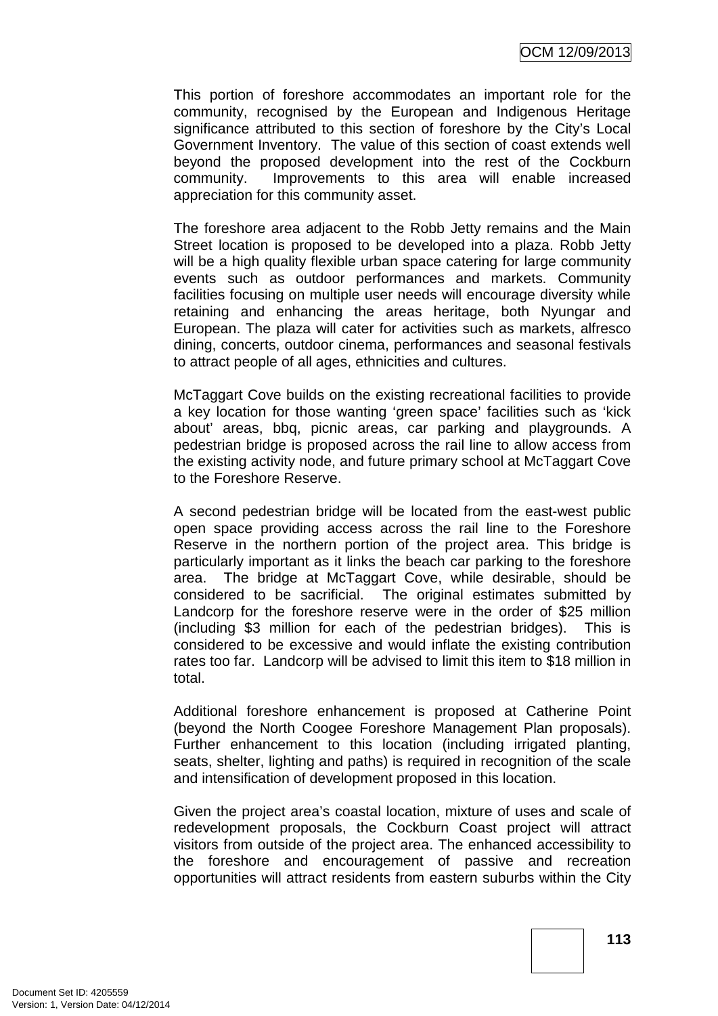This portion of foreshore accommodates an important role for the community, recognised by the European and Indigenous Heritage significance attributed to this section of foreshore by the City's Local Government Inventory. The value of this section of coast extends well beyond the proposed development into the rest of the Cockburn community. Improvements to this area will enable increased appreciation for this community asset.

The foreshore area adjacent to the Robb Jetty remains and the Main Street location is proposed to be developed into a plaza. Robb Jetty will be a high quality flexible urban space catering for large community events such as outdoor performances and markets. Community facilities focusing on multiple user needs will encourage diversity while retaining and enhancing the areas heritage, both Nyungar and European. The plaza will cater for activities such as markets, alfresco dining, concerts, outdoor cinema, performances and seasonal festivals to attract people of all ages, ethnicities and cultures.

McTaggart Cove builds on the existing recreational facilities to provide a key location for those wanting 'green space' facilities such as 'kick about' areas, bbq, picnic areas, car parking and playgrounds. A pedestrian bridge is proposed across the rail line to allow access from the existing activity node, and future primary school at McTaggart Cove to the Foreshore Reserve.

A second pedestrian bridge will be located from the east-west public open space providing access across the rail line to the Foreshore Reserve in the northern portion of the project area. This bridge is particularly important as it links the beach car parking to the foreshore area. The bridge at McTaggart Cove, while desirable, should be considered to be sacrificial. The original estimates submitted by Landcorp for the foreshore reserve were in the order of \$25 million (including \$3 million for each of the pedestrian bridges). This is considered to be excessive and would inflate the existing contribution rates too far. Landcorp will be advised to limit this item to \$18 million in total.

Additional foreshore enhancement is proposed at Catherine Point (beyond the North Coogee Foreshore Management Plan proposals). Further enhancement to this location (including irrigated planting, seats, shelter, lighting and paths) is required in recognition of the scale and intensification of development proposed in this location.

Given the project area's coastal location, mixture of uses and scale of redevelopment proposals, the Cockburn Coast project will attract visitors from outside of the project area. The enhanced accessibility to the foreshore and encouragement of passive and recreation opportunities will attract residents from eastern suburbs within the City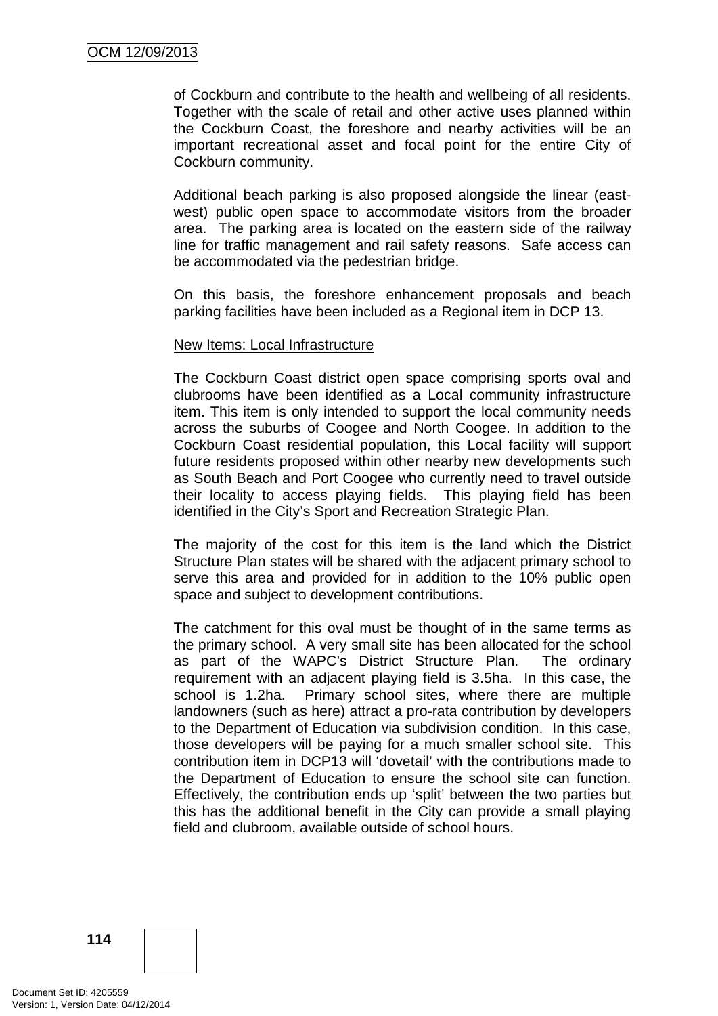of Cockburn and contribute to the health and wellbeing of all residents. Together with the scale of retail and other active uses planned within the Cockburn Coast, the foreshore and nearby activities will be an important recreational asset and focal point for the entire City of Cockburn community.

Additional beach parking is also proposed alongside the linear (eastwest) public open space to accommodate visitors from the broader area. The parking area is located on the eastern side of the railway line for traffic management and rail safety reasons. Safe access can be accommodated via the pedestrian bridge.

On this basis, the foreshore enhancement proposals and beach parking facilities have been included as a Regional item in DCP 13.

#### New Items: Local Infrastructure

The Cockburn Coast district open space comprising sports oval and clubrooms have been identified as a Local community infrastructure item. This item is only intended to support the local community needs across the suburbs of Coogee and North Coogee. In addition to the Cockburn Coast residential population, this Local facility will support future residents proposed within other nearby new developments such as South Beach and Port Coogee who currently need to travel outside their locality to access playing fields. This playing field has been identified in the City's Sport and Recreation Strategic Plan.

The majority of the cost for this item is the land which the District Structure Plan states will be shared with the adjacent primary school to serve this area and provided for in addition to the 10% public open space and subject to development contributions.

The catchment for this oval must be thought of in the same terms as the primary school. A very small site has been allocated for the school as part of the WAPC's District Structure Plan. The ordinary requirement with an adjacent playing field is 3.5ha. In this case, the school is 1.2ha. Primary school sites, where there are multiple landowners (such as here) attract a pro-rata contribution by developers to the Department of Education via subdivision condition. In this case, those developers will be paying for a much smaller school site. This contribution item in DCP13 will 'dovetail' with the contributions made to the Department of Education to ensure the school site can function. Effectively, the contribution ends up 'split' between the two parties but this has the additional benefit in the City can provide a small playing field and clubroom, available outside of school hours.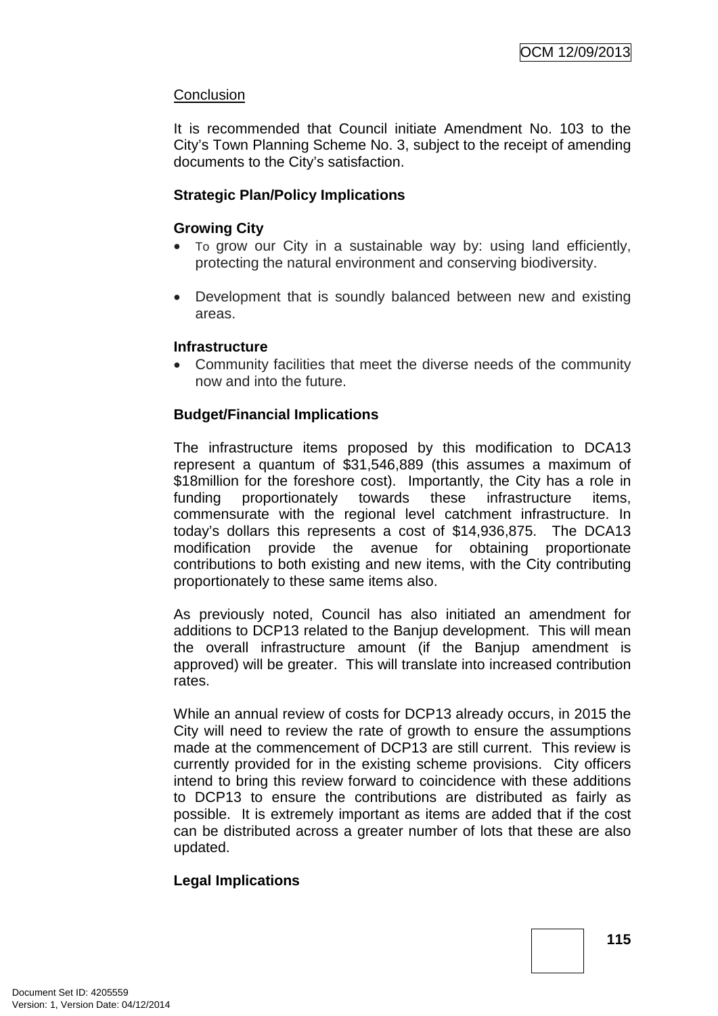# **Conclusion**

It is recommended that Council initiate Amendment No. 103 to the City's Town Planning Scheme No. 3, subject to the receipt of amending documents to the City's satisfaction.

### **Strategic Plan/Policy Implications**

### **Growing City**

- To grow our City in a sustainable way by: using land efficiently, protecting the natural environment and conserving biodiversity.
- Development that is soundly balanced between new and existing areas.

#### **Infrastructure**

• Community facilities that meet the diverse needs of the community now and into the future.

### **Budget/Financial Implications**

The infrastructure items proposed by this modification to DCA13 represent a quantum of \$31,546,889 (this assumes a maximum of \$18million for the foreshore cost). Importantly, the City has a role in funding proportionately towards these infrastructure items, commensurate with the regional level catchment infrastructure. In today's dollars this represents a cost of \$14,936,875. The DCA13 modification provide the avenue for obtaining proportionate contributions to both existing and new items, with the City contributing proportionately to these same items also.

As previously noted, Council has also initiated an amendment for additions to DCP13 related to the Banjup development. This will mean the overall infrastructure amount (if the Banjup amendment is approved) will be greater. This will translate into increased contribution rates.

While an annual review of costs for DCP13 already occurs, in 2015 the City will need to review the rate of growth to ensure the assumptions made at the commencement of DCP13 are still current. This review is currently provided for in the existing scheme provisions. City officers intend to bring this review forward to coincidence with these additions to DCP13 to ensure the contributions are distributed as fairly as possible. It is extremely important as items are added that if the cost can be distributed across a greater number of lots that these are also updated.

# **Legal Implications**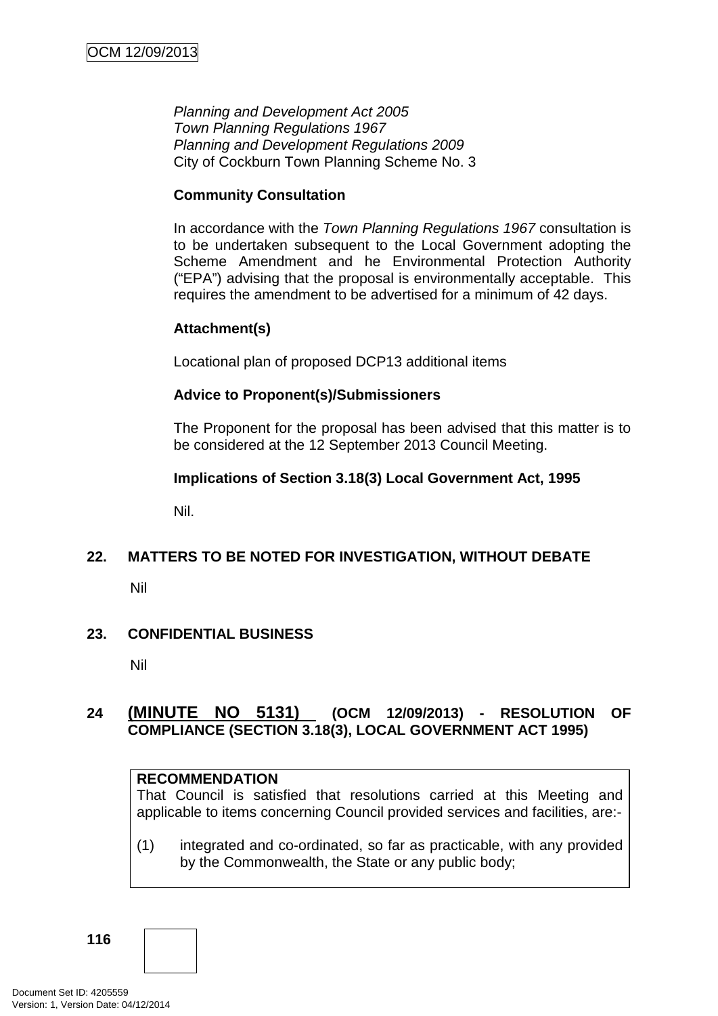*Planning and Development Act 2005 Town Planning Regulations 1967 Planning and Development Regulations 2009* City of Cockburn Town Planning Scheme No. 3

# **Community Consultation**

In accordance with the *Town Planning Regulations 1967* consultation is to be undertaken subsequent to the Local Government adopting the Scheme Amendment and he Environmental Protection Authority ("EPA") advising that the proposal is environmentally acceptable. This requires the amendment to be advertised for a minimum of 42 days.

### **Attachment(s)**

Locational plan of proposed DCP13 additional items

#### **Advice to Proponent(s)/Submissioners**

The Proponent for the proposal has been advised that this matter is to be considered at the 12 September 2013 Council Meeting.

#### **Implications of Section 3.18(3) Local Government Act, 1995**

Nil.

# **22. MATTERS TO BE NOTED FOR INVESTIGATION, WITHOUT DEBATE**

Nil

#### **23. CONFIDENTIAL BUSINESS**

Nil

# **24 (MINUTE NO 5131) (OCM 12/09/2013) - RESOLUTION OF COMPLIANCE (SECTION 3.18(3), LOCAL GOVERNMENT ACT 1995)**

### **RECOMMENDATION**

That Council is satisfied that resolutions carried at this Meeting and applicable to items concerning Council provided services and facilities, are:-

(1) integrated and co-ordinated, so far as practicable, with any provided by the Commonwealth, the State or any public body;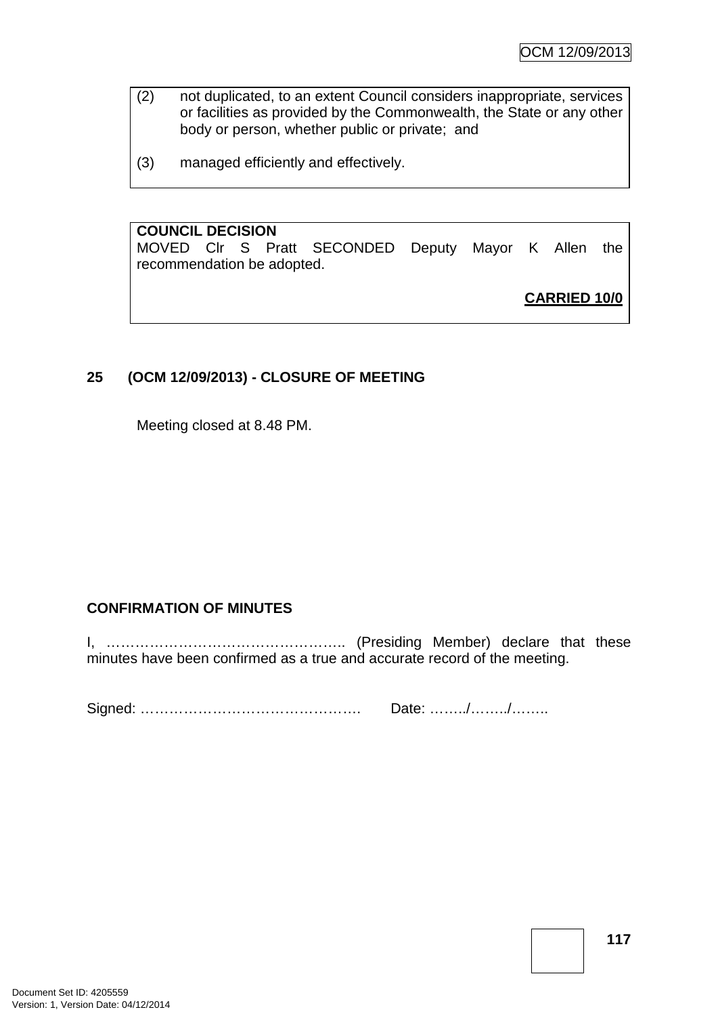- (2) not duplicated, to an extent Council considers inappropriate, services or facilities as provided by the Commonwealth, the State or any other body or person, whether public or private; and
- (3) managed efficiently and effectively.

# **COUNCIL DECISION**

MOVED Clr S Pratt SECONDED Deputy Mayor K Allen the recommendation be adopted.

**CARRIED 10/0**

# **25 (OCM 12/09/2013) - CLOSURE OF MEETING**

Meeting closed at 8.48 PM.

# **CONFIRMATION OF MINUTES**

I, ………………………………………….. (Presiding Member) declare that these minutes have been confirmed as a true and accurate record of the meeting.

Signed: ………………………………………. Date: ……../……../……..